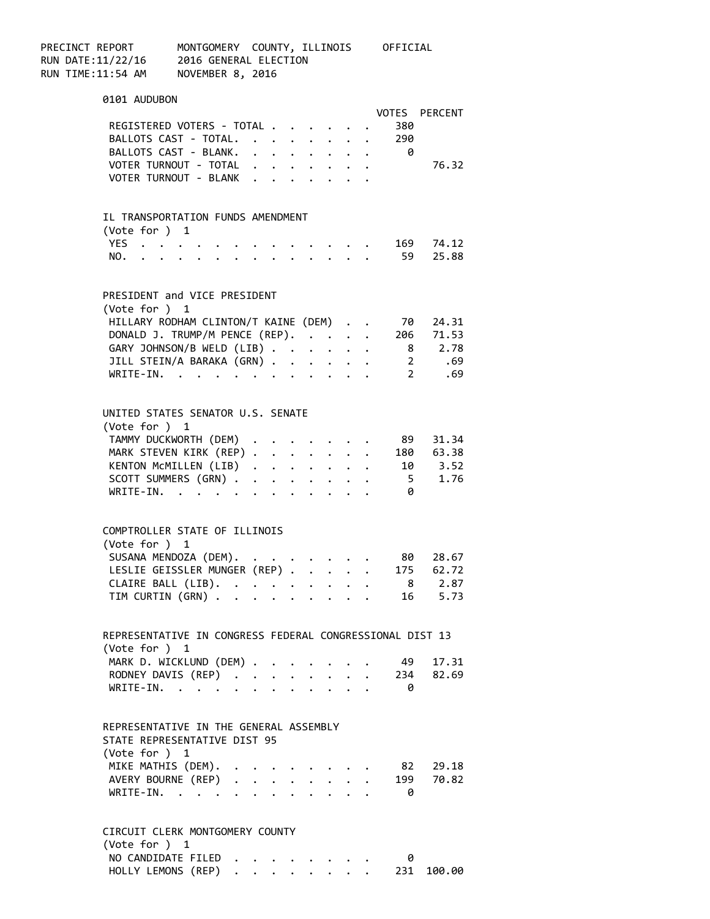| PRECINCT REPORT   | MONTGOMERY COUNTY, ILLINOIS | OFFICIAL |
|-------------------|-----------------------------|----------|
| RUN DATE:11/22/16 | 2016 GENERAL ELECTION       |          |
| RUN TIME:11:54 AM | NOVEMBER 8, 2016            |          |

| 0101 AUDUBON                                                             |                      |        |              |                                                             |  |          |                      |
|--------------------------------------------------------------------------|----------------------|--------|--------------|-------------------------------------------------------------|--|----------|----------------------|
|                                                                          |                      |        |              |                                                             |  |          | VOTES PERCENT        |
| REGISTERED VOTERS - TOTAL                                                |                      |        |              |                                                             |  | - 380    |                      |
| BALLOTS CAST - TOTAL.<br>BALLOTS CAST - BLANK.                           |                      |        |              |                                                             |  | 290      |                      |
|                                                                          |                      |        |              |                                                             |  | $\theta$ |                      |
| VOTER TURNOUT - TOTAL                                                    |                      |        |              |                                                             |  |          | 76.32                |
| VOTER TURNOUT - BLANK                                                    |                      |        |              |                                                             |  |          |                      |
|                                                                          |                      |        |              |                                                             |  |          |                      |
|                                                                          |                      |        |              |                                                             |  |          |                      |
| IL TRANSPORTATION FUNDS AMENDMENT                                        |                      |        |              |                                                             |  |          |                      |
| (Vote for ) 1                                                            |                      |        |              |                                                             |  |          |                      |
| YES $\cdot \cdot \cdot \cdot$                                            |                      |        |              |                                                             |  |          | $\cdot$ 169 74.12    |
| YES<br>NO.                                                               |                      |        |              |                                                             |  |          | 59 25.88             |
|                                                                          |                      |        |              |                                                             |  |          |                      |
|                                                                          |                      |        |              |                                                             |  |          |                      |
| PRESIDENT and VICE PRESIDENT                                             |                      |        |              |                                                             |  |          |                      |
|                                                                          |                      |        |              |                                                             |  |          |                      |
| (Vote for ) 1                                                            |                      |        |              |                                                             |  |          |                      |
| HILLARY RODHAM CLINTON/T KAINE (DEM)                                     |                      |        |              |                                                             |  | 70       | 24.31<br>$206$ 71.53 |
| DONALD J. TRUMP/M PENCE (REP).<br>GARY JOHNSON/B WELD (LIB)              |                      |        |              |                                                             |  |          |                      |
|                                                                          |                      |        |              |                                                             |  |          | 8 2.78               |
| JILL STEIN/A BARAKA (GRN)                                                |                      |        |              |                                                             |  |          | 2 .69                |
| WRITE-IN.                                                                |                      |        |              |                                                             |  |          | 2 .69                |
|                                                                          |                      |        |              |                                                             |  |          |                      |
|                                                                          |                      |        |              |                                                             |  |          |                      |
| UNITED STATES SENATOR U.S. SENATE                                        |                      |        |              |                                                             |  |          |                      |
| (Vote for ) 1                                                            |                      |        |              |                                                             |  |          |                      |
| TAMMY DUCKWORTH (DEM) .                                                  |                      |        |              | $\mathcal{L}(\mathcal{A})$ and $\mathcal{A}(\mathcal{A})$ . |  | 89       | 31.34                |
| MARK STEVEN KIRK (REP)                                                   |                      |        |              |                                                             |  |          | 180 63.38            |
| KENTON MCMILLEN (LIB)                                                    |                      |        |              |                                                             |  |          | 10 3.52              |
| SCOTT SUMMERS (GRN)                                                      |                      |        |              |                                                             |  |          | 5 1.76               |
| WRITE-IN.                                                                |                      |        |              |                                                             |  | - 0      |                      |
|                                                                          |                      |        |              |                                                             |  |          |                      |
|                                                                          |                      |        |              |                                                             |  |          |                      |
| COMPTROLLER STATE OF ILLINOIS                                            |                      |        |              |                                                             |  |          |                      |
| (Vote for ) 1                                                            |                      |        |              |                                                             |  |          |                      |
| SUSANA MENDOZA (DEM).                                                    |                      |        |              |                                                             |  | 80       | 28.67                |
| LESLIE GEISSLER MUNGER (REP) 175 62.72                                   |                      |        |              |                                                             |  |          |                      |
|                                                                          |                      |        |              |                                                             |  |          |                      |
| CLAIRE BALL (LIB).                                                       |                      |        |              |                                                             |  |          | 8 2.87               |
| TIM CURTIN (GRN)                                                         |                      |        |              |                                                             |  |          | 16 5.73              |
|                                                                          |                      |        |              |                                                             |  |          |                      |
|                                                                          |                      |        |              |                                                             |  |          |                      |
| REPRESENTATIVE IN CONGRESS FEDERAL CONGRESSIONAL DIST 13                 |                      |        |              |                                                             |  |          |                      |
| (Vote for ) 1                                                            |                      |        |              |                                                             |  |          |                      |
| MARK D. WICKLUND (DEM) .                                                 |                      |        |              |                                                             |  | - 49     | 17.31                |
| RODNEY DAVIS (REP)                                                       |                      | $\sim$ | $\mathbf{r}$ | $\ddot{\phantom{a}}$                                        |  |          | 234 82.69            |
| $\mathcal{L}^{\text{max}}$ , and $\mathcal{L}^{\text{max}}$<br>WRITE-IN. |                      |        |              |                                                             |  | 0        |                      |
|                                                                          |                      |        |              |                                                             |  |          |                      |
|                                                                          |                      |        |              |                                                             |  |          |                      |
| REPRESENTATIVE IN THE GENERAL ASSEMBLY                                   |                      |        |              |                                                             |  |          |                      |
| STATE REPRESENTATIVE DIST 95                                             |                      |        |              |                                                             |  |          |                      |
| (Note for ) 1                                                            |                      |        |              |                                                             |  |          |                      |
| MIKE MATHIS (DEM).                                                       |                      |        |              |                                                             |  | 82       | 29.18                |
| AVERY BOURNE (REP)                                                       | $\ddot{\phantom{0}}$ | $\sim$ |              | $\mathbf{1}$ $\mathbf{1}$ $\mathbf{1}$ $\mathbf{1}$         |  | 199      | 70.82                |
| WRITE-IN.                                                                |                      |        |              |                                                             |  | 0        |                      |
|                                                                          |                      |        |              |                                                             |  |          |                      |
|                                                                          |                      |        |              |                                                             |  |          |                      |
| CIRCUIT CLERK MONTGOMERY COUNTY                                          |                      |        |              |                                                             |  |          |                      |
| (Vote for ) 1                                                            |                      |        |              |                                                             |  |          |                      |
|                                                                          |                      |        |              |                                                             |  |          |                      |

NO CANDIDATE FILED . . . . . . . . 0 HOLLY LEMONS (REP) . . . . . . . . 231 100.00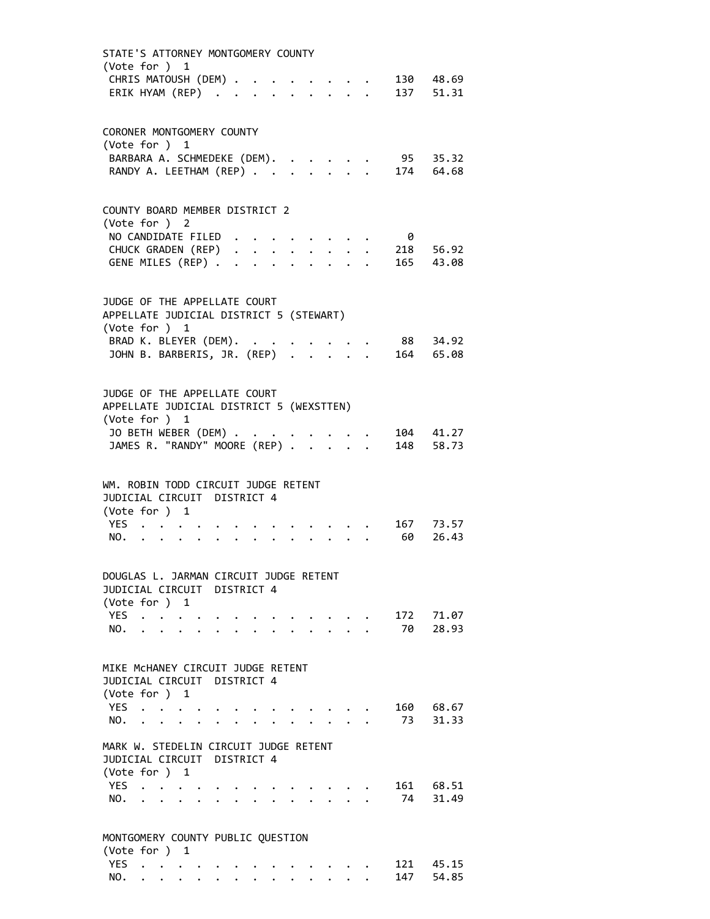| STATE'S ATTORNEY MONTGOMERY COUNTY<br>(Vote for ) 1                                       |                                                     |                                   |                                        |  |  |  |  |                              |                |
|-------------------------------------------------------------------------------------------|-----------------------------------------------------|-----------------------------------|----------------------------------------|--|--|--|--|------------------------------|----------------|
| CHRIS MATOUSH (DEM)                                                                       |                                                     |                                   |                                        |  |  |  |  |                              | 130 48.69      |
|                                                                                           | ERIK HYAM (REP)                                     |                                   |                                        |  |  |  |  |                              | 137 51.31      |
| CORONER MONTGOMERY COUNTY<br>(Vote for ) 1                                                |                                                     |                                   |                                        |  |  |  |  |                              |                |
|                                                                                           | BARBARA A. SCHMEDEKE (DEM).                         |                                   |                                        |  |  |  |  | 95                           | 35.32          |
|                                                                                           | RANDY A. LEETHAM (REP)                              |                                   |                                        |  |  |  |  |                              | 174 64.68      |
| COUNTY BOARD MEMBER DISTRICT 2                                                            |                                                     |                                   |                                        |  |  |  |  |                              |                |
| (Vote for ) 2                                                                             | NO CANDIDATE FILED                                  |                                   |                                        |  |  |  |  | - 0                          |                |
|                                                                                           |                                                     |                                   |                                        |  |  |  |  | CHUCK GRADEN (REP) 218 56.92 |                |
|                                                                                           | GENE MILES (REP)                                    |                                   |                                        |  |  |  |  | $\cdot$ 165 43.08            |                |
| JUDGE OF THE APPELLATE COURT<br>APPELLATE JUDICIAL DISTRICT 5 (STEWART)<br>(Vote for ) 1  |                                                     |                                   |                                        |  |  |  |  |                              |                |
| BRAD K. BLEYER (DEM). .                                                                   |                                                     |                                   |                                        |  |  |  |  |                              | 88 34.92       |
|                                                                                           | JOHN B. BARBERIS, JR. (REP)                         |                                   |                                        |  |  |  |  |                              | 164 65.08      |
| JUDGE OF THE APPELLATE COURT<br>APPELLATE JUDICIAL DISTRICT 5 (WEXSTTEN)<br>(Vote for ) 1 |                                                     |                                   |                                        |  |  |  |  |                              |                |
| JO BETH WEBER (DEM) .                                                                     |                                                     |                                   |                                        |  |  |  |  |                              | 104 41.27      |
|                                                                                           | JO DEIN WEDER (DEM)<br>JAMES R. "RANDY" MOORE (REP) |                                   |                                        |  |  |  |  |                              | 148 58.73      |
| WM. ROBIN TODD CIRCUIT JUDGE RETENT<br>JUDICIAL CIRCUIT DISTRICT 4                        |                                                     |                                   |                                        |  |  |  |  |                              |                |
| (Vote for ) 1                                                                             |                                                     |                                   |                                        |  |  |  |  |                              |                |
| YES.                                                                                      |                                                     |                                   |                                        |  |  |  |  |                              | 167 73.57      |
| NO.                                                                                       | $\ddot{\phantom{0}}$                                |                                   |                                        |  |  |  |  | 60                           | 26.43          |
| DOUGLAS L. JARMAN CIRCUIT JUDGE RETENT<br>JUDICIAL CIRCUIT DISTRICT 4                     |                                                     |                                   |                                        |  |  |  |  |                              |                |
| (Vote for ) 1                                                                             |                                                     |                                   |                                        |  |  |  |  |                              |                |
| <b>YES</b><br>NO.                                                                         | $\mathbf{L}$                                        |                                   |                                        |  |  |  |  | 172<br>70                    | 71.07<br>28.93 |
| MIKE MCHANEY CIRCUIT JUDGE RETENT                                                         |                                                     |                                   |                                        |  |  |  |  |                              |                |
| JUDICIAL CIRCUIT DISTRICT 4                                                               |                                                     |                                   |                                        |  |  |  |  |                              |                |
| (Vote for ) 1                                                                             |                                                     |                                   |                                        |  |  |  |  |                              |                |
| <b>YES</b>                                                                                |                                                     | $\sim 100$ km s $^{-1}$           |                                        |  |  |  |  | 160                          | 68.67          |
| NO.                                                                                       | <b>Contract Contract Contract</b>                   |                                   |                                        |  |  |  |  | 73                           | 31.33          |
| MARK W. STEDELIN CIRCUIT JUDGE RETENT                                                     |                                                     |                                   |                                        |  |  |  |  |                              |                |
| JUDICIAL CIRCUIT DISTRICT 4                                                               |                                                     |                                   |                                        |  |  |  |  |                              |                |
| (Vote for ) 1                                                                             |                                                     |                                   |                                        |  |  |  |  |                              |                |
| <b>YES</b><br>NO.                                                                         | $\mathbf{L} = \mathbf{L}$                           | $\bullet$ , $\bullet$ , $\bullet$ |                                        |  |  |  |  | 161 —<br>74                  | 68.51<br>31.49 |
|                                                                                           | $\mathbf{L} = \mathbf{L} \mathbf{L}$                |                                   | $\mathbf{r} = \mathbf{r} + \mathbf{r}$ |  |  |  |  |                              |                |
| MONTGOMERY COUNTY PUBLIC QUESTION<br>(Vote for ) 1                                        |                                                     |                                   |                                        |  |  |  |  |                              |                |
|                                                                                           | YES                                                 |                                   |                                        |  |  |  |  | 121                          | 45.15          |
| NO.                                                                                       |                                                     |                                   |                                        |  |  |  |  | 147                          | 54.85          |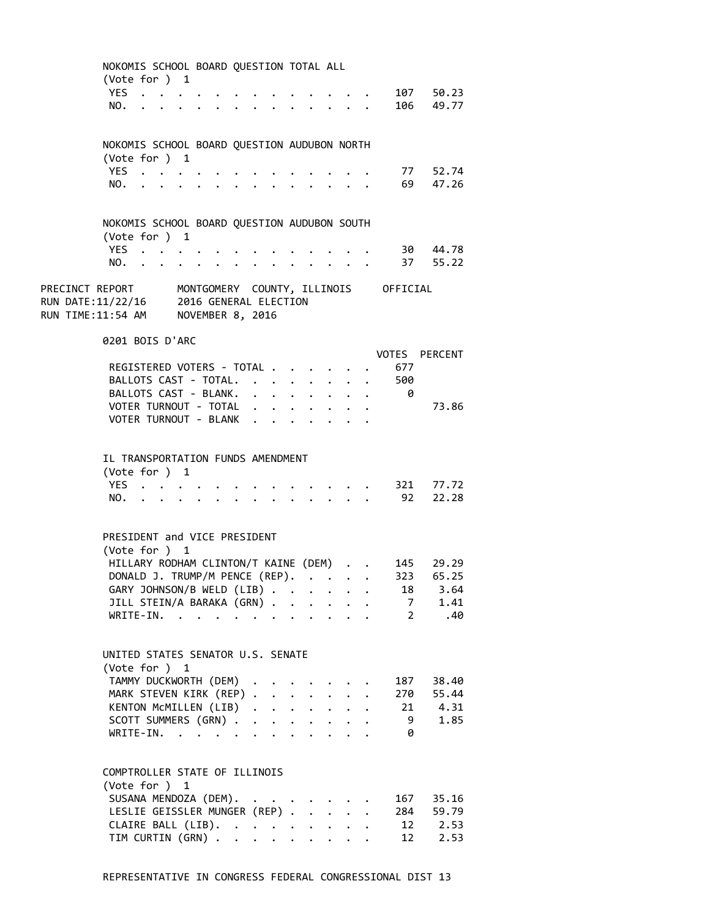|                                                                                                                                                          |      | NOKOMIS SCHOOL BOARD QUESTION TOTAL ALL<br>(Vote for ) 1                                 |  |              |                      |                      |                      |                      |                                         |                |                |
|----------------------------------------------------------------------------------------------------------------------------------------------------------|------|------------------------------------------------------------------------------------------|--|--------------|----------------------|----------------------|----------------------|----------------------|-----------------------------------------|----------------|----------------|
|                                                                                                                                                          |      | YES                                                                                      |  |              |                      |                      |                      |                      |                                         |                | 107 50.23      |
|                                                                                                                                                          | NO.  |                                                                                          |  |              |                      |                      |                      |                      |                                         |                | 106 49.77      |
|                                                                                                                                                          |      |                                                                                          |  |              |                      |                      |                      |                      |                                         |                |                |
|                                                                                                                                                          |      |                                                                                          |  |              |                      |                      |                      |                      |                                         |                |                |
|                                                                                                                                                          |      | NOKOMIS SCHOOL BOARD QUESTION AUDUBON NORTH                                              |  |              |                      |                      |                      |                      |                                         |                |                |
|                                                                                                                                                          |      | (Vote for ) 1                                                                            |  |              |                      |                      |                      |                      |                                         |                |                |
|                                                                                                                                                          | YES. | $\mathcal{A}=\mathcal{A}=\mathcal{A}=\mathcal{A}=\mathcal{A}$                            |  |              |                      |                      |                      |                      |                                         | 77             | 52.74          |
|                                                                                                                                                          | NO.  | $\mathbf{r}$ , and $\mathbf{r}$ , and $\mathbf{r}$ , and $\mathbf{r}$                    |  |              |                      |                      |                      |                      |                                         |                | 69 47.26       |
|                                                                                                                                                          |      |                                                                                          |  |              |                      |                      |                      |                      |                                         |                |                |
|                                                                                                                                                          |      | NOKOMIS SCHOOL BOARD QUESTION AUDUBON SOUTH                                              |  |              |                      |                      |                      |                      |                                         |                |                |
|                                                                                                                                                          |      | (Vote for ) 1                                                                            |  |              |                      |                      |                      |                      |                                         |                |                |
|                                                                                                                                                          |      | YES                                                                                      |  |              |                      |                      |                      |                      |                                         |                | 30 44.78       |
|                                                                                                                                                          | NO.  | $\mathbf{r}$ , and $\mathbf{r}$ , and $\mathbf{r}$ , and $\mathbf{r}$ , and $\mathbf{r}$ |  |              |                      |                      |                      |                      | $\cdot$ $\cdot$ $\cdot$ $\cdot$ $\cdot$ |                | . 37 55.22     |
|                                                                                                                                                          |      |                                                                                          |  |              |                      |                      |                      |                      |                                         |                |                |
| PRECINCT REPORT       MONTGOMERY  COUNTY, ILLINOIS     OFFICIAL<br>RUN DATE:11/22/16     2016 GENERAL ELECTION<br>RUN TIME:11:54 AM     NOVEMBER 8, 2016 |      |                                                                                          |  |              |                      |                      |                      |                      |                                         |                |                |
|                                                                                                                                                          |      |                                                                                          |  |              |                      |                      |                      |                      |                                         |                |                |
|                                                                                                                                                          |      |                                                                                          |  |              |                      |                      |                      |                      |                                         |                |                |
|                                                                                                                                                          |      | 0201 BOIS D'ARC                                                                          |  |              |                      |                      |                      |                      |                                         |                |                |
|                                                                                                                                                          |      |                                                                                          |  |              |                      |                      |                      |                      |                                         | VOTES          | <b>PERCENT</b> |
|                                                                                                                                                          |      | REGISTERED VOTERS - TOTAL                                                                |  |              |                      |                      |                      |                      |                                         | 677            |                |
|                                                                                                                                                          |      | BALLOTS CAST - TOTAL.                                                                    |  |              |                      |                      |                      |                      |                                         | 500            |                |
|                                                                                                                                                          |      | BALLOTS CAST - BLANK.                                                                    |  |              |                      |                      |                      |                      |                                         | 0              |                |
|                                                                                                                                                          |      | VOTER TURNOUT - TOTAL                                                                    |  |              |                      |                      |                      |                      |                                         |                | 73.86          |
|                                                                                                                                                          |      | VOTER TURNOUT - BLANK                                                                    |  | $\mathbf{A}$ |                      |                      |                      |                      |                                         |                |                |
|                                                                                                                                                          |      |                                                                                          |  |              |                      |                      |                      |                      |                                         |                |                |
|                                                                                                                                                          |      |                                                                                          |  |              |                      |                      |                      |                      |                                         |                |                |
|                                                                                                                                                          |      | IL TRANSPORTATION FUNDS AMENDMENT                                                        |  |              |                      |                      |                      |                      |                                         |                |                |
|                                                                                                                                                          |      | (Vote for ) 1                                                                            |  |              |                      |                      |                      |                      |                                         |                |                |
|                                                                                                                                                          |      | YES                                                                                      |  |              |                      |                      |                      |                      |                                         |                | 321 77.72      |
|                                                                                                                                                          | NO.  | $\cdots$                                                                                 |  |              |                      | $\ddot{\phantom{a}}$ |                      |                      | $\sim$ $\sim$ $\sim$ $\sim$ $\sim$      | 92             | 22.28          |
|                                                                                                                                                          |      |                                                                                          |  |              |                      |                      |                      |                      |                                         |                |                |
|                                                                                                                                                          |      | PRESIDENT and VICE PRESIDENT                                                             |  |              |                      |                      |                      |                      |                                         |                |                |
|                                                                                                                                                          |      | (Vote for ) 1                                                                            |  |              |                      |                      |                      |                      |                                         |                |                |
|                                                                                                                                                          |      | HILLARY RODHAM CLINTON/T KAINE (DEM)                                                     |  |              |                      |                      |                      |                      |                                         | 145            | 29.29          |
|                                                                                                                                                          |      | DONALD J. TRUMP/M PENCE (REP).                                                           |  |              |                      |                      |                      |                      |                                         |                | 323 65.25      |
|                                                                                                                                                          |      | GARY JOHNSON/B WELD (LIB)                                                                |  |              |                      |                      |                      |                      |                                         | 18             | 3.64           |
|                                                                                                                                                          |      | JILL STEIN/A BARAKA (GRN)                                                                |  |              |                      |                      |                      |                      |                                         | 7              | 1.41           |
|                                                                                                                                                          |      | $WRITE-IN.$                                                                              |  |              |                      |                      |                      |                      |                                         | $\overline{2}$ | .40            |
|                                                                                                                                                          |      |                                                                                          |  |              |                      |                      |                      |                      |                                         |                |                |
|                                                                                                                                                          |      |                                                                                          |  |              |                      |                      |                      |                      |                                         |                |                |
|                                                                                                                                                          |      | UNITED STATES SENATOR U.S. SENATE                                                        |  |              |                      |                      |                      |                      |                                         |                |                |
|                                                                                                                                                          |      | (Vote for ) 1                                                                            |  |              |                      |                      |                      |                      |                                         |                |                |
|                                                                                                                                                          |      | TAMMY DUCKWORTH (DEM)<br>MARK STEVEN KIRK (REP)                                          |  |              |                      |                      |                      |                      |                                         | 187<br>270     | 38.40<br>55.44 |
|                                                                                                                                                          |      | KENTON MCMILLEN (LIB)                                                                    |  |              |                      |                      |                      | $\ddot{\phantom{0}}$ |                                         | 21             | 4.31           |
|                                                                                                                                                          |      | SCOTT SUMMERS (GRN).                                                                     |  | $\mathbf{L}$ | $\ddot{\phantom{0}}$ | $\ddot{\phantom{0}}$ | $\sim$               | $\ddot{\phantom{0}}$ |                                         | 9              | 1.85           |
|                                                                                                                                                          |      | WRITE-IN.                                                                                |  |              |                      |                      |                      |                      |                                         | 0              |                |
|                                                                                                                                                          |      |                                                                                          |  |              |                      |                      |                      |                      |                                         |                |                |
|                                                                                                                                                          |      |                                                                                          |  |              |                      |                      |                      |                      |                                         |                |                |
|                                                                                                                                                          |      | COMPTROLLER STATE OF ILLINOIS                                                            |  |              |                      |                      |                      |                      |                                         |                |                |
|                                                                                                                                                          |      | (Vote for ) 1                                                                            |  |              |                      |                      |                      |                      |                                         |                |                |
|                                                                                                                                                          |      | SUSANA MENDOZA (DEM).                                                                    |  |              |                      |                      |                      |                      |                                         | 167            | 35.16          |
|                                                                                                                                                          |      | LESLIE GEISSLER MUNGER (REP) .                                                           |  |              |                      |                      | $\ddot{\phantom{0}}$ |                      |                                         | 284            | 59.79          |
|                                                                                                                                                          |      | CLAIRE BALL (LIB).                                                                       |  |              |                      |                      |                      |                      |                                         | 12             | 2.53           |
|                                                                                                                                                          |      | TIM CURTIN (GRN)                                                                         |  |              |                      |                      |                      |                      |                                         | 12             | 2.53           |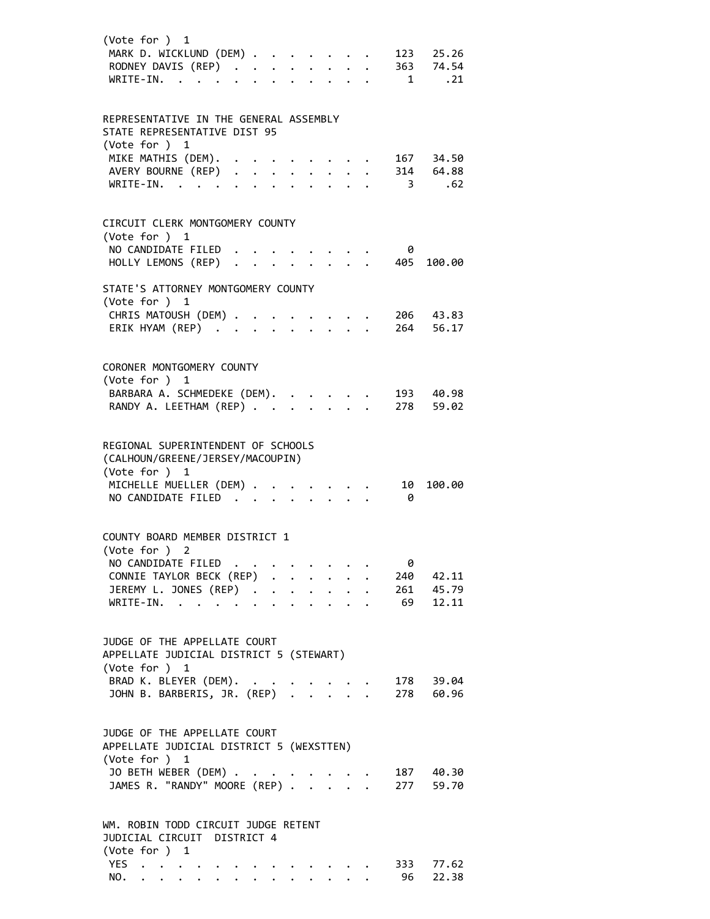| (Vote for ) 1<br>MARK D. WICKLUND (DEM)<br>RODNEY DAVIS (REP)<br>WRITE-IN.                |   |              |                                                                                                                                                        |                           |                                           |  | $\overline{1}$          | 123 25.26<br>363 74.54<br>.21 |
|-------------------------------------------------------------------------------------------|---|--------------|--------------------------------------------------------------------------------------------------------------------------------------------------------|---------------------------|-------------------------------------------|--|-------------------------|-------------------------------|
| REPRESENTATIVE IN THE GENERAL ASSEMBLY<br>STATE REPRESENTATIVE DIST 95<br>(Vote for ) 1   |   |              |                                                                                                                                                        |                           |                                           |  |                         |                               |
| MIKE MATHIS (DEM).<br>AVERY BOURNE (REP) .<br>WRITE-IN.                                   |   |              | $\begin{array}{cccccccccc} 1 & 1 & 1 & 1 & 1 & 1 & 1 & 1 & 1 \\ 1 & 1 & 1 & 1 & 1 & 1 & 1 & 1 & 1 \\ 1 & 1 & 1 & 1 & 1 & 1 & 1 & 1 & 1 \\ \end{array}$ |                           |                                           |  | $\overline{\mathbf{3}}$ | 167 34.50<br>314 64.88<br>.62 |
| CIRCUIT CLERK MONTGOMERY COUNTY<br>(Vote for ) 1<br>NO CANDIDATE FILED                    |   |              |                                                                                                                                                        |                           |                                           |  | 0                       |                               |
| HOLLY LEMONS (REP)                                                                        |   | $\mathbf{r}$ |                                                                                                                                                        |                           |                                           |  | 405                     | 100.00                        |
| STATE'S ATTORNEY MONTGOMERY COUNTY<br>(Vote for ) 1                                       |   |              |                                                                                                                                                        |                           |                                           |  |                         |                               |
| CHRIS MATOUSH (DEM) .<br>ERIK HYAM (REP)                                                  |   |              |                                                                                                                                                        |                           |                                           |  |                         | 206 43.83<br>264 56.17        |
| CORONER MONTGOMERY COUNTY<br>(Vote for ) 1                                                |   |              |                                                                                                                                                        |                           |                                           |  |                         |                               |
| BARBARA A. SCHMEDEKE (DEM).<br>RANDY A. LEETHAM (REP)                                     |   |              |                                                                                                                                                        |                           |                                           |  |                         | 193 40.98<br>278 59.02        |
| REGIONAL SUPERINTENDENT OF SCHOOLS<br>(CALHOUN/GREENE/JERSEY/MACOUPIN)<br>(Vote for ) 1   |   |              |                                                                                                                                                        |                           |                                           |  |                         |                               |
| MICHELLE MUELLER (DEM)<br>NO CANDIDATE FILED                                              |   |              |                                                                                                                                                        | $\mathbf{L}^{\text{max}}$ |                                           |  | 10<br>0                 | 100.00                        |
| COUNTY BOARD MEMBER DISTRICT 1<br>(Vote for )                                             | 2 |              |                                                                                                                                                        |                           |                                           |  |                         |                               |
| NO CANDIDATE FILED                                                                        |   |              |                                                                                                                                                        |                           |                                           |  | 0<br>240                | 42.11                         |
| CONNIE TAYLOR BECK (REP)<br>JEREMY L. JONES (REP)<br>WRITE-IN.<br>WRITE-IN.               |   |              |                                                                                                                                                        |                           |                                           |  |                         | 261 45.79<br>69 12.11         |
| JUDGE OF THE APPELLATE COURT<br>APPELLATE JUDICIAL DISTRICT 5 (STEWART)                   |   |              |                                                                                                                                                        |                           |                                           |  |                         |                               |
| (Vote for ) 1<br>BRAD K. BLEYER (DEM). .<br>JOHN B. BARBERIS, JR. (REP)                   |   |              |                                                                                                                                                        |                           | $\frac{1}{2}$ $\frac{1}{2}$ $\frac{1}{2}$ |  |                         | 178 39.04<br>278 60.96        |
| JUDGE OF THE APPELLATE COURT<br>APPELLATE JUDICIAL DISTRICT 5 (WEXSTTEN)<br>(Vote for ) 1 |   |              |                                                                                                                                                        |                           |                                           |  |                         |                               |
| JO BETH WEBER (DEM) .<br>JAMES R. "RANDY" MOORE (REP) .                                   |   |              |                                                                                                                                                        |                           |                                           |  |                         | 187 40.30<br>277 59.70        |
| WM. ROBIN TODD CIRCUIT JUDGE RETENT<br>JUDICIAL CIRCUIT DISTRICT 4<br>(Vote for ) 1       |   |              |                                                                                                                                                        |                           |                                           |  |                         |                               |
| YES $\cdot \cdot \cdot \cdot \cdot$<br>NO.                                                |   |              |                                                                                                                                                        |                           |                                           |  | 96                      | 333 77.62<br>22.38            |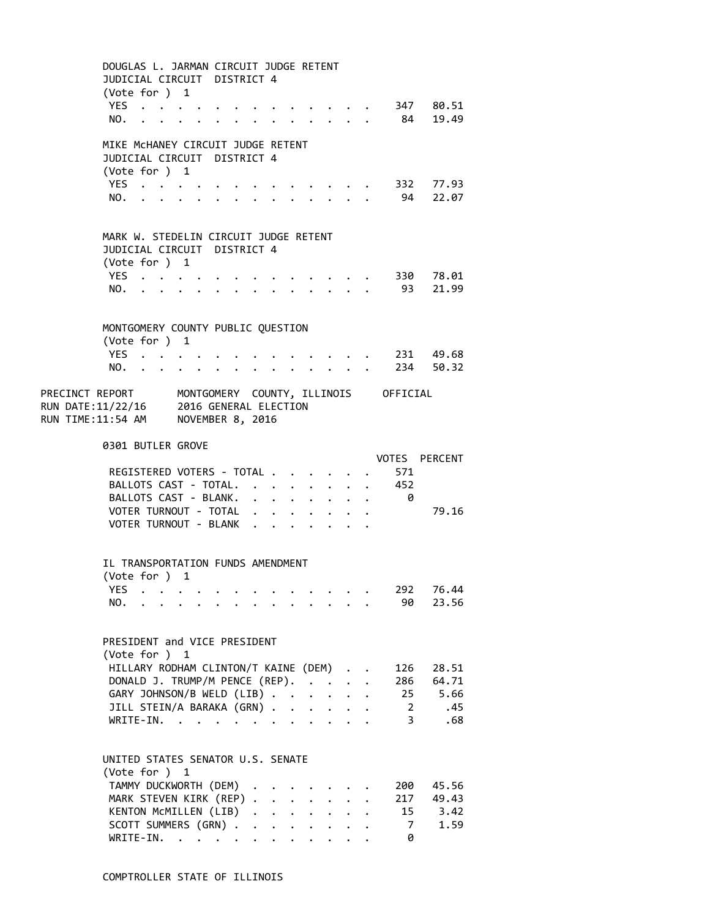|                                                                                                                                       | DOUGLAS L. JARMAN CIRCUIT JUDGE RETENT<br>JUDICIAL CIRCUIT DISTRICT 4<br>(Vote for $)$ 1 |  |  |                                                |  |                      |                      |                      |                                                                                                                                                                                                                               |                                                       |              |                           |                                   |  |
|---------------------------------------------------------------------------------------------------------------------------------------|------------------------------------------------------------------------------------------|--|--|------------------------------------------------|--|----------------------|----------------------|----------------------|-------------------------------------------------------------------------------------------------------------------------------------------------------------------------------------------------------------------------------|-------------------------------------------------------|--------------|---------------------------|-----------------------------------|--|
|                                                                                                                                       | YES<br>NO.                                                                               |  |  |                                                |  |                      |                      |                      |                                                                                                                                                                                                                               |                                                       |              | . 84                      | . 347 80.51<br>19.49              |  |
|                                                                                                                                       | MIKE MCHANEY CIRCUIT JUDGE RETENT<br>JUDICIAL CIRCUIT DISTRICT 4                         |  |  |                                                |  |                      |                      |                      |                                                                                                                                                                                                                               |                                                       |              |                           |                                   |  |
|                                                                                                                                       | (Vote for ) 1<br>YES                                                                     |  |  |                                                |  |                      |                      |                      |                                                                                                                                                                                                                               |                                                       |              |                           | $\cdot$ $\cdot$ $\cdot$ 332 77.93 |  |
|                                                                                                                                       | NO.                                                                                      |  |  |                                                |  |                      |                      |                      |                                                                                                                                                                                                                               |                                                       |              | . 94                      | 22.07                             |  |
|                                                                                                                                       | MARK W. STEDELIN CIRCUIT JUDGE RETENT                                                    |  |  |                                                |  |                      |                      |                      |                                                                                                                                                                                                                               |                                                       |              |                           |                                   |  |
|                                                                                                                                       | JUDICIAL CIRCUIT DISTRICT 4<br>(Vote for ) 1                                             |  |  |                                                |  |                      |                      |                      |                                                                                                                                                                                                                               |                                                       |              |                           |                                   |  |
|                                                                                                                                       | YES                                                                                      |  |  | $\ddot{\phantom{0}}$                           |  |                      |                      |                      |                                                                                                                                                                                                                               |                                                       |              |                           | . 330 78.01                       |  |
|                                                                                                                                       | NO.                                                                                      |  |  | $\cdot$ $\cdot$ $\cdot$ $\cdot$                |  | $\ddot{\phantom{0}}$ |                      |                      | $\cdot$ $\cdot$ $\cdot$ $\cdot$ $\cdot$                                                                                                                                                                                       |                                                       |              | 93                        | 21.99                             |  |
|                                                                                                                                       |                                                                                          |  |  |                                                |  |                      |                      |                      |                                                                                                                                                                                                                               |                                                       |              |                           |                                   |  |
|                                                                                                                                       | MONTGOMERY COUNTY PUBLIC QUESTION<br>(Vote for ) 1                                       |  |  |                                                |  |                      |                      |                      |                                                                                                                                                                                                                               |                                                       |              |                           |                                   |  |
|                                                                                                                                       | YES                                                                                      |  |  |                                                |  |                      |                      |                      | $\cdot$ $\cdot$ $\cdot$                                                                                                                                                                                                       |                                                       |              |                           | . 231 49.68<br>. 234 50.32        |  |
|                                                                                                                                       | $NO.$ $\ddots$                                                                           |  |  | $\mathbf{r}$ and $\mathbf{r}$ and $\mathbf{r}$ |  |                      |                      |                      | $\mathbf{r}$ , $\mathbf{r}$                                                                                                                                                                                                   |                                                       |              |                           |                                   |  |
| PRECINCT REPORT MONTGOMERY COUNTY, ILLINOIS OFFICIAL<br>RUN DATE:11/22/16 2016 GENERAL ELECTION<br>RUN TIME:11:54 AM NOVEMBER 8, 2016 |                                                                                          |  |  |                                                |  |                      |                      |                      |                                                                                                                                                                                                                               |                                                       |              |                           |                                   |  |
|                                                                                                                                       | 0301 BUTLER GROVE                                                                        |  |  |                                                |  |                      |                      |                      |                                                                                                                                                                                                                               |                                                       |              |                           | VOTES PERCENT                     |  |
|                                                                                                                                       | REGISTERED VOTERS - TOTAL                                                                |  |  |                                                |  |                      |                      |                      |                                                                                                                                                                                                                               |                                                       |              | 571                       |                                   |  |
|                                                                                                                                       |                                                                                          |  |  |                                                |  |                      |                      |                      |                                                                                                                                                                                                                               |                                                       |              | BALLOTS CAST - TOTAL. 452 |                                   |  |
|                                                                                                                                       |                                                                                          |  |  |                                                |  |                      |                      |                      |                                                                                                                                                                                                                               |                                                       |              | BALLOTS CAST - BLANK. 0   |                                   |  |
|                                                                                                                                       |                                                                                          |  |  |                                                |  |                      |                      |                      |                                                                                                                                                                                                                               |                                                       |              |                           |                                   |  |
|                                                                                                                                       | VOTER TURNOUT - TOTAL<br>VOTER TURNOUT - BLANK                                           |  |  |                                                |  |                      |                      |                      |                                                                                                                                                                                                                               |                                                       |              |                           | 79.16                             |  |
|                                                                                                                                       | IL TRANSPORTATION FUNDS AMENDMENT<br>(Vote for ) 1                                       |  |  |                                                |  |                      |                      |                      |                                                                                                                                                                                                                               |                                                       |              |                           |                                   |  |
|                                                                                                                                       | YES $\cdot \cdot \cdot \cdot$                                                            |  |  |                                                |  |                      |                      |                      |                                                                                                                                                                                                                               |                                                       |              | 292                       | 76.44                             |  |
|                                                                                                                                       | NO.                                                                                      |  |  |                                                |  |                      |                      |                      | $\mathbf{r}$ , $\mathbf{r}$ , $\mathbf{r}$                                                                                                                                                                                    |                                                       |              | 90                        | 23.56                             |  |
|                                                                                                                                       | PRESIDENT and VICE PRESIDENT                                                             |  |  |                                                |  |                      |                      |                      |                                                                                                                                                                                                                               |                                                       |              |                           |                                   |  |
|                                                                                                                                       | (Vote for ) 1<br>HILLARY RODHAM CLINTON/T KAINE (DEM).                                   |  |  |                                                |  |                      |                      |                      |                                                                                                                                                                                                                               |                                                       |              | 126                       | 28.51                             |  |
|                                                                                                                                       | DONALD J. TRUMP/M PENCE (REP).                                                           |  |  |                                                |  |                      |                      |                      |                                                                                                                                                                                                                               |                                                       | $\mathbf{r}$ | 286                       | 64.71                             |  |
|                                                                                                                                       | GARY JOHNSON/B WELD (LIB)                                                                |  |  |                                                |  |                      |                      |                      |                                                                                                                                                                                                                               |                                                       |              |                           | 25 5.66                           |  |
|                                                                                                                                       | JILL STEIN/A BARAKA (GRN)                                                                |  |  |                                                |  |                      |                      |                      | $\cdot$ $\cdot$ $\cdot$ $\cdot$                                                                                                                                                                                               |                                                       |              | $\overline{2}$            | .45                               |  |
|                                                                                                                                       | WRITE-IN.                                                                                |  |  |                                                |  |                      |                      |                      | . The contract of the contract of the contract of the contract of the contract of the contract of the contract of the contract of the contract of the contract of the contract of the contract of the contract of the contrac |                                                       |              | $\overline{\mathbf{3}}$   | .68                               |  |
|                                                                                                                                       | UNITED STATES SENATOR U.S. SENATE                                                        |  |  |                                                |  |                      |                      |                      |                                                                                                                                                                                                                               |                                                       |              |                           |                                   |  |
|                                                                                                                                       | (Vote for ) 1<br>TAMMY DUCKWORTH (DEM)                                                   |  |  |                                                |  |                      |                      |                      |                                                                                                                                                                                                                               |                                                       |              | 200                       | 45.56                             |  |
|                                                                                                                                       | MARK STEVEN KIRK (REP)                                                                   |  |  |                                                |  |                      |                      |                      |                                                                                                                                                                                                                               | $\mathbf{r}$                                          |              | 217                       | 49.43                             |  |
|                                                                                                                                       | KENTON MCMILLEN (LIB)                                                                    |  |  |                                                |  |                      |                      |                      |                                                                                                                                                                                                                               |                                                       |              | 15                        | 3.42                              |  |
|                                                                                                                                       | SCOTT SUMMERS (GRN)<br>WRITE-IN.                                                         |  |  |                                                |  |                      | $\ddot{\phantom{0}}$ | $\ddot{\phantom{0}}$ |                                                                                                                                                                                                                               | $\ddot{\phantom{0}}$<br>$\ddotsc$ $\ddotsc$ $\ddotsc$ |              | 7<br>0                    | 1.59                              |  |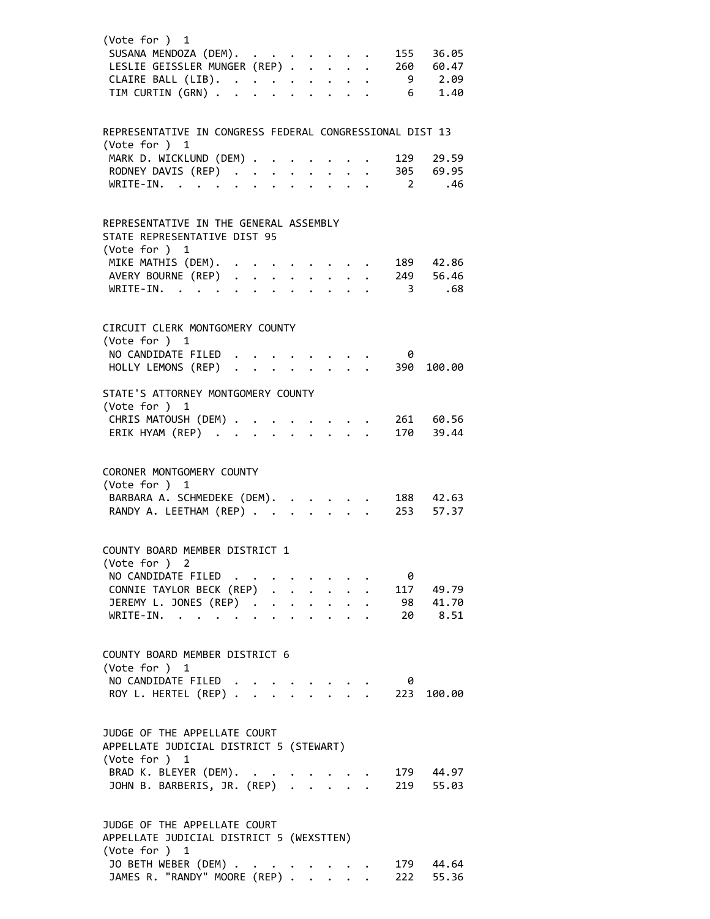| (Vote for ) 1<br>SUSANA MENDOZA (DEM).<br>LESLIE GEISSLER MUNGER (REP)<br>CLAIRE BALL (LIB).<br>TIM CURTIN (GRN)                                  |  |  |  |  | 155                               | 36.05<br>260 60.47<br>$9$ 2.09<br>$6 \t 1.40$ |
|---------------------------------------------------------------------------------------------------------------------------------------------------|--|--|--|--|-----------------------------------|-----------------------------------------------|
| REPRESENTATIVE IN CONGRESS FEDERAL CONGRESSIONAL DIST 13                                                                                          |  |  |  |  |                                   |                                               |
| (Vote for ) 1<br>MARK D. WICKLUND (DEM) .<br>RODNEY DAVIS (REP)<br>WRITE-IN.                                                                      |  |  |  |  | 129<br>$\overline{\phantom{0}}$ 2 | 29.59<br>305 69.95<br>.46                     |
| REPRESENTATIVE IN THE GENERAL ASSEMBLY<br>STATE REPRESENTATIVE DIST 95<br>(Vote for ) 1                                                           |  |  |  |  |                                   |                                               |
| MIKE MATHIS (DEM).<br>AVERY BOURNE (REP)<br>WRITE-IN.                                                                                             |  |  |  |  | $\overline{\phantom{a}}$          | 189 42.86<br>249 56.46<br>.68                 |
| CIRCUIT CLERK MONTGOMERY COUNTY<br>(Vote for ) 1                                                                                                  |  |  |  |  |                                   |                                               |
| NO CANDIDATE FILED<br>HOLLY LEMONS (REP)                                                                                                          |  |  |  |  | 0<br>390                          | 100.00                                        |
| STATE'S ATTORNEY MONTGOMERY COUNTY<br>(Vote for ) 1<br>CHRIS MATOUSH (DEM) 261 60.56<br>ERIK HYAM (REP)                                           |  |  |  |  | 170                               | 39.44                                         |
| CORONER MONTGOMERY COUNTY<br>(Vote for ) 1<br>BARBARA A. SCHMEDEKE (DEM).<br>RANDY A. LEETHAM (REP)                                               |  |  |  |  |                                   | 188 42.63<br>253 57.37                        |
| COUNTY BOARD MEMBER DISTRICT 1<br>(Vote for ) 2<br>NO CANDIDATE FILED.<br>CONNIE TAYLOR BECK (REP)<br>JEREMY L. JONES (REP)<br>WRITE-IN.          |  |  |  |  | 0                                 | 117 49.79<br>98 41.70<br>20 8.51              |
| COUNTY BOARD MEMBER DISTRICT 6<br>(Vote for ) 1<br>NO CANDIDATE FILED<br>ROY L. HERTEL (REP) .                                                    |  |  |  |  | 0<br>223                          | 100.00                                        |
| JUDGE OF THE APPELLATE COURT<br>APPELLATE JUDICIAL DISTRICT 5 (STEWART)                                                                           |  |  |  |  |                                   |                                               |
| (Vote for ) 1<br>BRAD K. BLEYER (DEM).<br>JOHN B. BARBERIS, JR. (REP)                                                                             |  |  |  |  |                                   | 179 44.97<br>219 55.03                        |
| JUDGE OF THE APPELLATE COURT<br>APPELLATE JUDICIAL DISTRICT 5 (WEXSTTEN)<br>(Vote for ) 1<br>JO BETH WEBER (DEM).<br>JAMES R. "RANDY" MOORE (REP) |  |  |  |  | 222                               | 179 44.64<br>55.36                            |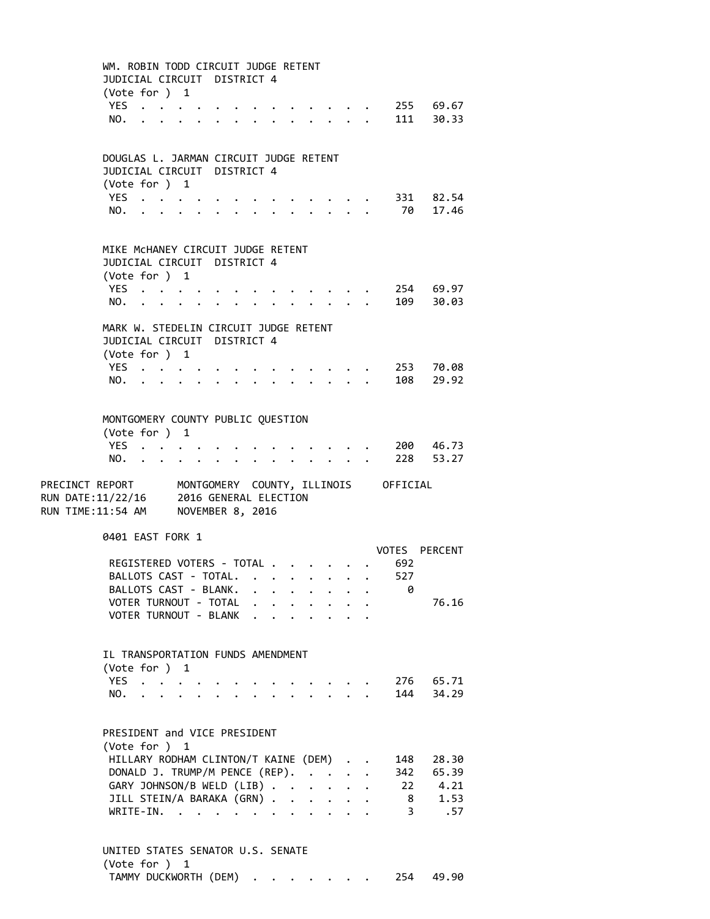WM. ROBIN TODD CIRCUIT JUDGE RETENT JUDICIAL CIRCUIT DISTRICT 4 (Vote for ) 1 YES . . . . . . . . . . . . . 255 69.67 NO. . . . . . . . . . . . . . 111 30.33 DOUGLAS L. JARMAN CIRCUIT JUDGE RETENT JUDICIAL CIRCUIT DISTRICT 4 (Vote for ) 1 YES . . . . . . . . . . . . . 331 82.54 NO. . . . . . . . . . . . . . 70 17.46 MIKE McHANEY CIRCUIT JUDGE RETENT JUDICIAL CIRCUIT DISTRICT 4 (Vote for ) 1 YES . . . . . . . . . . . . . 254 69.97 NO. . . . . . . . . . . . . . 109 30.03 MARK W. STEDELIN CIRCUIT JUDGE RETENT JUDICIAL CIRCUIT DISTRICT 4 (Vote for ) 1 YES . . . . . . . . . . . . . 253 70.08 NO. . . . . . . . . . . . . . 108 29.92 MONTGOMERY COUNTY PUBLIC QUESTION (Vote for ) 1 YES . . . . . . . . . . . . . 200 46.73<br>NO. . . . . . . . . . . . . . 228 53.27 NO. . . . . . . . . . . . . . . PRECINCT REPORT MONTGOMERY COUNTY, ILLINOIS OFFICIAL RUN DATE:11/22/16 2016 GENERAL ELECTION RUN TIME:11:54 AM NOVEMBER 8, 2016 0401 EAST FORK 1 VOTES PERCENT REGISTERED VOTERS - TOTAL . . . . . . 692 BALLOTS CAST - TOTAL. . . . . . . . 527 BALLOTS CAST - BLANK. . . . . . . . 0 VOTER TURNOUT - TOTAL . . . . . . . . 76.16 VOTER TURNOUT - BLANK . . . . . . . IL TRANSPORTATION FUNDS AMENDMENT (Vote for ) 1 YES . . . . . . . . . . . . . 276 65.71 NO. . . . . . . . . . . . . . 144 34.29 PRESIDENT and VICE PRESIDENT (Vote for ) 1 HILLARY RODHAM CLINTON/T KAINE (DEM) . . 148 28.30 DONALD J. TRUMP/M PENCE (REP). . . . . 342 65.39 GARY JOHNSON/B WELD (LIB) . . . . . 22 4.21 JILL STEIN/A BARAKA (GRN) . . . . . . 8 1.53 WRITE‐IN. . . . . . . . . . . . 3 .57 UNITED STATES SENATOR U.S. SENATE

(Vote for ) 1 TAMMY DUCKWORTH (DEM) . . . . . . . 254 49.90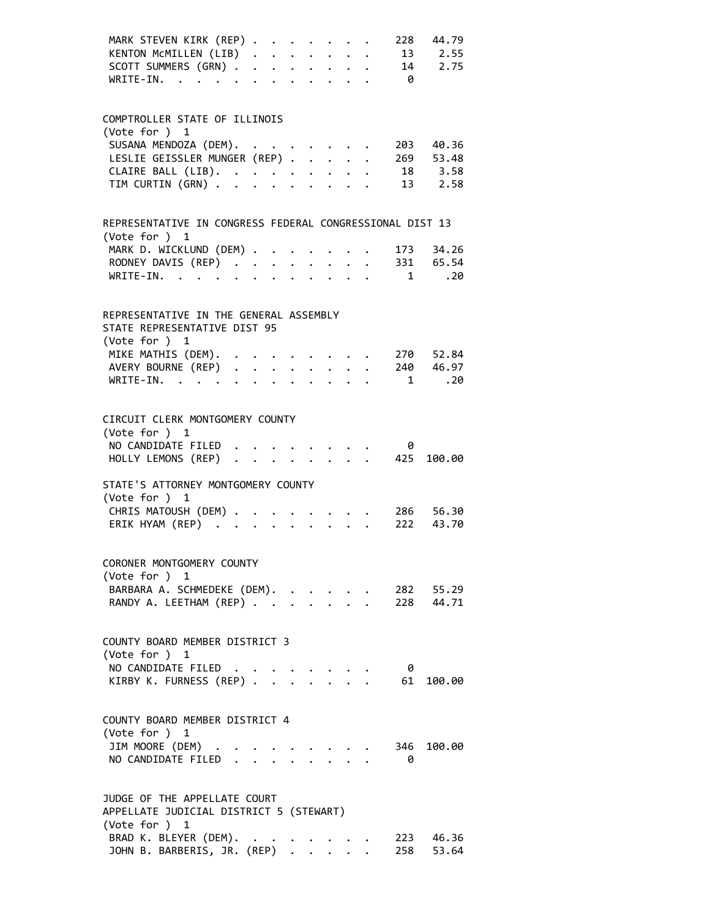| MARK STEVEN KIRK (REP)<br>KENTON MCMILLEN (LIB)<br>SCOTT SUMMERS (GRN)<br>WRITE-IN.      |                      |              |                           |                                            |  | $\theta$  | 228 44.79<br>13 2.55<br>14 2.75 |
|------------------------------------------------------------------------------------------|----------------------|--------------|---------------------------|--------------------------------------------|--|-----------|---------------------------------|
| COMPTROLLER STATE OF ILLINOIS<br>(Vote for ) 1<br>SUSANA MENDOZA (DEM).                  |                      |              |                           |                                            |  | 203       | 40.36                           |
| LESLIE GEISSLER MUNGER (REP)                                                             |                      |              |                           |                                            |  |           | 269 53.48                       |
|                                                                                          |                      |              |                           |                                            |  |           | 18 3.58                         |
| CLAIRE BALL (LIB).<br>TIM CURTIN (GRN)                                                   |                      |              |                           |                                            |  |           | 13 2.58                         |
| REPRESENTATIVE IN CONGRESS FEDERAL CONGRESSIONAL DIST 13<br>(Vote for ) 1                |                      |              |                           |                                            |  |           |                                 |
| MARK D. WICKLUND (DEM)                                                                   |                      |              |                           |                                            |  |           | 173 34.26                       |
| RODNEY DAVIS (REP) 331 65.54                                                             |                      |              |                           |                                            |  |           |                                 |
| WRITE-IN.                                                                                |                      |              |                           |                                            |  |           | $1 \qquad .20$                  |
| REPRESENTATIVE IN THE GENERAL ASSEMBLY<br>STATE REPRESENTATIVE DIST 95<br>(Vote for ) 1  |                      |              |                           |                                            |  |           |                                 |
| MIKE MATHIS (DEM).                                                                       |                      |              |                           |                                            |  |           | 270 52.84                       |
| AVERY BOURNE (REP) 240 46.97                                                             |                      |              |                           |                                            |  |           |                                 |
| WRITE-IN.                                                                                |                      |              |                           |                                            |  | 1         | .20                             |
| CIRCUIT CLERK MONTGOMERY COUNTY<br>(Vote for ) 1<br>NO CANDIDATE FILED.                  |                      |              |                           | <b>Contract Contract</b>                   |  | 0         |                                 |
| HOLLY LEMONS (REP)                                                                       |                      |              |                           |                                            |  | 425       | 100.00                          |
| STATE'S ATTORNEY MONTGOMERY COUNTY<br>(Vote for ) 1                                      |                      |              |                           |                                            |  |           |                                 |
| CHRIS MATOUSH (DEM)<br>ERIK HYAM (REP)                                                   | $\ddot{\phantom{0}}$ | $\mathbf{L}$ | $\mathbf{L} = \mathbf{L}$ |                                            |  |           | $286$ 56.30<br>222 43.70        |
| CORONER MONTGOMERY COUNTY<br>(Vote for ) 1                                               |                      |              |                           |                                            |  |           |                                 |
| BARBARA A. SCHMEDEKE (DEM).<br>RANDY A. LEETHAM (REP)                                    |                      |              |                           |                                            |  |           | 282 55.29<br>228 44.71          |
| COUNTY BOARD MEMBER DISTRICT 3<br>(Vote for ) 1                                          |                      |              |                           |                                            |  |           |                                 |
| NO CANDIDATE FILED<br>KIRBY K. FURNESS (REP)                                             |                      |              |                           | $\mathbf{r}$ , $\mathbf{r}$ , $\mathbf{r}$ |  | - 0<br>61 | 100.00                          |
| COUNTY BOARD MEMBER DISTRICT 4<br>(Vote for ) 1<br>JIM MOORE (DEM) .                     |                      |              |                           |                                            |  |           | 346 100.00                      |
| NO CANDIDATE FILED.                                                                      |                      |              |                           |                                            |  | 0         |                                 |
| JUDGE OF THE APPELLATE COURT<br>APPELLATE JUDICIAL DISTRICT 5 (STEWART)<br>(Vote for ) 1 |                      |              |                           |                                            |  |           |                                 |
| BRAD K. BLEYER (DEM).<br>JOHN B. BARBERIS, JR. (REP)                                     |                      |              |                           |                                            |  |           | 223 46.36<br>258 53.64          |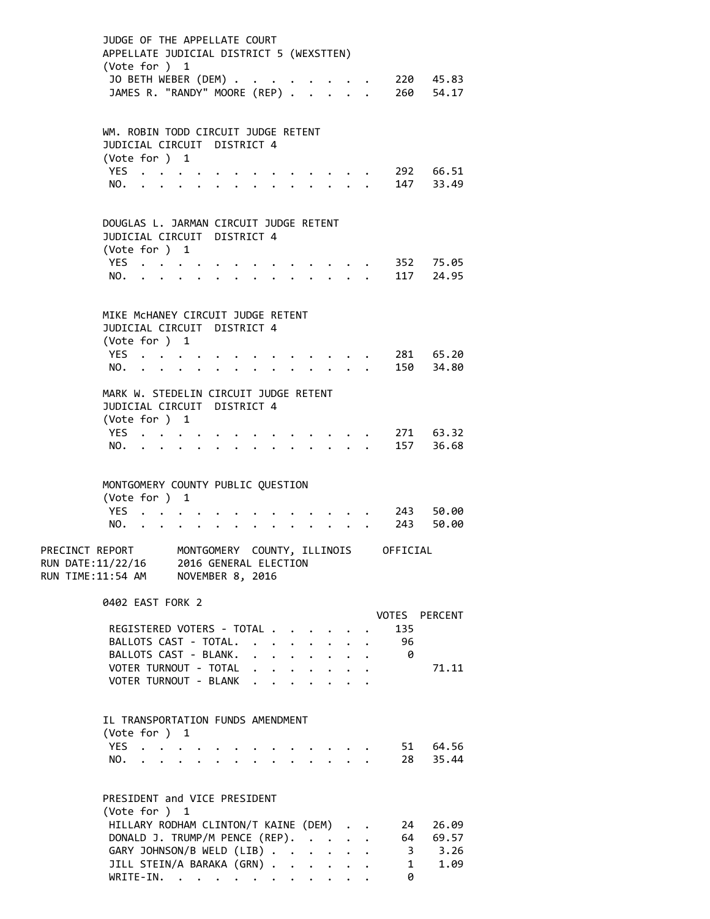| JUDGE OF THE APPELLATE COURT<br>APPELLATE JUDICIAL DISTRICT 5 (WEXSTTEN)<br>(Vote for ) 1<br>JO BETH WEBER (DEM)<br>JAMES R. "RANDY" MOORE (REP) .                                             |                                           |                                         |                                                 |  |                         | $\cdot$ 220 45.83<br>$\cdot$ 260 54.17 |
|------------------------------------------------------------------------------------------------------------------------------------------------------------------------------------------------|-------------------------------------------|-----------------------------------------|-------------------------------------------------|--|-------------------------|----------------------------------------|
| WM. ROBIN TODD CIRCUIT JUDGE RETENT<br>JUDICIAL CIRCUIT DISTRICT 4<br>(Vote for ) 1<br>YES<br>NO.                                                                                              |                                           |                                         |                                                 |  |                         | 292 66.51<br>147 33.49                 |
| DOUGLAS L. JARMAN CIRCUIT JUDGE RETENT<br>JUDICIAL CIRCUIT DISTRICT 4<br>(Vote for ) 1<br>YES<br>NO.                                                                                           |                                           |                                         |                                                 |  |                         | 352      75.05<br>117      24.95       |
| MIKE MCHANEY CIRCUIT JUDGE RETENT<br>JUDICIAL CIRCUIT DISTRICT 4<br>(Vote for ) 1<br>YES $\cdot \cdot \cdot \cdot$<br>NO.                                                                      |                                           |                                         |                                                 |  |                         | 281 65.20<br>150 34.80                 |
| MARK W. STEDELIN CIRCUIT JUDGE RETENT<br>JUDICIAL CIRCUIT DISTRICT 4<br>(Vote for ) 1<br>YES<br>$\mathbf{L}$ and $\mathbf{L}$ and $\mathbf{L}$<br>NO.                                          |                                           |                                         |                                                 |  |                         | 271 63.32<br>157 36.68                 |
| MONTGOMERY COUNTY PUBLIC QUESTION<br>(Vote for ) 1<br>YES.<br>NO.<br>PRECINCT REPORT                                                                                                           | MONTGOMERY COUNTY, ILLINOIS               |                                         |                                                 |  | OFFICIAL                | 243 50.00<br>243 50.00                 |
| RUN DATE:11/22/16<br>RUN TIME:11:54 AM<br>0402 EAST FORK 2                                                                                                                                     | 2016 GENERAL ELECTION<br>NOVEMBER 8, 2016 |                                         |                                                 |  |                         | VOTES PERCENT                          |
| REGISTERED VOTERS - TOTAL<br>BALLOTS CAST - TOTAL.<br>BALLOTS CAST - BLANK.<br>VOTER TURNOUT - TOTAL<br>VOTER TURNOUT - BLANK                                                                  |                                           |                                         |                                                 |  | 135<br>- 96<br>- 0      | 71.11                                  |
| IL TRANSPORTATION FUNDS AMENDMENT<br>(Vote for ) 1<br>YES<br>NO.<br>$\cdot$ $\cdot$ $\cdot$                                                                                                    |                                           | $\cdot$ $\cdot$<br>$\ddot{\phantom{0}}$ | $\cdot$ $\cdot$ $\cdot$ $\cdot$ $\cdot$ $\cdot$ |  |                         | 51 64.56<br>28 35.44                   |
| PRESIDENT and VICE PRESIDENT<br>(Vote for ) 1<br>HILLARY RODHAM CLINTON/T KAINE (DEM)<br>DONALD J. TRUMP/M PENCE (REP).<br>GARY JOHNSON/B WELD (LIB)<br>JILL STEIN/A BARAKA (GRN)<br>WRITE-IN. |                                           |                                         |                                                 |  | 24<br>$\mathbf{1}$<br>0 | 26.09<br>64 69.57<br>3 3.26<br>1.09    |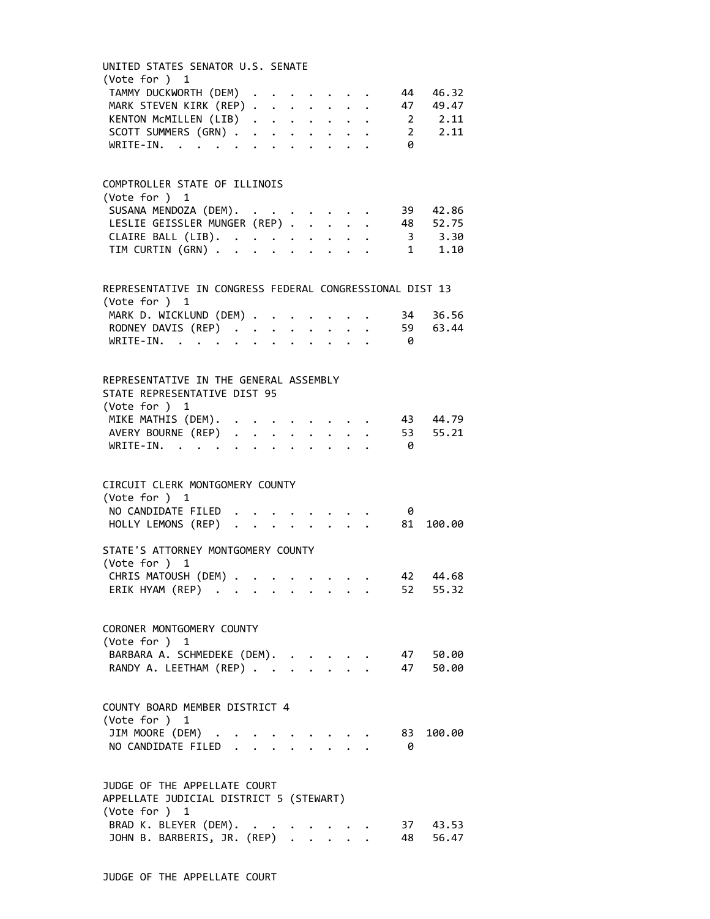| UNITED STATES SENATOR U.S. SENATE<br>(Vote for ) 1                                              |  |  |  |                                                                                                                                                                       |  |      |             |
|-------------------------------------------------------------------------------------------------|--|--|--|-----------------------------------------------------------------------------------------------------------------------------------------------------------------------|--|------|-------------|
| TAMMY DUCKWORTH (DEM)<br>MARK STEVEN KIRK (REP)<br>KENTON MCMILLEN (LIB)<br>SCOTT SUMMERS (GRN) |  |  |  |                                                                                                                                                                       |  | 44   | 46.32       |
|                                                                                                 |  |  |  |                                                                                                                                                                       |  | 47   | 49.47       |
|                                                                                                 |  |  |  |                                                                                                                                                                       |  |      | 2, 11       |
|                                                                                                 |  |  |  |                                                                                                                                                                       |  |      | 2 2.11      |
| WRITE-IN.                                                                                       |  |  |  |                                                                                                                                                                       |  | 0    |             |
|                                                                                                 |  |  |  |                                                                                                                                                                       |  |      |             |
| COMPTROLLER STATE OF ILLINOIS                                                                   |  |  |  |                                                                                                                                                                       |  |      |             |
| (Vote for ) 1                                                                                   |  |  |  |                                                                                                                                                                       |  |      |             |
| SUSANA MENDOZA (DEM).<br>LESLIE GEISSLER MUNGER (REP)                                           |  |  |  |                                                                                                                                                                       |  |      | 39 42.86    |
|                                                                                                 |  |  |  |                                                                                                                                                                       |  |      | 48 52.75    |
|                                                                                                 |  |  |  |                                                                                                                                                                       |  |      | 3, 3.30     |
| CLAIRE BALL (LIB).<br>TIM CURTIN (GRN)                                                          |  |  |  |                                                                                                                                                                       |  |      | $1 \t 1.10$ |
|                                                                                                 |  |  |  |                                                                                                                                                                       |  |      |             |
| REPRESENTATIVE IN CONGRESS FEDERAL CONGRESSIONAL DIST 13<br>(Vote for $)$ 1                     |  |  |  |                                                                                                                                                                       |  |      |             |
| MARK D. WICKLUND (DEM)                                                                          |  |  |  |                                                                                                                                                                       |  |      | 34 36.56    |
|                                                                                                 |  |  |  |                                                                                                                                                                       |  |      | 59 63.44    |
| RODNEY DAVIS (REP)<br>WRITE-IN.                                                                 |  |  |  |                                                                                                                                                                       |  | - 0  |             |
|                                                                                                 |  |  |  |                                                                                                                                                                       |  |      |             |
| REPRESENTATIVE IN THE GENERAL ASSEMBLY                                                          |  |  |  |                                                                                                                                                                       |  |      |             |
| STATE REPRESENTATIVE DIST 95                                                                    |  |  |  |                                                                                                                                                                       |  |      |             |
| (Vote for ) 1                                                                                   |  |  |  |                                                                                                                                                                       |  |      |             |
|                                                                                                 |  |  |  |                                                                                                                                                                       |  |      |             |
| MIKE MATHIS (DEM).                                                                              |  |  |  | $\mathcal{L}(\mathcal{A})$ , and $\mathcal{L}(\mathcal{A})$ , and $\mathcal{L}(\mathcal{A})$                                                                          |  |      | 43 44.79    |
| AVERY BOURNE (REP)<br>WRITE-IN.                                                                 |  |  |  |                                                                                                                                                                       |  |      | 53 55.21    |
|                                                                                                 |  |  |  |                                                                                                                                                                       |  | - 0  |             |
|                                                                                                 |  |  |  |                                                                                                                                                                       |  |      |             |
| CIRCUIT CLERK MONTGOMERY COUNTY                                                                 |  |  |  |                                                                                                                                                                       |  |      |             |
| (Vote for ) 1                                                                                   |  |  |  |                                                                                                                                                                       |  |      |             |
| NO CANDIDATE FILED                                                                              |  |  |  | $\begin{array}{ccccccccc} \star & \star & \star & \star & \star & \star & \star & \star \\ \star & \star & \star & \star & \star & \star & \star & \star \end{array}$ |  | - 0  |             |
| HOLLY LEMONS (REP)                                                                              |  |  |  |                                                                                                                                                                       |  | 81   | 100.00      |
| STATE'S ATTORNEY MONTGOMERY COUNTY                                                              |  |  |  |                                                                                                                                                                       |  |      |             |
| (Vote for ) 1                                                                                   |  |  |  |                                                                                                                                                                       |  |      |             |
| CHRIS MATOUSH (DEM) 42                                                                          |  |  |  |                                                                                                                                                                       |  |      | 44.68       |
| ERIK HYAM (REP)                                                                                 |  |  |  |                                                                                                                                                                       |  |      | 52 55.32    |
|                                                                                                 |  |  |  |                                                                                                                                                                       |  |      |             |
| CORONER MONTGOMERY COUNTY                                                                       |  |  |  |                                                                                                                                                                       |  |      |             |
| (Vote for ) 1                                                                                   |  |  |  |                                                                                                                                                                       |  |      |             |
| BARBARA A. SCHMEDEKE (DEM).                                                                     |  |  |  |                                                                                                                                                                       |  |      | 47 50.00    |
| RANDY A. LEETHAM (REP)                                                                          |  |  |  |                                                                                                                                                                       |  | 47   | 50.00       |
|                                                                                                 |  |  |  |                                                                                                                                                                       |  |      |             |
| COUNTY BOARD MEMBER DISTRICT 4                                                                  |  |  |  |                                                                                                                                                                       |  |      |             |
| (Vote for ) 1                                                                                   |  |  |  |                                                                                                                                                                       |  |      |             |
| JIM MOORE (DEM) .                                                                               |  |  |  |                                                                                                                                                                       |  | 83 - | 100.00      |
|                                                                                                 |  |  |  |                                                                                                                                                                       |  |      |             |
| NO CANDIDATE FILED.                                                                             |  |  |  |                                                                                                                                                                       |  | - 0  |             |
|                                                                                                 |  |  |  |                                                                                                                                                                       |  |      |             |
| JUDGE OF THE APPELLATE COURT                                                                    |  |  |  |                                                                                                                                                                       |  |      |             |
| APPELLATE JUDICIAL DISTRICT 5 (STEWART)                                                         |  |  |  |                                                                                                                                                                       |  |      |             |
| (Vote for ) 1                                                                                   |  |  |  |                                                                                                                                                                       |  |      |             |
| BRAD K. BLEYER (DEM).                                                                           |  |  |  |                                                                                                                                                                       |  |      | 37 43.53    |
| JOHN B. BARBERIS, JR. (REP)                                                                     |  |  |  | $\cdot$ $\cdot$ $\cdot$ $\cdot$                                                                                                                                       |  |      | 48 56.47    |
|                                                                                                 |  |  |  |                                                                                                                                                                       |  |      |             |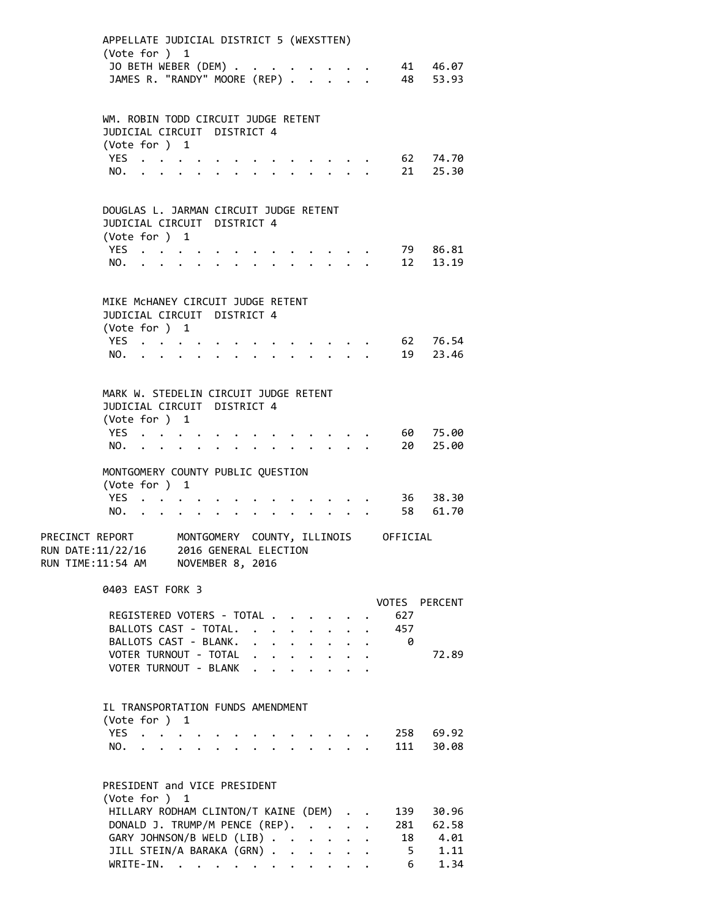|                                                                               | APPELLATE JUDICIAL DISTRICT 5 (WEXSTTEN)<br>(Vote for ) 1            |                                                                                                                                                                                                                               |                                                                                               |  |  |                                                 |                           |                      |                |                      |  |
|-------------------------------------------------------------------------------|----------------------------------------------------------------------|-------------------------------------------------------------------------------------------------------------------------------------------------------------------------------------------------------------------------------|-----------------------------------------------------------------------------------------------|--|--|-------------------------------------------------|---------------------------|----------------------|----------------|----------------------|--|
|                                                                               | JO BETH WEBER (DEM)                                                  |                                                                                                                                                                                                                               |                                                                                               |  |  |                                                 | $\ddot{\phantom{0}}$      |                      |                | 41 46.07             |  |
|                                                                               | JAMES R. "RANDY" MOORE (REP)                                         |                                                                                                                                                                                                                               |                                                                                               |  |  |                                                 |                           |                      |                | 48 53.93             |  |
|                                                                               |                                                                      |                                                                                                                                                                                                                               |                                                                                               |  |  |                                                 |                           |                      |                |                      |  |
|                                                                               | WM. ROBIN TODD CIRCUIT JUDGE RETENT                                  |                                                                                                                                                                                                                               |                                                                                               |  |  |                                                 |                           |                      |                |                      |  |
|                                                                               | JUDICIAL CIRCUIT DISTRICT 4                                          |                                                                                                                                                                                                                               |                                                                                               |  |  |                                                 |                           |                      |                |                      |  |
|                                                                               | (Vote for ) 1                                                        |                                                                                                                                                                                                                               |                                                                                               |  |  |                                                 |                           |                      |                |                      |  |
|                                                                               | YES                                                                  |                                                                                                                                                                                                                               |                                                                                               |  |  |                                                 |                           |                      |                | 62 74.70             |  |
|                                                                               | NO.                                                                  |                                                                                                                                                                                                                               |                                                                                               |  |  |                                                 |                           |                      |                | 21 25.30             |  |
|                                                                               |                                                                      |                                                                                                                                                                                                                               |                                                                                               |  |  |                                                 |                           |                      |                |                      |  |
|                                                                               | DOUGLAS L. JARMAN CIRCUIT JUDGE RETENT                               |                                                                                                                                                                                                                               |                                                                                               |  |  |                                                 |                           |                      |                |                      |  |
|                                                                               | JUDICIAL CIRCUIT DISTRICT 4                                          |                                                                                                                                                                                                                               |                                                                                               |  |  |                                                 |                           |                      |                |                      |  |
|                                                                               | (Vote for ) 1                                                        |                                                                                                                                                                                                                               |                                                                                               |  |  |                                                 |                           |                      |                |                      |  |
|                                                                               | YES $\cdot \cdot \cdot \cdot$<br>NO.                                 |                                                                                                                                                                                                                               |                                                                                               |  |  |                                                 |                           |                      |                | 79 86.81<br>12 13.19 |  |
|                                                                               |                                                                      | $\mathbf{r}$ , $\mathbf{r}$ , $\mathbf{r}$ , $\mathbf{r}$ , $\mathbf{r}$                                                                                                                                                      |                                                                                               |  |  |                                                 |                           |                      |                |                      |  |
|                                                                               |                                                                      |                                                                                                                                                                                                                               |                                                                                               |  |  |                                                 |                           |                      |                |                      |  |
|                                                                               | MIKE MCHANEY CIRCUIT JUDGE RETENT                                    |                                                                                                                                                                                                                               |                                                                                               |  |  |                                                 |                           |                      |                |                      |  |
|                                                                               | JUDICIAL CIRCUIT DISTRICT 4                                          |                                                                                                                                                                                                                               |                                                                                               |  |  |                                                 |                           |                      |                |                      |  |
|                                                                               | (Vote for ) 1<br>YES $\cdot \cdot \cdot \cdot$                       |                                                                                                                                                                                                                               |                                                                                               |  |  |                                                 |                           |                      |                | 62 76.54             |  |
|                                                                               | NO.                                                                  | $\mathbf{r}$ , and $\mathbf{r}$ , and $\mathbf{r}$ , and $\mathbf{r}$ , and $\mathbf{r}$                                                                                                                                      |                                                                                               |  |  | $\sim$ $\sim$ $\sim$ $\sim$ $\sim$              |                           |                      |                | 19 23.46             |  |
|                                                                               |                                                                      |                                                                                                                                                                                                                               |                                                                                               |  |  |                                                 |                           |                      |                |                      |  |
|                                                                               |                                                                      |                                                                                                                                                                                                                               |                                                                                               |  |  |                                                 |                           |                      |                |                      |  |
|                                                                               | MARK W. STEDELIN CIRCUIT JUDGE RETENT<br>JUDICIAL CIRCUIT DISTRICT 4 |                                                                                                                                                                                                                               |                                                                                               |  |  |                                                 |                           |                      |                |                      |  |
|                                                                               | (Vote for ) 1                                                        |                                                                                                                                                                                                                               |                                                                                               |  |  |                                                 |                           |                      |                |                      |  |
|                                                                               | YES                                                                  |                                                                                                                                                                                                                               |                                                                                               |  |  |                                                 |                           |                      |                | 60 75.00             |  |
|                                                                               | NO.                                                                  | . The contract of the contract of the contract of the contract of the contract of the contract of the contract of the contract of the contract of the contract of the contract of the contract of the contract of the contrac |                                                                                               |  |  |                                                 |                           |                      |                | 20 25.00             |  |
|                                                                               |                                                                      |                                                                                                                                                                                                                               |                                                                                               |  |  |                                                 |                           |                      |                |                      |  |
|                                                                               | MONTGOMERY COUNTY PUBLIC QUESTION<br>(Vote for ) 1                   |                                                                                                                                                                                                                               |                                                                                               |  |  |                                                 |                           |                      |                |                      |  |
|                                                                               | YES                                                                  |                                                                                                                                                                                                                               |                                                                                               |  |  |                                                 |                           |                      |                | 36 38.30             |  |
|                                                                               | NO.                                                                  | $\mathbf{r}$ . The set of $\mathbf{r}$                                                                                                                                                                                        | $\mathbf{r} = \mathbf{r} \cdot \mathbf{r}$ , where $\mathbf{r} = \mathbf{r} \cdot \mathbf{r}$ |  |  |                                                 | $\mathbf{L} = \mathbf{L}$ |                      |                | 58 61.70             |  |
|                                                                               |                                                                      |                                                                                                                                                                                                                               |                                                                                               |  |  |                                                 |                           |                      |                |                      |  |
| PRECINCT REPORT MONTGOMERY COUNTY, ILLINOIS OFFICIAL                          |                                                                      |                                                                                                                                                                                                                               |                                                                                               |  |  |                                                 |                           |                      |                |                      |  |
| RUN DATE:11/22/16 2016 GENERAL ELECTION<br>RUN TIME:11:54 AM NOVEMBER 8, 2016 |                                                                      |                                                                                                                                                                                                                               |                                                                                               |  |  |                                                 |                           |                      |                |                      |  |
|                                                                               |                                                                      |                                                                                                                                                                                                                               |                                                                                               |  |  |                                                 |                           |                      |                |                      |  |
|                                                                               | 0403 EAST FORK 3                                                     |                                                                                                                                                                                                                               |                                                                                               |  |  |                                                 |                           |                      |                |                      |  |
|                                                                               |                                                                      |                                                                                                                                                                                                                               |                                                                                               |  |  |                                                 |                           |                      |                | VOTES PERCENT        |  |
|                                                                               | REGISTERED VOTERS - TOTAL<br>BALLOTS CAST - TOTAL.                   |                                                                                                                                                                                                                               |                                                                                               |  |  |                                                 |                           |                      | 627<br>457     |                      |  |
|                                                                               | BALLOTS CAST - BLANK.                                                |                                                                                                                                                                                                                               |                                                                                               |  |  |                                                 |                           |                      | - 0            |                      |  |
|                                                                               | VOTER TURNOUT - TOTAL                                                |                                                                                                                                                                                                                               |                                                                                               |  |  |                                                 |                           |                      |                | 72.89                |  |
|                                                                               | VOTER TURNOUT - BLANK                                                |                                                                                                                                                                                                                               |                                                                                               |  |  |                                                 |                           |                      |                |                      |  |
|                                                                               |                                                                      |                                                                                                                                                                                                                               |                                                                                               |  |  |                                                 |                           |                      |                |                      |  |
|                                                                               | IL TRANSPORTATION FUNDS AMENDMENT                                    |                                                                                                                                                                                                                               |                                                                                               |  |  |                                                 |                           |                      |                |                      |  |
|                                                                               | (Vote for ) 1                                                        |                                                                                                                                                                                                                               |                                                                                               |  |  |                                                 |                           |                      |                |                      |  |
|                                                                               | YES                                                                  |                                                                                                                                                                                                                               |                                                                                               |  |  | $\cdot$ $\cdot$ $\cdot$ $\cdot$ $\cdot$ $\cdot$ |                           |                      |                | 258 69.92            |  |
|                                                                               | NO.                                                                  |                                                                                                                                                                                                                               |                                                                                               |  |  |                                                 |                           |                      |                | 111 30.08            |  |
|                                                                               |                                                                      |                                                                                                                                                                                                                               |                                                                                               |  |  |                                                 |                           |                      |                |                      |  |
|                                                                               | PRESIDENT and VICE PRESIDENT                                         |                                                                                                                                                                                                                               |                                                                                               |  |  |                                                 |                           |                      |                |                      |  |
|                                                                               | (Vote for ) 1                                                        |                                                                                                                                                                                                                               |                                                                                               |  |  |                                                 |                           |                      |                |                      |  |
|                                                                               | HILLARY RODHAM CLINTON/T KAINE (DEM)                                 |                                                                                                                                                                                                                               |                                                                                               |  |  |                                                 |                           |                      | 139            | 30.96                |  |
|                                                                               | DONALD J. TRUMP/M PENCE (REP).                                       |                                                                                                                                                                                                                               |                                                                                               |  |  |                                                 |                           | $\mathbf{r}$         |                | 281 62.58            |  |
|                                                                               | GARY JOHNSON/B WELD (LIB)                                            |                                                                                                                                                                                                                               |                                                                                               |  |  |                                                 |                           |                      |                | 18 4.01              |  |
|                                                                               | JILL STEIN/A BARAKA (GRN)<br>WRITE-IN.                               |                                                                                                                                                                                                                               |                                                                                               |  |  |                                                 |                           | $\ddot{\phantom{a}}$ | 6 <sup>6</sup> | $5 \t 1.11$<br>1.34  |  |
|                                                                               |                                                                      |                                                                                                                                                                                                                               |                                                                                               |  |  |                                                 |                           |                      |                |                      |  |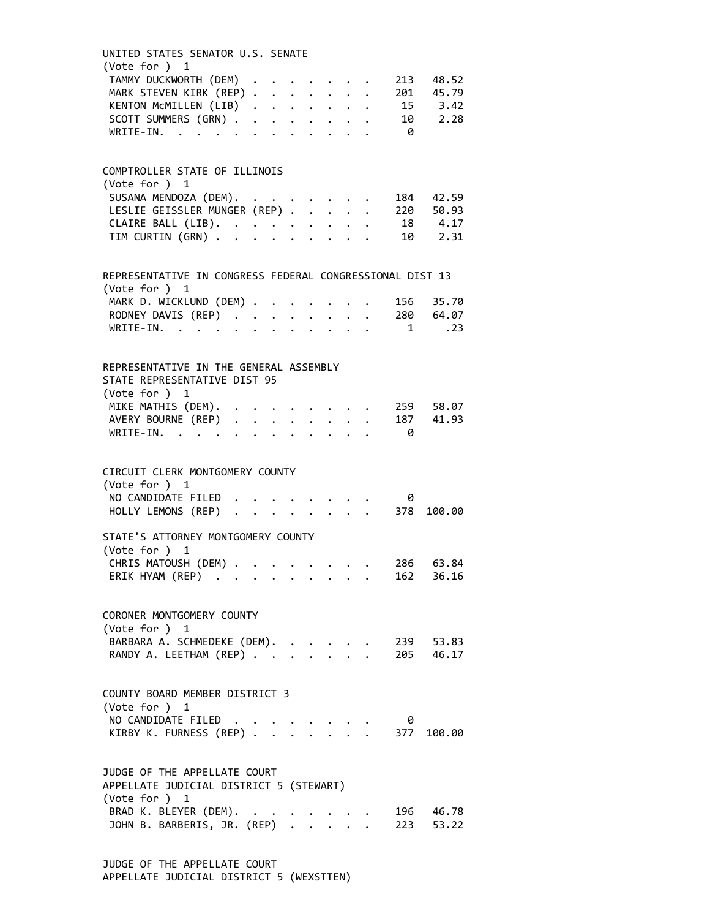| UNITED STATES SENATOR U.S. SENATE<br>(Vote for ) 1                                      |  |  |  |  |                                                         |     |                        |  |
|-----------------------------------------------------------------------------------------|--|--|--|--|---------------------------------------------------------|-----|------------------------|--|
| TAMMY DUCKWORTH (DEM) 213 48.52                                                         |  |  |  |  |                                                         |     |                        |  |
| MARK STEVEN KIRK (REP) 201 45.79                                                        |  |  |  |  |                                                         |     |                        |  |
| KENTON MCMILLEN (LIB) 15 3.42                                                           |  |  |  |  |                                                         |     |                        |  |
| SCOTT SUMMERS (GRN) 10 2.28                                                             |  |  |  |  |                                                         |     |                        |  |
| WRITE-IN. 0                                                                             |  |  |  |  |                                                         |     |                        |  |
| COMPTROLLER STATE OF ILLINOIS                                                           |  |  |  |  |                                                         |     |                        |  |
| (Vote for ) 1                                                                           |  |  |  |  |                                                         |     |                        |  |
|                                                                                         |  |  |  |  |                                                         |     |                        |  |
| SUSANA MENDOZA (DEM). 184 42.59<br>LESLIE GEISSLER MUNGER (REP) 220 50.93               |  |  |  |  |                                                         |     |                        |  |
|                                                                                         |  |  |  |  |                                                         |     |                        |  |
| CLAIRE BALL (LIB). 18 4.17<br>TIM CURTIN (GRN) 10 2.31                                  |  |  |  |  |                                                         |     |                        |  |
|                                                                                         |  |  |  |  |                                                         |     |                        |  |
| REPRESENTATIVE IN CONGRESS FEDERAL CONGRESSIONAL DIST 13<br>(Vote for ) 1               |  |  |  |  |                                                         |     |                        |  |
| MARK D. WICKLUND (DEM)                                                                  |  |  |  |  |                                                         |     | 156 35.70              |  |
| RODNEY DAVIS (REP) 280 64.07                                                            |  |  |  |  |                                                         |     |                        |  |
| WRITE-IN. 1 .23                                                                         |  |  |  |  |                                                         |     |                        |  |
|                                                                                         |  |  |  |  |                                                         |     |                        |  |
| REPRESENTATIVE IN THE GENERAL ASSEMBLY<br>STATE REPRESENTATIVE DIST 95<br>(Vote for ) 1 |  |  |  |  |                                                         |     |                        |  |
|                                                                                         |  |  |  |  |                                                         |     |                        |  |
| MIKE MATHIS (DEM). 259 58.07                                                            |  |  |  |  |                                                         |     |                        |  |
| AVERY BOURNE (REP) 187 41.93                                                            |  |  |  |  |                                                         |     |                        |  |
| WRITE-IN. 0                                                                             |  |  |  |  |                                                         |     |                        |  |
| CIRCUIT CLERK MONTGOMERY COUNTY<br>(Vote for $)$ 1                                      |  |  |  |  |                                                         |     |                        |  |
|                                                                                         |  |  |  |  |                                                         |     |                        |  |
| NO CANDIDATE FILED 0<br>HOLLY LEMONS (REP) 378 100.00                                   |  |  |  |  |                                                         |     |                        |  |
| STATE'S ATTORNEY MONTGOMERY COUNTY                                                      |  |  |  |  |                                                         |     |                        |  |
| (Vote for ) 1                                                                           |  |  |  |  |                                                         |     |                        |  |
| CHRIS MATOUSH (DEM) 286 63.84                                                           |  |  |  |  |                                                         |     |                        |  |
| ERIK HYAM (REP)                                                                         |  |  |  |  |                                                         |     | 162 36.16              |  |
| CORONER MONTGOMERY COUNTY<br>(Vote for ) 1                                              |  |  |  |  |                                                         |     |                        |  |
| BARBARA A. SCHMEDEKE (DEM).                                                             |  |  |  |  |                                                         |     | 239 53.83              |  |
| RANDY A. LEETHAM (REP)                                                                  |  |  |  |  |                                                         |     | 205 46.17              |  |
| COUNTY BOARD MEMBER DISTRICT 3<br>(Vote for ) 1                                         |  |  |  |  |                                                         |     |                        |  |
| NO CANDIDATE FILED                                                                      |  |  |  |  |                                                         | - 0 |                        |  |
| KIRBY K. FURNESS (REP)                                                                  |  |  |  |  |                                                         |     | $\cdot$ 377 100.00     |  |
| JUDGE OF THE APPELLATE COURT                                                            |  |  |  |  |                                                         |     |                        |  |
| APPELLATE JUDICIAL DISTRICT 5 (STEWART)                                                 |  |  |  |  |                                                         |     |                        |  |
| (Vote for ) 1                                                                           |  |  |  |  |                                                         |     |                        |  |
| BRAD K. BLEYER (DEM). .<br>JOHN B. BARBERIS, JR. (REP) .                                |  |  |  |  | $\begin{array}{ccc} . & . & . \\ . & . & . \end{array}$ |     | 196 46.78<br>223 53.22 |  |
|                                                                                         |  |  |  |  |                                                         |     |                        |  |

JUDGE OF THE APPELLATE COURT APPELLATE JUDICIAL DISTRICT 5 (WEXSTTEN)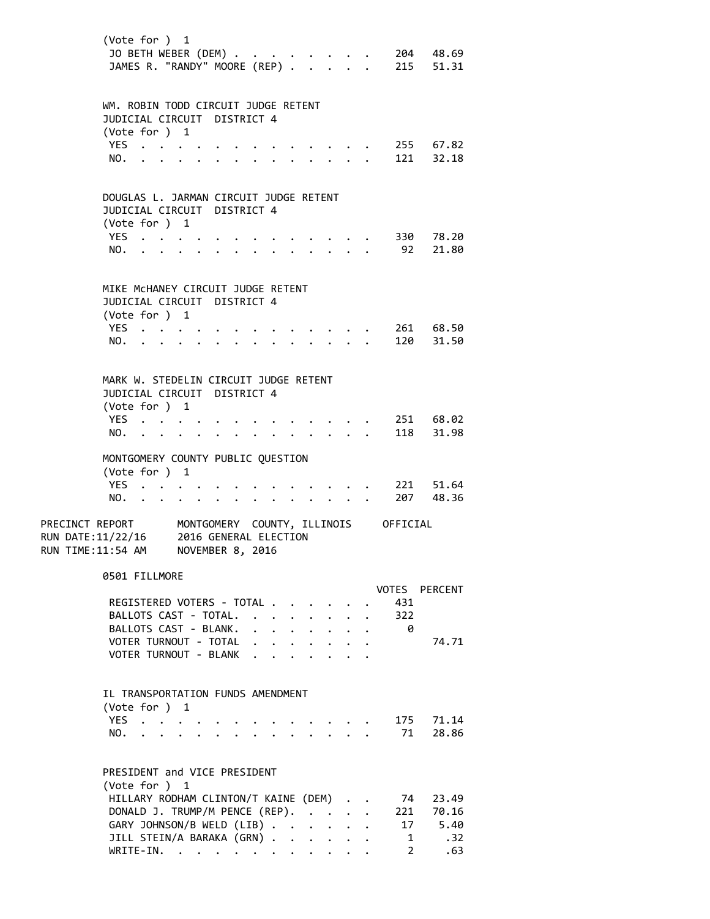|                                                            | (Vote for ) 1<br>JO BETH WEBER (DEM)<br>JAMES R. "RANDY" MOORE (REP)                              |                                                         |  |                                                                                                                                                                                                                                                                                                                                                                                                                              |                      |                                                                 |                      |                                                         | $\cdot$ $\cdot$ $\cdot$ |                      |                                      | 204 48.69<br>. 215 51.31 |
|------------------------------------------------------------|---------------------------------------------------------------------------------------------------|---------------------------------------------------------|--|------------------------------------------------------------------------------------------------------------------------------------------------------------------------------------------------------------------------------------------------------------------------------------------------------------------------------------------------------------------------------------------------------------------------------|----------------------|-----------------------------------------------------------------|----------------------|---------------------------------------------------------|-------------------------|----------------------|--------------------------------------|--------------------------|
|                                                            | WM. ROBIN TODD CIRCUIT JUDGE RETENT<br>JUDICIAL CIRCUIT DISTRICT 4<br>(Vote for ) 1<br>YES<br>NO. |                                                         |  |                                                                                                                                                                                                                                                                                                                                                                                                                              |                      |                                                                 |                      |                                                         |                         |                      |                                      | 255 67.82<br>121 32.18   |
|                                                            | DOUGLAS L. JARMAN CIRCUIT JUDGE RETENT<br>JUDICIAL CIRCUIT DISTRICT 4<br>(Vote for ) 1            |                                                         |  |                                                                                                                                                                                                                                                                                                                                                                                                                              |                      |                                                                 |                      |                                                         |                         |                      |                                      |                          |
|                                                            | YES<br>NO.                                                                                        |                                                         |  |                                                                                                                                                                                                                                                                                                                                                                                                                              |                      |                                                                 |                      |                                                         |                         |                      | 92                                   | 330 78.20<br>21.80       |
|                                                            | MIKE MCHANEY CIRCUIT JUDGE RETENT<br>JUDICIAL CIRCUIT DISTRICT 4<br>(Vote for ) 1<br>YES          |                                                         |  |                                                                                                                                                                                                                                                                                                                                                                                                                              |                      |                                                                 |                      |                                                         |                         |                      |                                      | 261 68.50                |
|                                                            | NO.                                                                                               |                                                         |  |                                                                                                                                                                                                                                                                                                                                                                                                                              |                      |                                                                 |                      |                                                         |                         |                      | 120                                  | 31.50                    |
|                                                            | MARK W. STEDELIN CIRCUIT JUDGE RETENT<br>JUDICIAL CIRCUIT DISTRICT 4<br>(Vote for ) 1             |                                                         |  |                                                                                                                                                                                                                                                                                                                                                                                                                              |                      |                                                                 |                      |                                                         |                         |                      |                                      |                          |
|                                                            | YES $\cdot \cdot \cdot \cdot$<br>NO.                                                              | $\cdot$ $\cdot$ $\cdot$ $\cdot$ $\cdot$ $\cdot$ $\cdot$ |  |                                                                                                                                                                                                                                                                                                                                                                                                                              |                      | $\bullet$ .<br><br><br><br><br><br><br><br><br><br><br><br><br> |                      |                                                         |                         |                      | 118                                  | 251 68.02<br>31.98       |
|                                                            | MONTGOMERY COUNTY PUBLIC QUESTION<br>(Vote for ) 1<br>YES                                         |                                                         |  |                                                                                                                                                                                                                                                                                                                                                                                                                              |                      |                                                                 |                      |                                                         |                         |                      |                                      | 221 51.64                |
|                                                            | NO.                                                                                               | $\mathbf{r}$ , $\mathbf{r}$ , $\mathbf{r}$              |  |                                                                                                                                                                                                                                                                                                                                                                                                                              | $\ddot{\phantom{0}}$ |                                                                 |                      | $\ddot{\phantom{0}}$                                    |                         |                      |                                      | 207 48.36                |
| PRECINCT REPORT<br>RUN DATE:11/22/16<br>RUN TIME: 11:54 AM |                                                                                                   |                                                         |  | 2016 GENERAL ELECTION<br>NOVEMBER 8, 2016                                                                                                                                                                                                                                                                                                                                                                                    |                      |                                                                 |                      |                                                         |                         |                      | MONTGOMERY COUNTY, ILLINOIS OFFICIAL |                          |
|                                                            | 0501 FILLMORE<br>REGISTERED VOTERS - TOTAL                                                        |                                                         |  |                                                                                                                                                                                                                                                                                                                                                                                                                              |                      |                                                                 |                      |                                                         |                         |                      | 431                                  | VOTES PERCENT            |
|                                                            | BALLOTS CAST - TOTAL.                                                                             |                                                         |  |                                                                                                                                                                                                                                                                                                                                                                                                                              |                      |                                                                 |                      | $\cdot$ $\cdot$ $\cdot$ $\cdot$ $\cdot$ $\cdot$ $\cdot$ |                         | $\bullet$ .          | 322                                  |                          |
|                                                            | BALLOTS CAST - BLANK.                                                                             |                                                         |  |                                                                                                                                                                                                                                                                                                                                                                                                                              |                      |                                                                 |                      | $\cdot$ $\cdot$ $\cdot$ $\cdot$ $\cdot$                 | $\ddot{\phantom{0}}$    | $\ddot{\phantom{0}}$ | 0                                    |                          |
|                                                            | VOTER TURNOUT - TOTAL                                                                             |                                                         |  |                                                                                                                                                                                                                                                                                                                                                                                                                              |                      | $\ddot{\phantom{0}}$                                            | $\ddot{\phantom{0}}$ |                                                         |                         |                      |                                      | 74.71                    |
|                                                            | VOTER TURNOUT - BLANK                                                                             |                                                         |  |                                                                                                                                                                                                                                                                                                                                                                                                                              |                      | $\mathbf{A}$                                                    |                      |                                                         |                         |                      |                                      |                          |
|                                                            | IL TRANSPORTATION FUNDS AMENDMENT<br>(Vote for $)$ 1                                              |                                                         |  |                                                                                                                                                                                                                                                                                                                                                                                                                              |                      |                                                                 |                      |                                                         |                         |                      |                                      |                          |
|                                                            | YES<br>NO.                                                                                        |                                                         |  |                                                                                                                                                                                                                                                                                                                                                                                                                              |                      |                                                                 |                      |                                                         |                         |                      | 71                                   | 175 71.14<br>28.86       |
|                                                            | PRESIDENT and VICE PRESIDENT<br>(Vote for ) 1                                                     |                                                         |  |                                                                                                                                                                                                                                                                                                                                                                                                                              |                      |                                                                 |                      |                                                         |                         |                      |                                      |                          |
|                                                            | HILLARY RODHAM CLINTON/T KAINE (DEM)                                                              |                                                         |  |                                                                                                                                                                                                                                                                                                                                                                                                                              |                      |                                                                 |                      |                                                         |                         |                      | 74                                   | 23.49                    |
|                                                            | DONALD J. TRUMP/M PENCE (REP).                                                                    |                                                         |  |                                                                                                                                                                                                                                                                                                                                                                                                                              |                      |                                                                 |                      |                                                         |                         |                      | 221                                  | 70.16                    |
|                                                            | GARY JOHNSON/B WELD (LIB)<br>JILL STEIN/A BARAKA (GRN)                                            |                                                         |  |                                                                                                                                                                                                                                                                                                                                                                                                                              |                      |                                                                 |                      |                                                         | $\mathbf{L}$            | $\ddot{\phantom{0}}$ | 1                                    | 17 5.40<br>.32           |
|                                                            |                                                                                                   | WRITE-IN.                                               |  | $\mathbf{r} = \mathbf{r} + \mathbf{r} + \mathbf{r} + \mathbf{r} + \mathbf{r} + \mathbf{r} + \mathbf{r} + \mathbf{r} + \mathbf{r} + \mathbf{r} + \mathbf{r} + \mathbf{r} + \mathbf{r} + \mathbf{r} + \mathbf{r} + \mathbf{r} + \mathbf{r} + \mathbf{r} + \mathbf{r} + \mathbf{r} + \mathbf{r} + \mathbf{r} + \mathbf{r} + \mathbf{r} + \mathbf{r} + \mathbf{r} + \mathbf{r} + \mathbf{r} + \mathbf{r} + \mathbf{r} + \mathbf$ |                      |                                                                 |                      |                                                         |                         |                      | $2^{\circ}$                          | .63                      |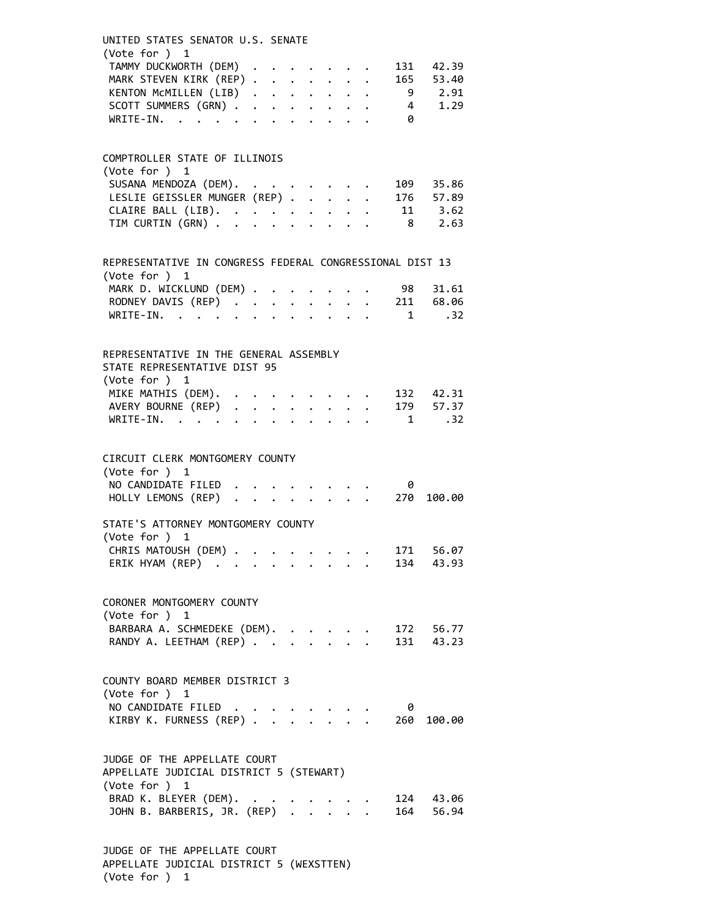| UNITED STATES SENATOR U.S. SENATE<br>(Vote for ) 1                                       |  |  |  |  |                            |           |  |
|------------------------------------------------------------------------------------------|--|--|--|--|----------------------------|-----------|--|
| TAMMY DUCKWORTH (DEM)                                                                    |  |  |  |  |                            | 131 42.39 |  |
| MARK STEVEN KIRK (REP)                                                                   |  |  |  |  |                            | 165 53.40 |  |
| KENTON MCMILLEN (LIB) 9 2.91                                                             |  |  |  |  |                            |           |  |
| SCOTT SUMMERS (GRN) 4 1.29                                                               |  |  |  |  |                            |           |  |
| WRITE-IN.                                                                                |  |  |  |  | $\overline{\phantom{a}}$ 0 |           |  |
|                                                                                          |  |  |  |  |                            |           |  |
| COMPTROLLER STATE OF ILLINOIS                                                            |  |  |  |  |                            |           |  |
| (Vote for ) 1                                                                            |  |  |  |  |                            |           |  |
| SUSANA MENDOZA (DEM). 109 35.86                                                          |  |  |  |  |                            |           |  |
| LESLIE GEISSLER MUNGER (REP) 176 57.89                                                   |  |  |  |  |                            |           |  |
|                                                                                          |  |  |  |  |                            |           |  |
| CLAIRE BALL (LIB). 11 3.62<br>TIM CURTIN (GRN) 8 2.63                                    |  |  |  |  |                            |           |  |
| REPRESENTATIVE IN CONGRESS FEDERAL CONGRESSIONAL DIST 13                                 |  |  |  |  |                            |           |  |
| (Vote for ) 1                                                                            |  |  |  |  |                            |           |  |
| MARK D. WICKLUND (DEM) 98 31.61                                                          |  |  |  |  |                            |           |  |
| RODNEY DAVIS (REP) 211 68.06                                                             |  |  |  |  |                            |           |  |
| WRITE-IN. 1 .32                                                                          |  |  |  |  |                            |           |  |
| REPRESENTATIVE IN THE GENERAL ASSEMBLY<br>STATE REPRESENTATIVE DIST 95<br>(Vote for ) 1  |  |  |  |  |                            |           |  |
| MIKE MATHIS (DEM). 132 42.31                                                             |  |  |  |  |                            |           |  |
| AVERY BOURNE (REP) 179 57.37                                                             |  |  |  |  |                            |           |  |
| WRITE-IN. 1 .32                                                                          |  |  |  |  |                            |           |  |
|                                                                                          |  |  |  |  |                            |           |  |
| CIRCUIT CLERK MONTGOMERY COUNTY<br>(Vote for ) 1                                         |  |  |  |  |                            |           |  |
|                                                                                          |  |  |  |  |                            |           |  |
| NO CANDIDATE FILED 0<br>HOLLY LEMONS (REP) 270 100.00                                    |  |  |  |  |                            |           |  |
| STATE'S ATTORNEY MONTGOMERY COUNTY<br>(Vote for ) 1                                      |  |  |  |  |                            |           |  |
| CHRIS MATOUSH (DEM) 171 56.07                                                            |  |  |  |  |                            |           |  |
| ERIK HYAM (REP)                                                                          |  |  |  |  |                            | 134 43.93 |  |
| CORONER MONTGOMERY COUNTY                                                                |  |  |  |  |                            |           |  |
| (Vote for ) 1                                                                            |  |  |  |  |                            |           |  |
|                                                                                          |  |  |  |  |                            |           |  |
| BARBARA A. SCHMEDEKE (DEM). 172 56.77<br>RANDY A. LEETHAM (REP) 131 43.23                |  |  |  |  |                            |           |  |
| COUNTY BOARD MEMBER DISTRICT 3                                                           |  |  |  |  |                            |           |  |
| (Vote for ) 1                                                                            |  |  |  |  |                            |           |  |
| NO CANDIDATE FILED                                                                       |  |  |  |  | - 0                        |           |  |
| KIRBY K. FURNESS (REP) 260 100.00                                                        |  |  |  |  |                            |           |  |
| JUDGE OF THE APPELLATE COURT<br>APPELLATE JUDICIAL DISTRICT 5 (STEWART)<br>(Vote for ) 1 |  |  |  |  |                            |           |  |
| BRAD K. BLEYER (DEM). .                                                                  |  |  |  |  |                            | 124 43.06 |  |
| JOHN B. BARBERIS, JR. (REP)                                                              |  |  |  |  |                            | 164 56.94 |  |
| THE ADDELLATE COUPT                                                                      |  |  |  |  |                            |           |  |

JUDGE OF THE APPELLATE COURT APPELLATE JUDICIAL DISTRICT 5 (WEXSTTEN) (Vote for ) 1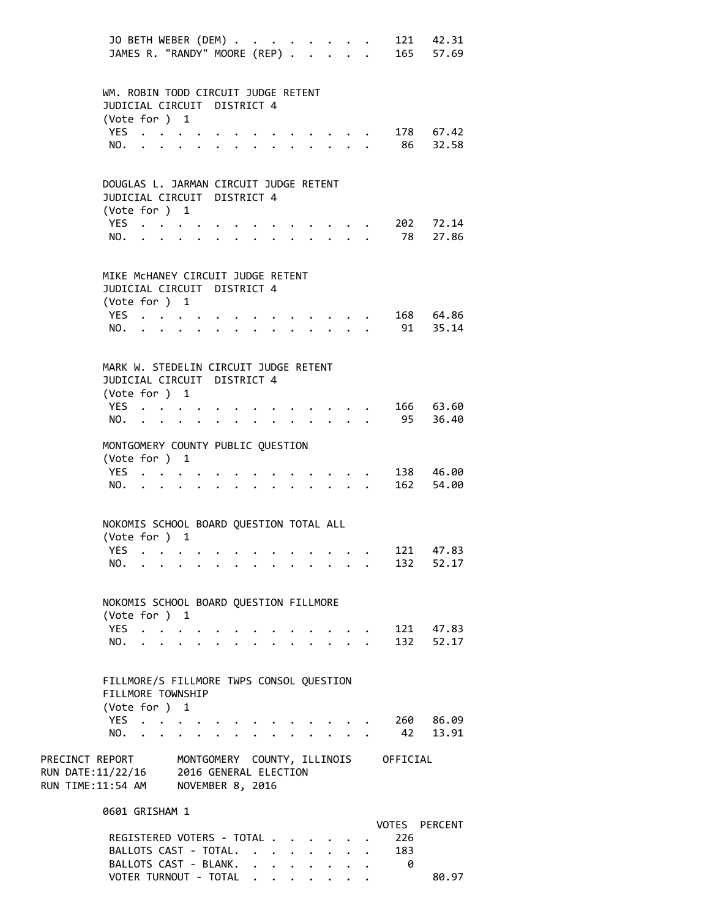|                                                                               | JO BETH WEBER (DEM)<br>JAMES R. "RANDY" MOORE (REP)                                    |                         |  |                      |                           |                                 |                                                 |                      |                           |            | 121 42.31<br>165 57.69 |
|-------------------------------------------------------------------------------|----------------------------------------------------------------------------------------|-------------------------|--|----------------------|---------------------------|---------------------------------|-------------------------------------------------|----------------------|---------------------------|------------|------------------------|
|                                                                               | WM. ROBIN TODD CIRCUIT JUDGE RETENT<br>JUDICIAL CIRCUIT DISTRICT 4<br>(Vote for ) 1    |                         |  |                      |                           |                                 |                                                 |                      |                           |            |                        |
|                                                                               | YES<br>NO.                                                                             |                         |  |                      |                           |                                 | $\cdot$ $\cdot$ $\cdot$ $\cdot$ $\cdot$         |                      |                           |            | 178 67.42<br>86 32.58  |
|                                                                               | DOUGLAS L. JARMAN CIRCUIT JUDGE RETENT<br>JUDICIAL CIRCUIT DISTRICT 4<br>(Vote for ) 1 |                         |  |                      |                           |                                 |                                                 |                      |                           |            |                        |
|                                                                               | YES $\cdot \cdot \cdot \cdot$<br>NO.                                                   |                         |  |                      | $\cdot$ $\cdot$ $\cdot$   |                                 | $\ddot{\phantom{0}}$                            | $\ddotsc$            |                           | 78         | 202 72.14<br>27.86     |
|                                                                               | MIKE MCHANEY CIRCUIT JUDGE RETENT<br>JUDICIAL CIRCUIT DISTRICT 4<br>(Vote for ) 1      |                         |  |                      |                           |                                 |                                                 |                      |                           |            |                        |
|                                                                               | YES<br>NO.                                                                             |                         |  | $\cdot$ $\cdot$      |                           | $\cdot$ $\cdot$ $\cdot$ $\cdot$ | $\cdot$ $\cdot$ $\cdot$ $\cdot$ $\cdot$ $\cdot$ |                      |                           |            | 168 64.86<br>91 35.14  |
|                                                                               | MARK W. STEDELIN CIRCUIT JUDGE RETENT<br>JUDICIAL CIRCUIT DISTRICT 4<br>(Vote for ) 1  |                         |  |                      |                           |                                 |                                                 |                      |                           |            |                        |
|                                                                               | YES<br>$NO.$ $\cdot$ $\cdot$ $\cdot$ $\cdot$                                           |                         |  | $\ddot{\phantom{0}}$ | $\mathbf{r} = \mathbf{r}$ |                                 | $\mathbf{L}$                                    |                      |                           | 95         | 166 63.60<br>36.40     |
|                                                                               | MONTGOMERY COUNTY PUBLIC QUESTION<br>(Vote for ) 1<br>YES<br>NO.                       |                         |  |                      | $\cdot$ $\cdot$ $\cdot$   |                                 |                                                 | $\ddot{\phantom{0}}$ |                           |            | 138 46.00<br>162 54.00 |
|                                                                               | NOKOMIS SCHOOL BOARD QUESTION TOTAL ALL<br>(Vote for ) 1                               |                         |  |                      |                           |                                 |                                                 |                      |                           |            |                        |
|                                                                               | YES.<br>NO.                                                                            |                         |  |                      |                           |                                 |                                                 |                      |                           |            | 121 47.83<br>132 52.17 |
|                                                                               | NOKOMIS SCHOOL BOARD QUESTION FILLMORE<br>(Vote for ) 1<br>YES                         |                         |  |                      |                           |                                 |                                                 |                      |                           |            | 121 47.83              |
|                                                                               | NO.                                                                                    | $\cdot$ $\cdot$ $\cdot$ |  |                      |                           |                                 |                                                 |                      | $\mathbf{r} = \mathbf{r}$ |            | 132 52.17              |
|                                                                               | FILLMORE/S FILLMORE TWPS CONSOL QUESTION<br>FILLMORE TOWNSHIP<br>(Vote for ) 1<br>YES  |                         |  |                      |                           |                                 |                                                 |                      |                           |            | 260 86.09              |
| PRECINCT REPORT MONTGOMERY COUNTY, ILLINOIS OFFICIAL                          | NO.                                                                                    |                         |  |                      |                           |                                 |                                                 |                      |                           | 42         | 13.91                  |
| RUN DATE:11/22/16 2016 GENERAL ELECTION<br>RUN TIME:11:54 AM NOVEMBER 8, 2016 |                                                                                        |                         |  |                      |                           |                                 |                                                 |                      |                           |            |                        |
|                                                                               | 0601 GRISHAM 1<br>REGISTERED VOTERS - TOTAL<br>BALLOTS CAST - TOTAL.                   |                         |  |                      |                           |                                 |                                                 |                      |                           | 226<br>183 | VOTES PERCENT          |

BALLOTS CAST - BLANK. . . . . . . . 0

VOTER TURNOUT - TOTAL . . . . . . . . 80.97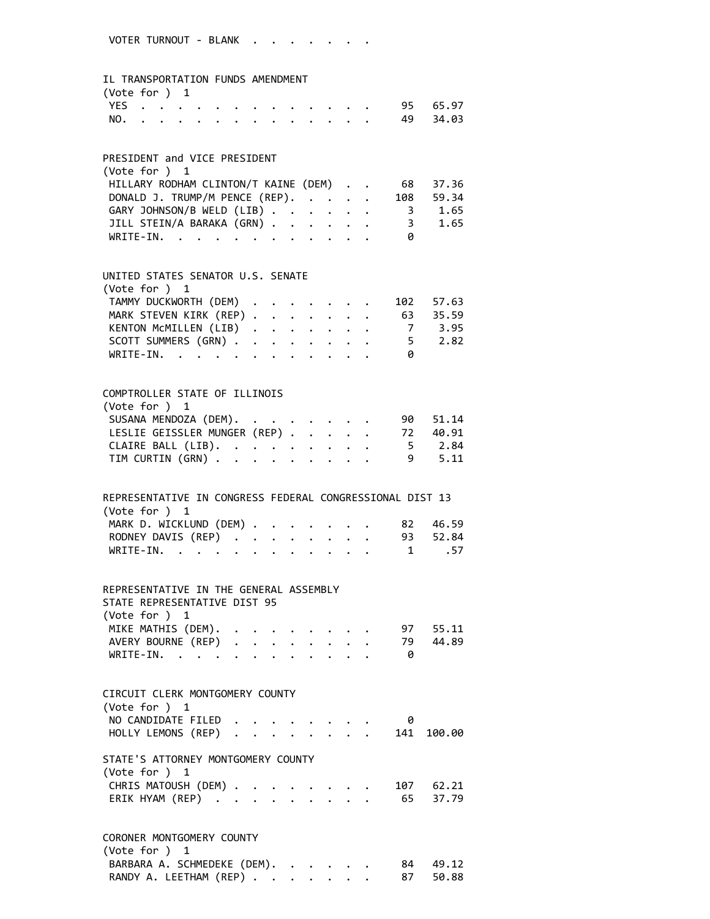### IL TRANSPORTATION FUNDS AMENDMENT

| (Vote for $)$ 1 |  |  |  |  |  |  |  |              |
|-----------------|--|--|--|--|--|--|--|--------------|
|                 |  |  |  |  |  |  |  | YES 95 65.97 |
|                 |  |  |  |  |  |  |  | NO. 49 34.03 |

### PRESIDENT and VICE PRESIDENT

| (Vote for $)$ 1                      |  |   |           |
|--------------------------------------|--|---|-----------|
| HILLARY RODHAM CLINTON/T KAINE (DEM) |  |   | 68 37.36  |
| DONALD J. TRUMP/M PENCE (REP).       |  |   | 108 59.34 |
| GARY JOHNSON/B WELD (LIB)            |  |   | 3 1.65    |
| JILL STEIN/A BARAKA (GRN)            |  |   | 3 1.65    |
| WRITE-IN.                            |  | 0 |           |

### UNITED STATES SENATOR U.S. SENATE

| (Vote for $)$ 1                 |  |  |  |   |  |
|---------------------------------|--|--|--|---|--|
| TAMMY DUCKWORTH (DEM) 102 57.63 |  |  |  |   |  |
| MARK STEVEN KIRK (REP) 63 35.59 |  |  |  |   |  |
| KENTON MCMILLEN (LIB) 7 3.95    |  |  |  |   |  |
| SCOTT SUMMERS (GRN) 5 2.82      |  |  |  |   |  |
| WRITE-IN.                       |  |  |  | ø |  |
|                                 |  |  |  |   |  |

# COMPTROLLER STATE OF ILLINOIS (Vote for ) 1 SUSANA MENDOZA (DEM). . . . . . . . 90 51.14 LESLIE GEISSLER MUNGER (REP) . . . . . 72 40.91<br>CLAIRE BALL (LIB). . . . . . . . . . 5 2.84<br>TIM CURTIN (GRN) . . . . . . . . . 9 5.11 CLAIRE BALL (LIB). . . . . . . . . 5 2.84 TIM CURTIN (GRN) . . . . . . . . . 9 5.11

| REPRESENTATIVE IN CONGRESS FEDERAL CONGRESSIONAL DIST 13 |  |  |
|----------------------------------------------------------|--|--|
| (Vote for $)$ 1                                          |  |  |
| MARK D. WICKLUND (DEM) 82 46.59                          |  |  |
| RODNEY DAVIS (REP) 93 52.84                              |  |  |
| WRITE-IN. 1 .57                                          |  |  |

## REPRESENTATIVE IN THE GENERAL ASSEMBLY STATE REPRESENTATIVE DIST 95 (Vote for ) 1 MIKE MATHIS (DEM). . . . . . . . . 97 55.11 AVERY BOURNE (REP) . . . . . . . . 79 44.89

| WRITE-IN. |  |  |  |  |  |  |  |
|-----------|--|--|--|--|--|--|--|
|           |  |  |  |  |  |  |  |

| CIRCUIT CLERK MONTGOMERY COUNTY<br>(Vote for $)$ 1           |  |  |  |  |   |       |
|--------------------------------------------------------------|--|--|--|--|---|-------|
| NO CANDIDATE FILED                                           |  |  |  |  | 0 |       |
| HOLLY LEMONS (REP) 141 100.00                                |  |  |  |  |   |       |
| STATE'S ATTORNEY MONTGOMERY COUNTY<br>$(\text{Vote for })$ 1 |  |  |  |  |   |       |
| CHRIS MATOUSH (DEM) 107                                      |  |  |  |  |   | 62.21 |
| ERIK HYAM (REP) 65 37.79                                     |  |  |  |  |   |       |
|                                                              |  |  |  |  |   |       |

# CORONER MONTGOMERY COUNTY (Vote for ) 1 BARBARA A. SCHMEDEKE (DEM). . . . . . 84 49.12 RANDY A. LEETHAM (REP) . . . . . . . 87 50.88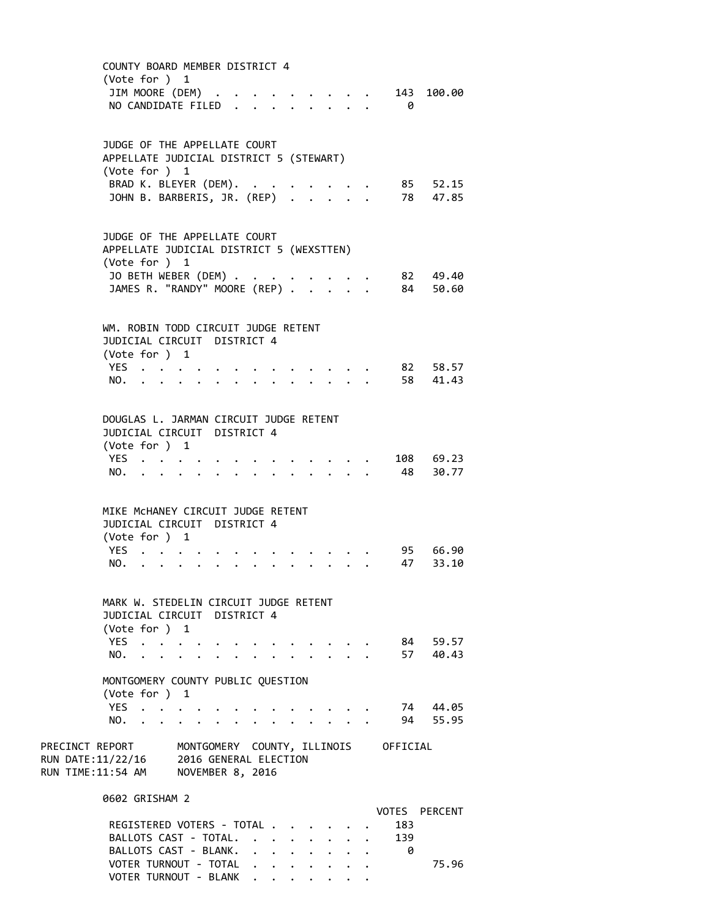COUNTY BOARD MEMBER DISTRICT 4 (Vote for ) 1 JIM MOORE (DEM) . . . . . . . . . 143 100.00 NO CANDIDATE FILED . . . . . . . . 0 JUDGE OF THE APPELLATE COURT APPELLATE JUDICIAL DISTRICT 5 (STEWART) (Vote for ) 1 BRAD K. BLEYER (DEM). . . . . . . . 85 52.15 JOHN B. BARBERIS, JR. (REP) . . . . . 78 47.85 JUDGE OF THE APPELLATE COURT APPELLATE JUDICIAL DISTRICT 5 (WEXSTTEN) (Vote for ) 1 JO BETH WEBER (DEM) . . . . . . . . 82 49.40 JAMES R. "RANDY" MOORE (REP) . . . . . 84 50.60 WM. ROBIN TODD CIRCUIT JUDGE RETENT JUDICIAL CIRCUIT DISTRICT 4 (Vote for ) 1 YES . . . . . . . . . . . . . 82 58.57 NO. . . . . . . . . . . . . . 58 41.43 DOUGLAS L. JARMAN CIRCUIT JUDGE RETENT JUDICIAL CIRCUIT DISTRICT 4 (Vote for ) 1 YES . . . . . . . . . . . . . 108 69.23 NO. . . . . . . . . . . . . . 48 30.77 MIKE McHANEY CIRCUIT JUDGE RETENT JUDICIAL CIRCUIT DISTRICT 4 (Vote for ) 1 YES . . . . . . . . . . . . . 95 66.90 NO. . . . . . . . . . . . . . 47 33.10 MARK W. STEDELIN CIRCUIT JUDGE RETENT JUDICIAL CIRCUIT DISTRICT 4 (Vote for ) 1 YES . . . . . . . . . . . . . 84 59.57 NO. . . . . . . . . . . . . . 57 40.43 MONTGOMERY COUNTY PUBLIC QUESTION (Vote for ) 1 YES . . . . . . . . . . . . . . 74 44.05 NO. . . . . . . . . . . . . . 94 55.95 PRECINCT REPORT MONTGOMERY COUNTY, ILLINOIS OFFICIAL RUN DATE:11/22/16 2016 GENERAL ELECTION RUN TIME:11:54 AM NOVEMBER 8, 2016 0602 GRISHAM 2 VOTES PERCENT REGISTERED VOTERS - TOTAL . . . . . . 183 BALLOTS CAST - TOTAL. . . . . . . . 139<br>BALLOTS CAST - BLANK. . . . . . . . . 0 BALLOTS CAST - BLANK. . . . . . . . VOTER TURNOUT - TOTAL . . . . . . . . . 75.96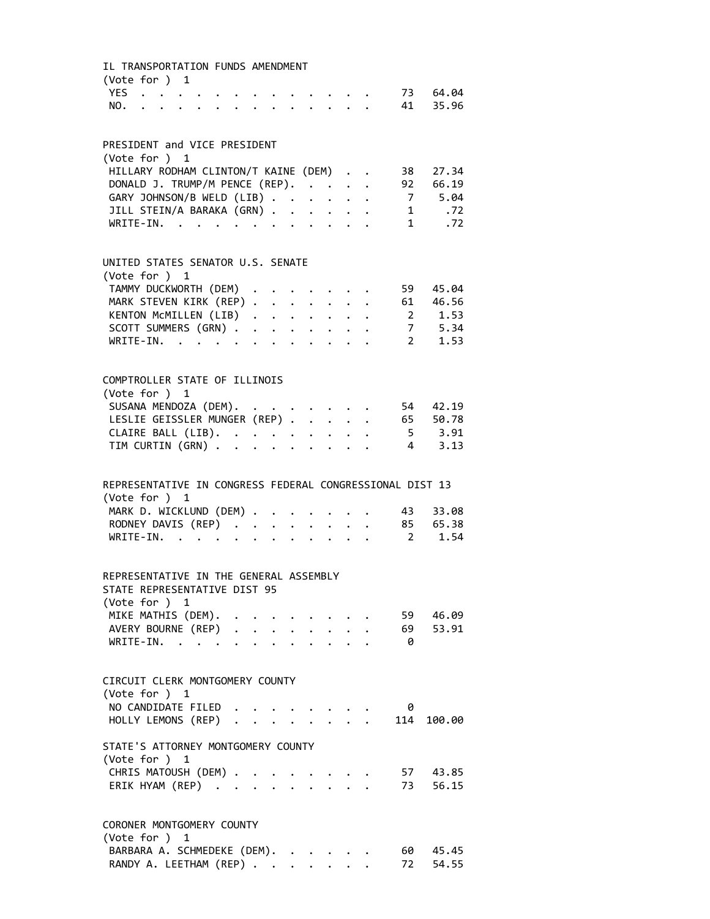IL TRANSPORTATION FUNDS AMENDMENT (Vote for ) 1 YES . . . . . . . . . . . . . 73 64.04 NO. . . . . . . . . . . . . . 41 35.96 PRESIDENT and VICE PRESIDENT (Vote for ) 1 HILLARY RODHAM CLINTON/T KAINE (DEM) . . 38 27.34 DONALD J. TRUMP/M PENCE (REP). . . . . 92 66.19 GARY JOHNSON/B WELD (LIB) . . . . . . 7 5.04 JILL STEIN/A BARAKA (GRN) . . . . . . 1 .72 WRITE-IN. . . . . . . . . . . . . 1 .72 UNITED STATES SENATOR U.S. SENATE (Vote for ) 1 TAMMY DUCKWORTH (DEM) . . . . . . . 59 45.04 MARK STEVEN KIRK (REP) . . . . . . . 61 46.56<br>KENTON McMILLEN (LIB) . . . . . . . 2 1.53 KENTON MCMILLEN (LIB) . . . . . . . SCOTT SUMMERS (GRN) . . . . . . . . 7 5.34<br>WRITE-IN. . . . . . . . . . . . 2 1.53 WRITE-IN. . . . . . . . . . . . COMPTROLLER STATE OF ILLINOIS (Vote for ) 1 SUSANA MENDOZA (DEM). . . . . . . . 54 42.19 LESLIE GEISSLER MUNGER (REP) . . . . . 65 50.78<br>CLAIRE BALL (LIB). . . . . . . . . . 5 3.91<br>TIM CURTIN (GRN) . . . . . . . . . 4 3.13 CLAIRE BALL (LIB). . . . . . . . . TIM CURTIN (GRN) . . . . . . . . . REPRESENTATIVE IN CONGRESS FEDERAL CONGRESSIONAL DIST 13 (Vote for ) 1 MARK D. WICKLUND (DEM) . . . . . . . 43 33.08 RODNEY DAVIS (REP) . . . . . . . . 85 65.38 WRITE-IN. . . . . . . . . . . . 2 1.54 REPRESENTATIVE IN THE GENERAL ASSEMBLY STATE REPRESENTATIVE DIST 95 (Vote for ) 1 MIKE MATHIS (DEM). . . . . . . . . 59 46.09 AVERY BOURNE (REP) . . . . . . . . 69 53.91 WRITE-IN. . . . . . . . . . . . 0 CIRCUIT CLERK MONTGOMERY COUNTY (Vote for ) 1 NO CANDIDATE FILED . . . . . . . . 0 HOLLY LEMONS (REP) . . . . . . . . 114 100.00 STATE'S ATTORNEY MONTGOMERY COUNTY (Vote for ) 1 CHRIS MATOUSH (DEM) . . . . . . . . 57 43.85 ERIK HYAM (REP) . . . . . . . . . 73 56.15 CORONER MONTGOMERY COUNTY (Vote for ) 1 BARBARA A. SCHMEDEKE (DEM). . . . . . 60 45.45 RANDY A. LEETHAM (REP) . . . . . . . 72 54.55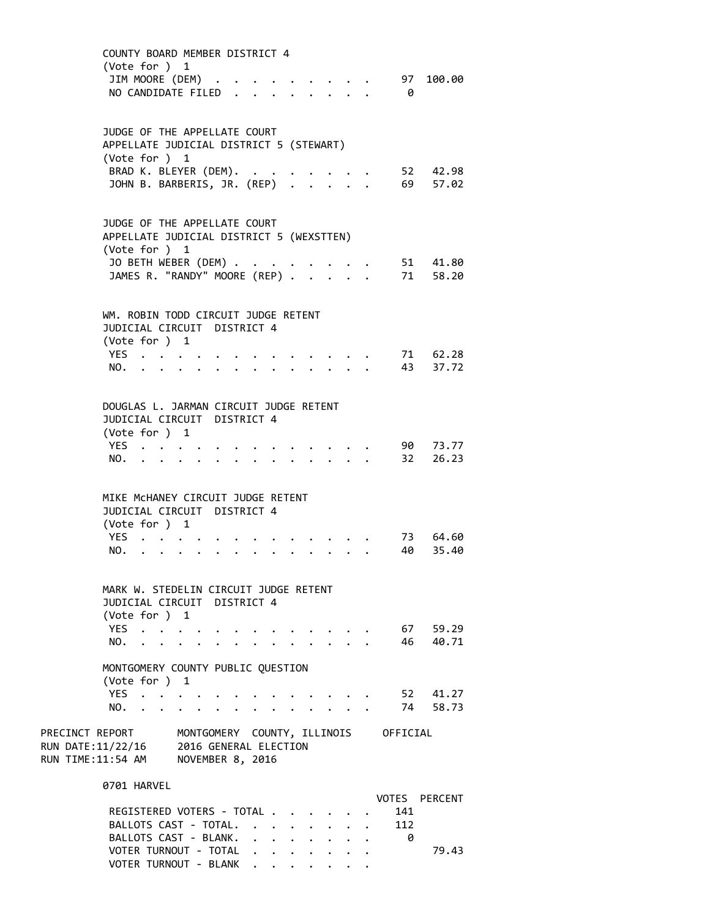| (Vote for ) 1<br>JIM MOORE (DEM) .                                         | COUNTY BOARD MEMBER DISTRICT 4<br>NO CANDIDATE FILED.                                                                             |                                                                                                                                     |                               | . 97 100.00<br>$\theta$                     |
|----------------------------------------------------------------------------|-----------------------------------------------------------------------------------------------------------------------------------|-------------------------------------------------------------------------------------------------------------------------------------|-------------------------------|---------------------------------------------|
| (Vote for ) 1                                                              | JUDGE OF THE APPELLATE COURT<br>APPELLATE JUDICIAL DISTRICT 5 (STEWART)<br>BRAD K. BLEYER (DEM).<br>JOHN B. BARBERIS, JR. (REP)   |                                                                                                                                     |                               | 52 42.98<br>69 57.02                        |
| (Vote for ) 1                                                              | JUDGE OF THE APPELLATE COURT<br>APPELLATE JUDICIAL DISTRICT 5 (WEXSTTEN)<br>JO BETH WEBER (DEM)<br>JAMES R. "RANDY" MOORE (REP) . |                                                                                                                                     | $\mathbf{r}$ and $\mathbf{r}$ | 51 41.80<br>71 58.20                        |
| (Vote for ) 1<br>YES<br>NO.                                                | WM. ROBIN TODD CIRCUIT JUDGE RETENT<br>JUDICIAL CIRCUIT DISTRICT 4                                                                |                                                                                                                                     |                               | 71 62.28<br>43<br>37.72                     |
| (Vote for ) 1<br>YES.<br>NO.                                               | DOUGLAS L. JARMAN CIRCUIT JUDGE RETENT<br>JUDICIAL CIRCUIT DISTRICT 4                                                             |                                                                                                                                     |                               | 90 73.77<br>32 26.23                        |
| (Vote for ) 1<br>YES.<br>NO.<br>$\mathbf{r} = \mathbf{r} + \mathbf{r}$     | MIKE MCHANEY CIRCUIT JUDGE RETENT<br>JUDICIAL CIRCUIT DISTRICT 4                                                                  |                                                                                                                                     |                               | 73 64.60<br>40<br>35.40                     |
| (Vote for $)$ 1<br>NO.                                                     | MARK W. STEDELIN CIRCUIT JUDGE RETENT<br>JUDICIAL CIRCUIT DISTRICT 4<br>YES                                                       |                                                                                                                                     |                               | 67 59.29<br>46 40.71                        |
| (Vote for ) 1<br>YES<br>NO.<br>$\sim$ $\sim$                               | MONTGOMERY COUNTY PUBLIC QUESTION<br>$\cdot$ $\cdot$ $\cdot$ $\cdot$ $\cdot$                                                      |                                                                                                                                     |                               | 52 41.27<br>74 58.73                        |
| PRECINCT REPORT<br>RUN DATE:11/22/16<br>RUN TIME:11:54 AM NOVEMBER 8, 2016 | MONTGOMERY COUNTY, ILLINOIS OFFICIAL<br>2016 GENERAL ELECTION                                                                     |                                                                                                                                     |                               |                                             |
| 0701 HARVEL                                                                | REGISTERED VOTERS - TOTAL<br>BALLOTS CAST - TOTAL.<br>BALLOTS CAST - BLANK.<br>VOTER TURNOUT - TOTAL                              | $\mathbf{r}$ , $\mathbf{r}$ , $\mathbf{r}$<br>$\ddot{\phantom{0}}$<br>$\ddot{\phantom{0}}$<br>$\sim$ $-$<br>$\cdot$ $\cdot$ $\cdot$ |                               | VOTES PERCENT<br>141<br>112<br>- 0<br>79.43 |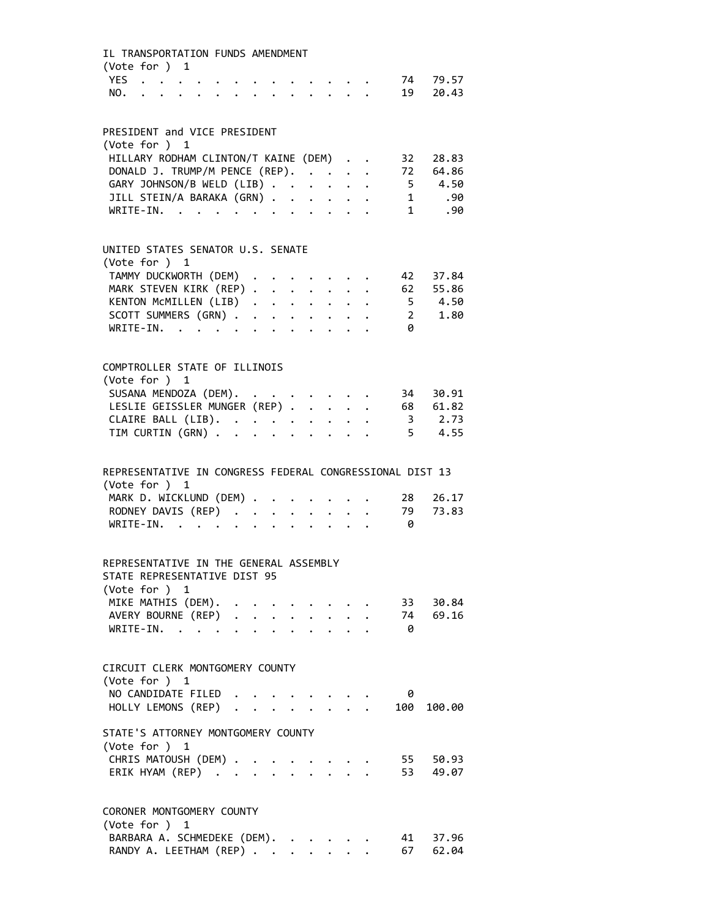| IL TRANSPORTATION FUNDS AMENDMENT<br>(Vote for ) 1                                                                                          |                                                                                                                                                                                                                                |              |                      |                                                  |  |                                                                       |           |                                        |
|---------------------------------------------------------------------------------------------------------------------------------------------|--------------------------------------------------------------------------------------------------------------------------------------------------------------------------------------------------------------------------------|--------------|----------------------|--------------------------------------------------|--|-----------------------------------------------------------------------|-----------|----------------------------------------|
| YES<br>$\mathbf{r}$ , $\mathbf{r}$ , $\mathbf{r}$ , $\mathbf{r}$ , $\mathbf{r}$ , $\mathbf{r}$ , $\mathbf{r}$ , $\mathbf{r}$ , $\mathbf{r}$ | $\ddot{\phantom{a}}$                                                                                                                                                                                                           |              |                      |                                                  |  | $\mathbf{r}$ , and $\mathbf{r}$ , and $\mathbf{r}$ , and $\mathbf{r}$ |           | 74 79.57<br>19 20.43                   |
| NO.                                                                                                                                         |                                                                                                                                                                                                                                |              |                      |                                                  |  |                                                                       |           |                                        |
| PRESIDENT and VICE PRESIDENT<br>(Vote for ) 1                                                                                               |                                                                                                                                                                                                                                |              |                      |                                                  |  |                                                                       |           |                                        |
| HILLARY RODHAM CLINTON/T KAINE (DEM)                                                                                                        |                                                                                                                                                                                                                                |              |                      |                                                  |  |                                                                       |           | 32 28.83                               |
| DONALD J. TRUMP/M PENCE (REP).                                                                                                              |                                                                                                                                                                                                                                |              |                      |                                                  |  |                                                                       |           | 72 64.86                               |
| GARY JOHNSON/B WELD (LIB)                                                                                                                   |                                                                                                                                                                                                                                |              |                      |                                                  |  |                                                                       |           | 5 4.50                                 |
| JILL STEIN/A BARAKA (GRN)                                                                                                                   |                                                                                                                                                                                                                                |              |                      |                                                  |  |                                                                       |           | 1 .90                                  |
| WRITE-IN.                                                                                                                                   | and the contract of the contract of the contract of the contract of the contract of the contract of the contract of the contract of the contract of the contract of the contract of the contract of the contract of the contra |              |                      |                                                  |  |                                                                       | $1 \quad$ | .90                                    |
| UNITED STATES SENATOR U.S. SENATE                                                                                                           |                                                                                                                                                                                                                                |              |                      |                                                  |  |                                                                       |           |                                        |
| (Vote for ) 1                                                                                                                               |                                                                                                                                                                                                                                |              |                      |                                                  |  |                                                                       |           |                                        |
| TAMMY DUCKWORTH (DEM)                                                                                                                       |                                                                                                                                                                                                                                |              |                      | $\bullet$ . The second contribution of $\bullet$ |  |                                                                       |           | 42 37.84                               |
| MARK STEVEN KIRK (REP)<br>KENTON MCMILLEN (LIB)                                                                                             |                                                                                                                                                                                                                                |              |                      |                                                  |  |                                                                       |           | 62 55.86                               |
|                                                                                                                                             |                                                                                                                                                                                                                                |              |                      |                                                  |  |                                                                       |           | 5 4.50                                 |
| SCOTT SUMMERS (GRN)<br>WRITE-IN.                                                                                                            | and the contract of the contract of the contract of the contract of the contract of the contract of the contract of the contract of the contract of the contract of the contract of the contract of the contract of the contra |              |                      |                                                  |  |                                                                       | 0         | $2 \left( \frac{1}{2} \right)$<br>1.80 |
|                                                                                                                                             |                                                                                                                                                                                                                                |              |                      |                                                  |  |                                                                       |           |                                        |
| COMPTROLLER STATE OF ILLINOIS                                                                                                               |                                                                                                                                                                                                                                |              |                      |                                                  |  |                                                                       |           |                                        |
| (Vote for ) 1                                                                                                                               |                                                                                                                                                                                                                                |              |                      |                                                  |  |                                                                       |           | 34 30.91                               |
| SUSANA MENDOZA (DEM).<br>LESLIE GEISSLER MUNGER (REP)                                                                                       |                                                                                                                                                                                                                                |              |                      |                                                  |  |                                                                       |           | 68 61.82                               |
| CLAIRE BALL (LIB).                                                                                                                          |                                                                                                                                                                                                                                |              |                      |                                                  |  |                                                                       |           | 3 2.73                                 |
| TIM CURTIN (GRN)                                                                                                                            |                                                                                                                                                                                                                                |              |                      |                                                  |  |                                                                       |           | 5 4.55                                 |
|                                                                                                                                             |                                                                                                                                                                                                                                |              |                      |                                                  |  |                                                                       |           |                                        |
| REPRESENTATIVE IN CONGRESS FEDERAL CONGRESSIONAL DIST 13<br>(Vote for ) 1                                                                   |                                                                                                                                                                                                                                |              |                      |                                                  |  |                                                                       |           |                                        |
| MARK D. WICKLUND (DEM)                                                                                                                      |                                                                                                                                                                                                                                |              |                      |                                                  |  | $\cdot$ $\cdot$ $\cdot$ $\cdot$ $\cdot$ $\cdot$                       | 28        | 26.17                                  |
| RODNEY DAVIS (REP)                                                                                                                          |                                                                                                                                                                                                                                |              |                      |                                                  |  |                                                                       | 79        | 73.83                                  |
| WRITE-IN.                                                                                                                                   |                                                                                                                                                                                                                                |              |                      |                                                  |  |                                                                       | - 0       |                                        |
|                                                                                                                                             |                                                                                                                                                                                                                                |              |                      |                                                  |  |                                                                       |           |                                        |
| REPRESENTATIVE IN THE GENERAL ASSEMBLY<br>STATE REPRESENTATIVE DIST 95                                                                      |                                                                                                                                                                                                                                |              |                      |                                                  |  |                                                                       |           |                                        |
| (Vote for ) 1                                                                                                                               |                                                                                                                                                                                                                                |              |                      |                                                  |  |                                                                       |           |                                        |
| MIKE MATHIS (DEM).                                                                                                                          |                                                                                                                                                                                                                                |              |                      |                                                  |  |                                                                       |           | 33 30.84                               |
| AVERY BOURNE (REP)                                                                                                                          |                                                                                                                                                                                                                                |              |                      |                                                  |  |                                                                       |           | 74 69.16                               |
| $WRITE-IN.$ .                                                                                                                               |                                                                                                                                                                                                                                |              | $\ddot{\phantom{a}}$ |                                                  |  |                                                                       | - 0       |                                        |
| CIRCUIT CLERK MONTGOMERY COUNTY<br>(Vote for ) 1                                                                                            |                                                                                                                                                                                                                                |              |                      |                                                  |  |                                                                       |           |                                        |
| NO CANDIDATE FILED                                                                                                                          |                                                                                                                                                                                                                                |              |                      |                                                  |  |                                                                       | 0         |                                        |
| HOLLY LEMONS (REP)                                                                                                                          |                                                                                                                                                                                                                                | $\mathbf{A}$ |                      |                                                  |  |                                                                       | 100       | 100.00                                 |
|                                                                                                                                             |                                                                                                                                                                                                                                |              |                      |                                                  |  |                                                                       |           |                                        |
| STATE'S ATTORNEY MONTGOMERY COUNTY<br>(Vote for ) 1                                                                                         |                                                                                                                                                                                                                                |              |                      |                                                  |  |                                                                       |           |                                        |
| CHRIS MATOUSH (DEM)                                                                                                                         |                                                                                                                                                                                                                                |              |                      |                                                  |  |                                                                       |           | 55 50.93                               |
| ERIK HYAM (REP)                                                                                                                             |                                                                                                                                                                                                                                |              |                      |                                                  |  |                                                                       |           | 53 49.07                               |
| CORONER MONTGOMERY COUNTY                                                                                                                   |                                                                                                                                                                                                                                |              |                      |                                                  |  |                                                                       |           |                                        |
| (Vote for ) 1                                                                                                                               |                                                                                                                                                                                                                                |              |                      |                                                  |  |                                                                       |           |                                        |
|                                                                                                                                             |                                                                                                                                                                                                                                |              |                      |                                                  |  |                                                                       |           |                                        |
| BARBARA A. SCHMEDEKE (DEM).<br>RANDY A. LEETHAM (REP)                                                                                       |                                                                                                                                                                                                                                |              |                      |                                                  |  |                                                                       | 67        | 41 37.96<br>62.04                      |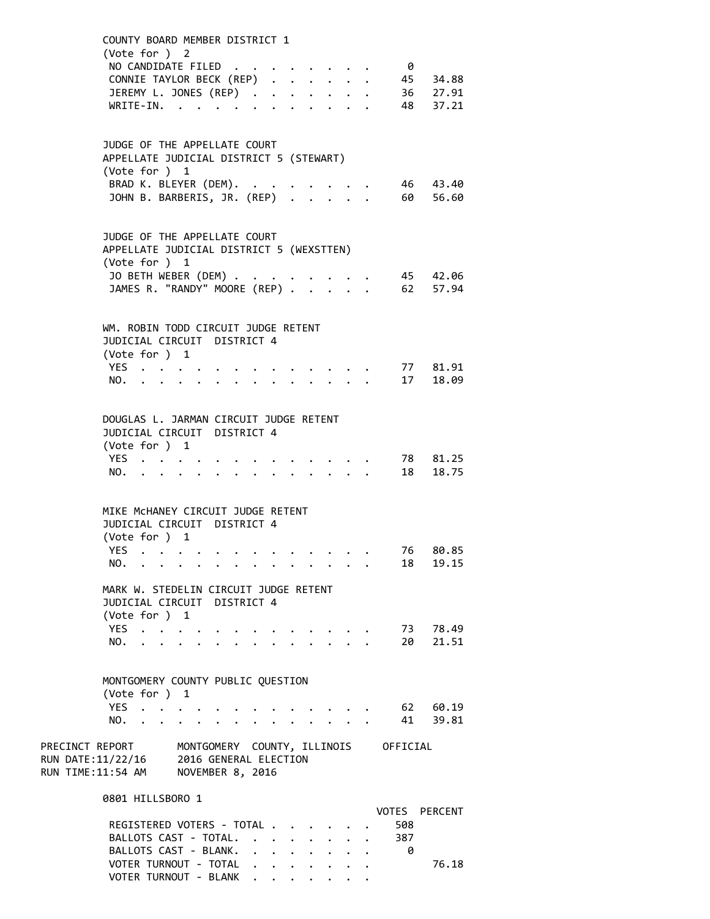| (Vote for ) 2                                                                                                                                             | COUNTY BOARD MEMBER DISTRICT 1<br>NO CANDIDATE FILED<br>CONNIE TAYLOR BECK (REP)<br>JEREMY L. JONES (REP)<br>$\texttt{WRITE-IN.}\quad .\quad .\quad .\quad .$ |                                                           |                         | $\theta$        | 45 34.88<br>36 27.91<br>48 37.21 |
|-----------------------------------------------------------------------------------------------------------------------------------------------------------|---------------------------------------------------------------------------------------------------------------------------------------------------------------|-----------------------------------------------------------|-------------------------|-----------------|----------------------------------|
| APPELLATE JUDICIAL DISTRICT 5 (STEWART)<br>(Vote for ) 1                                                                                                  | JUDGE OF THE APPELLATE COURT<br>BRAD K. BLEYER (DEM). .<br>JOHN B. BARBERIS, JR. (REP)                                                                        |                                                           |                         |                 | 46 43.40<br>60 56.60             |
| APPELLATE JUDICIAL DISTRICT 5 (WEXSTTEN)<br>(Vote for ) 1                                                                                                 | JUDGE OF THE APPELLATE COURT<br>JO BETH WEBER (DEM)<br>JAMES R. "RANDY" MOORE (REP)                                                                           |                                                           |                         | . 45 42.06      | 62 57.94                         |
| WM. ROBIN TODD CIRCUIT JUDGE RETENT<br>(Vote for ) 1<br>YES<br>NO.                                                                                        | JUDICIAL CIRCUIT DISTRICT 4                                                                                                                                   |                                                           | $\cdot$ $\cdot$ $\cdot$ |                 | 77 81.91<br>17 18.09             |
| DOUGLAS L. JARMAN CIRCUIT JUDGE RETENT<br>(Vote for ) 1<br>YES.<br>NO.                                                                                    | JUDICIAL CIRCUIT DISTRICT 4                                                                                                                                   |                                                           |                         |                 | 78 81.25<br>18 18.75             |
| MIKE MCHANEY CIRCUIT JUDGE RETENT<br>(Vote for ) 1<br>YES                                                                                                 | JUDICIAL CIRCUIT DISTRICT 4<br>NO.                                                                                                                            |                                                           |                         | 76<br>18        | 80.85<br>19.15                   |
| MARK W. STEDELIN CIRCUIT JUDGE RETENT<br>(Vote for ) 1<br>YES<br>NO.                                                                                      | JUDICIAL CIRCUIT DISTRICT 4                                                                                                                                   |                                                           |                         | 20              | 73 78.49<br>21.51                |
| MONTGOMERY COUNTY PUBLIC QUESTION<br>(Vote for ) 1<br>YES<br>NO.<br>$\sim$ $\sim$<br>$\ddot{\phantom{a}}$                                                 | $\mathbf{r} = \mathbf{r} + \mathbf{r} + \mathbf{r} + \mathbf{r}$ .<br>$\ddot{\phantom{0}}$<br>$\mathbf{r} = \mathbf{r} + \mathbf{r}$                          |                                                           |                         | 41              | 62 60.19<br>39.81                |
| PRECINCT REPORT MONTGOMERY COUNTY, ILLINOIS OFFICIAL<br>RUN DATE:11/22/16 2016 GENERAL ELECTION<br>RUN TIME:11:54 AM NOVEMBER 8, 2016<br>0801 HILLSBORO 1 |                                                                                                                                                               |                                                           |                         |                 |                                  |
|                                                                                                                                                           | REGISTERED VOTERS - TOTAL<br>BALLOTS CAST - TOTAL.<br>BALLOTS CAST - BLANK.<br>VOTER TURNOUT - TOTAL                                                          | $\mathbf{L}^{\text{max}}$ , and $\mathbf{L}^{\text{max}}$ |                         | 508<br>387<br>0 | VOTES PERCENT<br>76.18           |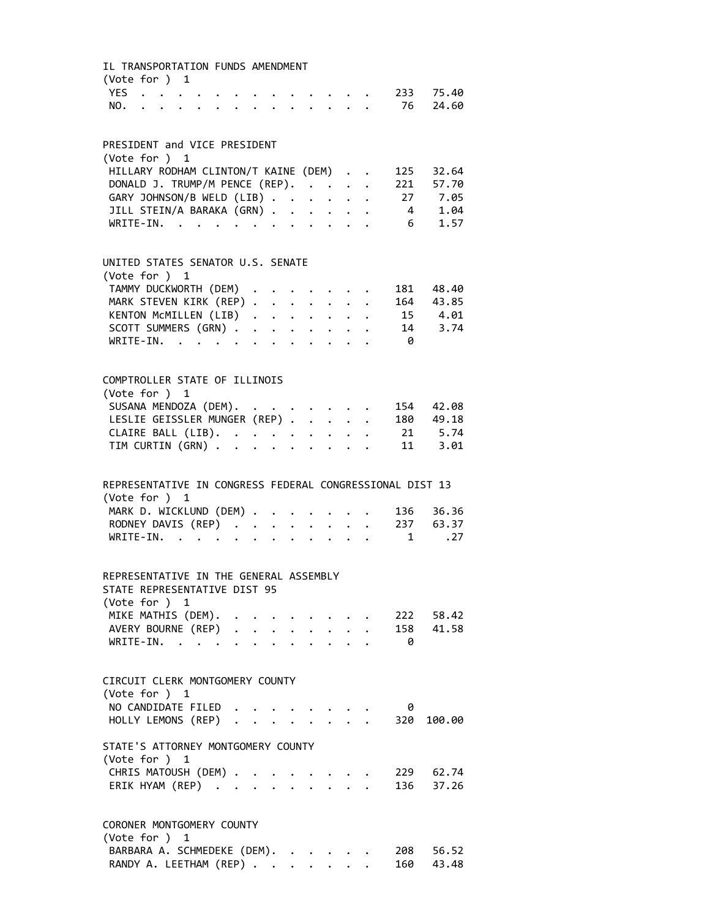| IL TRANSPORTATION FUNDS AMENDMENT<br>(Vote for ) 1                     |  |  |  |                                                                                 |  |                |                                   |  |
|------------------------------------------------------------------------|--|--|--|---------------------------------------------------------------------------------|--|----------------|-----------------------------------|--|
|                                                                        |  |  |  | $\cdot$ $\cdot$ $\cdot$ $\cdot$ $\cdot$                                         |  |                | 233       75.40<br>76       24.60 |  |
|                                                                        |  |  |  |                                                                                 |  |                |                                   |  |
| PRESIDENT and VICE PRESIDENT                                           |  |  |  |                                                                                 |  |                |                                   |  |
| (Vote for ) 1                                                          |  |  |  |                                                                                 |  |                |                                   |  |
| HILLARY RODHAM CLINTON/T KAINE (DEM)                                   |  |  |  |                                                                                 |  |                | 125 32.64                         |  |
| DONALD J. TRUMP/M PENCE (REP).                                         |  |  |  |                                                                                 |  |                | 221 57.70                         |  |
| GARY JOHNSON/B WELD (LIB)                                              |  |  |  |                                                                                 |  |                | 27 7.05<br>4 1.04                 |  |
| JILL STEIN/A BARAKA (GRN)<br>WRITE-IN.                                 |  |  |  |                                                                                 |  | 6 <sup>1</sup> |                                   |  |
|                                                                        |  |  |  |                                                                                 |  |                | 1.57                              |  |
| UNITED STATES SENATOR U.S. SENATE                                      |  |  |  |                                                                                 |  |                |                                   |  |
| (Vote for ) 1                                                          |  |  |  |                                                                                 |  |                |                                   |  |
| TAMMY DUCKWORTH (DEM)                                                  |  |  |  |                                                                                 |  |                | 181 48.40                         |  |
|                                                                        |  |  |  | $\bullet$ .<br><br><br><br><br><br><br><br><br><br><br><br><br><br><br><br><br> |  |                | 164 43.85<br>15 4.01              |  |
| MARK STEVEN KIRK (REP)<br>KENTON MCMILLEN (LIB)<br>SCOTT SUMMERS (GRN) |  |  |  |                                                                                 |  |                |                                   |  |
|                                                                        |  |  |  |                                                                                 |  |                | $14$ 3.74                         |  |
| WRITE-IN.                                                              |  |  |  |                                                                                 |  | - 0            |                                   |  |
|                                                                        |  |  |  |                                                                                 |  |                |                                   |  |
| COMPTROLLER STATE OF ILLINOIS                                          |  |  |  |                                                                                 |  |                |                                   |  |
| (Vote for ) 1                                                          |  |  |  |                                                                                 |  |                |                                   |  |
| SUSANA MENDOZA (DEM).<br>LESLIE GEISSLER MUNGER (REP)                  |  |  |  |                                                                                 |  |                | 154 42.08                         |  |
|                                                                        |  |  |  |                                                                                 |  |                | 180 49.18                         |  |
| CLAIRE BALL (LIB).<br>TIM CURTIN (GRN)                                 |  |  |  |                                                                                 |  |                | $21 \t 5.74$                      |  |
|                                                                        |  |  |  |                                                                                 |  |                | 11 3.01                           |  |
| REPRESENTATIVE IN CONGRESS FEDERAL CONGRESSIONAL DIST 13               |  |  |  |                                                                                 |  |                |                                   |  |
| (Vote for ) 1                                                          |  |  |  |                                                                                 |  |                |                                   |  |
|                                                                        |  |  |  |                                                                                 |  |                | 136 36.36                         |  |
|                                                                        |  |  |  |                                                                                 |  |                | 237 63.37                         |  |
| MARK D. WICKLUND (DEM)<br>RODNEY DAVIS (REP)<br>WRITE-IN.              |  |  |  |                                                                                 |  | $\mathbf{1}$   | .27                               |  |
|                                                                        |  |  |  |                                                                                 |  |                |                                   |  |
| REPRESENTATIVE IN THE GENERAL ASSEMBLY                                 |  |  |  |                                                                                 |  |                |                                   |  |
| STATE REPRESENTATIVE DIST 95                                           |  |  |  |                                                                                 |  |                |                                   |  |
| (Vote for ) 1                                                          |  |  |  |                                                                                 |  |                |                                   |  |
| MIKE MATHIS (DEM).                                                     |  |  |  |                                                                                 |  |                |                                   |  |
| AVERY BOURNE (REP)<br>WRITE-IN.<br>WRITE-IN. .                         |  |  |  |                                                                                 |  | - 0            |                                   |  |
|                                                                        |  |  |  |                                                                                 |  |                |                                   |  |
| CIRCUIT CLERK MONTGOMERY COUNTY                                        |  |  |  |                                                                                 |  |                |                                   |  |
| (Vote for ) 1                                                          |  |  |  |                                                                                 |  |                |                                   |  |
| NO CANDIDATE FILED                                                     |  |  |  |                                                                                 |  | 0              |                                   |  |
| HOLLY LEMONS (REP) .                                                   |  |  |  |                                                                                 |  | 320            | 100.00                            |  |
| STATE'S ATTORNEY MONTGOMERY COUNTY                                     |  |  |  |                                                                                 |  |                |                                   |  |
| (Vote for ) 1                                                          |  |  |  |                                                                                 |  |                |                                   |  |
| CHRIS MATOUSH (DEM)                                                    |  |  |  |                                                                                 |  |                | 229 62.74                         |  |
| ERIK HYAM (REP)                                                        |  |  |  | $\mathbf{r}$ and $\mathbf{r}$                                                   |  |                | 136 37.26                         |  |
| CORONER MONTGOMERY COUNTY                                              |  |  |  |                                                                                 |  |                |                                   |  |
| (Vote for $)$ 1                                                        |  |  |  |                                                                                 |  |                |                                   |  |
| BARBARA A. SCHMEDEKE (DEM).                                            |  |  |  |                                                                                 |  | 208            | 56.52                             |  |

RANDY A. LEETHAM (REP) . . . . . . . 160 43.48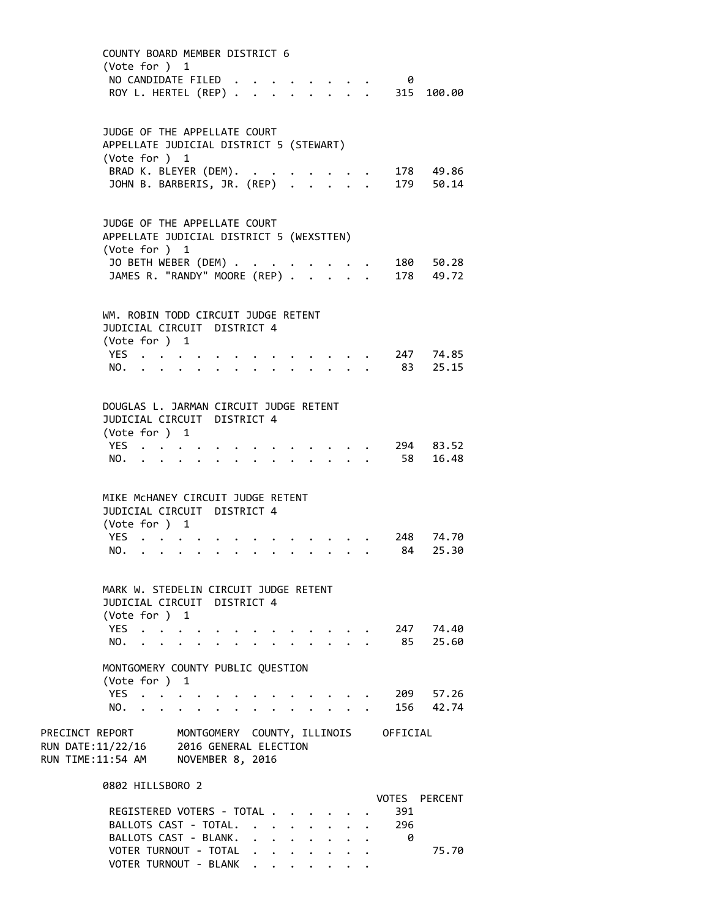| (Vote for ) 1                                                                                    | COUNTY BOARD MEMBER DISTRICT 6<br>NO CANDIDATE FILED.<br>ROY L. HERTEL (REP)                                                      |                                            | - 0<br>315 100.00                         |
|--------------------------------------------------------------------------------------------------|-----------------------------------------------------------------------------------------------------------------------------------|--------------------------------------------|-------------------------------------------|
| (Vote for ) 1                                                                                    | JUDGE OF THE APPELLATE COURT<br>APPELLATE JUDICIAL DISTRICT 5 (STEWART)<br>BRAD K. BLEYER (DEM). .<br>JOHN B. BARBERIS, JR. (REP) |                                            | 178 49.86<br>179 50.14                    |
| (Vote for ) 1                                                                                    | JUDGE OF THE APPELLATE COURT<br>APPELLATE JUDICIAL DISTRICT 5 (WEXSTTEN)<br>JO BETH WEBER (DEM)<br>JAMES R. "RANDY" MOORE (REP) . |                                            | 180 50.28<br>178 49.72                    |
| (Vote for ) 1<br>YES<br>NO.                                                                      | WM. ROBIN TODD CIRCUIT JUDGE RETENT<br>JUDICIAL CIRCUIT DISTRICT 4<br>$\ddot{\phantom{0}}$                                        |                                            | 247 74.85<br>83<br>25.15                  |
| (Vote for ) 1<br>YES.,<br>NO.                                                                    | DOUGLAS L. JARMAN CIRCUIT JUDGE RETENT<br>JUDICIAL CIRCUIT DISTRICT 4                                                             |                                            | 294 83.52<br>58<br>16.48                  |
| (Vote for ) 1<br>YES<br>NO.                                                                      | MIKE MCHANEY CIRCUIT JUDGE RETENT<br>JUDICIAL CIRCUIT DISTRICT 4                                                                  |                                            | 248 74.70<br>84<br>25.30                  |
| (Vote for $)$ 1<br>YES.<br>NO.                                                                   | MARK W. STEDELIN CIRCUIT JUDGE RETENT<br>JUDICIAL CIRCUIT DISTRICT 4                                                              |                                            | 247 74.40<br>85<br>25.60                  |
| (Vote for ) 1<br>YES<br>NO.<br>$\ddot{\phantom{a}}$<br>$\sim$ $\sim$                             | MONTGOMERY COUNTY PUBLIC QUESTION<br>$\mathbf{r} = \mathbf{r} + \mathbf{r} + \mathbf{r} + \mathbf{r}$<br>$\cdot$ $\cdot$ $\cdot$  |                                            | 209<br>57.26<br>156 42.74                 |
| PRECINCT REPORT<br>RUN DATE:11/22/16 2016 GENERAL ELECTION<br>RUN TIME:11:54 AM NOVEMBER 8, 2016 | MONTGOMERY COUNTY, ILLINOIS OFFICIAL                                                                                              |                                            |                                           |
| 0802 HILLSBORO 2                                                                                 | REGISTERED VOTERS - TOTAL<br>BALLOTS CAST - TOTAL.<br>BALLOTS CAST - BLANK.<br>$\mathbf{r}$<br>VOTER TURNOUT - TOTAL              | $\cdot$ $\cdot$<br>$\cdot$ $\cdot$ $\cdot$ | VOTES PERCENT<br>391<br>296<br>0<br>75.70 |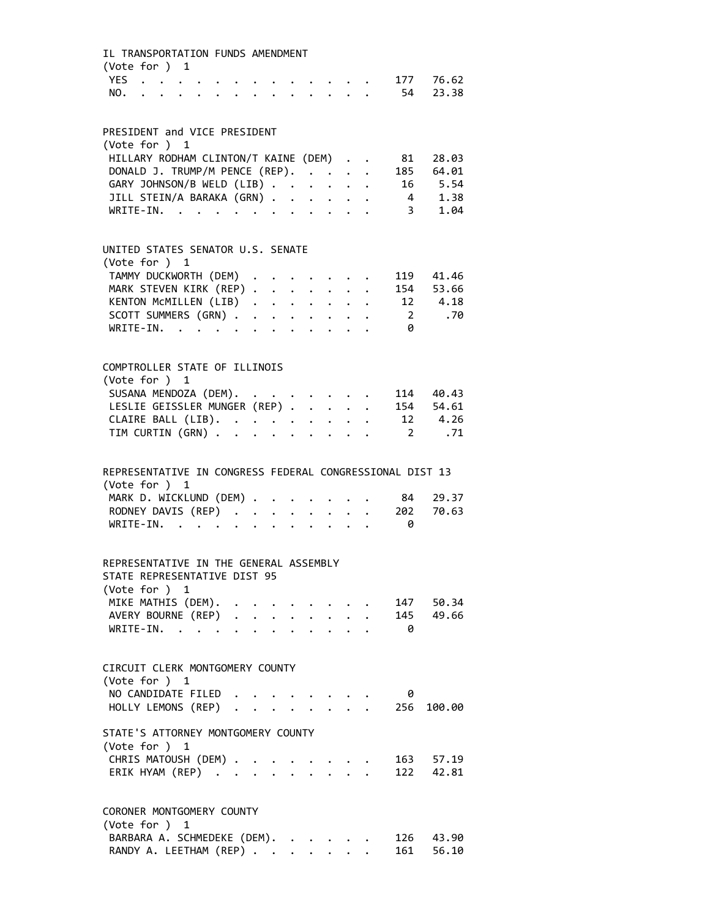| IL TRANSPORTATION FUNDS AMENDMENT<br>(Vote for ) 1       |                                                                                                                                                                                                                                  |  |                                 |          |                                                                  |  |                         |           |
|----------------------------------------------------------|----------------------------------------------------------------------------------------------------------------------------------------------------------------------------------------------------------------------------------|--|---------------------------------|----------|------------------------------------------------------------------|--|-------------------------|-----------|
| YES                                                      | $\mathbf{r} = \mathbf{r} + \mathbf{r} + \mathbf{r}$ .                                                                                                                                                                            |  |                                 | $\cdots$ |                                                                  |  | 177                     | 76.62     |
| NO.                                                      | $\mathbf{r}$ , and the set of the set of the set of the set of the set of the set of the set of the set of the set of the set of the set of the set of the set of the set of the set of the set of the set of the set of the set |  |                                 |          |                                                                  |  | 54                      | 23.38     |
|                                                          |                                                                                                                                                                                                                                  |  |                                 |          |                                                                  |  |                         |           |
| PRESIDENT and VICE PRESIDENT                             |                                                                                                                                                                                                                                  |  |                                 |          |                                                                  |  |                         |           |
| (Vote for ) 1                                            |                                                                                                                                                                                                                                  |  |                                 |          |                                                                  |  |                         |           |
| HILLARY RODHAM CLINTON/T KAINE (DEM)                     |                                                                                                                                                                                                                                  |  |                                 |          |                                                                  |  | 81                      | 28.03     |
| DONALD J. TRUMP/M PENCE (REP).                           |                                                                                                                                                                                                                                  |  |                                 |          |                                                                  |  | 185                     | 64.01     |
| GARY JOHNSON/B WELD (LIB)                                |                                                                                                                                                                                                                                  |  |                                 |          |                                                                  |  |                         | 16 5.54   |
| JILL STEIN/A BARAKA (GRN)                                |                                                                                                                                                                                                                                  |  |                                 |          |                                                                  |  |                         | 4 1.38    |
| WRITE-IN.                                                |                                                                                                                                                                                                                                  |  |                                 |          |                                                                  |  | $\overline{\mathbf{3}}$ | 1.04      |
| UNITED STATES SENATOR U.S. SENATE                        |                                                                                                                                                                                                                                  |  |                                 |          |                                                                  |  |                         |           |
| (Vote for ) 1                                            |                                                                                                                                                                                                                                  |  |                                 |          |                                                                  |  |                         |           |
| TAMMY DUCKWORTH (DEM) .                                  |                                                                                                                                                                                                                                  |  |                                 |          | $\mathbf{r} = \mathbf{r} + \mathbf{r}$ . The set of $\mathbf{r}$ |  | 119                     | 41.46     |
| MARK STEVEN KIRK (REP)                                   |                                                                                                                                                                                                                                  |  |                                 |          |                                                                  |  | 154                     | 53.66     |
| KENTON MCMILLEN (LIB)                                    |                                                                                                                                                                                                                                  |  |                                 |          |                                                                  |  |                         | 12 4.18   |
| SCOTT SUMMERS (GRN)                                      |                                                                                                                                                                                                                                  |  |                                 |          |                                                                  |  | $\overline{\mathbf{2}}$ | .70       |
| WRITE-IN.                                                |                                                                                                                                                                                                                                  |  |                                 |          |                                                                  |  | - 0                     |           |
|                                                          |                                                                                                                                                                                                                                  |  |                                 |          |                                                                  |  |                         |           |
| COMPTROLLER STATE OF ILLINOIS                            |                                                                                                                                                                                                                                  |  |                                 |          |                                                                  |  |                         |           |
| (Vote for ) 1                                            |                                                                                                                                                                                                                                  |  |                                 |          |                                                                  |  |                         |           |
| SUSANA MENDOZA (DEM).                                    |                                                                                                                                                                                                                                  |  |                                 |          |                                                                  |  |                         | 114 40.43 |
| LESLIE GEISSLER MUNGER (REP)                             |                                                                                                                                                                                                                                  |  |                                 |          |                                                                  |  |                         | 154 54.61 |
| CLAIRE BALL (LIB).                                       |                                                                                                                                                                                                                                  |  |                                 |          |                                                                  |  |                         | 12 4.26   |
| TIM CURTIN (GRN)                                         |                                                                                                                                                                                                                                  |  |                                 |          |                                                                  |  | $\overline{2}$          | .71       |
| REPRESENTATIVE IN CONGRESS FEDERAL CONGRESSIONAL DIST 13 |                                                                                                                                                                                                                                  |  |                                 |          |                                                                  |  |                         |           |
| (Vote for ) 1                                            |                                                                                                                                                                                                                                  |  |                                 |          |                                                                  |  |                         |           |
| MARK D. WICKLUND (DEM)                                   |                                                                                                                                                                                                                                  |  |                                 |          | <b>Contract Contract Contract</b>                                |  | 84                      | 29.37     |
| RODNEY DAVIS (REP)                                       |                                                                                                                                                                                                                                  |  |                                 |          |                                                                  |  | 202                     | 70.63     |
| WRITE-IN.                                                | . The contract of the contract of the contract of the contract of the contract of the contract of the contract of the contract of the contract of the contract of the contract of the contract of the contract of the contrac    |  |                                 |          |                                                                  |  | 0                       |           |
| REPRESENTATIVE IN THE GENERAL ASSEMBLY                   |                                                                                                                                                                                                                                  |  |                                 |          |                                                                  |  |                         |           |
| STATE REPRESENTATIVE DIST 95<br>(Vote for ) 1            |                                                                                                                                                                                                                                  |  |                                 |          |                                                                  |  |                         |           |
| MIKE MATHIS (DEM).                                       |                                                                                                                                                                                                                                  |  |                                 |          |                                                                  |  | 147                     | 50.34     |
| AVERY BOURNE (REP)                                       |                                                                                                                                                                                                                                  |  |                                 |          |                                                                  |  |                         | 145 49.66 |
| WRITE-IN.                                                | $\sim$ $\sim$                                                                                                                                                                                                                    |  | $\cdot$ $\cdot$ $\cdot$ $\cdot$ |          |                                                                  |  | 0                       |           |
|                                                          |                                                                                                                                                                                                                                  |  |                                 |          |                                                                  |  |                         |           |
| CIRCUIT CLERK MONTGOMERY COUNTY                          |                                                                                                                                                                                                                                  |  |                                 |          |                                                                  |  |                         |           |
| (Vote for ) 1                                            |                                                                                                                                                                                                                                  |  |                                 |          |                                                                  |  |                         |           |
| NO CANDIDATE FILED                                       |                                                                                                                                                                                                                                  |  |                                 |          |                                                                  |  | 0                       |           |
| HOLLY LEMONS (REP).                                      |                                                                                                                                                                                                                                  |  |                                 |          |                                                                  |  | 256                     | 100.00    |
| STATE'S ATTORNEY MONTGOMERY COUNTY<br>(Vote for ) 1      |                                                                                                                                                                                                                                  |  |                                 |          |                                                                  |  |                         |           |
| CHRIS MATOUSH (DEM) .                                    |                                                                                                                                                                                                                                  |  |                                 |          |                                                                  |  |                         | 163 57.19 |
| ERIK HYAM (REP)                                          |                                                                                                                                                                                                                                  |  |                                 |          |                                                                  |  |                         | 122 42.81 |
|                                                          |                                                                                                                                                                                                                                  |  |                                 |          |                                                                  |  |                         |           |
| CORONER MONTGOMERY COUNTY                                |                                                                                                                                                                                                                                  |  |                                 |          |                                                                  |  |                         |           |
| (Vote for ) 1                                            |                                                                                                                                                                                                                                  |  |                                 |          |                                                                  |  |                         |           |
| BARBARA A. SCHMEDEKE (DEM).                              |                                                                                                                                                                                                                                  |  |                                 |          |                                                                  |  | 126<br>161              | 43.90     |
| RANDY A. LEETHAM (REP)                                   |                                                                                                                                                                                                                                  |  |                                 |          |                                                                  |  |                         | 56.10     |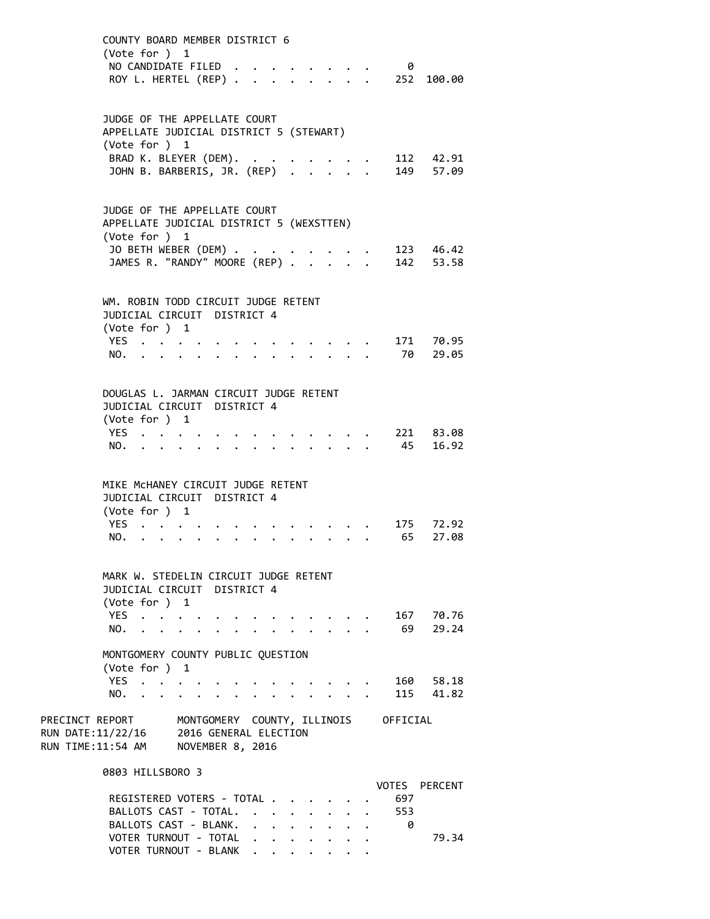COUNTY BOARD MEMBER DISTRICT 6 (Vote for ) 1 NO CANDIDATE FILED . . . . . . . . 0 ROY L. HERTEL (REP) . . . . . . . . 252 100.00 JUDGE OF THE APPELLATE COURT APPELLATE JUDICIAL DISTRICT 5 (STEWART) (Vote for ) 1 BRAD K. BLEYER (DEM). . . . . . . . 112 42.91 JOHN B. BARBERIS, JR. (REP) . . . . . 149 57.09 JUDGE OF THE APPELLATE COURT APPELLATE JUDICIAL DISTRICT 5 (WEXSTTEN) (Vote for ) 1 JO BETH WEBER (DEM) . . . . . . . . 123 46.42 JAMES R. "RANDY" MOORE (REP) . . . . . 142 53.58 WM. ROBIN TODD CIRCUIT JUDGE RETENT JUDICIAL CIRCUIT DISTRICT 4 (Vote for ) 1 YES . . . . . . . . . . . . . 171 70.95 NO. . . . . . . . . . . . . . 70 29.05 DOUGLAS L. JARMAN CIRCUIT JUDGE RETENT JUDICIAL CIRCUIT DISTRICT 4 (Vote for ) 1 YES . . . . . . . . . . . . . 221 83.08 NO. . . . . . . . . . . . . . 45 16.92 MIKE McHANEY CIRCUIT JUDGE RETENT JUDICIAL CIRCUIT DISTRICT 4 (Vote for ) 1 YES . . . . . . . . . . . . . 175 72.92<br>NO. . . . . . . . . . . . . . 65 27.08 NO. . . . . . . . . . . . . . 65 27.08 MARK W. STEDELIN CIRCUIT JUDGE RETENT JUDICIAL CIRCUIT DISTRICT 4 (Vote for ) 1 YES . . . . . . . . . . . . . 167 70.76 NO. . . . . . . . . . . . . . 69 29.24 MONTGOMERY COUNTY PUBLIC QUESTION (Vote for ) 1 YES . . . . . . . . . . . . . 160 58.18 NO. . . . . . . . . . . . . . 115 41.82 PRECINCT REPORT MONTGOMERY COUNTY, ILLINOIS OFFICIAL RUN DATE:11/22/16 2016 GENERAL ELECTION RUN TIME:11:54 AM NOVEMBER 8, 2016 0803 HILLSBORO 3 VOTES PERCENT REGISTERED VOTERS - TOTAL . . . . . . 697 BALLOTS CAST - TOTAL. . . . . . . . 553

BALLOTS CAST - BLANK. . . . . . . . 0

VOTER TURNOUT - BLANK . . . . .

VOTER TURNOUT - TOTAL . . . . . . . . 79.34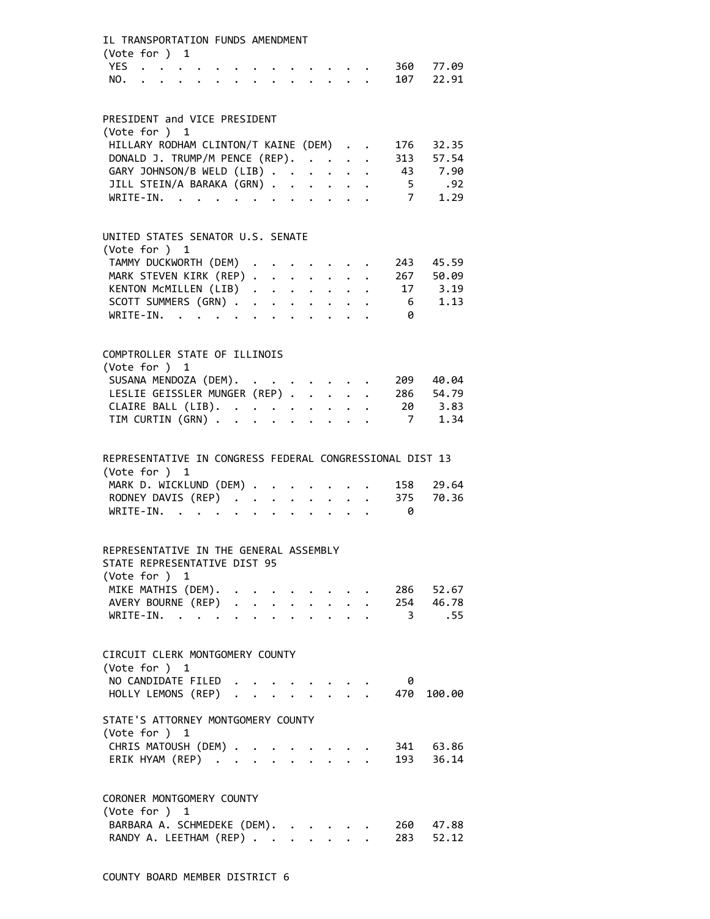| IL TRANSPORTATION FUNDS AMENDMENT<br>(Vote for ) 1                     |  |  |  |                                     |  |                                                          |                        |  |
|------------------------------------------------------------------------|--|--|--|-------------------------------------|--|----------------------------------------------------------|------------------------|--|
|                                                                        |  |  |  |                                     |  | YES 360 77.09<br>NO. 107 22.91                           |                        |  |
| PRESIDENT and VICE PRESIDENT                                           |  |  |  |                                     |  |                                                          |                        |  |
| (Vote for ) 1                                                          |  |  |  |                                     |  |                                                          |                        |  |
| HILLARY RODHAM CLINTON/T KAINE (DEM)                                   |  |  |  |                                     |  | 176                                                      | 32.35                  |  |
| DONALD J. TRUMP/M PENCE (REP).                                         |  |  |  |                                     |  |                                                          | 313 57.54              |  |
| GARY JOHNSON/B WELD (LIB)<br>JILL STEIN/A BARAKA (GRN)                 |  |  |  |                                     |  | 43 7.90                                                  | 5.92                   |  |
| WRITE-IN.                                                              |  |  |  |                                     |  |                                                          | 7 1.29                 |  |
|                                                                        |  |  |  |                                     |  |                                                          |                        |  |
| UNITED STATES SENATOR U.S. SENATE                                      |  |  |  |                                     |  |                                                          |                        |  |
| (Vote for ) 1                                                          |  |  |  |                                     |  |                                                          |                        |  |
|                                                                        |  |  |  |                                     |  | TAMMY DUCKWORTH (DEM) 243 45.59                          |                        |  |
| MARK STEVEN KIRK (REP)                                                 |  |  |  |                                     |  | KENTON MCMILLEN (LIB) 17 3.19                            | 267 50.09              |  |
| SCOTT SUMMERS (GRN)                                                    |  |  |  |                                     |  |                                                          | $6 \t 1.13$            |  |
| WRITE-IN.                                                              |  |  |  |                                     |  | $\theta$                                                 |                        |  |
|                                                                        |  |  |  |                                     |  |                                                          |                        |  |
| COMPTROLLER STATE OF ILLINOIS                                          |  |  |  |                                     |  |                                                          |                        |  |
| (Vote for ) 1                                                          |  |  |  |                                     |  |                                                          |                        |  |
| SUSANA MENDOZA (DEM).<br>LESLIE GEISSLER MUNGER (REP)                  |  |  |  |                                     |  |                                                          | 209 40.04<br>286 54.79 |  |
|                                                                        |  |  |  |                                     |  | 20 3.83                                                  |                        |  |
| CLAIRE BALL (LIB).<br>TIM CURTIN (GRN)                                 |  |  |  |                                     |  |                                                          | 7 1.34                 |  |
|                                                                        |  |  |  |                                     |  |                                                          |                        |  |
|                                                                        |  |  |  |                                     |  | REPRESENTATIVE IN CONGRESS FEDERAL CONGRESSIONAL DIST 13 |                        |  |
| (Vote for ) 1<br>MARK D. WICKLUND (DEM)                                |  |  |  |                                     |  |                                                          |                        |  |
| RODNEY DAVIS (REP)                                                     |  |  |  |                                     |  | 158<br>375                                               | 29.64<br>70.36         |  |
| WRITE-IN.                                                              |  |  |  |                                     |  | $\theta$                                                 |                        |  |
|                                                                        |  |  |  |                                     |  |                                                          |                        |  |
| REPRESENTATIVE IN THE GENERAL ASSEMBLY<br>STATE REPRESENTATIVE DIST 95 |  |  |  |                                     |  |                                                          |                        |  |
| (Vote for ) 1                                                          |  |  |  |                                     |  |                                                          |                        |  |
| MIKE MATHIS (DEM). .                                                   |  |  |  |                                     |  | . 286 52.67                                              |                        |  |
|                                                                        |  |  |  |                                     |  | AVERY BOURNE (REP) 254 46.78                             |                        |  |
|                                                                        |  |  |  |                                     |  | WRITE-IN. 3 .55                                          |                        |  |
| CIRCUIT CLERK MONTGOMERY COUNTY<br>(Vote for ) 1                       |  |  |  |                                     |  |                                                          |                        |  |
| NO CANDIDATE FILED                                                     |  |  |  | and the contract of the contract of |  | - 0                                                      |                        |  |
|                                                                        |  |  |  |                                     |  | HOLLY LEMONS (REP) 470 100.00                            |                        |  |
| STATE'S ATTORNEY MONTGOMERY COUNTY                                     |  |  |  |                                     |  |                                                          |                        |  |
| (Vote for ) 1                                                          |  |  |  |                                     |  |                                                          |                        |  |
| CHRIS MATOUSH (DEM) .<br>ERIK HYAM (REP)                               |  |  |  |                                     |  |                                                          | 341 63.86<br>193 36.14 |  |
|                                                                        |  |  |  |                                     |  |                                                          |                        |  |
| CORONER MONTGOMERY COUNTY<br>(Vote for ) 1                             |  |  |  |                                     |  |                                                          |                        |  |
|                                                                        |  |  |  |                                     |  | . 260 47.88                                              |                        |  |
| BARBARA A. SCHMEDEKE (DEM).<br>RANDY A. LEETHAM (REP)                  |  |  |  |                                     |  |                                                          | 283 52.12              |  |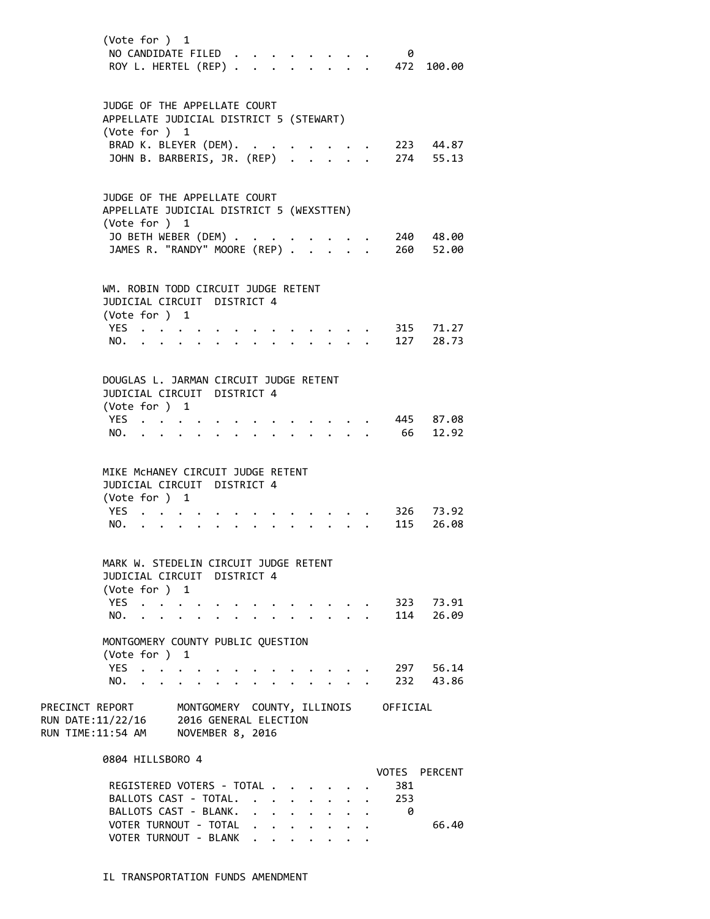| (Vote for ) 1                                                                               | NO CANDIDATE FILED<br>ROY L. HERTEL (REP) .              |                                            |  |                                 | 0                                    | 472 100.00             |
|---------------------------------------------------------------------------------------------|----------------------------------------------------------|--------------------------------------------|--|---------------------------------|--------------------------------------|------------------------|
| JUDGE OF THE APPELLATE COURT<br>APPELLATE JUDICIAL DISTRICT 5 (STEWART)<br>(Vote for ) 1    |                                                          |                                            |  |                                 |                                      |                        |
|                                                                                             | BRAD K. BLEYER (DEM). .<br>JOHN B. BARBERIS, JR. (REP) . |                                            |  |                                 |                                      | 223 44.87<br>274 55.13 |
| JUDGE OF THE APPELLATE COURT<br>APPELLATE JUDICIAL DISTRICT 5 (WEXSTTEN)<br>(Vote for $)$ 1 |                                                          |                                            |  |                                 |                                      |                        |
|                                                                                             | JO BETH WEBER (DEM)<br>JAMES R. "RANDY" MOORE (REP) .    |                                            |  |                                 | 260                                  | 240 48.00<br>52.00     |
| WM. ROBIN TODD CIRCUIT JUDGE RETENT<br>JUDICIAL CIRCUIT DISTRICT 4<br>(Vote for ) 1         |                                                          |                                            |  |                                 |                                      |                        |
| YES                                                                                         |                                                          |                                            |  |                                 |                                      | 315 71.27              |
| NO.                                                                                         |                                                          |                                            |  | $\cdot$ $\cdot$ $\cdot$ $\cdot$ |                                      | 127 28.73              |
| DOUGLAS L. JARMAN CIRCUIT JUDGE RETENT<br>JUDICIAL CIRCUIT DISTRICT 4                       |                                                          |                                            |  |                                 |                                      |                        |
| (Vote for ) 1                                                                               |                                                          |                                            |  |                                 |                                      |                        |
| YES.                                                                                        |                                                          |                                            |  |                                 |                                      | 445 87.08              |
| NO.                                                                                         | $\mathbf{r} = \mathbf{r}$                                |                                            |  |                                 | 66                                   | 12.92                  |
| MIKE MCHANEY CIRCUIT JUDGE RETENT                                                           |                                                          |                                            |  |                                 |                                      |                        |
| JUDICIAL CIRCUIT DISTRICT 4                                                                 |                                                          |                                            |  |                                 |                                      |                        |
| (Vote for ) 1<br>YES.                                                                       |                                                          |                                            |  |                                 |                                      | 326 73.92              |
| NO.                                                                                         |                                                          |                                            |  |                                 | 115                                  | 26.08                  |
|                                                                                             |                                                          |                                            |  |                                 |                                      |                        |
| MARK W. STEDELIN CIRCUIT JUDGE RETENT<br>JUDICIAL CIRCUIT DISTRICT 4                        |                                                          |                                            |  |                                 |                                      |                        |
| (Vote for ) 1<br>YES.                                                                       |                                                          |                                            |  |                                 |                                      | 323 73.91              |
| NO.                                                                                         |                                                          |                                            |  |                                 | 114                                  | 26.09                  |
| MONTGOMERY COUNTY PUBLIC QUESTION<br>(Vote for ) 1                                          |                                                          |                                            |  |                                 |                                      |                        |
| YES.<br>$\ddot{\phantom{a}}$                                                                |                                                          |                                            |  |                                 |                                      | 297 56.14              |
| NO.                                                                                         | $\sim$<br>$\ddot{\phantom{0}}$                           |                                            |  |                                 |                                      | 232 43.86              |
| PRECINCT REPORT<br>RUN DATE:11/22/16<br>RUN TIME:11:54 AM NOVEMBER 8, 2016                  | 2016 GENERAL ELECTION                                    |                                            |  |                                 | MONTGOMERY COUNTY, ILLINOIS OFFICIAL |                        |
| 0804 HILLSBORO 4                                                                            |                                                          |                                            |  |                                 |                                      |                        |
|                                                                                             | REGISTERED VOTERS - TOTAL                                |                                            |  |                                 | 381                                  | VOTES PERCENT          |
|                                                                                             | BALLOTS CAST - TOTAL.                                    |                                            |  |                                 | 253                                  |                        |
|                                                                                             | BALLOTS CAST - BLANK.                                    | $\ddot{\phantom{a}}$<br>$\Delta \sim 10^4$ |  |                                 | - 0                                  |                        |
|                                                                                             | VOTER TURNOUT - TOTAL                                    |                                            |  |                                 |                                      | 66.40                  |

IL TRANSPORTATION FUNDS AMENDMENT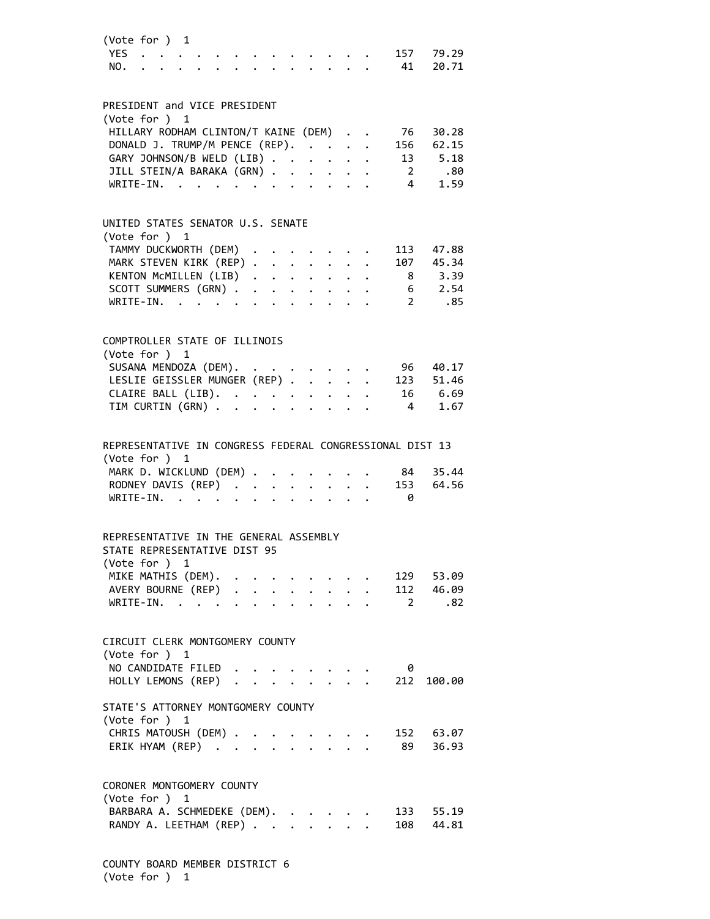|                                                                           | (Vote for ) 1                                   |  |  |                           |              |                                                                                                                                       |  |                                                          |            |  |
|---------------------------------------------------------------------------|-------------------------------------------------|--|--|---------------------------|--------------|---------------------------------------------------------------------------------------------------------------------------------------|--|----------------------------------------------------------|------------|--|
|                                                                           | YES                                             |  |  |                           |              |                                                                                                                                       |  | 157                                                      | 79.29      |  |
| NO.                                                                       |                                                 |  |  |                           |              |                                                                                                                                       |  | 41                                                       | 20.71      |  |
|                                                                           |                                                 |  |  |                           |              |                                                                                                                                       |  |                                                          |            |  |
|                                                                           |                                                 |  |  |                           |              |                                                                                                                                       |  |                                                          |            |  |
| PRESIDENT and VICE PRESIDENT                                              |                                                 |  |  |                           |              |                                                                                                                                       |  |                                                          |            |  |
| (Vote for ) 1                                                             |                                                 |  |  |                           |              |                                                                                                                                       |  |                                                          |            |  |
|                                                                           | HILLARY RODHAM CLINTON/T KAINE (DEM)            |  |  |                           |              |                                                                                                                                       |  | 76                                                       | 30.28      |  |
|                                                                           | DONALD J. TRUMP/M PENCE (REP).                  |  |  |                           |              |                                                                                                                                       |  | 156                                                      | 62.15      |  |
|                                                                           | GARY JOHNSON/B WELD (LIB)                       |  |  |                           |              |                                                                                                                                       |  | 13                                                       | 5.18       |  |
|                                                                           | JILL STEIN/A BARAKA (GRN)                       |  |  |                           |              | $\begin{array}{ccccccccc} \star & \star & \star & \star & \star & \star \\ \star & \star & \star & \star & \star & \star \end{array}$ |  | $\overline{2}$                                           | .80        |  |
|                                                                           | WRITE-IN.                                       |  |  |                           |              |                                                                                                                                       |  | $\overline{4}$                                           | 1.59       |  |
|                                                                           |                                                 |  |  |                           |              |                                                                                                                                       |  |                                                          |            |  |
|                                                                           |                                                 |  |  |                           |              |                                                                                                                                       |  |                                                          |            |  |
| UNITED STATES SENATOR U.S. SENATE                                         |                                                 |  |  |                           |              |                                                                                                                                       |  |                                                          |            |  |
| (Vote for ) 1                                                             |                                                 |  |  |                           |              |                                                                                                                                       |  |                                                          |            |  |
|                                                                           | TAMMY DUCKWORTH (DEM)                           |  |  |                           |              |                                                                                                                                       |  | 113                                                      | 47.88      |  |
|                                                                           | MARK STEVEN KIRK (REP)<br>KENTON MCMILLEN (LIB) |  |  |                           |              |                                                                                                                                       |  |                                                          | 107 45.34  |  |
|                                                                           |                                                 |  |  |                           |              |                                                                                                                                       |  |                                                          | 8 3.39     |  |
|                                                                           | SCOTT SUMMERS (GRN)                             |  |  |                           |              |                                                                                                                                       |  |                                                          | $6$ 2.54   |  |
|                                                                           | WRITE-IN.                                       |  |  |                           |              |                                                                                                                                       |  | $\overline{2}$                                           | .85        |  |
|                                                                           |                                                 |  |  |                           |              |                                                                                                                                       |  |                                                          |            |  |
|                                                                           |                                                 |  |  |                           |              |                                                                                                                                       |  |                                                          |            |  |
| COMPTROLLER STATE OF ILLINOIS                                             |                                                 |  |  |                           |              |                                                                                                                                       |  |                                                          |            |  |
| (Vote for ) 1                                                             |                                                 |  |  |                           |              |                                                                                                                                       |  |                                                          |            |  |
| SUSANA MENDOZA (DEM).                                                     |                                                 |  |  |                           |              |                                                                                                                                       |  | 96                                                       | 40.17      |  |
|                                                                           | LESLIE GEISSLER MUNGER (REP)                    |  |  |                           |              |                                                                                                                                       |  | 123                                                      | 51.46      |  |
|                                                                           | CLAIRE BALL (LIB).                              |  |  |                           |              |                                                                                                                                       |  |                                                          | 16 6.69    |  |
|                                                                           | TIM CURTIN (GRN)                                |  |  |                           |              |                                                                                                                                       |  | 4                                                        | 1.67       |  |
|                                                                           |                                                 |  |  |                           |              |                                                                                                                                       |  |                                                          |            |  |
|                                                                           |                                                 |  |  |                           |              |                                                                                                                                       |  |                                                          |            |  |
|                                                                           |                                                 |  |  |                           |              |                                                                                                                                       |  | REPRESENTATIVE IN CONGRESS FEDERAL CONGRESSIONAL DIST 13 |            |  |
|                                                                           |                                                 |  |  |                           |              |                                                                                                                                       |  |                                                          |            |  |
|                                                                           |                                                 |  |  |                           |              |                                                                                                                                       |  |                                                          |            |  |
| (Vote for ) 1                                                             |                                                 |  |  |                           |              |                                                                                                                                       |  |                                                          |            |  |
|                                                                           | MARK D. WICKLUND (DEM) .                        |  |  |                           |              |                                                                                                                                       |  | 84                                                       | 35.44      |  |
|                                                                           |                                                 |  |  |                           |              |                                                                                                                                       |  | 153                                                      | 64.56      |  |
|                                                                           |                                                 |  |  |                           |              |                                                                                                                                       |  | 0                                                        |            |  |
|                                                                           |                                                 |  |  |                           |              |                                                                                                                                       |  |                                                          |            |  |
| REPRESENTATIVE IN THE GENERAL ASSEMBLY                                    |                                                 |  |  |                           |              |                                                                                                                                       |  |                                                          |            |  |
| STATE REPRESENTATIVE DIST 95                                              |                                                 |  |  |                           |              |                                                                                                                                       |  |                                                          |            |  |
|                                                                           |                                                 |  |  |                           |              |                                                                                                                                       |  |                                                          |            |  |
| (Vote for ) 1                                                             |                                                 |  |  |                           |              |                                                                                                                                       |  |                                                          |            |  |
|                                                                           | MIKE MATHIS (DEM).                              |  |  |                           |              |                                                                                                                                       |  |                                                          | 129 53.09  |  |
|                                                                           | AVERY BOURNE (REP) .                            |  |  |                           |              |                                                                                                                                       |  |                                                          | 112 46.09  |  |
|                                                                           | $WRITE-IN.$                                     |  |  |                           |              |                                                                                                                                       |  | $\overline{\mathbf{2}}$                                  | .82        |  |
|                                                                           |                                                 |  |  |                           |              |                                                                                                                                       |  |                                                          |            |  |
| CIRCUIT CLERK MONTGOMERY COUNTY                                           |                                                 |  |  |                           |              |                                                                                                                                       |  |                                                          |            |  |
|                                                                           |                                                 |  |  |                           |              |                                                                                                                                       |  |                                                          |            |  |
| (Vote for ) 1                                                             |                                                 |  |  |                           |              |                                                                                                                                       |  |                                                          |            |  |
| NO CANDIDATE FILED                                                        |                                                 |  |  |                           |              |                                                                                                                                       |  | 0                                                        |            |  |
|                                                                           | HOLLY LEMONS (REP)                              |  |  |                           |              |                                                                                                                                       |  |                                                          | 212 100.00 |  |
|                                                                           |                                                 |  |  |                           |              |                                                                                                                                       |  |                                                          |            |  |
| STATE'S ATTORNEY MONTGOMERY COUNTY                                        |                                                 |  |  |                           |              |                                                                                                                                       |  |                                                          |            |  |
| (Vote for ) 1                                                             |                                                 |  |  |                           |              |                                                                                                                                       |  |                                                          |            |  |
| CHRIS MATOUSH (DEM) .                                                     |                                                 |  |  |                           |              |                                                                                                                                       |  |                                                          | 152 63.07  |  |
|                                                                           | ERIK HYAM (REP)                                 |  |  | $\mathbf{r}$ $\mathbf{r}$ |              |                                                                                                                                       |  | 89                                                       | 36.93      |  |
|                                                                           |                                                 |  |  |                           |              |                                                                                                                                       |  |                                                          |            |  |
|                                                                           |                                                 |  |  |                           |              |                                                                                                                                       |  |                                                          |            |  |
|                                                                           |                                                 |  |  |                           |              |                                                                                                                                       |  |                                                          |            |  |
|                                                                           |                                                 |  |  |                           |              |                                                                                                                                       |  |                                                          |            |  |
| CORONER MONTGOMERY COUNTY<br>(Vote for ) 1<br>BARBARA A. SCHMEDEKE (DEM). |                                                 |  |  |                           |              |                                                                                                                                       |  |                                                          | 133 55.19  |  |
|                                                                           | RANDY A. LEETHAM (REP)                          |  |  |                           | $\mathbf{r}$ | $\ddot{\phantom{a}}$                                                                                                                  |  | 108                                                      | 44.81      |  |

COUNTY BOARD MEMBER DISTRICT 6 (Vote for ) 1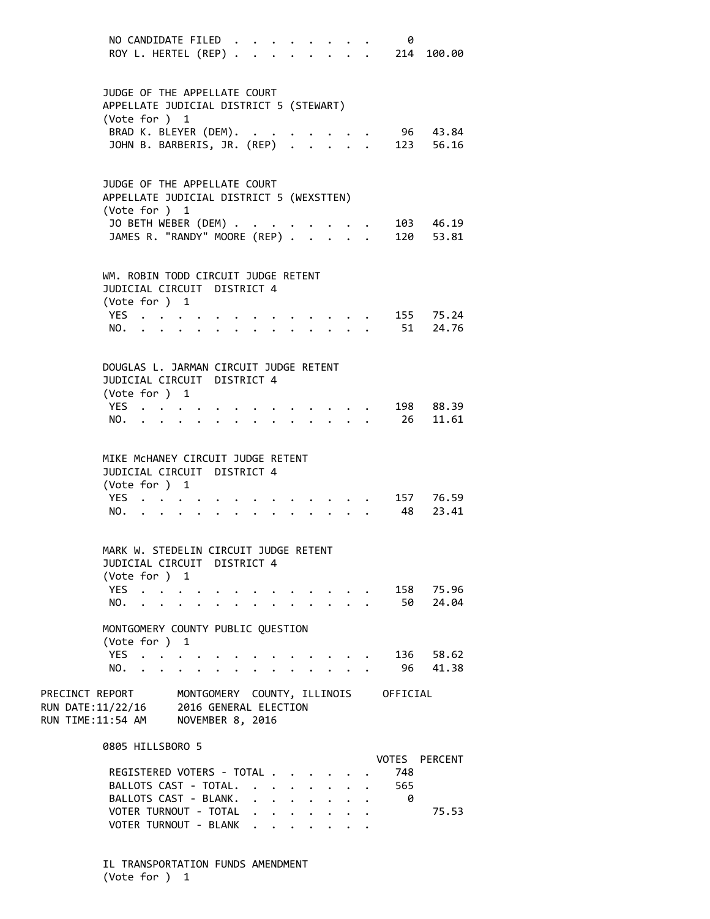| NO CANDIDATE FILED<br>ROY L. HERTEL (REP).                                                                                                         |                                           |                                             |                                                                        |                      |              |                                        | 0                                    | 214 100.00            |
|----------------------------------------------------------------------------------------------------------------------------------------------------|-------------------------------------------|---------------------------------------------|------------------------------------------------------------------------|----------------------|--------------|----------------------------------------|--------------------------------------|-----------------------|
| JUDGE OF THE APPELLATE COURT<br>APPELLATE JUDICIAL DISTRICT 5 (STEWART)<br>(Vote for ) 1<br>BRAD K. BLEYER (DEM).<br>JOHN B. BARBERIS, JR. (REP)   |                                           |                                             |                                                                        |                      |              |                                        | 123 56.16                            | 96 43.84              |
| JUDGE OF THE APPELLATE COURT<br>APPELLATE JUDICIAL DISTRICT 5 (WEXSTTEN)<br>(Vote for ) 1<br>JO BETH WEBER (DEM)<br>JAMES R. "RANDY" MOORE (REP) . |                                           |                                             |                                                                        |                      | $\mathbf{L}$ | $\mathbf{r}$ . The set of $\mathbf{r}$ | $\cdot$ , . 103 46.19<br>. 120 53.81 |                       |
| WM. ROBIN TODD CIRCUIT JUDGE RETENT<br>JUDICIAL CIRCUIT DISTRICT 4<br>(Vote for ) 1<br>YES<br>NO.                                                  |                                           |                                             |                                                                        |                      |              |                                        |                                      | 155 75.24<br>51 24.76 |
| DOUGLAS L. JARMAN CIRCUIT JUDGE RETENT<br>JUDICIAL CIRCUIT DISTRICT 4<br>(Vote for ) 1<br>YES<br>NO.                                               |                                           | $\mathbf{r} = \mathbf{r} \times \mathbf{r}$ |                                                                        |                      |              |                                        | 198<br>26                            | 88.39<br>11.61        |
| MIKE MCHANEY CIRCUIT JUDGE RETENT<br>JUDICIAL CIRCUIT DISTRICT 4<br>(Vote for ) 1<br>YES<br>NO.<br>$\mathbf{A}$ and $\mathbf{A}$                   |                                           |                                             |                                                                        |                      |              |                                        | 48                                   | 157 76.59<br>23.41    |
| MARK W. STEDELIN CIRCUIT JUDGE RETENT<br>JUDICIAL CIRCUIT DISTRICT 4<br>(Vote for ) 1<br>YES.<br>NO.                                               |                                           |                                             |                                                                        |                      |              |                                        | 50                                   | 158 75.96<br>24.04    |
| MONTGOMERY COUNTY PUBLIC QUESTION<br>(Vote for ) 1<br>YES.<br>$\ddot{\phantom{a}}$<br>NO.<br>$\ddot{\phantom{a}}$<br>$\ddot{\phantom{0}}$          | $\ddot{\phantom{0}}$                      |                                             |                                                                        |                      |              |                                        | 136<br>96                            | 58.62<br>41.38        |
| PRECINCT REPORT<br>RUN DATE:11/22/16<br>RUN TIME:11:54 AM                                                                                          | 2016 GENERAL ELECTION<br>NOVEMBER 8, 2016 |                                             |                                                                        |                      |              |                                        | MONTGOMERY COUNTY, ILLINOIS OFFICIAL |                       |
| 0805 HILLSBORO 5<br>REGISTERED VOTERS - TOTAL<br>BALLOTS CAST - TOTAL.<br>BALLOTS CAST - BLANK.                                                    |                                           |                                             | $\mathbf{L}$<br>$\ddot{\phantom{a}}$<br>$\ddot{\phantom{0}}$           | $\ddot{\phantom{0}}$ |              |                                        | VOTES PERCENT<br>748<br>565<br>0     |                       |
| VOTER TURNOUT - TOTAL<br>VOTER TURNOUT - BLANK                                                                                                     |                                           |                                             | $\ddot{\phantom{0}}$<br>$\ddot{\phantom{0}}$<br>$\sim$<br>$\mathbf{L}$ |                      |              |                                        |                                      | 75.53                 |

IL TRANSPORTATION FUNDS AMENDMENT (Vote for ) 1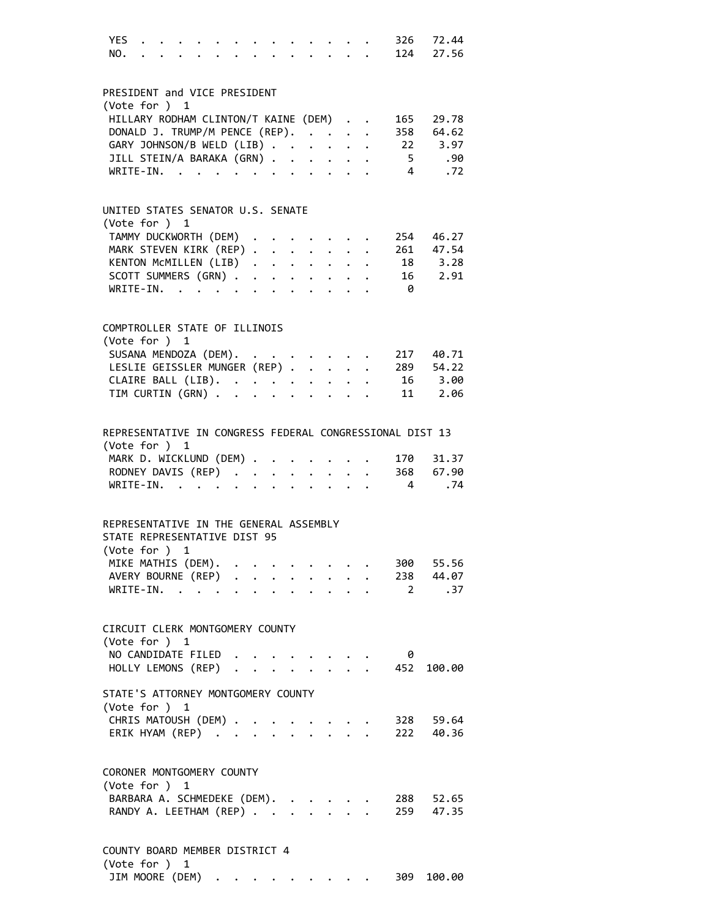| YES<br>NO.                                                                              |  |  |  |  |  |                | 326 72.44<br>. 124 27.56                  |
|-----------------------------------------------------------------------------------------|--|--|--|--|--|----------------|-------------------------------------------|
| PRESIDENT and VICE PRESIDENT                                                            |  |  |  |  |  |                |                                           |
| (Vote for ) 1                                                                           |  |  |  |  |  |                |                                           |
| HILLARY RODHAM CLINTON/T KAINE (DEM)                                                    |  |  |  |  |  | 165            | 29.78                                     |
| DONALD J. TRUMP/M PENCE (REP).<br>GARY JOHNSON/B WELD (LIB)                             |  |  |  |  |  |                | 358 64.62<br>22 3.97                      |
| JILL STEIN/A BARAKA (GRN)                                                               |  |  |  |  |  | 5 <sub>1</sub> | .90                                       |
| WRITE-IN.                                                                               |  |  |  |  |  | $\overline{4}$ | .72                                       |
| UNITED STATES SENATOR U.S. SENATE                                                       |  |  |  |  |  |                |                                           |
| (Vote for ) 1                                                                           |  |  |  |  |  |                |                                           |
| TAMMY DUCKWORTH (DEM)                                                                   |  |  |  |  |  |                | 254 46.27                                 |
| MARK STEVEN KIRK (REP) 261 47.54                                                        |  |  |  |  |  |                |                                           |
| KENTON MCMILLEN (LIB)                                                                   |  |  |  |  |  |                | 18 3.28                                   |
| SCOTT SUMMERS (GRN)                                                                     |  |  |  |  |  |                | 16 2.91                                   |
| WRITE-IN.                                                                               |  |  |  |  |  | $\theta$       |                                           |
| COMPTROLLER STATE OF ILLINOIS                                                           |  |  |  |  |  |                |                                           |
| (Vote for ) 1                                                                           |  |  |  |  |  |                | 217 40.71                                 |
| SUSANA MENDOZA (DEM).<br>LESLIE GEISSLER MUNGER (REP)                                   |  |  |  |  |  |                | 289 54.22                                 |
|                                                                                         |  |  |  |  |  | 16             | 3.00                                      |
| CLAIRE BALL (LIB).<br>TIM CURTIN (GRN)                                                  |  |  |  |  |  | 11             | 2.06                                      |
|                                                                                         |  |  |  |  |  |                |                                           |
| REPRESENTATIVE IN CONGRESS FEDERAL CONGRESSIONAL DIST 13                                |  |  |  |  |  |                |                                           |
| (Vote for ) 1<br>MARK D. WICKLUND (DEM)                                                 |  |  |  |  |  | 170            | 31.37                                     |
| RODNEY DAVIS (REP) 368 67.90                                                            |  |  |  |  |  |                |                                           |
| WRITE-IN.                                                                               |  |  |  |  |  | $\overline{4}$ | .74                                       |
|                                                                                         |  |  |  |  |  |                |                                           |
| REPRESENTATIVE IN THE GENERAL ASSEMBLY<br>STATE REPRESENTATIVE DIST 95<br>(Vote for ) 1 |  |  |  |  |  |                |                                           |
| MIKE MATHIS (DEM).                                                                      |  |  |  |  |  |                | $\cdot \cdot \cdot \cdot \cdot 300$ 55.56 |
| AVERY BOURNE (REP) 238 44.07                                                            |  |  |  |  |  |                |                                           |
| WRITE-IN. 2                                                                             |  |  |  |  |  |                | .37                                       |
| CIRCUIT CLERK MONTGOMERY COUNTY                                                         |  |  |  |  |  |                |                                           |
| (Vote for ) 1                                                                           |  |  |  |  |  |                |                                           |
| NO CANDIDATE FILED                                                                      |  |  |  |  |  | 0              |                                           |
| HOLLY LEMONS (REP) 452                                                                  |  |  |  |  |  |                | 100.00                                    |
| STATE'S ATTORNEY MONTGOMERY COUNTY                                                      |  |  |  |  |  |                |                                           |
| (Vote for ) 1                                                                           |  |  |  |  |  |                |                                           |
| CHRIS MATOUSH (DEM) .<br>ERIK HYAM (REP)                                                |  |  |  |  |  |                | 328 59.64                                 |
|                                                                                         |  |  |  |  |  |                | 222 40.36                                 |
| CORONER MONTGOMERY COUNTY                                                               |  |  |  |  |  |                |                                           |
| (Vote for ) 1                                                                           |  |  |  |  |  |                |                                           |
| BARBARA A. SCHMEDEKE (DEM).                                                             |  |  |  |  |  |                | 288 52.65                                 |
| RANDY A. LEETHAM (REP)                                                                  |  |  |  |  |  |                | 259 47.35                                 |
| COUNTY BOARD MEMBER DISTRICT 4<br>(Vote for ) 1                                         |  |  |  |  |  |                |                                           |

JIM MOORE (DEM) . . . . . . . . . 309 100.00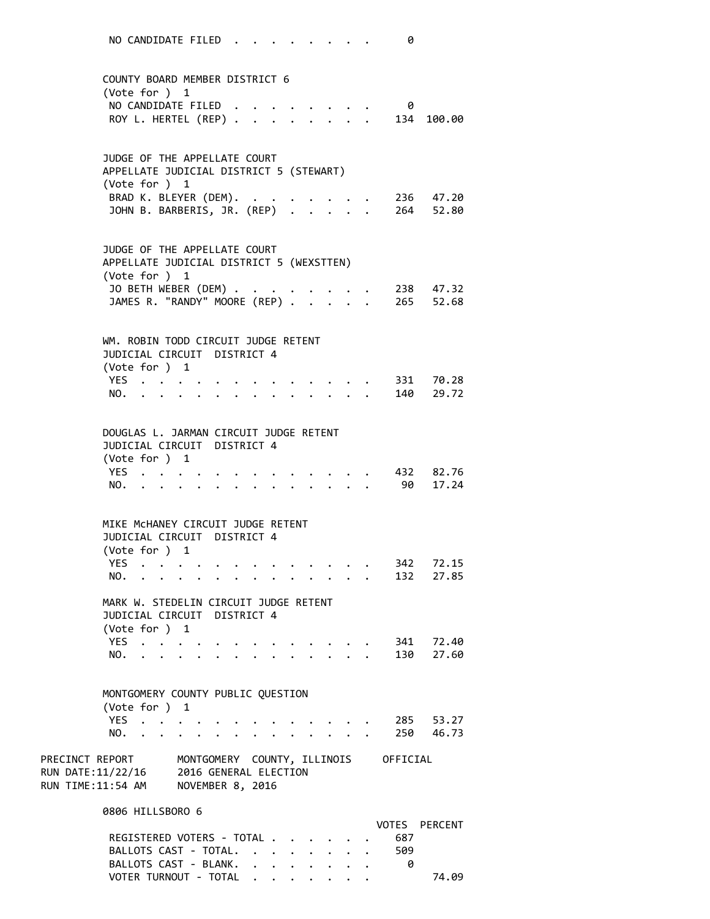NO CANDIDATE FILED . . . . . . . . 0 COUNTY BOARD MEMBER DISTRICT 6 (Vote for ) 1 NO CANDIDATE FILED . . . . . . . . 0 ROY L. HERTEL (REP) . . . . . . . . 134 100.00 JUDGE OF THE APPELLATE COURT APPELLATE JUDICIAL DISTRICT 5 (STEWART) (Vote for ) 1 BRAD K. BLEYER (DEM). . . . . . . . 236 47.20 JOHN B. BARBERIS, JR. (REP) . . . . . 264 52.80 JUDGE OF THE APPELLATE COURT APPELLATE JUDICIAL DISTRICT 5 (WEXSTTEN) (Vote for ) 1 JO BETH WEBER (DEM) . . . . . . . . 238 47.32 JAMES R. "RANDY" MOORE (REP) . . . . . 265 52.68 WM. ROBIN TODD CIRCUIT JUDGE RETENT JUDICIAL CIRCUIT DISTRICT 4 (Vote for ) 1 YES . . . . . . . . . . . . . 331 70.28 NO. . . . . . . . . . . . . . 140 29.72 DOUGLAS L. JARMAN CIRCUIT JUDGE RETENT JUDICIAL CIRCUIT DISTRICT 4 (Vote for ) 1 YES . . . . . . . . . . . . . 432 82.76 NO. . . . . . . . . . . . . . 90 17.24 MIKE McHANEY CIRCUIT JUDGE RETENT JUDICIAL CIRCUIT DISTRICT 4 (Vote for ) 1 YES . . . . . . . . . . . . . 342 72.15 NO. . . . . . . . . . . . . . 132 27.85 MARK W. STEDELIN CIRCUIT JUDGE RETENT JUDICIAL CIRCUIT DISTRICT 4 (Vote for ) 1 YES . . . . . . . . . . . . . 341 72.40 NO. . . . . . . . . . . . . . 130 27.60 MONTGOMERY COUNTY PUBLIC QUESTION (Vote for ) 1 YES . . . . . . . . . . . . . 285 53.27 NO. . . . . . . . . . . . . . 250 46.73 PRECINCT REPORT MONTGOMERY COUNTY, ILLINOIS OFFICIAL RUN DATE:11/22/16 2016 GENERAL ELECTION RUN TIME:11:54 AM NOVEMBER 8, 2016 0806 HILLSBORO 6 VOTES PERCENT REGISTERED VOTERS - TOTAL . . . . . . 687 BALLOTS CAST - TOTAL. . . . . . . . 509

BALLOTS CAST - BLANK. . . . . . . . 0

VOTER TURNOUT - TOTAL . . . . . . . . 74.09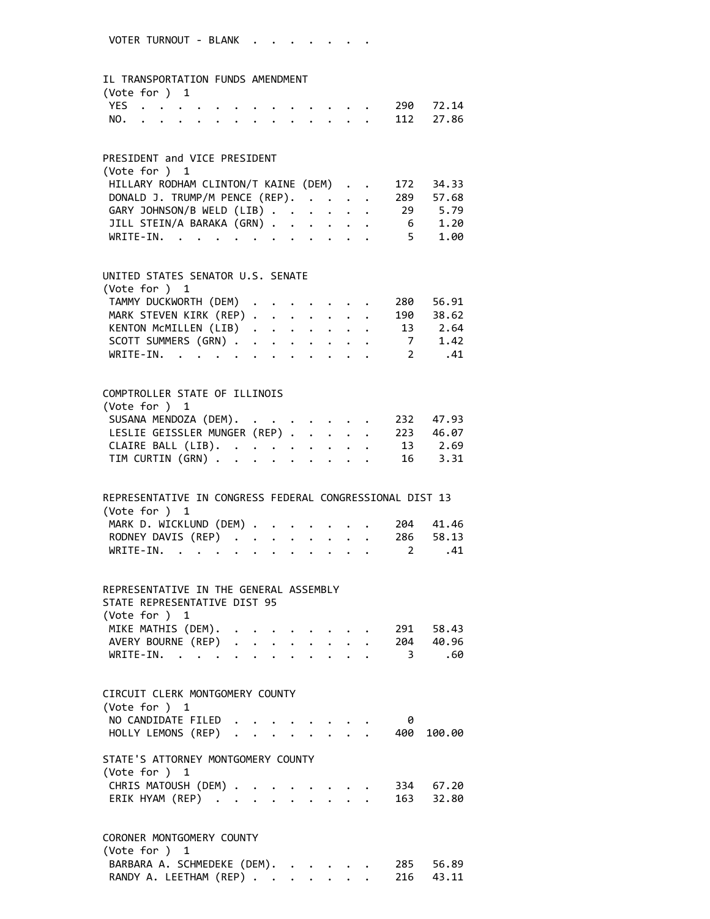### IL TRANSPORTATION FUNDS AMENDMENT

| (Vote for $)$ 1 |  |  |  |  |  |  |               |  |
|-----------------|--|--|--|--|--|--|---------------|--|
|                 |  |  |  |  |  |  | YES 290 72.14 |  |
|                 |  |  |  |  |  |  | NO. 112 27.86 |  |

### PRESIDENT and VICE PRESIDENT

| (Vote for $)$ 1                                |        |
|------------------------------------------------|--------|
| HILLARY RODHAM CLINTON/T KAINE (DEM) 172 34.33 |        |
| DONALD J. TRUMP/M PENCE (REP). 289 57.68       |        |
| GARY JOHNSON/B WELD (LIB) 29 5.79              |        |
| JILL STEIN/A BARAKA (GRN) 6 1.20               |        |
| WRITE-IN.                                      | 5 1.00 |

#### UNITED STATES SENATOR U.S. SENATE  $(Var_6 + \dots)$  1

| (VOLE TOI') I                    |  |  |  |  |  |
|----------------------------------|--|--|--|--|--|
| TAMMY DUCKWORTH (DEM) 280 56.91  |  |  |  |  |  |
| MARK STEVEN KIRK (REP) 190 38.62 |  |  |  |  |  |
| KENTON MCMILLEN (LIB) 13 2.64    |  |  |  |  |  |
| SCOTT SUMMERS (GRN) 7 1.42       |  |  |  |  |  |
| WRITE-IN. 2 $.41$                |  |  |  |  |  |

# COMPTROLLER STATE OF ILLINOIS (Vote for ) 1 SUSANA MENDOZA (DEM). . . . . . . . 232 47.93 LESLIE GEISSLER MUNGER (REP) . . . . . 223 46.07 CLAIRE BALL (LIB). . . . . . . . . 13 2.69 TIM CURTIN (GRN) . . . . . . . . . 16 3.31

| REPRESENTATIVE IN CONGRESS FEDERAL CONGRESSIONAL DIST 13 |  |  |  |  |  |
|----------------------------------------------------------|--|--|--|--|--|
| (Vote for $)$ 1                                          |  |  |  |  |  |
| MARK D. WICKLUND (DEM) 204 41.46                         |  |  |  |  |  |
| RODNEY DAVIS (REP) 286 58.13                             |  |  |  |  |  |
| WRITE-IN. 2 .41                                          |  |  |  |  |  |

## REPRESENTATIVE IN THE GENERAL ASSEMBLY STATE REPRESENTATIVE DIST 95 (Vote for ) 1 MIKE MATHIS (DEM). . . . . . . . . 291 58.43 AVERY BOURNE (REP) . . . . . . . . 204 40.96

| WRITE-IN. 3 .60 |  |  |  |  |  |  |  |
|-----------------|--|--|--|--|--|--|--|
|                 |  |  |  |  |  |  |  |

| CIRCUIT CLERK MONTGOMERY COUNTY                       |  |  |  |  |  |  |  |  |     |        |  |  |  |
|-------------------------------------------------------|--|--|--|--|--|--|--|--|-----|--------|--|--|--|
| (Vote for $)$ 1                                       |  |  |  |  |  |  |  |  |     |        |  |  |  |
| NO CANDIDATE FILED                                    |  |  |  |  |  |  |  |  |     |        |  |  |  |
| HOLLY LEMONS (REP) 400                                |  |  |  |  |  |  |  |  |     | 100.00 |  |  |  |
| STATE'S ATTORNEY MONTGOMERY COUNTY<br>(Vote for $)$ 1 |  |  |  |  |  |  |  |  |     |        |  |  |  |
| CHRIS MATOUSH (DEM)                                   |  |  |  |  |  |  |  |  | 334 | 67.20  |  |  |  |
| ERIK HYAM (REP) 163 32.80                             |  |  |  |  |  |  |  |  |     |        |  |  |  |
|                                                       |  |  |  |  |  |  |  |  |     |        |  |  |  |
|                                                       |  |  |  |  |  |  |  |  |     |        |  |  |  |

#### CORONER MONTGOMERY COUNTY (Vote for ) 1

| BARBARA A. SCHMEDEKE (DEM). 285 56.89 |  |  |  |  |
|---------------------------------------|--|--|--|--|
| RANDY A. LEETHAM (REP) 216 43.11      |  |  |  |  |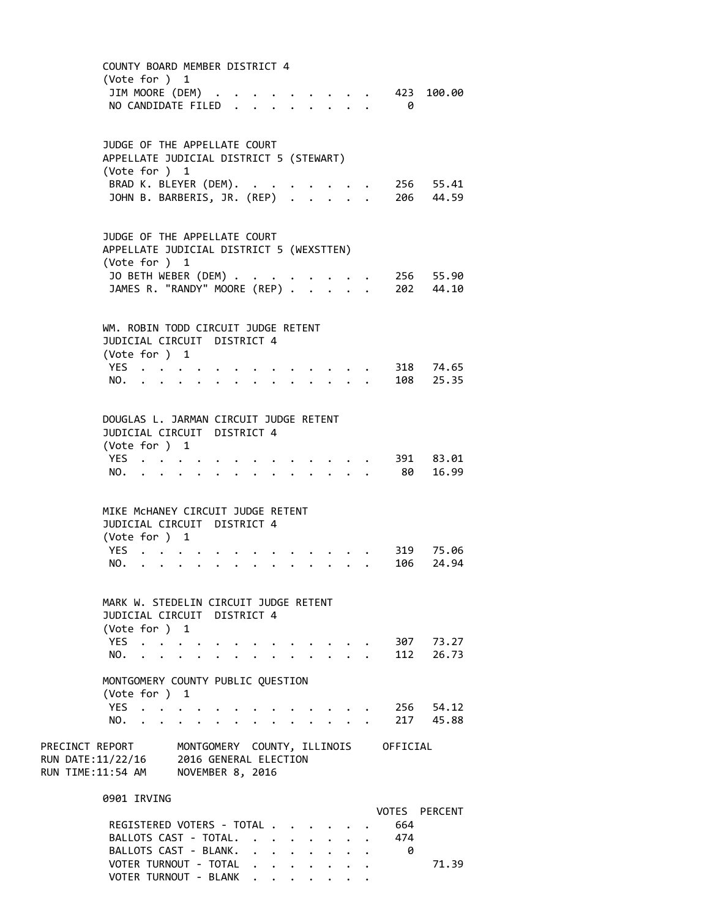COUNTY BOARD MEMBER DISTRICT 4 (Vote for ) 1 JIM MOORE (DEM) . . . . . . . . . 423 100.00 NO CANDIDATE FILED . . . . . . . . 0 JUDGE OF THE APPELLATE COURT APPELLATE JUDICIAL DISTRICT 5 (STEWART) (Vote for ) 1 BRAD K. BLEYER (DEM). . . . . . . . 256 55.41 JOHN B. BARBERIS, JR. (REP) . . . . . 206 44.59 JUDGE OF THE APPELLATE COURT APPELLATE JUDICIAL DISTRICT 5 (WEXSTTEN) (Vote for ) 1 JO BETH WEBER (DEM) . . . . . . . . 256 55.90 JAMES R. "RANDY" MOORE (REP) . . . . . 202 44.10 WM. ROBIN TODD CIRCUIT JUDGE RETENT JUDICIAL CIRCUIT DISTRICT 4 (Vote for ) 1 YES . . . . . . . . . . . . . 318 74.65 NO. . . . . . . . . . . . . . 108 25.35 DOUGLAS L. JARMAN CIRCUIT JUDGE RETENT JUDICIAL CIRCUIT DISTRICT 4 (Vote for ) 1 YES . . . . . . . . . . . . . 391 83.01 NO. . . . . . . . . . . . . . 80 16.99 MIKE McHANEY CIRCUIT JUDGE RETENT JUDICIAL CIRCUIT DISTRICT 4 (Vote for ) 1 YES . . . . . . . . . . . . . 319 75.06 NO. . . . . . . . . . . . . . 106 24.94 MARK W. STEDELIN CIRCUIT JUDGE RETENT JUDICIAL CIRCUIT DISTRICT 4 (Vote for ) 1 YES . . . . . . . . . . . . . 307 73.27 NO. . . . . . . . . . . . . . 112 26.73 MONTGOMERY COUNTY PUBLIC QUESTION (Vote for ) 1 YES . . . . . . . . . . . . . 256 54.12 NO. . . . . . . . . . . . . . 217 45.88 PRECINCT REPORT MONTGOMERY COUNTY, ILLINOIS OFFICIAL RUN DATE:11/22/16 2016 GENERAL ELECTION RUN TIME:11:54 AM NOVEMBER 8, 2016 0901 IRVING VOTES PERCENT REGISTERED VOTERS - TOTAL . . . . . . 664 BALLOTS CAST - TOTAL. . . . . . . . 474 BALLOTS CAST - BLANK. . . . . . . . 0 VOTER TURNOUT - TOTAL . . . . . . . . . . 71.39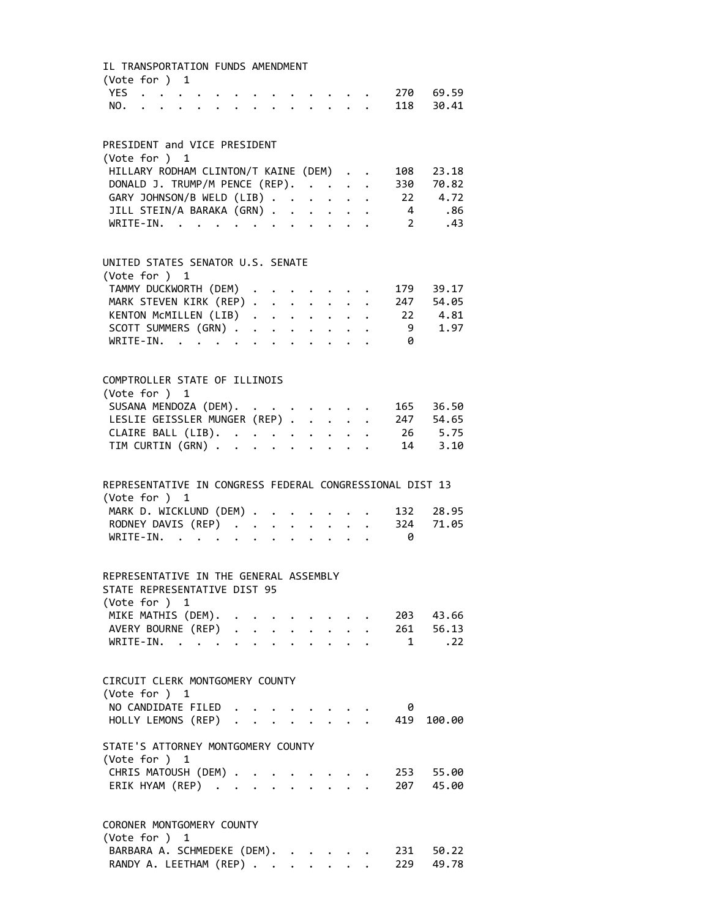| IL TRANSPORTATION FUNDS AMENDMENT<br>(Vote for ) 1       |  |  |  |                                                         |                                                     |                                                                       |                |             |  |
|----------------------------------------------------------|--|--|--|---------------------------------------------------------|-----------------------------------------------------|-----------------------------------------------------------------------|----------------|-------------|--|
| <b>YES</b>                                               |  |  |  |                                                         |                                                     |                                                                       |                | 270 69.59   |  |
| NO.                                                      |  |  |  |                                                         | $\mathbf{r}$ $\mathbf{r}$ $\mathbf{r}$              |                                                                       |                | 118 30.41   |  |
|                                                          |  |  |  |                                                         |                                                     |                                                                       |                |             |  |
| PRESIDENT and VICE PRESIDENT                             |  |  |  |                                                         |                                                     |                                                                       |                |             |  |
| (Vote for ) 1                                            |  |  |  |                                                         |                                                     |                                                                       |                |             |  |
| HILLARY RODHAM CLINTON/T KAINE (DEM)                     |  |  |  |                                                         |                                                     |                                                                       | 108            | 23.18       |  |
| DONALD J. TRUMP/M PENCE (REP).                           |  |  |  |                                                         |                                                     |                                                                       | 330            | 70.82       |  |
| GARY JOHNSON/B WELD (LIB)                                |  |  |  | $\ddot{\phantom{0}}$                                    |                                                     | $\mathbf{1}^{\prime}$ , $\mathbf{1}^{\prime}$ , $\mathbf{1}^{\prime}$ | 22             | 4.72        |  |
| JILL STEIN/A BARAKA (GRN)                                |  |  |  | $\mathbf{A}$                                            |                                                     | $\ddot{\phantom{a}}$ .                                                | $\overline{4}$ | .86         |  |
| $\texttt{WRITE-IN.}\quad .\quad .\quad .\quad .$         |  |  |  | $\mathbf{L}^{\text{max}}$ and $\mathbf{L}^{\text{max}}$ | $\ddot{\phantom{0}}$                                |                                                                       | 2              | .43         |  |
|                                                          |  |  |  |                                                         |                                                     |                                                                       |                |             |  |
| UNITED STATES SENATOR U.S. SENATE                        |  |  |  |                                                         |                                                     |                                                                       |                |             |  |
| (Vote for ) 1                                            |  |  |  |                                                         |                                                     |                                                                       |                |             |  |
| TAMMY DUCKWORTH (DEM)                                    |  |  |  |                                                         |                                                     |                                                                       |                | 179 39.17   |  |
| MARK STEVEN KIRK (REP)<br>KENTON MCMILLEN (LIB)          |  |  |  |                                                         |                                                     |                                                                       |                | 247 54.05   |  |
|                                                          |  |  |  |                                                         |                                                     |                                                                       | 22             | 4.81        |  |
| SCOTT SUMMERS (GRN)                                      |  |  |  |                                                         |                                                     |                                                                       | 9              | 1.97        |  |
| $WRITE-IN.$                                              |  |  |  |                                                         | $\mathbf{r}$ and $\mathbf{r}$ and $\mathbf{r}$      |                                                                       | 0              |             |  |
| COMPTROLLER STATE OF ILLINOIS                            |  |  |  |                                                         |                                                     |                                                                       |                |             |  |
| (Vote for ) 1                                            |  |  |  |                                                         |                                                     |                                                                       |                |             |  |
| SUSANA MENDOZA (DEM).                                    |  |  |  |                                                         |                                                     |                                                                       |                | 165 36.50   |  |
| LESLIE GEISSLER MUNGER (REP)                             |  |  |  |                                                         |                                                     |                                                                       |                | $247$ 54.65 |  |
|                                                          |  |  |  |                                                         |                                                     |                                                                       |                | 26 5.75     |  |
| CLAIRE BALL (LIB).<br>TIM CURTIN (GRN)                   |  |  |  |                                                         |                                                     |                                                                       |                | 14 3.10     |  |
|                                                          |  |  |  |                                                         |                                                     |                                                                       |                |             |  |
| REPRESENTATIVE IN CONGRESS FEDERAL CONGRESSIONAL DIST 13 |  |  |  |                                                         |                                                     |                                                                       |                |             |  |
| (Vote for ) 1                                            |  |  |  |                                                         |                                                     |                                                                       |                |             |  |
| MARK D. WICKLUND (DEM) .                                 |  |  |  |                                                         |                                                     |                                                                       | 132            | 28.95       |  |
| RODNEY DAVIS (REP)                                       |  |  |  |                                                         |                                                     |                                                                       | 324            | 71.05       |  |
| $WRTTF-TN$ , , , ,                                       |  |  |  |                                                         |                                                     |                                                                       | 0              |             |  |
|                                                          |  |  |  |                                                         |                                                     |                                                                       |                |             |  |
| REPRESENTATIVE IN THE GENERAL ASSEMBLY                   |  |  |  |                                                         |                                                     |                                                                       |                |             |  |
| STATE REPRESENTATIVE DIST 95                             |  |  |  |                                                         |                                                     |                                                                       |                |             |  |
| (Vote for ) 1                                            |  |  |  |                                                         |                                                     |                                                                       |                |             |  |
| MIKE MATHIS (DEM).                                       |  |  |  |                                                         |                                                     |                                                                       |                | 203 43.66   |  |
| AVERY BOURNE (REP)                                       |  |  |  |                                                         |                                                     |                                                                       |                | 261 56.13   |  |
| $WRITE-IN.$                                              |  |  |  |                                                         |                                                     |                                                                       | 1              | .22         |  |
|                                                          |  |  |  |                                                         |                                                     |                                                                       |                |             |  |
| CIRCUIT CLERK MONTGOMERY COUNTY                          |  |  |  |                                                         |                                                     |                                                                       |                |             |  |
| (Vote for ) 1                                            |  |  |  |                                                         |                                                     |                                                                       |                |             |  |
| NO CANDIDATE FILED                                       |  |  |  |                                                         |                                                     |                                                                       | 0              |             |  |
| HOLLY LEMONS (REP)                                       |  |  |  |                                                         |                                                     |                                                                       | 419            | 100.00      |  |
| STATE'S ATTORNEY MONTGOMERY COUNTY                       |  |  |  |                                                         |                                                     |                                                                       |                |             |  |
| (Vote for ) 1                                            |  |  |  |                                                         |                                                     |                                                                       |                |             |  |
| CHRIS MATOUSH (DEM) .                                    |  |  |  |                                                         |                                                     |                                                                       |                | 253 55.00   |  |
| ERIK HYAM (REP)                                          |  |  |  |                                                         | $\mathbf{1}$ $\mathbf{1}$ $\mathbf{1}$ $\mathbf{1}$ |                                                                       |                | 207 45.00   |  |
| CORONER MONTGOMERY COUNTY                                |  |  |  |                                                         |                                                     |                                                                       |                |             |  |
| (Vote for ) 1                                            |  |  |  |                                                         |                                                     |                                                                       |                |             |  |
| BARBARA A. SCHMEDEKE (DEM). 231 50.22                    |  |  |  |                                                         |                                                     |                                                                       |                |             |  |

RANDY A. LEETHAM (REP) . . . . . . . 229 49.78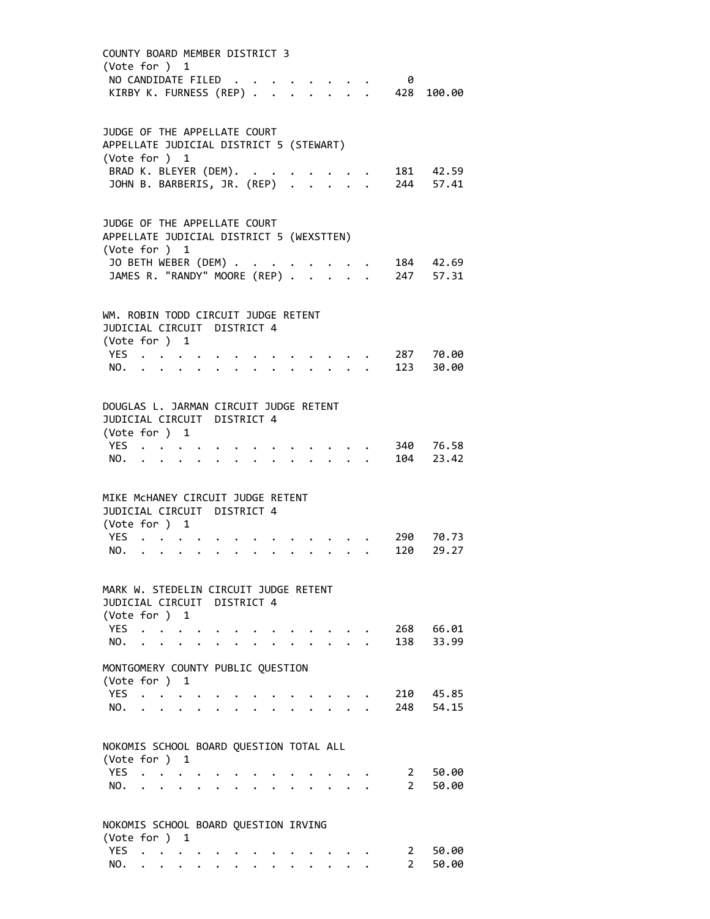| COUNTY BOARD MEMBER DISTRICT 3<br>(Vote for ) 1<br>NO CANDIDATE FILED<br>KIRBY K. FURNESS (REP) .                                                  |                      |                           |                      |  |               |  |  |  | 0<br>428                  | 100.00                                                                                                                                              |  |
|----------------------------------------------------------------------------------------------------------------------------------------------------|----------------------|---------------------------|----------------------|--|---------------|--|--|--|---------------------------|-----------------------------------------------------------------------------------------------------------------------------------------------------|--|
| JUDGE OF THE APPELLATE COURT<br>APPELLATE JUDICIAL DISTRICT 5 (STEWART)<br>(Vote for ) 1<br>BRAD K. BLEYER (DEM).<br>JOHN B. BARBERIS, JR. (REP) . |                      |                           |                      |  | $\sim$ $\sim$ |  |  |  |                           | 181 42.59<br>181 42.59<br>. 244 57.41                                                                                                               |  |
| JUDGE OF THE APPELLATE COURT<br>APPELLATE JUDICIAL DISTRICT 5 (WEXSTTEN)                                                                           |                      |                           |                      |  |               |  |  |  |                           |                                                                                                                                                     |  |
| (Vote for ) 1<br>JO BETH WEBER (DEM) .<br>JAMES R. "RANDY" MOORE (REP) .                                                                           |                      |                           |                      |  |               |  |  |  |                           | $\begin{array}{ccccccccc}\n\cdot & \cdot & \cdot & \cdot & \cdot & 184 & 42.69 \\ \cdot & \cdot & \cdot & \cdot & \cdot & 247 & 57.31\n\end{array}$ |  |
| WM. ROBIN TODD CIRCUIT JUDGE RETENT<br>JUDICIAL CIRCUIT DISTRICT 4<br>(Vote for ) 1                                                                |                      |                           |                      |  |               |  |  |  |                           |                                                                                                                                                     |  |
| YES<br>NO.                                                                                                                                         |                      |                           |                      |  |               |  |  |  |                           | 287 70.00<br>123 30.00                                                                                                                              |  |
| DOUGLAS L. JARMAN CIRCUIT JUDGE RETENT<br>JUDICIAL CIRCUIT DISTRICT 4<br>(Vote for ) 1                                                             |                      |                           |                      |  |               |  |  |  |                           |                                                                                                                                                     |  |
| YES<br>NO.                                                                                                                                         |                      |                           |                      |  |               |  |  |  |                           | 340 76.58<br>104 23.42                                                                                                                              |  |
| MIKE MCHANEY CIRCUIT JUDGE RETENT<br>JUDICIAL CIRCUIT DISTRICT 4<br>(Vote for ) 1                                                                  |                      |                           |                      |  |               |  |  |  |                           |                                                                                                                                                     |  |
| YES .<br>NO.                                                                                                                                       |                      |                           |                      |  |               |  |  |  |                           | 290 70.73<br>120 29.27                                                                                                                              |  |
| MARK W. STEDELIN CIRCUIT JUDGE RETENT<br>JUDICIAL CIRCUIT DISTRICT 4<br>(Vote for $)$ 1                                                            |                      |                           |                      |  |               |  |  |  |                           |                                                                                                                                                     |  |
| <b>YES</b><br>NO.                                                                                                                                  | $\ddot{\phantom{a}}$ |                           |                      |  |               |  |  |  | 138                       | 268 66.01<br>33.99                                                                                                                                  |  |
| MONTGOMERY COUNTY PUBLIC QUESTION<br>(Vote for )                                                                                                   |                      |                           | 1                    |  |               |  |  |  |                           |                                                                                                                                                     |  |
| <b>YES</b><br>NO.                                                                                                                                  | $\ddot{\phantom{a}}$ | <b>Contract Contract</b>  | $\ddot{\phantom{0}}$ |  |               |  |  |  |                           | 210 45.85<br>248 54.15                                                                                                                              |  |
| NOKOMIS SCHOOL BOARD QUESTION TOTAL ALL<br>(Vote for ) 1                                                                                           |                      |                           |                      |  |               |  |  |  |                           |                                                                                                                                                     |  |
| <b>YES</b><br>NO.                                                                                                                                  |                      | $\mathbf{r}$ $\mathbf{r}$ |                      |  |               |  |  |  | $2^{\sim}$<br>$2^{\circ}$ | 50.00<br>50.00                                                                                                                                      |  |
| NOKOMIS SCHOOL BOARD QUESTION IRVING<br>(Vote for ) 1<br><b>YES</b>                                                                                |                      |                           |                      |  |               |  |  |  |                           |                                                                                                                                                     |  |
| NO.                                                                                                                                                | $\ddot{\phantom{0}}$ |                           |                      |  |               |  |  |  | 2<br>$\overline{2}$       | 50.00<br>50.00                                                                                                                                      |  |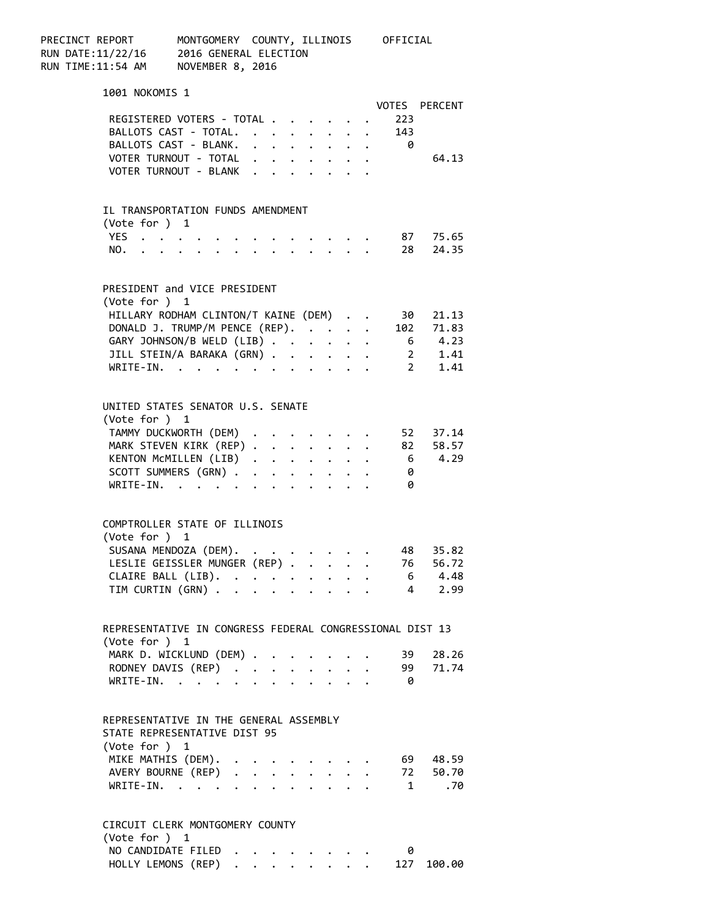PRECINCT REPORT MONTGOMERY COUNTY, ILLINOIS OFFICIAL RUN DATE:11/22/16 2016 GENERAL ELECTION RUN TIME:11:54 AM NOVEMBER 8, 2016 1001 NOKOMIS 1 VOTES PERCENT REGISTERED VOTERS - TOTAL . . . . . . 223 BALLOTS CAST - TOTAL. . . . . . . . 143 BALLOTS CAST - BLANK. . . . . . . . 0 VOTER TURNOUT - TOTAL . . . . . . . . 64.13 VOTER TURNOUT - BLANK . . . . . . . IL TRANSPORTATION FUNDS AMENDMENT (Vote for ) 1 YES . . . . . . . . . . . . . 87 75.65 NO. . . . . . . . . . . . . . 28 24.35 PRESIDENT and VICE PRESIDENT (Vote for ) 1 HILLARY RODHAM CLINTON/T KAINE (DEM) . . 30 21.13 DONALD J. TRUMP/M PENCE (REP). . . . . 102 71.83 GARY JOHNSON/B WELD (LIB) . . . . . . 6 4.23<br>JILL STEIN/A BARAKA (GRN) . . . . . . 2 1.41<br>WRITE-IN. . . . . . . . . . . . 2 1.41 JILL STEIN/A BARAKA (GRN) . . . . . . WRITE-IN. . . . . . . . . UNITED STATES SENATOR U.S. SENATE (Vote for ) 1 TAMMY DUCKWORTH (DEM) . . . . . . . 52 37.14 MARK STEVEN KIRK (REP) . . . . . . . 82 58.57 KENTON MCMILLEN  $(LIB)$  . . . . . . . 6 4.29 SCOTT SUMMERS (GRN) . . . . . . . . 0 WRITE-IN. . . . . . . . . . . . 0 COMPTROLLER STATE OF ILLINOIS (Vote for ) 1 .<br>SUSANA MENDOZA (DEM). . . . . . . . 48 35.82<br>LESLIE GEISSLER MUNGER (REP) . . . . . 76 56.72 LESLIE GEISSLER MUNGER (REP) . . . . . 76 56.72<br>CLAIRE BALL (LIB). . . . . . . . . 6 4.48<br>TIM CURTIN (GRN) . . . . . . . . . 4 2.99 CLAIRE BALL  $(LIB)$ . . . . . . . . . TIM CURTIN  $(GRN)$  . . . . . . . . . REPRESENTATIVE IN CONGRESS FEDERAL CONGRESSIONAL DIST 13 (Vote for ) 1 MARK D. WICKLUND (DEM) . . . . . . . 39 28.26<br>RODNEY DAVIS (REP) . . . . . . . . 99 71.74 RODNEY DAVIS (REP) . . . . . . . . 99 71.74 WRITE-IN. . . . . . . . . . . . 0 REPRESENTATIVE IN THE GENERAL ASSEMBLY STATE REPRESENTATIVE DIST 95 (Vote for ) 1 MIKE MATHIS (DEM). . . . . . . . . . 69 48.59 AVERY BOURNE (REP) . . . . . . . . 72 50.70 WRITE‐IN. . . . . . . . . . . . 1 .70 CIRCUIT CLERK MONTGOMERY COUNTY (Vote for ) 1 NO CANDIDATE FILED . . . . . . . . 0 HOLLY LEMONS (REP) . . . . . . . . 127 100.00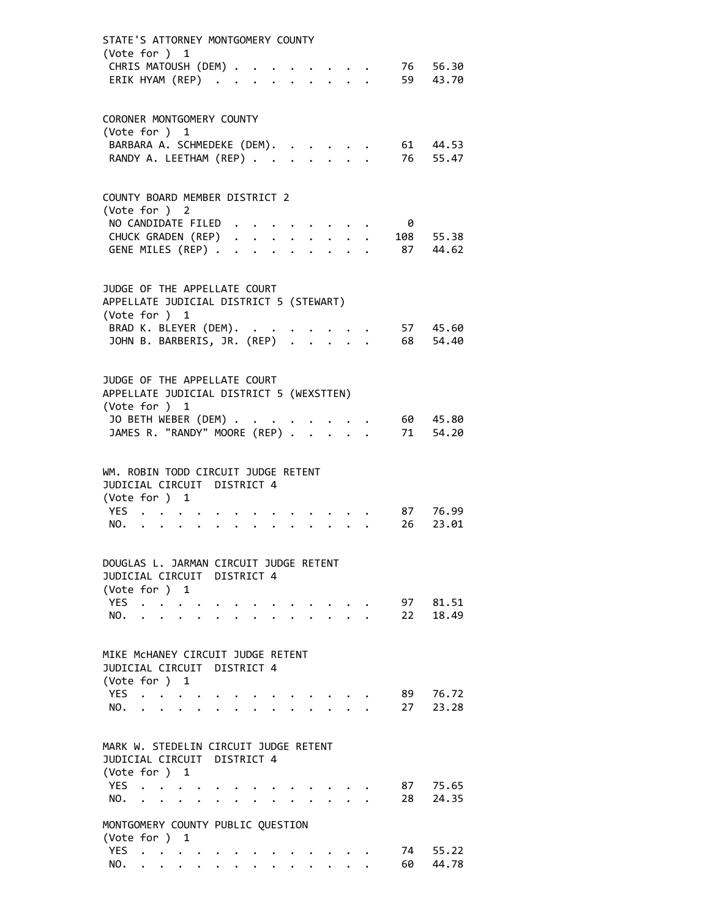| STATE'S ATTORNEY MONTGOMERY COUNTY<br>(Vote for ) 1                     |                           |                                                                     |  |  |              |                                 |  |          |                |
|-------------------------------------------------------------------------|---------------------------|---------------------------------------------------------------------|--|--|--------------|---------------------------------|--|----------|----------------|
| CHRIS MATOUSH (DEM)                                                     |                           |                                                                     |  |  |              |                                 |  |          | 76 56.30       |
| ERIK HYAM (REP)                                                         |                           |                                                                     |  |  |              |                                 |  |          | 59 43.70       |
| CORONER MONTGOMERY COUNTY<br>(Vote for ) 1                              |                           |                                                                     |  |  |              |                                 |  |          |                |
| BARBARA A. SCHMEDEKE (DEM).                                             |                           |                                                                     |  |  |              |                                 |  |          | 61 44.53       |
| RANDY A. LEETHAM (REP)                                                  |                           |                                                                     |  |  |              |                                 |  |          | 76 55.47       |
| COUNTY BOARD MEMBER DISTRICT 2<br>(Vote for ) 2                         |                           |                                                                     |  |  |              |                                 |  |          |                |
| NO CANDIDATE FILED                                                      |                           |                                                                     |  |  |              |                                 |  | 0        |                |
| CHUCK GRADEN (REP)                                                      |                           |                                                                     |  |  |              |                                 |  |          | 108 55.38      |
| GENE MILES (REP)                                                        |                           |                                                                     |  |  | $\mathbf{L}$ | $\cdot$ $\cdot$ $\cdot$ $\cdot$ |  |          | 87 44.62       |
| JUDGE OF THE APPELLATE COURT<br>APPELLATE JUDICIAL DISTRICT 5 (STEWART) |                           |                                                                     |  |  |              |                                 |  |          |                |
| (Vote for ) 1<br>BRAD K. BLEYER (DEM).                                  |                           |                                                                     |  |  |              |                                 |  |          | 57 45.60       |
| JOHN B. BARBERIS, JR. (REP)                                             |                           |                                                                     |  |  |              |                                 |  |          | 68 54.40       |
| JUDGE OF THE APPELLATE COURT                                            |                           |                                                                     |  |  |              |                                 |  |          |                |
| APPELLATE JUDICIAL DISTRICT 5 (WEXSTTEN)<br>(Vote for ) 1               |                           |                                                                     |  |  |              |                                 |  |          |                |
| JO BETH WEBER (DEM).                                                    |                           |                                                                     |  |  |              |                                 |  |          | 60 45.80       |
| JO DETTI WEDER (DEPI)<br>JAMES R. "RANDY" MOORE (REP)                   |                           |                                                                     |  |  |              |                                 |  |          | 71 54.20       |
| WM. ROBIN TODD CIRCUIT JUDGE RETENT<br>JUDICIAL CIRCUIT DISTRICT 4      |                           |                                                                     |  |  |              |                                 |  |          |                |
| (Vote for ) 1                                                           |                           |                                                                     |  |  |              |                                 |  |          |                |
| YES.                                                                    |                           |                                                                     |  |  |              |                                 |  |          | 87 76.99       |
| NO.                                                                     |                           |                                                                     |  |  |              |                                 |  |          | 26 23.01       |
| DOUGLAS L. JARMAN CIRCUIT JUDGE RETENT<br>JUDICIAL CIRCUIT DISTRICT 4   |                           |                                                                     |  |  |              |                                 |  |          |                |
| (Vote for ) 1                                                           |                           |                                                                     |  |  |              |                                 |  |          |                |
| <b>YES</b><br>NO.                                                       | $\mathbf{L}^{\text{max}}$ |                                                                     |  |  |              |                                 |  | 97<br>22 | 81.51<br>18.49 |
|                                                                         |                           |                                                                     |  |  |              |                                 |  |          |                |
| MIKE MCHANEY CIRCUIT JUDGE RETENT<br>JUDICIAL CIRCUIT DISTRICT 4        |                           |                                                                     |  |  |              |                                 |  |          |                |
| (Vote for ) 1                                                           |                           |                                                                     |  |  |              |                                 |  |          |                |
| <b>YES</b><br>NO.                                                       | $\ddot{\phantom{0}}$      |                                                                     |  |  |              |                                 |  | 89<br>27 | 76.72<br>23.28 |
|                                                                         |                           |                                                                     |  |  |              |                                 |  |          |                |
| MARK W. STEDELIN CIRCUIT JUDGE RETENT<br>JUDICIAL CIRCUIT DISTRICT 4    |                           |                                                                     |  |  |              |                                 |  |          |                |
| (Vote for ) 1                                                           |                           |                                                                     |  |  |              |                                 |  |          |                |
|                                                                         |                           |                                                                     |  |  |              |                                 |  |          |                |
| <b>YES</b>                                                              |                           | $\mathbf{1}=\mathbf{1}=\mathbf{1}=\mathbf{1}=\mathbf{1}=\mathbf{1}$ |  |  |              |                                 |  |          | 87 75.65       |
| NO.                                                                     |                           |                                                                     |  |  |              |                                 |  | 28       | 24.35          |
| MONTGOMERY COUNTY PUBLIC QUESTION<br>(Vote for ) 1                      |                           |                                                                     |  |  |              |                                 |  |          |                |
| <b>YES</b><br>NO.                                                       | $\mathbf{L}$              |                                                                     |  |  |              |                                 |  | 74<br>60 | 55.22<br>44.78 |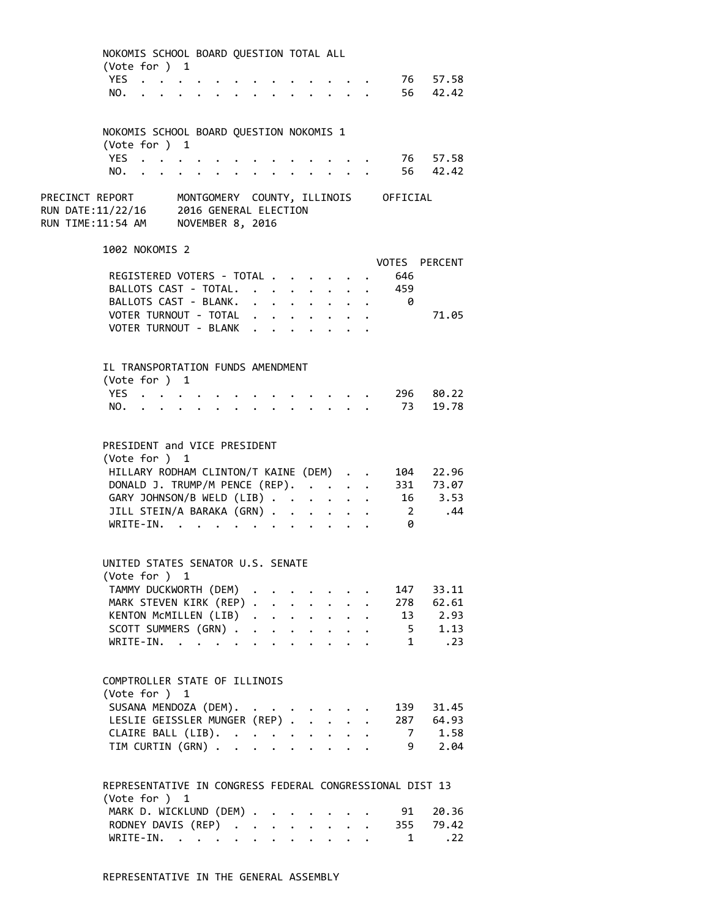| NOKOMIS SCHOOL BOARD QUESTION TOTAL ALL                                                                                               |                      |                           |                      |                           |                                 |                                                     |                                                             |                         |                               |  |
|---------------------------------------------------------------------------------------------------------------------------------------|----------------------|---------------------------|----------------------|---------------------------|---------------------------------|-----------------------------------------------------|-------------------------------------------------------------|-------------------------|-------------------------------|--|
| (Vote for ) 1<br>YES                                                                                                                  |                      |                           |                      |                           |                                 |                                                     |                                                             |                         | 76 57.58                      |  |
| NO.                                                                                                                                   |                      |                           |                      |                           |                                 |                                                     | $\bullet$ .<br><br><br><br><br><br><br><br><br><br><br><br> |                         | 56 42.42                      |  |
|                                                                                                                                       |                      |                           |                      |                           |                                 |                                                     |                                                             |                         |                               |  |
| NOKOMIS SCHOOL BOARD QUESTION NOKOMIS 1                                                                                               |                      |                           |                      |                           |                                 |                                                     |                                                             |                         |                               |  |
| (Vote for ) 1                                                                                                                         |                      |                           |                      |                           |                                 |                                                     |                                                             |                         |                               |  |
| YES                                                                                                                                   |                      |                           |                      |                           |                                 |                                                     |                                                             |                         | 76 57.58                      |  |
| NO.                                                                                                                                   |                      |                           |                      |                           | $\cdot$ $\cdot$ $\cdot$ $\cdot$ |                                                     |                                                             |                         | 56 42.42                      |  |
| PRECINCT REPORT MONTGOMERY COUNTY, ILLINOIS OFFICIAL<br>RUN DATE:11/22/16 2016 GENERAL ELECTION<br>RUN TIME:11:54 AM NOVEMBER 8, 2016 |                      |                           |                      |                           |                                 |                                                     |                                                             |                         |                               |  |
| 1002 NOKOMIS 2                                                                                                                        |                      |                           |                      |                           |                                 |                                                     |                                                             |                         | VOTES PERCENT                 |  |
| REGISTERED VOTERS - TOTAL                                                                                                             |                      |                           |                      |                           |                                 |                                                     |                                                             | 646                     |                               |  |
| BALLOTS CAST - TOTAL.                                                                                                                 |                      |                           |                      |                           |                                 | $\mathcal{L}^{\text{max}}$                          | $\mathbf{z} = \mathbf{z} + \mathbf{z}$                      | 459                     |                               |  |
| BALLOTS CAST - BLANK.                                                                                                                 |                      |                           |                      |                           |                                 |                                                     |                                                             | $\overline{\mathbf{0}}$ |                               |  |
| VOTER TURNOUT - TOTAL                                                                                                                 |                      |                           |                      |                           |                                 |                                                     |                                                             |                         | 71.05                         |  |
| VOTER TURNOUT - BLANK                                                                                                                 |                      |                           |                      |                           |                                 |                                                     |                                                             |                         |                               |  |
|                                                                                                                                       |                      |                           |                      |                           |                                 |                                                     |                                                             |                         |                               |  |
| IL TRANSPORTATION FUNDS AMENDMENT                                                                                                     |                      |                           |                      |                           |                                 |                                                     |                                                             |                         |                               |  |
| (Vote for ) 1<br>YES                                                                                                                  |                      |                           |                      |                           |                                 |                                                     |                                                             |                         | 296 80.22                     |  |
|                                                                                                                                       |                      |                           |                      |                           |                                 | $\mathbf{z} = \mathbf{z} + \mathbf{z} + \mathbf{z}$ |                                                             |                         | 73 19.78                      |  |
| NO.                                                                                                                                   |                      | $\mathbf{r} = \mathbf{r}$ |                      |                           |                                 |                                                     |                                                             |                         |                               |  |
| PRESIDENT and VICE PRESIDENT<br>(Vote for ) 1                                                                                         |                      |                           |                      |                           |                                 |                                                     |                                                             |                         |                               |  |
| HILLARY RODHAM CLINTON/T KAINE (DEM) 104 22.96                                                                                        |                      |                           |                      |                           |                                 |                                                     |                                                             |                         |                               |  |
| DONALD J. TRUMP/M PENCE (REP).                                                                                                        |                      |                           |                      |                           |                                 |                                                     |                                                             |                         |                               |  |
| GARY JOHNSON/B WELD (LIB)                                                                                                             |                      |                           |                      |                           |                                 |                                                     |                                                             |                         | 331 73.07<br>16 3.53<br>2 .44 |  |
| JILL STEIN/A BARAKA (GRN)                                                                                                             |                      |                           |                      |                           | $\ddot{\phantom{0}}$            |                                                     |                                                             |                         |                               |  |
| WRITE-IN.                                                                                                                             |                      |                           |                      |                           |                                 |                                                     |                                                             | ø                       |                               |  |
| UNITED STATES SENATOR U.S. SENATE<br>(Vote for ) 1                                                                                    |                      |                           |                      |                           |                                 |                                                     |                                                             |                         |                               |  |
| TAMMY DUCKWORTH (DEM)                                                                                                                 |                      |                           |                      |                           |                                 |                                                     |                                                             |                         | 147 33.11                     |  |
| MARK STEVEN KIRK (REP)                                                                                                                |                      |                           |                      |                           |                                 | $\ddot{\phantom{a}}$                                |                                                             |                         | $278$ 62.61                   |  |
| KENTON McMILLEN (LIB)                                                                                                                 |                      |                           |                      |                           |                                 |                                                     |                                                             |                         | $13 \qquad 2.93$              |  |
| SCOTT SUMMERS (GRN).                                                                                                                  |                      |                           | $\ddot{\phantom{a}}$ |                           |                                 | $\ddot{\phantom{a}}$                                |                                                             |                         | $5 \t 1.13$                   |  |
| $WRITE-IN.$                                                                                                                           |                      | $\ddot{\phantom{0}}$      |                      | $\mathbf{r} = \mathbf{r}$ |                                 |                                                     | $\mathbf{L}$                                                |                         | 1 .23                         |  |
|                                                                                                                                       |                      |                           |                      |                           |                                 |                                                     |                                                             |                         |                               |  |
| COMPTROLLER STATE OF ILLINOIS<br>(Vote for ) 1                                                                                        |                      |                           |                      |                           |                                 |                                                     |                                                             |                         |                               |  |
| SUSANA MENDOZA (DEM).                                                                                                                 |                      |                           |                      |                           |                                 |                                                     |                                                             |                         | 139 31.45                     |  |
| LESLIE GEISSLER MUNGER (REP) .                                                                                                        |                      |                           |                      |                           | $\ddot{\phantom{0}}$            | $\ddot{\phantom{0}}$                                |                                                             |                         | 287 64.93                     |  |
|                                                                                                                                       |                      |                           |                      |                           |                                 |                                                     |                                                             |                         | $7 \t1.58$                    |  |
| CLAIRE BALL (LIB).<br>TIM CURTIN (GRN)                                                                                                |                      |                           |                      |                           |                                 |                                                     |                                                             |                         | 9 2.04                        |  |
|                                                                                                                                       |                      |                           |                      |                           |                                 |                                                     |                                                             |                         |                               |  |
| REPRESENTATIVE IN CONGRESS FEDERAL CONGRESSIONAL DIST 13<br>(Vote for ) 1                                                             |                      |                           |                      |                           |                                 |                                                     |                                                             |                         |                               |  |
| MARK D. WICKLUND (DEM) .                                                                                                              |                      |                           |                      |                           |                                 |                                                     |                                                             | 91                      | 20.36                         |  |
| RODNEY DAVIS (REP)                                                                                                                    |                      |                           |                      |                           |                                 |                                                     |                                                             | 355                     | 79.42                         |  |
| $WRITE-IN.$                                                                                                                           | $\ddot{\phantom{0}}$ | $\mathbf{L}$              |                      | $\sim$ $\sim$             |                                 |                                                     |                                                             | $\blacksquare$          | .22                           |  |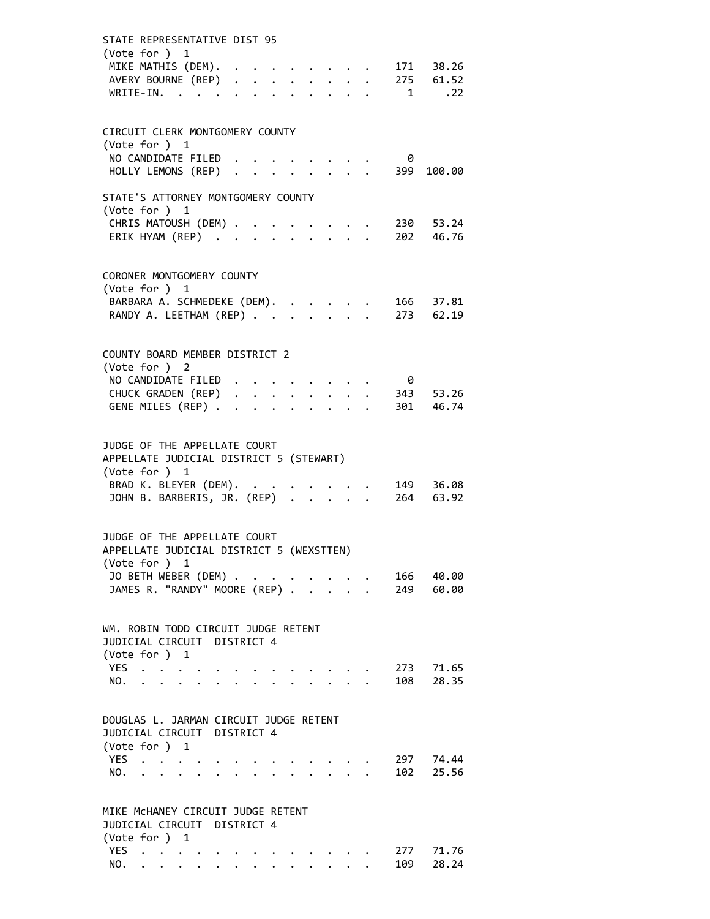| STATE REPRESENTATIVE DIST 95                                                              |                                                       |                                                                                                                                                                                                                                  |  |  |                                                           |  |                                         |          |                                                                               |
|-------------------------------------------------------------------------------------------|-------------------------------------------------------|----------------------------------------------------------------------------------------------------------------------------------------------------------------------------------------------------------------------------------|--|--|-----------------------------------------------------------|--|-----------------------------------------|----------|-------------------------------------------------------------------------------|
| (Vote for ) 1<br>WRITE-IN.                                                                |                                                       | $\mathbf{r}$ , and the set of the set of the set of the set of the set of the set of the set of the set of the set of the set of the set of the set of the set of the set of the set of the set of the set of the set of the set |  |  |                                                           |  |                                         |          | MIKE MATHIS (DEM). 171 38.26<br>AVERY BOURNE (REP) 275 61.52<br>$1 \quad .22$ |
| CIRCUIT CLERK MONTGOMERY COUNTY<br>(Vote for ) 1                                          |                                                       |                                                                                                                                                                                                                                  |  |  |                                                           |  |                                         |          |                                                                               |
| NO CANDIDATE FILED.                                                                       | HOLLY LEMONS (REP)                                    |                                                                                                                                                                                                                                  |  |  |                                                           |  | $\cdot$ $\cdot$ $\cdot$ $\cdot$ $\cdot$ | 0<br>399 | 100.00                                                                        |
| STATE'S ATTORNEY MONTGOMERY COUNTY<br>(Vote for ) 1                                       |                                                       |                                                                                                                                                                                                                                  |  |  |                                                           |  |                                         |          |                                                                               |
| CHRIS MATOUSH (DEM)<br>ERIK HYAM (REP)                                                    |                                                       |                                                                                                                                                                                                                                  |  |  | $\mathbf{1}$ , $\mathbf{1}$ , $\mathbf{1}$ , $\mathbf{1}$ |  |                                         |          | $\cdot$ 230 53.24<br>202 46.76                                                |
| CORONER MONTGOMERY COUNTY<br>(Vote for ) 1                                                |                                                       |                                                                                                                                                                                                                                  |  |  |                                                           |  |                                         |          |                                                                               |
| BARBARA A. SCHMEDEKE (DEM).                                                               |                                                       |                                                                                                                                                                                                                                  |  |  |                                                           |  |                                         |          | 166 37.81<br>RANDY A. LEETHAM (REP) 273 62.19                                 |
| COUNTY BOARD MEMBER DISTRICT 2<br>(Vote for ) 2                                           |                                                       |                                                                                                                                                                                                                                  |  |  |                                                           |  |                                         |          |                                                                               |
|                                                                                           | NO CANDIDATE FILED                                    |                                                                                                                                                                                                                                  |  |  |                                                           |  |                                         | 0        |                                                                               |
| GENE MILES (REP)                                                                          |                                                       |                                                                                                                                                                                                                                  |  |  |                                                           |  |                                         |          | CHUCK GRADEN (REP) 343 53.26<br>301 46.74                                     |
| JUDGE OF THE APPELLATE COURT<br>APPELLATE JUDICIAL DISTRICT 5 (STEWART)                   |                                                       |                                                                                                                                                                                                                                  |  |  |                                                           |  |                                         |          |                                                                               |
| (Vote for ) 1<br>BRAD K. BLEYER (DEM). .                                                  |                                                       |                                                                                                                                                                                                                                  |  |  |                                                           |  |                                         |          | BRAD K. BLEYER (DEM). 149 36.08<br>JOHN B. BARBERIS, JR. (REP) 264 63.92      |
| JUDGE OF THE APPELLATE COURT<br>APPELLATE JUDICIAL DISTRICT 5 (WEXSTTEN)<br>(Vote for ) 1 |                                                       |                                                                                                                                                                                                                                  |  |  |                                                           |  |                                         |          |                                                                               |
|                                                                                           | JO BETH WEBER (DEM)<br>JAMES R. "RANDY" MOORE (REP) . |                                                                                                                                                                                                                                  |  |  |                                                           |  |                                         |          | 166 40.00<br>249 60.00                                                        |
| WM. ROBIN TODD CIRCUIT JUDGE RETENT<br>JUDICIAL CIRCUIT DISTRICT 4<br>(Vote for ) 1       |                                                       |                                                                                                                                                                                                                                  |  |  |                                                           |  |                                         |          |                                                                               |
| YES                                                                                       |                                                       |                                                                                                                                                                                                                                  |  |  |                                                           |  |                                         |          | 273 71.65                                                                     |
| NO.                                                                                       |                                                       |                                                                                                                                                                                                                                  |  |  |                                                           |  |                                         |          | 108 28.35                                                                     |
| DOUGLAS L. JARMAN CIRCUIT JUDGE RETENT<br>JUDICIAL CIRCUIT DISTRICT 4<br>(Vote for ) 1    |                                                       |                                                                                                                                                                                                                                  |  |  |                                                           |  |                                         |          |                                                                               |
| <b>YES</b>                                                                                | $\mathbf{z} = \mathbf{z} + \mathbf{z}$                |                                                                                                                                                                                                                                  |  |  |                                                           |  |                                         |          | 297 74.44                                                                     |
| NO.                                                                                       | $\mathbf{r} = \mathbf{r} + \mathbf{r} + \mathbf{r}$   |                                                                                                                                                                                                                                  |  |  |                                                           |  |                                         |          | 102 25.56                                                                     |
| MIKE MCHANEY CIRCUIT JUDGE RETENT<br>JUDICIAL CIRCUIT DISTRICT 4                          |                                                       |                                                                                                                                                                                                                                  |  |  |                                                           |  |                                         |          |                                                                               |
| (Vote for ) 1<br><b>YES</b>                                                               | $\ddot{\phantom{0}}$                                  |                                                                                                                                                                                                                                  |  |  |                                                           |  |                                         |          | 277 71.76                                                                     |
| NO.                                                                                       | $\ddot{\phantom{a}}$                                  |                                                                                                                                                                                                                                  |  |  |                                                           |  |                                         | 109      | 28.24                                                                         |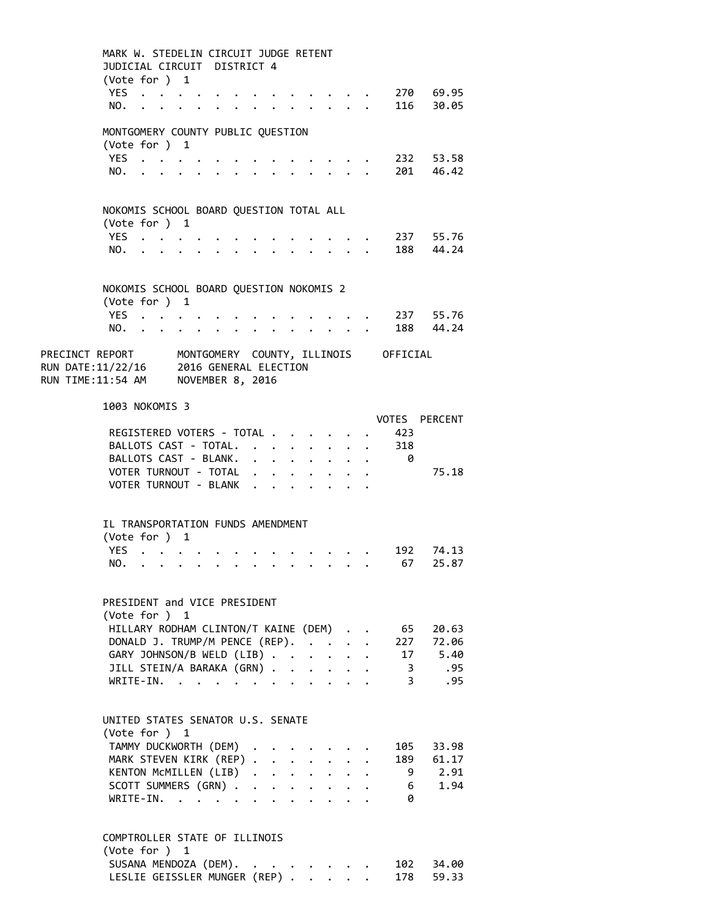|                                                                                                                                                         |      | MARK W. STEDELIN CIRCUIT JUDGE RETENT                                    |                                         |                      |                      |                                                                  |                                 |                      |                                                                          |                         |                         |  |
|---------------------------------------------------------------------------------------------------------------------------------------------------------|------|--------------------------------------------------------------------------|-----------------------------------------|----------------------|----------------------|------------------------------------------------------------------|---------------------------------|----------------------|--------------------------------------------------------------------------|-------------------------|-------------------------|--|
|                                                                                                                                                         |      | JUDICIAL CIRCUIT DISTRICT 4                                              |                                         |                      |                      |                                                                  |                                 |                      |                                                                          |                         |                         |  |
|                                                                                                                                                         |      | (Vote for ) 1                                                            |                                         |                      |                      |                                                                  |                                 |                      |                                                                          |                         |                         |  |
|                                                                                                                                                         |      | YES                                                                      |                                         |                      |                      |                                                                  |                                 |                      |                                                                          |                         | 270 69.95               |  |
|                                                                                                                                                         | NO.  | $\cdot$ $\cdot$ $\cdot$ $\cdot$                                          |                                         |                      |                      |                                                                  |                                 | $\mathbf{L}$         |                                                                          | 116                     | 30.05                   |  |
|                                                                                                                                                         |      |                                                                          |                                         |                      |                      |                                                                  |                                 |                      |                                                                          |                         |                         |  |
|                                                                                                                                                         |      | MONTGOMERY COUNTY PUBLIC QUESTION                                        |                                         |                      |                      |                                                                  |                                 |                      |                                                                          |                         |                         |  |
|                                                                                                                                                         |      | (Vote for ) 1                                                            |                                         |                      |                      |                                                                  |                                 |                      |                                                                          |                         |                         |  |
|                                                                                                                                                         |      | YES                                                                      |                                         |                      |                      |                                                                  |                                 |                      |                                                                          |                         | 232 53.58               |  |
|                                                                                                                                                         | NO.  |                                                                          |                                         |                      |                      |                                                                  |                                 |                      |                                                                          |                         | 201 46.42               |  |
|                                                                                                                                                         |      |                                                                          |                                         |                      |                      |                                                                  |                                 |                      |                                                                          |                         |                         |  |
|                                                                                                                                                         |      |                                                                          |                                         |                      |                      |                                                                  |                                 |                      |                                                                          |                         |                         |  |
|                                                                                                                                                         |      | NOKOMIS SCHOOL BOARD QUESTION TOTAL ALL                                  |                                         |                      |                      |                                                                  |                                 |                      |                                                                          |                         |                         |  |
|                                                                                                                                                         |      | (Vote for ) 1                                                            |                                         |                      |                      |                                                                  |                                 |                      |                                                                          |                         |                         |  |
|                                                                                                                                                         | YES. | $\ddot{\phantom{a}}$                                                     |                                         |                      |                      |                                                                  |                                 |                      |                                                                          |                         | 237 55.76               |  |
|                                                                                                                                                         | NO.  | $\mathbf{r} = \mathbf{r} + \mathbf{r}$ , where $\mathbf{r} = \mathbf{r}$ |                                         | $\ddot{\phantom{0}}$ |                      |                                                                  |                                 |                      |                                                                          |                         | 188 44.24               |  |
|                                                                                                                                                         |      |                                                                          |                                         |                      |                      |                                                                  |                                 |                      |                                                                          |                         |                         |  |
|                                                                                                                                                         |      |                                                                          |                                         |                      |                      |                                                                  |                                 |                      |                                                                          |                         |                         |  |
|                                                                                                                                                         |      | NOKOMIS SCHOOL BOARD QUESTION NOKOMIS 2                                  |                                         |                      |                      |                                                                  |                                 |                      |                                                                          |                         |                         |  |
|                                                                                                                                                         |      | (Vote for ) 1                                                            |                                         |                      |                      |                                                                  |                                 |                      |                                                                          |                         |                         |  |
|                                                                                                                                                         |      | YES                                                                      |                                         |                      |                      |                                                                  |                                 |                      |                                                                          |                         | 237 55.76               |  |
|                                                                                                                                                         |      | NO.                                                                      | $\cdot$ $\cdot$ $\cdot$ $\cdot$ $\cdot$ |                      |                      | $\bullet$ .<br><br><br><br><br><br><br><br><br><br><br><br>      | $\cdot$ $\cdot$ $\cdot$ $\cdot$ |                      |                                                                          |                         | 188 44.24               |  |
|                                                                                                                                                         |      |                                                                          |                                         |                      |                      |                                                                  |                                 |                      |                                                                          |                         |                         |  |
| PRECINCT REPORT       MONTGOMERY  COUNTY, ILLINOIS     OFFICIAL<br>RUN DATE:11/22/16     2016 GENERAL ELECTION<br>RUN TIME:11:54 AM    NOVEMBER 8, 2016 |      |                                                                          |                                         |                      |                      |                                                                  |                                 |                      |                                                                          |                         |                         |  |
|                                                                                                                                                         |      |                                                                          |                                         |                      |                      |                                                                  |                                 |                      |                                                                          |                         |                         |  |
|                                                                                                                                                         |      |                                                                          |                                         |                      |                      |                                                                  |                                 |                      |                                                                          |                         |                         |  |
|                                                                                                                                                         |      |                                                                          |                                         |                      |                      |                                                                  |                                 |                      |                                                                          |                         |                         |  |
|                                                                                                                                                         |      | 1003 NOKOMIS 3                                                           |                                         |                      |                      |                                                                  |                                 |                      |                                                                          |                         |                         |  |
|                                                                                                                                                         |      |                                                                          |                                         |                      |                      |                                                                  |                                 |                      |                                                                          | VOTES                   | PERCENT                 |  |
|                                                                                                                                                         |      | REGISTERED VOTERS - TOTAL                                                |                                         |                      |                      |                                                                  |                                 |                      |                                                                          | 423                     |                         |  |
|                                                                                                                                                         |      | BALLOTS CAST - TOTAL.                                                    |                                         |                      |                      | $\mathbf{r} = \mathbf{r} + \mathbf{r} + \mathbf{r} + \mathbf{r}$ |                                 |                      |                                                                          | $\cdot$ 318             |                         |  |
|                                                                                                                                                         |      | BALLOTS CAST - BLANK.<br>VOTER TURNOUT - TOTAL                           |                                         |                      |                      |                                                                  |                                 |                      | $\mathbf{L} = \mathbf{L} \mathbf{L}$                                     | 0                       | 75.18                   |  |
|                                                                                                                                                         |      | VOTER TURNOUT - BLANK                                                    |                                         |                      |                      | $\mathbf{L} = \mathbf{L}$                                        |                                 |                      |                                                                          |                         |                         |  |
|                                                                                                                                                         |      |                                                                          |                                         |                      |                      |                                                                  |                                 |                      |                                                                          |                         |                         |  |
|                                                                                                                                                         |      |                                                                          |                                         |                      |                      |                                                                  |                                 |                      |                                                                          |                         |                         |  |
|                                                                                                                                                         |      | IL TRANSPORTATION FUNDS AMENDMENT                                        |                                         |                      |                      |                                                                  |                                 |                      |                                                                          |                         |                         |  |
|                                                                                                                                                         |      | (Vote for ) 1                                                            |                                         |                      |                      |                                                                  |                                 |                      |                                                                          |                         |                         |  |
|                                                                                                                                                         | YES. | $\mathbf{r} = \mathbf{r} + \mathbf{r} + \mathbf{r}$ .                    |                                         |                      |                      |                                                                  |                                 |                      | $\mathbf{r}$ , $\mathbf{r}$ , $\mathbf{r}$ , $\mathbf{r}$ , $\mathbf{r}$ | 192                     | 74.13                   |  |
|                                                                                                                                                         | NO.  |                                                                          |                                         |                      |                      |                                                                  |                                 |                      |                                                                          | 67                      | 25.87                   |  |
|                                                                                                                                                         |      |                                                                          |                                         |                      |                      |                                                                  |                                 |                      |                                                                          |                         |                         |  |
|                                                                                                                                                         |      |                                                                          |                                         |                      |                      |                                                                  |                                 |                      |                                                                          |                         |                         |  |
|                                                                                                                                                         |      | PRESIDENT and VICE PRESIDENT                                             |                                         |                      |                      |                                                                  |                                 |                      |                                                                          |                         |                         |  |
|                                                                                                                                                         |      | (Vote for ) 1                                                            |                                         |                      |                      |                                                                  |                                 |                      |                                                                          |                         |                         |  |
|                                                                                                                                                         |      | HILLARY RODHAM CLINTON/T KAINE (DEM).                                    |                                         |                      |                      |                                                                  |                                 |                      |                                                                          | 65                      | 20.63                   |  |
|                                                                                                                                                         |      | DONALD J. TRUMP/M PENCE (REP).                                           |                                         |                      |                      |                                                                  |                                 |                      |                                                                          |                         | 227 72.06               |  |
|                                                                                                                                                         |      | GARY JOHNSON/B WELD (LIB)                                                |                                         |                      |                      |                                                                  | $\ddot{\phantom{0}}$            |                      | $\ddotsc$                                                                |                         | 17 5.40                 |  |
|                                                                                                                                                         |      | JILL STEIN/A BARAKA (GRN)                                                |                                         |                      |                      |                                                                  | $\ddot{\phantom{0}}$            | $\ddot{\phantom{0}}$ |                                                                          | $\overline{\mathbf{3}}$ | .95                     |  |
|                                                                                                                                                         |      | $\texttt{WRITE-IN.} \quad . \quad . \quad . \quad . \quad .$             |                                         |                      |                      |                                                                  |                                 |                      |                                                                          | $\mathbf{3}$            | .95                     |  |
|                                                                                                                                                         |      |                                                                          |                                         |                      |                      |                                                                  |                                 |                      |                                                                          |                         |                         |  |
|                                                                                                                                                         |      |                                                                          |                                         |                      |                      |                                                                  |                                 |                      |                                                                          |                         |                         |  |
|                                                                                                                                                         |      | UNITED STATES SENATOR U.S. SENATE                                        |                                         |                      |                      |                                                                  |                                 |                      |                                                                          |                         |                         |  |
|                                                                                                                                                         |      | (Vote for ) 1                                                            |                                         |                      |                      |                                                                  |                                 |                      |                                                                          |                         |                         |  |
|                                                                                                                                                         |      | TAMMY DUCKWORTH (DEM)                                                    |                                         |                      |                      |                                                                  |                                 |                      |                                                                          |                         | 105 33.98               |  |
|                                                                                                                                                         |      | MARK STEVEN KIRK (REP)                                                   |                                         |                      |                      |                                                                  | $\mathbf{L} = \mathbf{L}$       |                      |                                                                          |                         | 189 61.17               |  |
|                                                                                                                                                         |      | KENTON MCMILLEN (LIB)                                                    |                                         |                      |                      |                                                                  |                                 | $\ddot{\phantom{0}}$ |                                                                          |                         | 9 2.91                  |  |
|                                                                                                                                                         |      | SCOTT SUMMERS (GRN).                                                     |                                         |                      | $\ddot{\phantom{0}}$ | $\ddot{\phantom{0}}$                                             |                                 |                      |                                                                          |                         | 1.94<br>$6\overline{6}$ |  |
|                                                                                                                                                         |      | $WRITE-IN.$                                                              |                                         |                      |                      |                                                                  |                                 |                      |                                                                          | 0                       |                         |  |
|                                                                                                                                                         |      |                                                                          |                                         |                      |                      |                                                                  |                                 |                      |                                                                          |                         |                         |  |
|                                                                                                                                                         |      |                                                                          |                                         |                      |                      |                                                                  |                                 |                      |                                                                          |                         |                         |  |
|                                                                                                                                                         |      | COMPTROLLER STATE OF ILLINOIS                                            |                                         |                      |                      |                                                                  |                                 |                      |                                                                          |                         |                         |  |
|                                                                                                                                                         |      | (Vote for ) 1                                                            |                                         |                      |                      |                                                                  |                                 |                      |                                                                          |                         |                         |  |
|                                                                                                                                                         |      | SUSANA MENDOZA (DEM). .                                                  |                                         |                      |                      |                                                                  |                                 |                      |                                                                          |                         | 102 34.00               |  |

LESLIE GEISSLER MUNGER (REP) . . . . . 178 59.33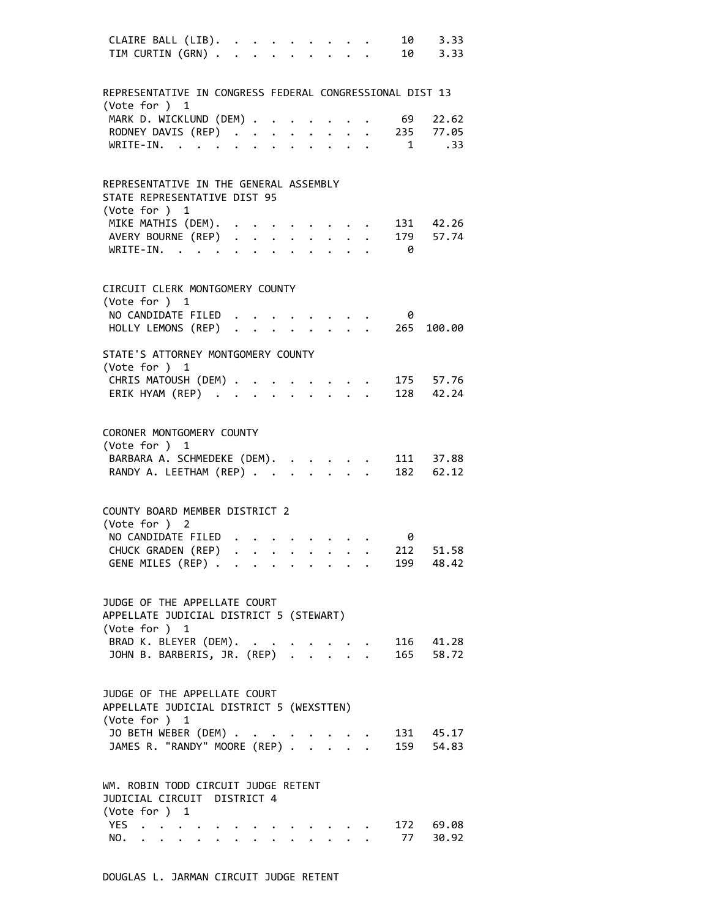| CLAIRE BALL (LIB).<br>TIM CURTIN (GRN)                                                    |  |  |  |  |                                                                                                                                                                                                                                                                                                                                                                                                                                                             |                                                                               |          | 10 3.33<br>10 3.33                              |
|-------------------------------------------------------------------------------------------|--|--|--|--|-------------------------------------------------------------------------------------------------------------------------------------------------------------------------------------------------------------------------------------------------------------------------------------------------------------------------------------------------------------------------------------------------------------------------------------------------------------|-------------------------------------------------------------------------------|----------|-------------------------------------------------|
| REPRESENTATIVE IN CONGRESS FEDERAL CONGRESSIONAL DIST 13<br>(Vote for ) 1                 |  |  |  |  |                                                                                                                                                                                                                                                                                                                                                                                                                                                             |                                                                               |          |                                                 |
| MARK D. WICKLUND (DEM)                                                                    |  |  |  |  |                                                                                                                                                                                                                                                                                                                                                                                                                                                             |                                                                               | 69       | 22.62                                           |
|                                                                                           |  |  |  |  |                                                                                                                                                                                                                                                                                                                                                                                                                                                             |                                                                               |          | RODNEY DAVIS (REP) 235 77.05<br>WRITE-IN. 1 .33 |
|                                                                                           |  |  |  |  |                                                                                                                                                                                                                                                                                                                                                                                                                                                             |                                                                               |          |                                                 |
| REPRESENTATIVE IN THE GENERAL ASSEMBLY<br>STATE REPRESENTATIVE DIST 95<br>(Vote for ) 1   |  |  |  |  |                                                                                                                                                                                                                                                                                                                                                                                                                                                             |                                                                               |          |                                                 |
| MIKE MATHIS (DEM).                                                                        |  |  |  |  |                                                                                                                                                                                                                                                                                                                                                                                                                                                             |                                                                               |          | 131 42.26                                       |
| MIKE MATHLS (DEP)<br>AVERY BOURNE (REP)<br>UPTTE TN                                       |  |  |  |  |                                                                                                                                                                                                                                                                                                                                                                                                                                                             |                                                                               |          | 179 57.74                                       |
| WRITE-IN.                                                                                 |  |  |  |  |                                                                                                                                                                                                                                                                                                                                                                                                                                                             |                                                                               | $\theta$ |                                                 |
| CIRCUIT CLERK MONTGOMERY COUNTY<br>(Vote for ) 1                                          |  |  |  |  |                                                                                                                                                                                                                                                                                                                                                                                                                                                             |                                                                               |          |                                                 |
| NO CANDIDATE FILED                                                                        |  |  |  |  |                                                                                                                                                                                                                                                                                                                                                                                                                                                             | $\mathbf{A}^{\prime}$ , and $\mathbf{A}^{\prime}$ , and $\mathbf{A}^{\prime}$ | 0        |                                                 |
|                                                                                           |  |  |  |  |                                                                                                                                                                                                                                                                                                                                                                                                                                                             |                                                                               |          | HOLLY LEMONS (REP) 265 100.00                   |
| STATE'S ATTORNEY MONTGOMERY COUNTY<br>(Vote for ) 1                                       |  |  |  |  |                                                                                                                                                                                                                                                                                                                                                                                                                                                             |                                                                               |          |                                                 |
| CHRIS MATOUSH (DEM)                                                                       |  |  |  |  | $\mathcal{L}(\mathcal{L}(\mathcal{L}(\mathcal{L}(\mathcal{L}(\mathcal{L}(\mathcal{L}(\mathcal{L}(\mathcal{L}(\mathcal{L}(\mathcal{L}(\mathcal{L}(\mathcal{L}(\mathcal{L}(\mathcal{L}(\mathcal{L}(\mathcal{L}(\mathcal{L}(\mathcal{L}(\mathcal{L}(\mathcal{L}(\mathcal{L}(\mathcal{L}(\mathcal{L}(\mathcal{L}(\mathcal{L}(\mathcal{L}(\mathcal{L}(\mathcal{L}(\mathcal{L}(\mathcal{L}(\mathcal{L}(\mathcal{L}(\mathcal{L}(\mathcal{L}(\mathcal{L}(\mathcal{$ |                                                                               |          | 175 57.76                                       |
| ERIK HYAM (REP)                                                                           |  |  |  |  |                                                                                                                                                                                                                                                                                                                                                                                                                                                             |                                                                               |          | 128 42.24                                       |
| CORONER MONTGOMERY COUNTY<br>(Vote for $)$ 1                                              |  |  |  |  |                                                                                                                                                                                                                                                                                                                                                                                                                                                             |                                                                               |          | 111 37.88                                       |
| BARBARA A. SCHMEDEKE (DEM).<br>RANDY A. LEETHAM (REP)                                     |  |  |  |  |                                                                                                                                                                                                                                                                                                                                                                                                                                                             |                                                                               |          | $182$ $62.12$                                   |
| COUNTY BOARD MEMBER DISTRICT 2<br>(Vote for ) 2                                           |  |  |  |  |                                                                                                                                                                                                                                                                                                                                                                                                                                                             |                                                                               |          |                                                 |
| NO CANDIDATE FILED                                                                        |  |  |  |  |                                                                                                                                                                                                                                                                                                                                                                                                                                                             | $\mathcal{A}$ , and $\mathcal{A}$ , and $\mathcal{A}$ , and $\mathcal{A}$     | 0        |                                                 |
| CHUCK GRADEN (REP)                                                                        |  |  |  |  | $\mathbf{r} = \mathbf{r} \cdot \mathbf{r} = \mathbf{r} \cdot \mathbf{r} = \mathbf{r} \cdot \mathbf{r} = \mathbf{r} \cdot \mathbf{r} = \mathbf{r}$                                                                                                                                                                                                                                                                                                           |                                                                               | 212      | 51.58                                           |
| GENE MILES (REP)                                                                          |  |  |  |  |                                                                                                                                                                                                                                                                                                                                                                                                                                                             | and the state of the state of the                                             |          | 199 48.42                                       |
| JUDGE OF THE APPELLATE COURT<br>APPELLATE JUDICIAL DISTRICT 5 (STEWART)<br>(Vote for ) 1  |  |  |  |  |                                                                                                                                                                                                                                                                                                                                                                                                                                                             |                                                                               |          |                                                 |
| BRAD K. BLEYER (DEM).                                                                     |  |  |  |  |                                                                                                                                                                                                                                                                                                                                                                                                                                                             |                                                                               |          | 116 41.28                                       |
| JOHN B. BARBERIS, JR. (REP)                                                               |  |  |  |  |                                                                                                                                                                                                                                                                                                                                                                                                                                                             |                                                                               |          | 165 58.72                                       |
| JUDGE OF THE APPELLATE COURT<br>APPELLATE JUDICIAL DISTRICT 5 (WEXSTTEN)<br>(Vote for ) 1 |  |  |  |  |                                                                                                                                                                                                                                                                                                                                                                                                                                                             |                                                                               |          |                                                 |
| JO BETH WEBER (DEM) .<br>JAMES R. "RANDY" MOORE (REP) .                                   |  |  |  |  | $\frac{1}{2}$ $\frac{1}{2}$ $\frac{1}{2}$                                                                                                                                                                                                                                                                                                                                                                                                                   |                                                                               |          | 131 45.17<br>159 54.83                          |
| WM. ROBIN TODD CIRCUIT JUDGE RETENT<br>JUDICIAL CIRCUIT DISTRICT 4<br>(Vote for ) 1       |  |  |  |  |                                                                                                                                                                                                                                                                                                                                                                                                                                                             |                                                                               |          |                                                 |
| YES                                                                                       |  |  |  |  |                                                                                                                                                                                                                                                                                                                                                                                                                                                             |                                                                               |          | 172 69.08                                       |
| NO.                                                                                       |  |  |  |  |                                                                                                                                                                                                                                                                                                                                                                                                                                                             |                                                                               | 77       | 30.92                                           |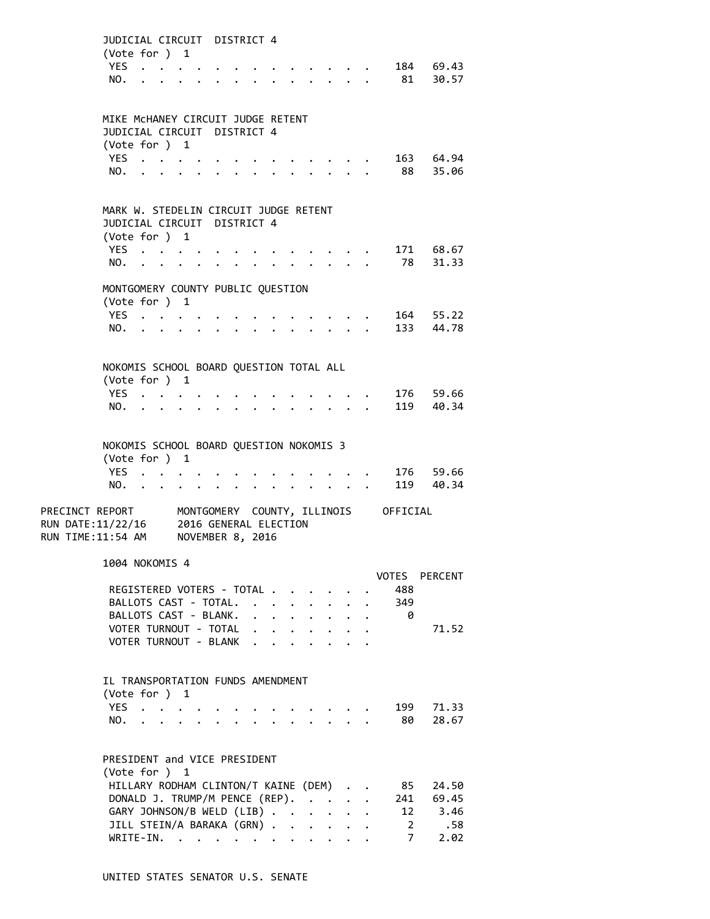|                                        | JUDICIAL CIRCUIT DISTRICT 4<br>(Vote for ) 1             |                           |  |                                           |  |                                                     |                      |                                                                 |                      |                      |                                      |                     |
|----------------------------------------|----------------------------------------------------------|---------------------------|--|-------------------------------------------|--|-----------------------------------------------------|----------------------|-----------------------------------------------------------------|----------------------|----------------------|--------------------------------------|---------------------|
|                                        | YES.<br>NO.                                              |                           |  |                                           |  |                                                     |                      |                                                                 |                      |                      | 81                                   | 184 69.43<br>30.57  |
|                                        |                                                          |                           |  |                                           |  |                                                     |                      |                                                                 |                      |                      |                                      |                     |
|                                        | MIKE MCHANEY CIRCUIT JUDGE RETENT                        |                           |  |                                           |  |                                                     |                      |                                                                 |                      |                      |                                      |                     |
|                                        | JUDICIAL CIRCUIT DISTRICT 4<br>(Vote for ) 1             |                           |  |                                           |  |                                                     |                      |                                                                 |                      |                      |                                      |                     |
|                                        | YES.                                                     |                           |  |                                           |  |                                                     |                      |                                                                 |                      |                      |                                      | 163 64.94           |
|                                        | NO.                                                      |                           |  |                                           |  |                                                     |                      |                                                                 |                      |                      | 88                                   | 35.06               |
|                                        |                                                          |                           |  |                                           |  |                                                     |                      |                                                                 |                      |                      |                                      |                     |
|                                        | MARK W. STEDELIN CIRCUIT JUDGE RETENT                    |                           |  |                                           |  |                                                     |                      |                                                                 |                      |                      |                                      |                     |
|                                        | JUDICIAL CIRCUIT DISTRICT 4                              |                           |  |                                           |  |                                                     |                      |                                                                 |                      |                      |                                      |                     |
|                                        | (Vote for ) 1<br>YES $\cdot \cdot \cdot \cdot$           |                           |  |                                           |  |                                                     |                      |                                                                 |                      |                      |                                      | 171 68.67           |
|                                        | NO.                                                      |                           |  |                                           |  |                                                     |                      |                                                                 |                      |                      | 78                                   | 31.33               |
|                                        | MONTGOMERY COUNTY PUBLIC QUESTION                        |                           |  |                                           |  |                                                     |                      |                                                                 |                      |                      |                                      |                     |
|                                        | (Vote for ) 1                                            |                           |  |                                           |  |                                                     |                      |                                                                 |                      |                      |                                      |                     |
|                                        | YES.,                                                    |                           |  |                                           |  |                                                     |                      |                                                                 |                      |                      |                                      | 164 55.22           |
|                                        | NO.                                                      | $\mathbf{r} = \mathbf{r}$ |  |                                           |  |                                                     |                      |                                                                 |                      |                      |                                      | 133 44.78           |
|                                        |                                                          |                           |  |                                           |  |                                                     |                      |                                                                 |                      |                      |                                      |                     |
|                                        | NOKOMIS SCHOOL BOARD QUESTION TOTAL ALL<br>(Vote for ) 1 |                           |  |                                           |  |                                                     |                      |                                                                 |                      |                      |                                      |                     |
|                                        | YES                                                      |                           |  |                                           |  |                                                     |                      |                                                                 |                      |                      |                                      | 176 59.66           |
|                                        | NO.                                                      |                           |  |                                           |  |                                                     |                      |                                                                 |                      |                      |                                      | 119 40.34           |
|                                        |                                                          |                           |  |                                           |  |                                                     |                      |                                                                 |                      |                      |                                      |                     |
|                                        | NOKOMIS SCHOOL BOARD QUESTION NOKOMIS 3                  |                           |  |                                           |  |                                                     |                      |                                                                 |                      |                      |                                      |                     |
|                                        | (Vote for ) 1                                            |                           |  |                                           |  |                                                     |                      |                                                                 |                      |                      |                                      |                     |
|                                        | YES.                                                     |                           |  |                                           |  |                                                     |                      |                                                                 |                      |                      |                                      | 176 59.66           |
|                                        | NO.                                                      |                           |  | $\cdot$                                   |  |                                                     |                      | $\bullet$ .<br><br><br><br><br><br><br><br><br><br><br><br><br> |                      |                      |                                      | 119 40.34           |
| PRECINCT REPORT                        |                                                          |                           |  |                                           |  |                                                     |                      |                                                                 |                      |                      | MONTGOMERY COUNTY, ILLINOIS OFFICIAL |                     |
| RUN DATE:11/22/16<br>RUN TIME:11:54 AM |                                                          |                           |  | 2016 GENERAL ELECTION<br>NOVEMBER 8, 2016 |  |                                                     |                      |                                                                 |                      |                      |                                      |                     |
|                                        |                                                          |                           |  |                                           |  |                                                     |                      |                                                                 |                      |                      |                                      |                     |
|                                        | 1004 NOKOMIS 4                                           |                           |  |                                           |  |                                                     |                      |                                                                 |                      |                      |                                      |                     |
|                                        | REGISTERED VOTERS - TOTAL                                |                           |  |                                           |  |                                                     |                      |                                                                 |                      |                      | 488                                  | VOTES PERCENT       |
|                                        | BALLOTS CAST - TOTAL. .                                  |                           |  |                                           |  |                                                     | $\ddot{\phantom{0}}$ | $\mathbf{A}$                                                    | $\ddot{\phantom{0}}$ |                      | 349                                  |                     |
|                                        | BALLOTS CAST - BLANK.                                    |                           |  |                                           |  | $\mathbf{1}$ $\mathbf{1}$ $\mathbf{1}$ $\mathbf{1}$ |                      | $\mathbf{L}$                                                    | $\mathbf{L}$         | $\mathbf{L}$         | - 0                                  |                     |
|                                        | VOTER TURNOUT - TOTAL                                    |                           |  |                                           |  |                                                     |                      | $\mathbf{r}$ , $\mathbf{r}$ , $\mathbf{r}$                      | $\mathbf{L}$         | $\mathbf{L}$         |                                      | 71.52               |
|                                        | VOTER TURNOUT - BLANK                                    |                           |  |                                           |  |                                                     | $\ddot{\phantom{a}}$ | <b>Contract Contract</b>                                        |                      |                      |                                      |                     |
|                                        |                                                          |                           |  |                                           |  |                                                     |                      |                                                                 |                      |                      |                                      |                     |
|                                        | IL TRANSPORTATION FUNDS AMENDMENT<br>(Vote for ) 1       |                           |  |                                           |  |                                                     |                      |                                                                 |                      |                      |                                      |                     |
|                                        | YES                                                      |                           |  |                                           |  |                                                     |                      |                                                                 |                      |                      | 199                                  | 71.33               |
|                                        | NO.                                                      |                           |  |                                           |  |                                                     |                      |                                                                 |                      |                      | 80                                   | 28.67               |
|                                        |                                                          |                           |  |                                           |  |                                                     |                      |                                                                 |                      |                      |                                      |                     |
|                                        | PRESIDENT and VICE PRESIDENT<br>(Vote for ) 1            |                           |  |                                           |  |                                                     |                      |                                                                 |                      |                      |                                      |                     |
|                                        | HILLARY RODHAM CLINTON/T KAINE (DEM)                     |                           |  |                                           |  |                                                     |                      |                                                                 |                      | $\ddot{\phantom{0}}$ | 85                                   | 24.50               |
|                                        | DONALD J. TRUMP/M PENCE (REP).                           |                           |  |                                           |  |                                                     |                      |                                                                 |                      |                      | 241                                  | 69.45               |
|                                        | GARY JOHNSON/B WELD (LIB)                                |                           |  |                                           |  |                                                     |                      | $\ddot{\phantom{a}}$                                            | $\mathbf{L}$         |                      | 12                                   | 3.46                |
|                                        | JILL STEIN/A BARAKA (GRN).                               |                           |  |                                           |  |                                                     | $\sim$               |                                                                 |                      |                      | $2^{\circ}$                          | .58                 |
|                                        | WRITE-IN.                                                |                           |  |                                           |  |                                                     |                      |                                                                 |                      |                      |                                      | $7^{\circ}$<br>2.02 |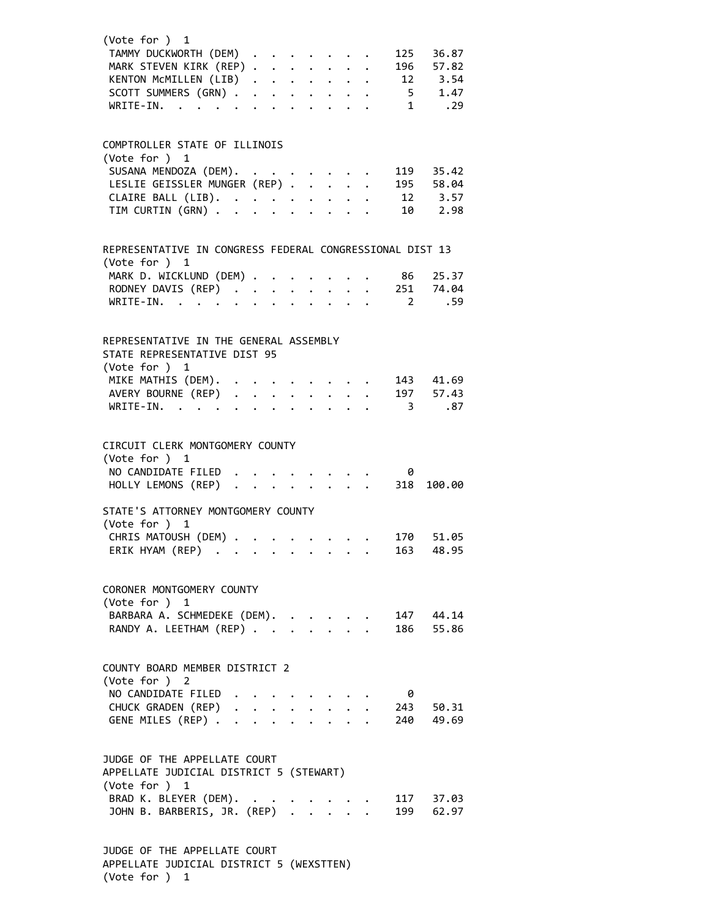| (Vote for ) 1                                                          |                      |                      |                                    |                      |                                                                                                        |  |                          |                    |  |
|------------------------------------------------------------------------|----------------------|----------------------|------------------------------------|----------------------|--------------------------------------------------------------------------------------------------------|--|--------------------------|--------------------|--|
| TAMMY DUCKWORTH (DEM)                                                  |                      |                      |                                    |                      |                                                                                                        |  | 125                      | 36.87              |  |
| MARK STEVEN KIRK (REP)<br>KENTON MCMILLEN (LIB)<br>SCOTT SUMMERS (GRN) |                      |                      |                                    |                      |                                                                                                        |  | 196                      | 57.82              |  |
|                                                                        |                      |                      |                                    |                      |                                                                                                        |  |                          | $12 \qquad 3.54$   |  |
|                                                                        |                      |                      |                                    |                      |                                                                                                        |  |                          | $5 \t 1.47$        |  |
| WRITE-IN.                                                              |                      |                      |                                    |                      |                                                                                                        |  |                          | $1 \qquad .29$     |  |
| COMPTROLLER STATE OF ILLINOIS                                          |                      |                      |                                    |                      |                                                                                                        |  |                          |                    |  |
| (Vote for ) 1                                                          |                      |                      |                                    |                      |                                                                                                        |  |                          |                    |  |
| SUSANA MENDOZA (DEM).<br>LESLIE GEISSLER MUNGER (REP)                  |                      |                      |                                    |                      |                                                                                                        |  |                          | 119 35.42          |  |
|                                                                        |                      |                      |                                    |                      |                                                                                                        |  |                          | 195 58.04          |  |
| CLAIRE BALL (LIB).<br>TIM CURTIN (GRN)                                 |                      |                      |                                    |                      | $\mathbf{r}$ . $\mathbf{r}$                                                                            |  |                          | 12 3.57<br>10 2.98 |  |
|                                                                        |                      |                      |                                    |                      |                                                                                                        |  |                          |                    |  |
| REPRESENTATIVE IN CONGRESS FEDERAL CONGRESSIONAL DIST 13               |                      |                      |                                    |                      |                                                                                                        |  |                          |                    |  |
| (Vote for ) 1                                                          |                      |                      |                                    |                      |                                                                                                        |  |                          |                    |  |
| MARK D. WICKLUND (DEM) .                                               |                      |                      |                                    |                      |                                                                                                        |  | 86                       | 25.37<br>251 74.04 |  |
| MARR D. N. (REP)<br>RODNEY DAVIS (REP)                                 |                      |                      | $\mathbb{Z}^{\mathbb{Z}^{\times}}$ |                      | $\begin{array}{ccccccccc} . & . & . & . & . & . \\ . & . & . & . & . \\ . & . & . & . & . \end{array}$ |  | $\overline{2}$           | .59                |  |
|                                                                        |                      |                      |                                    |                      |                                                                                                        |  |                          |                    |  |
| REPRESENTATIVE IN THE GENERAL ASSEMBLY<br>STATE REPRESENTATIVE DIST 95 |                      |                      |                                    |                      |                                                                                                        |  |                          |                    |  |
| (Vote for ) 1                                                          |                      |                      |                                    |                      |                                                                                                        |  |                          |                    |  |
| MIKE MATHIS (DEM).                                                     |                      |                      |                                    |                      |                                                                                                        |  |                          | 143 41.69          |  |
| AVERY BOURNE (REP)                                                     |                      |                      |                                    |                      |                                                                                                        |  |                          | 197 57.43          |  |
| WRITE-IN.                                                              |                      |                      |                                    |                      | $\mathbf{r}$ $\mathbf{r}$ $\mathbf{r}$                                                                 |  | $\overline{\phantom{a}}$ | .87                |  |
| CIRCUIT CLERK MONTGOMERY COUNTY<br>(Vote for ) 1                       |                      |                      |                                    |                      |                                                                                                        |  |                          |                    |  |
| NO CANDIDATE FILED                                                     |                      |                      |                                    |                      |                                                                                                        |  | 0                        |                    |  |
| HOLLY LEMONS (REP)                                                     | $\ddot{\phantom{a}}$ | $\ddot{\phantom{a}}$ | $\overline{a}$                     | $\ddot{\phantom{a}}$ | $\cdot$ $\cdot$ $\cdot$ $\cdot$                                                                        |  | 318                      | 100.00             |  |
| STATE'S ATTORNEY MONTGOMERY COUNTY                                     |                      |                      |                                    |                      |                                                                                                        |  |                          |                    |  |
| (Vote for ) 1<br>CHRIS MATOUSH (DEM)                                   |                      |                      |                                    |                      |                                                                                                        |  |                          | 170 51.05          |  |
| ERIK HYAM (REP)                                                        |                      |                      |                                    |                      |                                                                                                        |  |                          | 163 48.95          |  |
|                                                                        |                      |                      |                                    |                      |                                                                                                        |  |                          |                    |  |
| CORONER MONTGOMERY COUNTY<br>(Vote for ) 1                             |                      |                      |                                    |                      |                                                                                                        |  |                          |                    |  |
|                                                                        |                      |                      |                                    |                      |                                                                                                        |  |                          | 147 44.14          |  |
| BARBARA A. SCHMEDEKE (DEM).<br>RANDY A. LEETHAM (REP)                  |                      |                      |                                    |                      |                                                                                                        |  |                          | 186 55.86          |  |
| COUNTY BOARD MEMBER DISTRICT 2                                         |                      |                      |                                    |                      |                                                                                                        |  |                          |                    |  |
| (Vote for ) 2                                                          |                      |                      |                                    |                      |                                                                                                        |  |                          |                    |  |
| NO CANDIDATE FILED                                                     |                      |                      |                                    |                      |                                                                                                        |  | - 0                      |                    |  |
| CHUCK GRADEN (REP)                                                     |                      |                      |                                    |                      |                                                                                                        |  |                          | 243 50.31          |  |
| GENE MILES (REP)                                                       |                      |                      |                                    |                      |                                                                                                        |  |                          | 240 49.69          |  |
| JUDGE OF THE APPELLATE COURT                                           |                      |                      |                                    |                      |                                                                                                        |  |                          |                    |  |
| APPELLATE JUDICIAL DISTRICT 5 (STEWART)                                |                      |                      |                                    |                      |                                                                                                        |  |                          |                    |  |
| (Vote for ) 1                                                          |                      |                      |                                    |                      |                                                                                                        |  |                          |                    |  |
| BRAD K. BLEYER (DEM).                                                  |                      |                      |                                    |                      |                                                                                                        |  |                          | 117 37.03          |  |
| JOHN B. BARBERIS, JR. (REP)                                            |                      |                      |                                    |                      |                                                                                                        |  |                          | 199 62.97          |  |
|                                                                        |                      |                      |                                    |                      |                                                                                                        |  |                          |                    |  |

JUDGE OF THE APPELLATE COURT APPELLATE JUDICIAL DISTRICT 5 (WEXSTTEN) (Vote for ) 1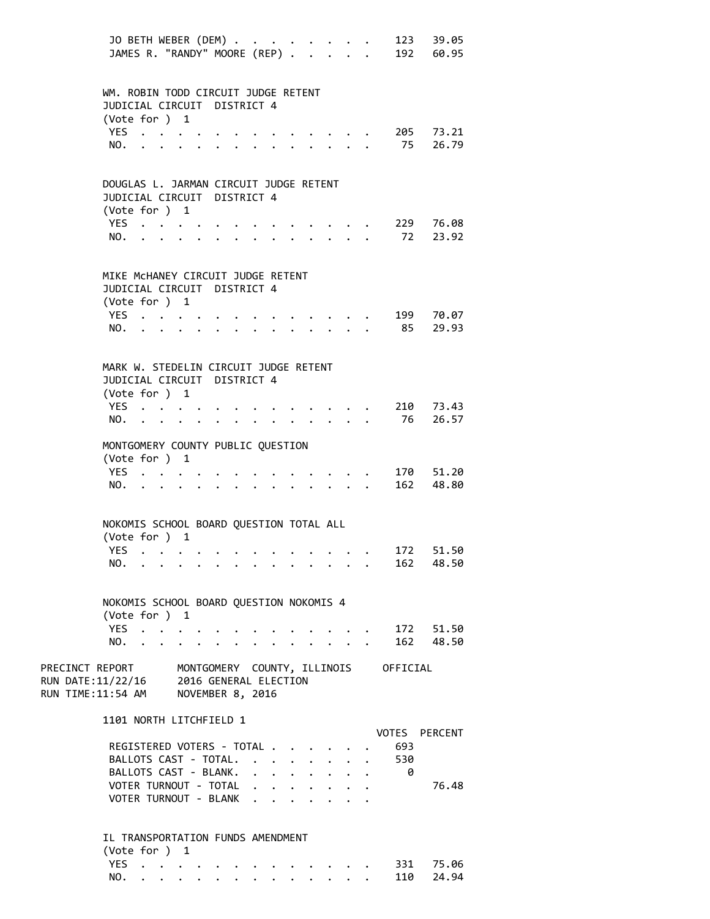|                                                                                                                      | JO BETH WEBER (DEM)                                                                    |  |                      |                      |                                                                                                    |  |                                                         |                                 |                                                   |                                  | 123 39.05<br>JAMES R. "RANDY" MOORE (REP) 192 60.95 |  |
|----------------------------------------------------------------------------------------------------------------------|----------------------------------------------------------------------------------------|--|----------------------|----------------------|----------------------------------------------------------------------------------------------------|--|---------------------------------------------------------|---------------------------------|---------------------------------------------------|----------------------------------|-----------------------------------------------------|--|
|                                                                                                                      | WM. ROBIN TODD CIRCUIT JUDGE RETENT<br>JUDICIAL CIRCUIT DISTRICT 4<br>(Vote for ) 1    |  |                      |                      |                                                                                                    |  |                                                         |                                 |                                                   |                                  |                                                     |  |
|                                                                                                                      | YES $\cdot \cdot \cdot \cdot$<br>NO.                                                   |  |                      |                      | $\cdot$ $\cdot$ $\cdot$ $\cdot$ $\cdot$ $\cdot$                                                    |  |                                                         |                                 | $\cdot$ $\cdot$ $\cdot$ $\cdot$ $\cdot$ $\cdot$   | 75                               | 205 73.21<br>26.79                                  |  |
|                                                                                                                      | DOUGLAS L. JARMAN CIRCUIT JUDGE RETENT<br>JUDICIAL CIRCUIT DISTRICT 4<br>(Vote for ) 1 |  |                      |                      |                                                                                                    |  |                                                         |                                 |                                                   |                                  |                                                     |  |
|                                                                                                                      | YES<br>NO.                                                                             |  |                      |                      | $\cdot$ $\cdot$ $\cdot$ $\cdot$ $\cdot$                                                            |  |                                                         |                                 | $\sim$ $\sim$ $\sim$ $\sim$ $\sim$                | 72                               | 229 76.08<br>23.92                                  |  |
|                                                                                                                      | MIKE MCHANEY CIRCUIT JUDGE RETENT<br>JUDICIAL CIRCUIT DISTRICT 4<br>(Vote for ) 1      |  |                      |                      |                                                                                                    |  |                                                         |                                 |                                                   |                                  |                                                     |  |
|                                                                                                                      | YES<br>NO.                                                                             |  |                      | $\ddot{\phantom{0}}$ | $\mathbf{r} = \mathbf{r} \cdot \mathbf{r}$ . The set of $\mathbf{r} = \mathbf{r} \cdot \mathbf{r}$ |  |                                                         |                                 |                                                   | 85                               | 199 70.07<br>29.93                                  |  |
|                                                                                                                      | MARK W. STEDELIN CIRCUIT JUDGE RETENT<br>JUDICIAL CIRCUIT DISTRICT 4                   |  |                      |                      |                                                                                                    |  |                                                         |                                 |                                                   |                                  |                                                     |  |
|                                                                                                                      | (Vote for ) 1<br>YES<br>NO.                                                            |  | $\ddot{\phantom{0}}$ |                      |                                                                                                    |  |                                                         |                                 |                                                   | 76                               | 210 73.43<br>26.57                                  |  |
|                                                                                                                      | MONTGOMERY COUNTY PUBLIC QUESTION<br>(Vote for ) 1<br>YES                              |  |                      |                      |                                                                                                    |  |                                                         |                                 |                                                   |                                  | 170 51.20                                           |  |
|                                                                                                                      | NO.                                                                                    |  |                      |                      |                                                                                                    |  |                                                         | $\cdot$ $\cdot$ $\cdot$ $\cdot$ |                                                   | $\bullet$ . The set of $\bullet$ | 162 48.80                                           |  |
|                                                                                                                      | NOKOMIS SCHOOL BOARD QUESTION TOTAL ALL<br>(Vote for ) 1<br>YES                        |  |                      |                      |                                                                                                    |  |                                                         |                                 |                                                   | 172                              | 51.50                                               |  |
|                                                                                                                      | NO.                                                                                    |  |                      |                      |                                                                                                    |  |                                                         |                                 |                                                   |                                  | 162 48.50                                           |  |
|                                                                                                                      | NOKOMIS SCHOOL BOARD QUESTION NOKOMIS 4<br>(Vote for ) 1                               |  |                      |                      |                                                                                                    |  |                                                         |                                 |                                                   |                                  |                                                     |  |
|                                                                                                                      | YES.<br>NO.                                                                            |  |                      |                      |                                                                                                    |  |                                                         |                                 | $\sim$ $\sim$ $\sim$<br>$\mathbf{L} = \mathbf{L}$ |                                  | . 172 51.50<br>162 48.50                            |  |
| PRECINCT REPORT MONTGOMERY COUNTY, ILLINOIS OFFICIAL<br>RUN DATE:11/22/16 2016 GENERAL ELECTION<br>RUN TIME:11:54 AM |                                                                                        |  |                      |                      | NOVEMBER 8, 2016                                                                                   |  |                                                         |                                 |                                                   |                                  |                                                     |  |
|                                                                                                                      | 1101 NORTH LITCHFIELD 1                                                                |  |                      |                      |                                                                                                    |  |                                                         |                                 |                                                   |                                  | VOTES PERCENT                                       |  |
|                                                                                                                      | REGISTERED VOTERS - TOTAL<br>BALLOTS CAST - TOTAL.<br>BALLOTS CAST - BLANK.            |  |                      |                      |                                                                                                    |  | $\cdot$ $\cdot$ $\cdot$ $\cdot$ $\cdot$ $\cdot$ $\cdot$ |                                 |                                                   | 693<br>530<br>- 0                |                                                     |  |
|                                                                                                                      | VOTER TURNOUT - TOTAL<br>VOTER TURNOUT - BLANK                                         |  |                      |                      |                                                                                                    |  |                                                         |                                 |                                                   |                                  | 76.48                                               |  |
|                                                                                                                      | IL TRANSPORTATION FUNDS AMENDMENT<br>(Vote for ) 1                                     |  |                      |                      |                                                                                                    |  |                                                         |                                 |                                                   |                                  |                                                     |  |
|                                                                                                                      | YES                                                                                    |  |                      |                      |                                                                                                    |  |                                                         |                                 |                                                   |                                  | . 331 75.06                                         |  |

NO. . . . . . . . . . . . . . 110 24.94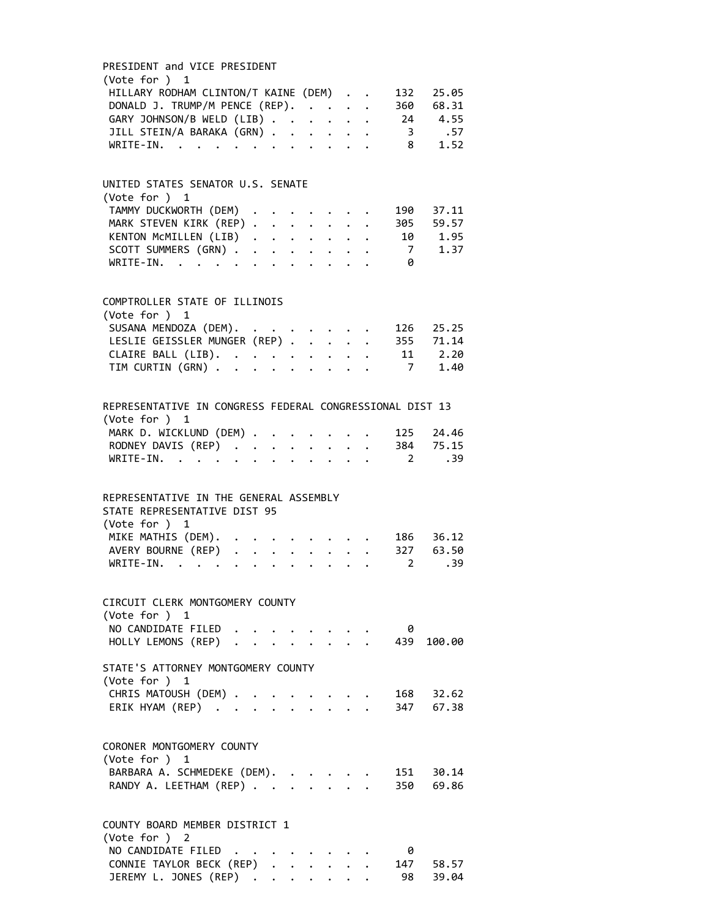| PRESIDENT and VICE PRESIDENT                                                       |                                        |              |  |  |                         |            |
|------------------------------------------------------------------------------------|----------------------------------------|--------------|--|--|-------------------------|------------|
| (Vote for ) 1                                                                      |                                        |              |  |  |                         |            |
| HILLARY RODHAM CLINTON/T KAINE (DEM)                                               |                                        |              |  |  | 132                     | 25.05      |
| DONALD J. TRUMP/M PENCE (REP).                                                     |                                        |              |  |  |                         | 360 68.31  |
| GARY JOHNSON/B WELD (LIB)                                                          |                                        |              |  |  |                         | 24 4.55    |
| JILL STEIN/A BARAKA (GRN)                                                          |                                        |              |  |  | $\overline{\mathbf{3}}$ | .57        |
| WRITE-IN.<br>. The second contract of the second contract $\mathcal{L}_\mathbf{r}$ |                                        |              |  |  | 8 <sup>1</sup>          | 1.52       |
|                                                                                    |                                        |              |  |  |                         |            |
|                                                                                    |                                        |              |  |  |                         |            |
| UNITED STATES SENATOR U.S. SENATE<br>(Vote for ) 1                                 |                                        |              |  |  |                         |            |
|                                                                                    |                                        |              |  |  |                         | 190 37.11  |
| TAMMY DUCKWORTH (DEM) .                                                            |                                        |              |  |  |                         |            |
| MARK STEVEN KIRK (REP)                                                             |                                        |              |  |  |                         | 305 59.57  |
| KENTON MCMILLEN (LIB)                                                              |                                        |              |  |  |                         | 10 1.95    |
| SCOTT SUMMERS (GRN)                                                                |                                        |              |  |  |                         | 7 1.37     |
| WRITE-IN.                                                                          |                                        |              |  |  | - 0                     |            |
|                                                                                    |                                        |              |  |  |                         |            |
| COMPTROLLER STATE OF ILLINOIS                                                      |                                        |              |  |  |                         |            |
| (Vote for $)$ 1                                                                    |                                        |              |  |  |                         |            |
| SUSANA MENDOZA (DEM).<br>LESLIE GEISSLER MUNGER (REP)                              |                                        |              |  |  |                         | 126 25.25  |
|                                                                                    |                                        |              |  |  |                         | 355 71.14  |
|                                                                                    |                                        |              |  |  |                         | 11 2.20    |
| CLAIRE BALL (LIB).<br>TIM CURTIN (GRN)                                             |                                        |              |  |  |                         | 7 1.40     |
|                                                                                    |                                        |              |  |  |                         |            |
|                                                                                    |                                        |              |  |  |                         |            |
| REPRESENTATIVE IN CONGRESS FEDERAL CONGRESSIONAL DIST 13                           |                                        |              |  |  |                         |            |
| (Vote for ) 1                                                                      |                                        |              |  |  |                         |            |
| MARK D. WICKLUND (DEM)                                                             |                                        |              |  |  |                         | 125 24.46  |
| RODNEY DAVIS (REP) 384 75.15                                                       |                                        |              |  |  |                         |            |
| WRITE-IN.                                                                          |                                        |              |  |  | $\sim$ 2                | .39        |
| REPRESENTATIVE IN THE GENERAL ASSEMBLY                                             |                                        |              |  |  |                         |            |
| STATE REPRESENTATIVE DIST 95                                                       |                                        |              |  |  |                         |            |
| (Vote for ) 1                                                                      |                                        |              |  |  |                         |            |
| MIKE MATHIS (DEM).                                                                 |                                        |              |  |  |                         | 186 36.12  |
| AVERY BOURNE (REP)                                                                 |                                        |              |  |  |                         | 327 63.50  |
| WRITE-IN.                                                                          |                                        |              |  |  | $2^{\circ}$             | .39        |
|                                                                                    |                                        |              |  |  |                         |            |
|                                                                                    |                                        |              |  |  |                         |            |
| CIRCUIT CLERK MONTGOMERY COUNTY                                                    |                                        |              |  |  |                         |            |
| (Vote for ) 1                                                                      |                                        |              |  |  |                         |            |
| NO CANDIDATE FILED                                                                 |                                        |              |  |  | 0                       |            |
| HOLLY LEMONS (REP)                                                                 | $\mathbf{L}^{\text{max}}$              |              |  |  |                         | 439 100.00 |
| STATE'S ATTORNEY MONTGOMERY COUNTY                                                 |                                        |              |  |  |                         |            |
| (Vote for $)$ 1                                                                    |                                        |              |  |  |                         |            |
| CHRIS MATOUSH (DEM) .                                                              |                                        |              |  |  |                         | 168 32.62  |
|                                                                                    |                                        |              |  |  |                         | 347 67.38  |
| ERIK HYAM (REP)                                                                    |                                        |              |  |  |                         |            |
|                                                                                    |                                        |              |  |  |                         |            |
| CORONER MONTGOMERY COUNTY                                                          |                                        |              |  |  |                         |            |
| (Vote for ) 1                                                                      |                                        |              |  |  |                         |            |
| BARBARA A. SCHMEDEKE (DEM).                                                        |                                        |              |  |  |                         | 151 30.14  |
| RANDY A. LEETHAM (REP)                                                             |                                        | $\mathbf{r}$ |  |  |                         | 350 69.86  |
|                                                                                    |                                        |              |  |  |                         |            |
| COUNTY BOARD MEMBER DISTRICT 1                                                     |                                        |              |  |  |                         |            |
| (Vote for ) 2                                                                      |                                        |              |  |  |                         |            |
| NO CANDIDATE FILED                                                                 |                                        |              |  |  | 0                       |            |
| CONNIE TAYLOR BECK (REP).                                                          |                                        |              |  |  |                         | 147 58.57  |
| JEREMY L. JONES (REP)                                                              | $\mathbf{r}$ . The set of $\mathbf{r}$ |              |  |  |                         | 98 39.04   |
|                                                                                    |                                        |              |  |  |                         |            |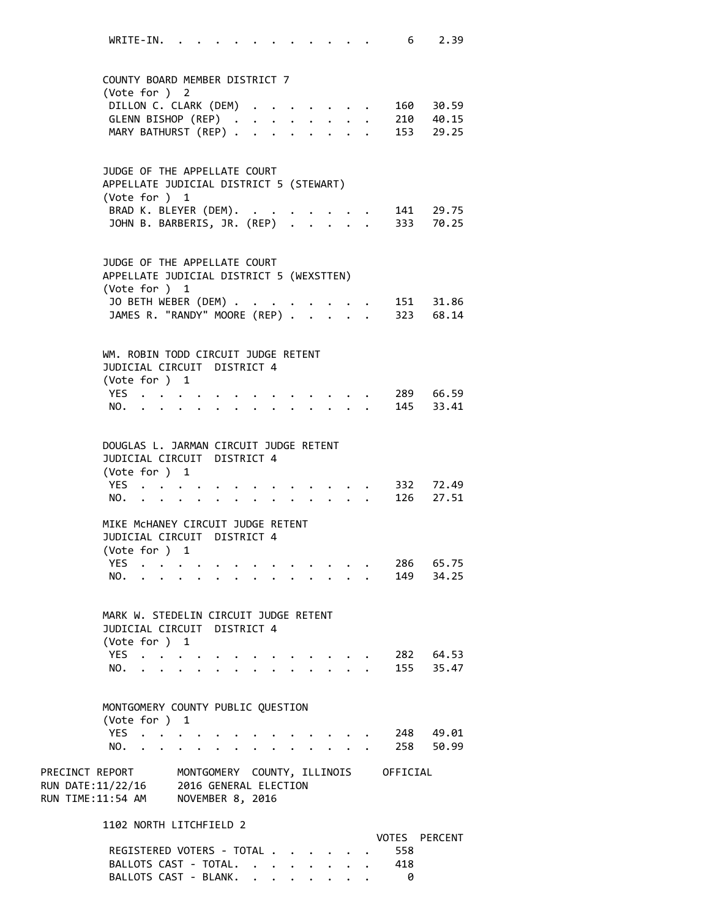| 2.39<br>WRITE-IN.<br>6                                                                                                                                                                                  |  |
|---------------------------------------------------------------------------------------------------------------------------------------------------------------------------------------------------------|--|
| COUNTY BOARD MEMBER DISTRICT 7<br>(Vote for ) 2<br>DILLON C. CLARK (DEM)<br>. 160 30.59<br><b>Service Control</b><br>GLENN BISHOP (REP)<br>. 210 40.15<br>MARY BATHURST (REP)<br>153 29.25              |  |
| JUDGE OF THE APPELLATE COURT<br>APPELLATE JUDICIAL DISTRICT 5 (STEWART)<br>(Vote for ) 1<br>BRAD K. BLEYER (DEM).<br>. 141 29.75<br>JOHN B. BARBERIS, JR. (REP) .<br>333 70.25                          |  |
| JUDGE OF THE APPELLATE COURT<br>APPELLATE JUDICIAL DISTRICT 5 (WEXSTTEN)<br>(Vote for ) 1<br>JO BETH WEBER (DEM)<br>$\cdot$ $\cdot$ 151 31.86<br>JAMES R. "RANDY" MOORE (REP)<br>323 68.14              |  |
| WM. ROBIN TODD CIRCUIT JUDGE RETENT<br>JUDICIAL CIRCUIT DISTRICT 4<br>(Vote for ) 1<br>289 66.59<br>YES<br>145 33.41<br>NO.<br>$\mathbf{L}$<br>$\ddot{\phantom{0}}$<br>$\ddot{\phantom{0}}$             |  |
| DOUGLAS L. JARMAN CIRCUIT JUDGE RETENT<br>JUDICIAL CIRCUIT DISTRICT 4<br>(Vote for ) 1<br>YES<br>332 72.49<br>126 27.51<br>NO.<br>$\cdot$ $\cdot$                                                       |  |
| MIKE MCHANEY CIRCUIT JUDGE RETENT<br>JUDICIAL CIRCUIT DISTRICT 4<br>(Vote for )<br>$\mathbf{1}$<br>286 65.75<br>YES.<br>149 34.25<br>NO.                                                                |  |
| MARK W. STEDELIN CIRCUIT JUDGE RETENT<br>JUDICIAL CIRCUIT DISTRICT 4<br>(Vote for ) 1<br>YES.<br>282 64.53<br>155 35.47<br>NO.                                                                          |  |
| MONTGOMERY COUNTY PUBLIC QUESTION<br>(Vote for ) $1$<br>YES.<br>248 49.01<br>$\mathcal{L}(\mathcal{L})$ , and $\mathcal{L}(\mathcal{L})$<br>258 50.99<br>NO.<br>$\cdot$ $\cdot$ $\cdot$ $\cdot$ $\cdot$ |  |
| PRECINCT REPORT MONTGOMERY COUNTY, ILLINOIS OFFICIAL<br>RUN DATE:11/22/16 2016 GENERAL ELECTION<br>RUN TIME:11:54 AM NOVEMBER 8, 2016                                                                   |  |
| 1102 NORTH LITCHFIELD 2<br>VOTES PERCENT<br>REGISTERED VOTERS - TOTAL .<br>558<br>418<br>BALLOTS CAST - TOTAL.                                                                                          |  |

BALLOTS CAST - BLANK. . . . . . . . 0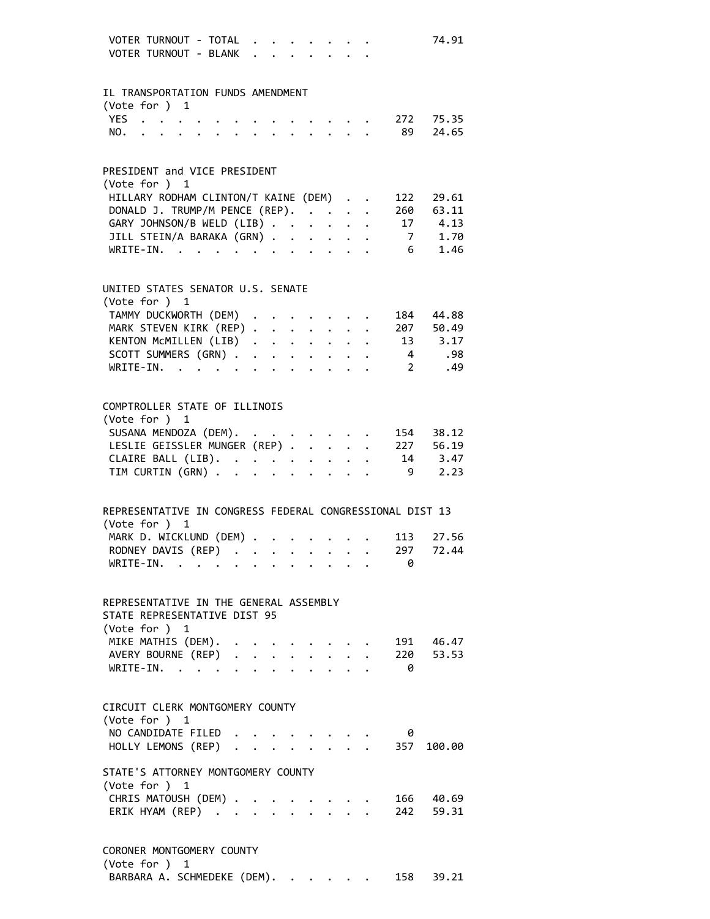| VOTER TURNOUT - TOTAL<br>VOTER TURNOUT - BLANK                                                                                                                                                                                        |  |  |  |  |             | 74.91             |
|---------------------------------------------------------------------------------------------------------------------------------------------------------------------------------------------------------------------------------------|--|--|--|--|-------------|-------------------|
| IL TRANSPORTATION FUNDS AMENDMENT                                                                                                                                                                                                     |  |  |  |  |             |                   |
| (Vote for $)$ 1                                                                                                                                                                                                                       |  |  |  |  |             |                   |
| YES $\cdot \cdot \cdot \cdot$                                                                                                                                                                                                         |  |  |  |  |             | $\cdot$ 272 75.35 |
| and the contract of the contract of the contract of the contract of the contract of the contract of the contract of the contract of the contract of the contract of the contract of the contract of the contract of the contra<br>NO. |  |  |  |  |             | $\cdot$ 89 24.65  |
| PRESIDENT and VICE PRESIDENT                                                                                                                                                                                                          |  |  |  |  |             |                   |
| (Vote for ) 1                                                                                                                                                                                                                         |  |  |  |  |             |                   |
| HILLARY RODHAM CLINTON/T KAINE (DEM)                                                                                                                                                                                                  |  |  |  |  | 122         | 29.61             |
| DONALD J. TRUMP/M PENCE (REP).                                                                                                                                                                                                        |  |  |  |  |             | 260 63.11         |
| GARY JOHNSON/B WELD (LIB)                                                                                                                                                                                                             |  |  |  |  |             | 17 4.13           |
| JILL STEIN/A BARAKA (GRN)                                                                                                                                                                                                             |  |  |  |  |             | 7 1.70            |
| WRITE-IN.                                                                                                                                                                                                                             |  |  |  |  |             | 6 1.46            |
| UNITED STATES SENATOR U.S. SENATE                                                                                                                                                                                                     |  |  |  |  |             |                   |
| (Vote for ) 1                                                                                                                                                                                                                         |  |  |  |  |             |                   |
| TAMMY DUCKWORTH (DEM) .                                                                                                                                                                                                               |  |  |  |  |             | 184 44.88         |
| MARK STEVEN KIRK (REP)                                                                                                                                                                                                                |  |  |  |  |             | 207 50.49         |
|                                                                                                                                                                                                                                       |  |  |  |  |             | 13 3.17           |
| KENTON MCMILLEN (LIB)<br>SCOTT SUMMERS (GRN)                                                                                                                                                                                          |  |  |  |  |             | 4.98              |
| WRITE-IN.                                                                                                                                                                                                                             |  |  |  |  | $2^{\circ}$ | .49               |
| COMPTROLLER STATE OF ILLINOIS                                                                                                                                                                                                         |  |  |  |  |             |                   |
| (Vote for ) 1                                                                                                                                                                                                                         |  |  |  |  |             |                   |
| SUSANA MENDOZA (DEM). .                                                                                                                                                                                                               |  |  |  |  |             | 154 38.12         |
| LESLIE GEISSLER MUNGER (REP)                                                                                                                                                                                                          |  |  |  |  |             | 227 56.19         |
| CLAIRE BALL (LIB).                                                                                                                                                                                                                    |  |  |  |  |             | 14 3.47           |
| TIM CURTIN (GRN)                                                                                                                                                                                                                      |  |  |  |  | -9          | 2.23              |
| REPRESENTATIVE IN CONGRESS FEDERAL CONGRESSIONAL DIST 13                                                                                                                                                                              |  |  |  |  |             |                   |
| (Vote for )<br>1                                                                                                                                                                                                                      |  |  |  |  |             |                   |
| MARK D. WICKLUND (DEM)                                                                                                                                                                                                                |  |  |  |  | 113         | 27.56             |
| RODNEY DAVIS (REP)                                                                                                                                                                                                                    |  |  |  |  |             | 297 72.44         |
| $WRITE-IN.$                                                                                                                                                                                                                           |  |  |  |  | 0           |                   |
|                                                                                                                                                                                                                                       |  |  |  |  |             |                   |
| REPRESENTATIVE IN THE GENERAL ASSEMBLY                                                                                                                                                                                                |  |  |  |  |             |                   |
| STATE REPRESENTATIVE DIST 95                                                                                                                                                                                                          |  |  |  |  |             |                   |
| (Vote for ) 1                                                                                                                                                                                                                         |  |  |  |  |             |                   |
|                                                                                                                                                                                                                                       |  |  |  |  |             |                   |
|                                                                                                                                                                                                                                       |  |  |  |  |             |                   |
| VILNE MAINIS (UEM). 191 46.47<br>AVERY BOURNE (REP) 220 53.53<br>WRITE-IN. 0                                                                                                                                                          |  |  |  |  |             |                   |
| CIRCUIT CLERK MONTGOMERY COUNTY                                                                                                                                                                                                       |  |  |  |  |             |                   |
| (Vote for ) 1                                                                                                                                                                                                                         |  |  |  |  |             |                   |
| NO CANDIDATE FILED                                                                                                                                                                                                                    |  |  |  |  | 0           |                   |
| HOLLY LEMONS (REP) 357 100.00                                                                                                                                                                                                         |  |  |  |  |             |                   |
| STATE'S ATTORNEY MONTGOMERY COUNTY<br>(Vote for ) 1                                                                                                                                                                                   |  |  |  |  |             |                   |
|                                                                                                                                                                                                                                       |  |  |  |  |             | 166 40.69         |
| CHRIS MATOUSH (DEM) .<br>ERIK HYAM (REP)                                                                                                                                                                                              |  |  |  |  |             | 242 59.31         |
| CORONER MONTGOMERY COUNTY                                                                                                                                                                                                             |  |  |  |  |             |                   |

BARBARA A. SCHMEDEKE (DEM). . . . . . 158 39.21

(Vote for ) 1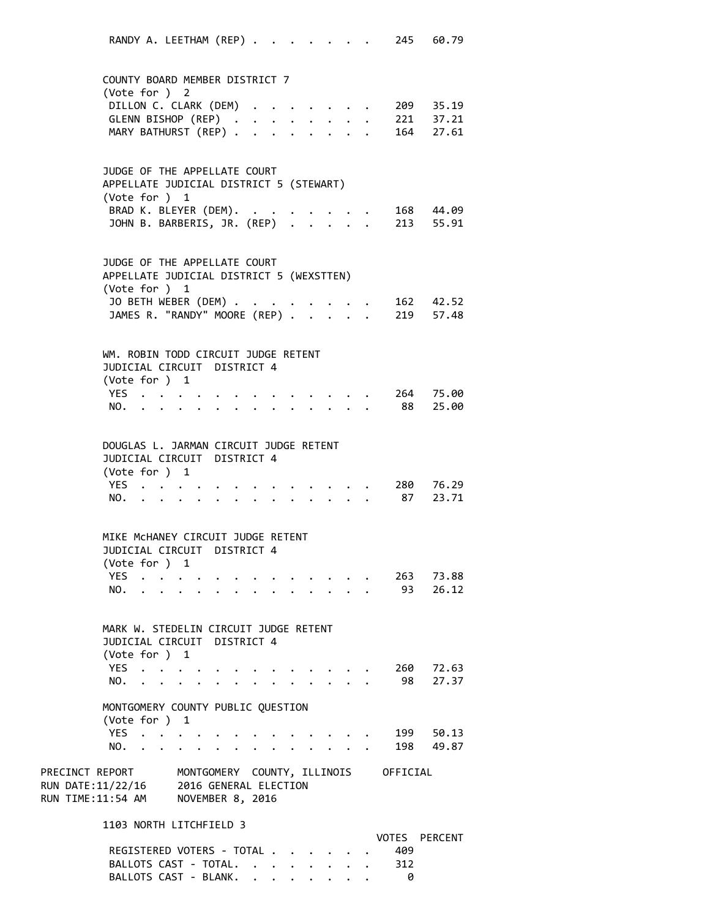RANDY A. LEETHAM (REP) . . . . . . . 245 60.79 COUNTY BOARD MEMBER DISTRICT 7 (Vote for ) 2 DILLON C. CLARK (DEM) . . . . . . . 209 35.19 GLENN BISHOP (REP) . . . . . . . . 221 37.21 MARY BATHURST (REP) . . . . . . . . 164 27.61 JUDGE OF THE APPELLATE COURT APPELLATE JUDICIAL DISTRICT 5 (STEWART) (Vote for ) 1 BRAD K. BLEYER (DEM). . . . . . . . 168 44.09 JOHN B. BARBERIS, JR. (REP) . . . . . 213 55.91 JUDGE OF THE APPELLATE COURT APPELLATE JUDICIAL DISTRICT 5 (WEXSTTEN) (Vote for ) 1 JO BETH WEBER (DEM) . . . . . . . . 162 42.52 JAMES R. "RANDY" MOORE (REP) . . . . 219 57.48 WM. ROBIN TODD CIRCUIT JUDGE RETENT JUDICIAL CIRCUIT DISTRICT 4 (Vote for ) 1 YES . . . . . . . . . . . . . 264 75.00 NO. . . . . . . . . . . . . . 88 25.00 DOUGLAS L. JARMAN CIRCUIT JUDGE RETENT JUDICIAL CIRCUIT DISTRICT 4 (Vote for ) 1 YES . . . . . . . . . . . . . 280 76.29 NO. . . . . . . . . . . . . . 87 23.71 MIKE McHANEY CIRCUIT JUDGE RETENT JUDICIAL CIRCUIT DISTRICT 4 (Vote for ) 1 YES . . . . . . . . . . . . . 263 73.88 NO. . . . . . . . . . . . . . 93 26.12 MARK W. STEDELIN CIRCUIT JUDGE RETENT JUDICIAL CIRCUIT DISTRICT 4 (Vote for ) 1 YES . . . . . . . . . . . . . 260 72.63 NO. . . . . . . . . . . . . . 98 27.37 MONTGOMERY COUNTY PUBLIC QUESTION (Vote for ) 1 YES . . . . . . . . . . . . . 199 50.13 NO. . . . . . . . . . . . . . 198 49.87 PRECINCT REPORT MONTGOMERY COUNTY, ILLINOIS OFFICIAL RUN DATE:11/22/16 2016 GENERAL ELECTION RUN TIME:11:54 AM NOVEMBER 8, 2016 1103 NORTH LITCHFIELD 3 VOTES PERCENT REGISTERED VOTERS - TOTAL . . . . . . 409 BALLOTS CAST - TOTAL. . . . . . . . 312

BALLOTS CAST - BLANK. . . . . . . . 0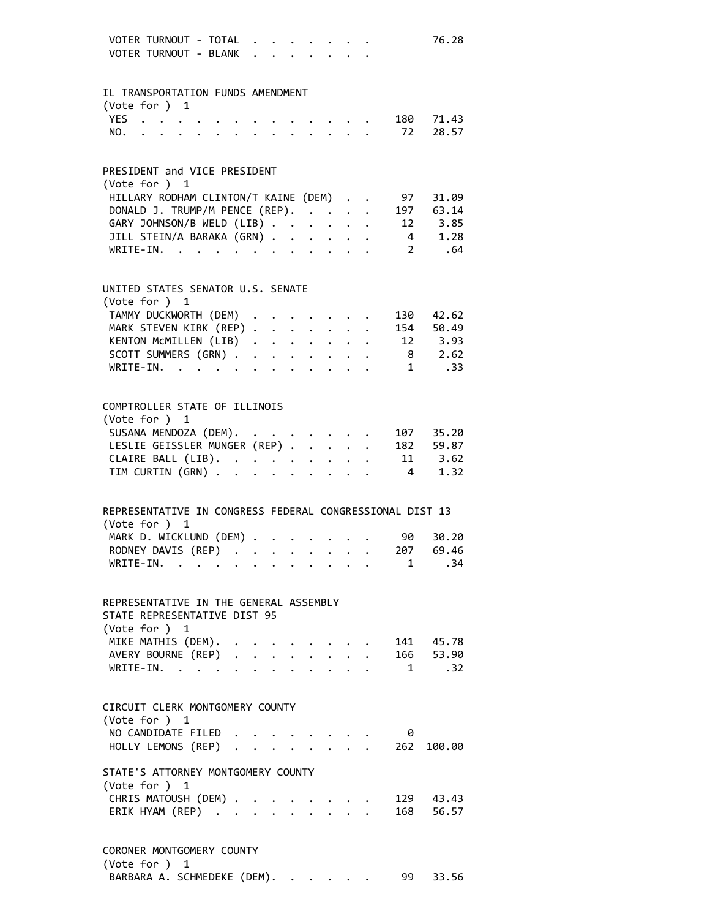| VOTER TURNOUT - TOTAL<br>VOTER TURNOUT - BLANK                                                                                                                                                                                           |  |                                                       |  |  |                                                         |                | 76.28                          |
|------------------------------------------------------------------------------------------------------------------------------------------------------------------------------------------------------------------------------------------|--|-------------------------------------------------------|--|--|---------------------------------------------------------|----------------|--------------------------------|
| IL TRANSPORTATION FUNDS AMENDMENT                                                                                                                                                                                                        |  |                                                       |  |  |                                                         |                |                                |
| (Vote for ) $1$                                                                                                                                                                                                                          |  |                                                       |  |  |                                                         |                |                                |
| YES $\cdot \cdot \cdot \cdot$                                                                                                                                                                                                            |  |                                                       |  |  |                                                         |                | $\cdot$ 180 71.43              |
| $\mathbf{r}$ . The set of the set of the set of the set of the set of the set of the set of the set of the set of the set of the set of the set of the set of the set of the set of the set of the set of the set of the set of t<br>NO. |  |                                                       |  |  |                                                         |                | $\cdot$ 72 28.57               |
|                                                                                                                                                                                                                                          |  |                                                       |  |  |                                                         |                |                                |
| PRESIDENT and VICE PRESIDENT                                                                                                                                                                                                             |  |                                                       |  |  |                                                         |                |                                |
| (Vote for ) 1                                                                                                                                                                                                                            |  |                                                       |  |  |                                                         |                |                                |
| HILLARY RODHAM CLINTON/T KAINE (DEM)                                                                                                                                                                                                     |  |                                                       |  |  |                                                         |                | 97 31.09                       |
| DONALD J. TRUMP/M PENCE (REP).                                                                                                                                                                                                           |  |                                                       |  |  |                                                         |                | 197 63.14                      |
| GARY JOHNSON/B WELD (LIB)                                                                                                                                                                                                                |  |                                                       |  |  |                                                         |                | 12 3.85                        |
| JILL STEIN/A BARAKA (GRN)                                                                                                                                                                                                                |  |                                                       |  |  |                                                         |                | 4 1.28                         |
| $WRITE-IN.$                                                                                                                                                                                                                              |  | $\mathbf{r} = \mathbf{r} + \mathbf{r} + \mathbf{r}$ . |  |  |                                                         |                | $2^{\sim}$<br>.64              |
| UNITED STATES SENATOR U.S. SENATE                                                                                                                                                                                                        |  |                                                       |  |  |                                                         |                |                                |
| (Vote for ) 1                                                                                                                                                                                                                            |  |                                                       |  |  |                                                         |                |                                |
| TAMMY DUCKWORTH (DEM) .                                                                                                                                                                                                                  |  |                                                       |  |  |                                                         |                | 130 42.62                      |
| MARK STEVEN KIRK (REP)                                                                                                                                                                                                                   |  |                                                       |  |  |                                                         |                | 154 50.49                      |
| KENTON MCMILLEN (LIB)                                                                                                                                                                                                                    |  |                                                       |  |  |                                                         |                | 12 3.93                        |
| SCOTT SUMMERS (GRN)                                                                                                                                                                                                                      |  |                                                       |  |  |                                                         |                | 8 2.62                         |
| WRITE-IN.                                                                                                                                                                                                                                |  |                                                       |  |  |                                                         | 1              | .33                            |
| COMPTROLLER STATE OF ILLINOIS                                                                                                                                                                                                            |  |                                                       |  |  |                                                         |                |                                |
| (Vote for ) 1                                                                                                                                                                                                                            |  |                                                       |  |  |                                                         |                |                                |
| SUSANA MENDOZA (DEM).                                                                                                                                                                                                                    |  |                                                       |  |  |                                                         |                | 107 35.20                      |
| LESLIE GEISSLER MUNGER (REP)                                                                                                                                                                                                             |  |                                                       |  |  |                                                         |                | 182 59.87                      |
| CLAIRE BALL (LIB).<br>TIM CURTIN (GRN)                                                                                                                                                                                                   |  |                                                       |  |  |                                                         |                | 11 3.62                        |
| TIM CURTIN (GRN)                                                                                                                                                                                                                         |  |                                                       |  |  |                                                         | $\overline{4}$ | 1.32                           |
| REPRESENTATIVE IN CONGRESS FEDERAL CONGRESSIONAL DIST 13                                                                                                                                                                                 |  |                                                       |  |  |                                                         |                |                                |
| (Vote for )<br>1                                                                                                                                                                                                                         |  |                                                       |  |  |                                                         |                |                                |
| MARK D. WICKLUND (DEM)                                                                                                                                                                                                                   |  |                                                       |  |  |                                                         | 90             | 30.20                          |
| RODNEY DAVIS (REP) 207 69.46                                                                                                                                                                                                             |  |                                                       |  |  |                                                         |                |                                |
| WRITE-IN.                                                                                                                                                                                                                                |  |                                                       |  |  |                                                         |                | . 34<br>$1 \quad \blacksquare$ |
|                                                                                                                                                                                                                                          |  |                                                       |  |  |                                                         |                |                                |
| REPRESENTATIVE IN THE GENERAL ASSEMBLY                                                                                                                                                                                                   |  |                                                       |  |  |                                                         |                |                                |
| STATE REPRESENTATIVE DIST 95                                                                                                                                                                                                             |  |                                                       |  |  |                                                         |                |                                |
| (Vote for ) 1                                                                                                                                                                                                                            |  |                                                       |  |  |                                                         |                |                                |
|                                                                                                                                                                                                                                          |  |                                                       |  |  |                                                         |                |                                |
|                                                                                                                                                                                                                                          |  |                                                       |  |  |                                                         |                |                                |
| MIKE MATHIS (DEM). 141 45.78<br>AVERY BOURNE (REP) 166 53.90<br>WRITE-IN. 1 .32                                                                                                                                                          |  |                                                       |  |  |                                                         |                |                                |
|                                                                                                                                                                                                                                          |  |                                                       |  |  |                                                         |                |                                |
| CIRCUIT CLERK MONTGOMERY COUNTY                                                                                                                                                                                                          |  |                                                       |  |  |                                                         |                |                                |
| (Vote for ) 1                                                                                                                                                                                                                            |  |                                                       |  |  |                                                         |                |                                |
| NO CANDIDATE FILED                                                                                                                                                                                                                       |  |                                                       |  |  | $\cdot$ $\cdot$ $\cdot$ $\cdot$ $\cdot$ $\cdot$ $\cdot$ | 0              |                                |
| HOLLY LEMONS (REP) 262                                                                                                                                                                                                                   |  |                                                       |  |  |                                                         |                | 100.00                         |
| STATE'S ATTORNEY MONTGOMERY COUNTY                                                                                                                                                                                                       |  |                                                       |  |  |                                                         |                |                                |
| (Vote for ) 1                                                                                                                                                                                                                            |  |                                                       |  |  |                                                         |                |                                |
| CHRIS MATOUSH (DEM) .                                                                                                                                                                                                                    |  |                                                       |  |  |                                                         |                | 129 43.43                      |
| ERIK HYAM (REP)                                                                                                                                                                                                                          |  |                                                       |  |  |                                                         |                | 168 56.57                      |
| CORONER MONTGOMERY COUNTY                                                                                                                                                                                                                |  |                                                       |  |  |                                                         |                |                                |

(Vote for ) 1 BARBARA A. SCHMEDEKE (DEM). . . . . . 99 33.56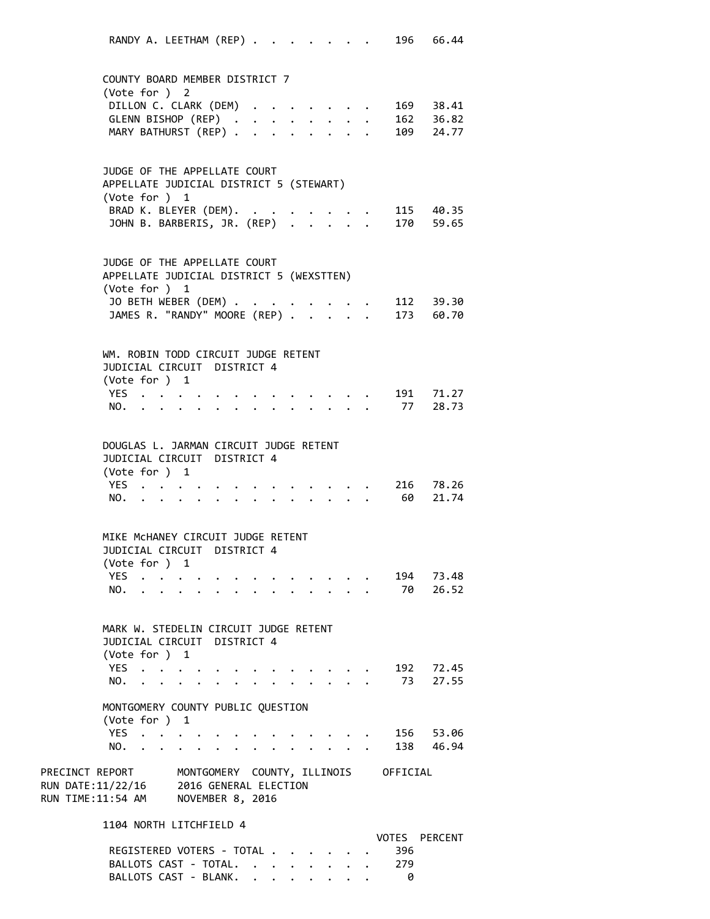RANDY A. LEETHAM (REP) . . . . . . . 196 66.44 COUNTY BOARD MEMBER DISTRICT 7 (Vote for ) 2 DILLON C. CLARK (DEM) . . . . . . . 169 38.41 GLENN BISHOP (REP) . . . . . . . . 162 36.82 MARY BATHURST (REP) . . . . . . . . 109 24.77 JUDGE OF THE APPELLATE COURT APPELLATE JUDICIAL DISTRICT 5 (STEWART) (Vote for ) 1 BRAD K. BLEYER (DEM). . . . . . . . 115 40.35 JOHN B. BARBERIS, JR. (REP) . . . . . 170 59.65 JUDGE OF THE APPELLATE COURT APPELLATE JUDICIAL DISTRICT 5 (WEXSTTEN) (Vote for ) 1 JO BETH WEBER (DEM) . . . . . . . . 112 39.30 JAMES R. "RANDY" MOORE (REP) . . . . . 173 60.70 WM. ROBIN TODD CIRCUIT JUDGE RETENT JUDICIAL CIRCUIT DISTRICT 4 (Vote for ) 1 YES . . . . . . . . . . . . . 191 71.27 NO. . . . . . . . . . . . . . 77 28.73 DOUGLAS L. JARMAN CIRCUIT JUDGE RETENT JUDICIAL CIRCUIT DISTRICT 4 (Vote for ) 1 YES . . . . . . . . . . . . . 216 78.26 NO. . . . . . . . . . . . . . 60 21.74 MIKE McHANEY CIRCUIT JUDGE RETENT JUDICIAL CIRCUIT DISTRICT 4 (Vote for ) 1 YES . . . . . . . . . . . . . 194 73.48 NO. . . . . . . . . . . . . . 70 26.52 MARK W. STEDELIN CIRCUIT JUDGE RETENT JUDICIAL CIRCUIT DISTRICT 4 (Vote for ) 1 YES . . . . . . . . . . . . . 192 72.45 NO. . . . . . . . . . . . . . 73 27.55 MONTGOMERY COUNTY PUBLIC QUESTION (Vote for ) 1 YES . . . . . . . . . . . . . 156 53.06 NO. . . . . . . . . . . . . . 138 46.94 PRECINCT REPORT MONTGOMERY COUNTY, ILLINOIS OFFICIAL RUN DATE:11/22/16 2016 GENERAL ELECTION RUN TIME:11:54 AM NOVEMBER 8, 2016 1104 NORTH LITCHFIELD 4 VOTES PERCENT REGISTERED VOTERS - TOTAL . . . . . . 396 BALLOTS CAST - TOTAL. . . . . . . . 279

BALLOTS CAST - BLANK. . . . . . . . 0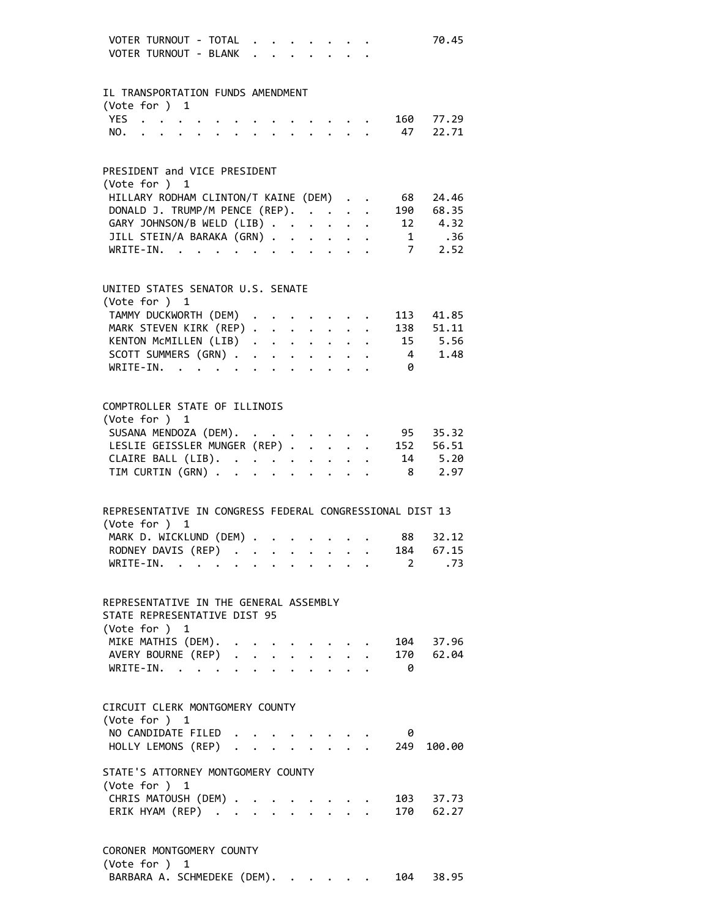| VOTER TURNOUT - TOTAL<br>VOTER TURNOUT - BLANK                     |  | $\mathbf{r} = \mathbf{r}$                             |  |                                                                                                                        |  |                        | 70.45             |
|--------------------------------------------------------------------|--|-------------------------------------------------------|--|------------------------------------------------------------------------------------------------------------------------|--|------------------------|-------------------|
| IL TRANSPORTATION FUNDS AMENDMENT                                  |  |                                                       |  |                                                                                                                        |  |                        |                   |
| (Vote for ) $1$                                                    |  |                                                       |  |                                                                                                                        |  |                        |                   |
|                                                                    |  |                                                       |  |                                                                                                                        |  |                        | $\cdot$ 160 77.29 |
|                                                                    |  |                                                       |  |                                                                                                                        |  |                        | 47 22.71          |
| PRESIDENT and VICE PRESIDENT                                       |  |                                                       |  |                                                                                                                        |  |                        |                   |
| (Vote for ) 1                                                      |  |                                                       |  |                                                                                                                        |  |                        |                   |
| HILLARY RODHAM CLINTON/T KAINE (DEM)                               |  |                                                       |  |                                                                                                                        |  | 68                     | 24.46             |
| DONALD J. TRUMP/M PENCE (REP).                                     |  |                                                       |  |                                                                                                                        |  |                        | 190 68.35         |
| GARY JOHNSON/B WELD (LIB)                                          |  |                                                       |  |                                                                                                                        |  |                        | 12 4.32           |
| JILL STEIN/A BARAKA (GRN)                                          |  |                                                       |  |                                                                                                                        |  |                        | 1 .36             |
| WRITE-IN.                                                          |  | $\mathbf{r} = \mathbf{r} + \mathbf{r} + \mathbf{r}$ . |  |                                                                                                                        |  |                        | 7 2.52            |
| UNITED STATES SENATOR U.S. SENATE                                  |  |                                                       |  |                                                                                                                        |  |                        |                   |
| (Vote for ) 1                                                      |  |                                                       |  |                                                                                                                        |  |                        |                   |
| TAMMY DUCKWORTH (DEM)                                              |  |                                                       |  |                                                                                                                        |  |                        | 113 41.85         |
| MARK STEVEN KIRK (REP)                                             |  |                                                       |  |                                                                                                                        |  |                        | 138 51.11         |
| KENTON MCMILLEN (LIB)                                              |  |                                                       |  |                                                                                                                        |  |                        | 15 5.56           |
| SCOTT SUMMERS (GRN)                                                |  |                                                       |  |                                                                                                                        |  | $\overline{4}$         | 1.48              |
| WRITE-IN.                                                          |  |                                                       |  |                                                                                                                        |  | 0                      |                   |
| COMPTROLLER STATE OF ILLINOIS                                      |  |                                                       |  |                                                                                                                        |  |                        |                   |
| (Vote for ) 1                                                      |  |                                                       |  |                                                                                                                        |  |                        |                   |
| SUSANA MENDOZA (DEM).<br>LESLIE GEISSLER MUNGER (REP)              |  |                                                       |  |                                                                                                                        |  |                        | 95 35.32          |
|                                                                    |  |                                                       |  |                                                                                                                        |  |                        | 152 56.51         |
| CLAIRE BALL (LIB).<br>TIM CURTIN (GRN)                             |  |                                                       |  |                                                                                                                        |  |                        | 14 5.20           |
| TIM CURTIN (GRN)                                                   |  |                                                       |  |                                                                                                                        |  | - 8                    | 2.97              |
| REPRESENTATIVE IN CONGRESS FEDERAL CONGRESSIONAL DIST 13           |  |                                                       |  |                                                                                                                        |  |                        |                   |
| (Vote for ) 1                                                      |  |                                                       |  |                                                                                                                        |  |                        |                   |
| MARK D. WICKLUND (DEM)                                             |  |                                                       |  |                                                                                                                        |  | 88                     | 32.12             |
| RODNEY DAVIS (REP)                                                 |  |                                                       |  |                                                                                                                        |  |                        | $\cdot$ 184 67.15 |
| $WRITE-IN.$                                                        |  |                                                       |  |                                                                                                                        |  | $2 \quad \blacksquare$ | .73               |
| REPRESENTATIVE IN THE GENERAL ASSEMBLY                             |  |                                                       |  |                                                                                                                        |  |                        |                   |
| STATE REPRESENTATIVE DIST 95                                       |  |                                                       |  |                                                                                                                        |  |                        |                   |
| (Vote for ) 1                                                      |  |                                                       |  |                                                                                                                        |  |                        |                   |
| MIKE MATHIS (DEM).                                                 |  |                                                       |  |                                                                                                                        |  |                        | . 104 37.96       |
|                                                                    |  |                                                       |  |                                                                                                                        |  |                        | 170 62.04         |
| MIKE MATHIS (DEM).<br>AVERY BOURNE (REP)<br>WRTTF-TN.<br>WRITE-IN. |  |                                                       |  |                                                                                                                        |  | $\theta$               |                   |
| CIRCUIT CLERK MONTGOMERY COUNTY                                    |  |                                                       |  |                                                                                                                        |  |                        |                   |
| (Vote for ) 1                                                      |  |                                                       |  |                                                                                                                        |  |                        |                   |
| NO CANDIDATE FILED                                                 |  |                                                       |  |                                                                                                                        |  | 0                      |                   |
| HOLLY LEMONS (REP)                                                 |  |                                                       |  |                                                                                                                        |  | . 249                  | 100.00            |
| STATE'S ATTORNEY MONTGOMERY COUNTY                                 |  |                                                       |  |                                                                                                                        |  |                        |                   |
| (Vote for ) 1<br>CHRIS MATOUSH (DEM) .                             |  |                                                       |  |                                                                                                                        |  |                        | 103 37.73         |
| ERIK HYAM (REP)                                                    |  |                                                       |  | $\begin{array}{ccccccccccccc} . & . & . & . & . & . & . \\ . & . & . & . & . & . \\ . & . & . & . & . & . \end{array}$ |  |                        | 170 62.27         |
| CORONER MONTGOMERY COUNTY                                          |  |                                                       |  |                                                                                                                        |  |                        |                   |

| (Vote for ) 1               |  |  |  |  |           |
|-----------------------------|--|--|--|--|-----------|
| BARBARA A. SCHMEDEKE (DEM). |  |  |  |  | 104 38.95 |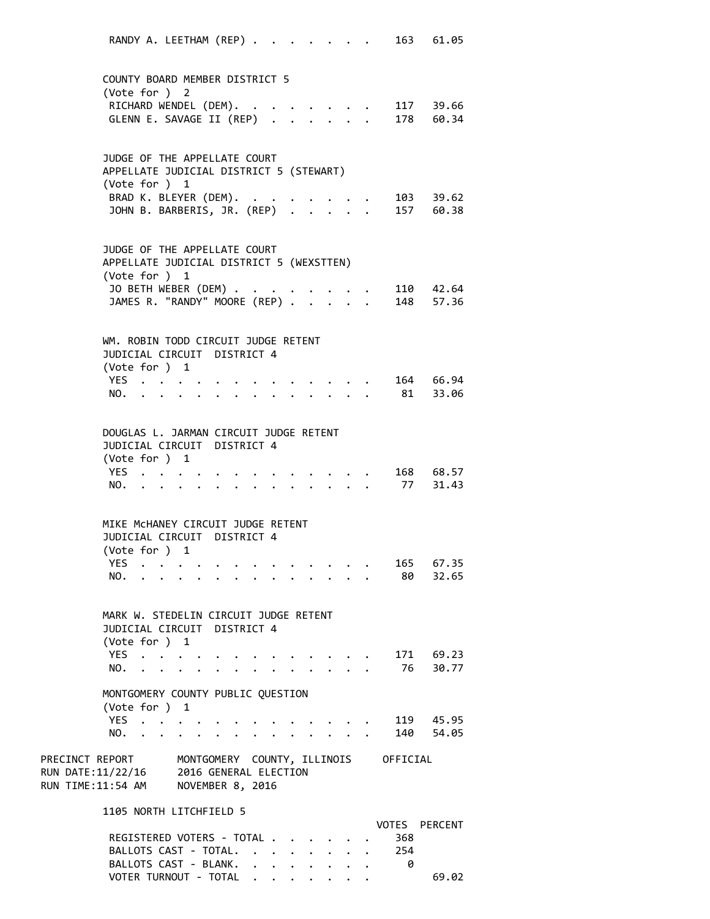RANDY A. LEETHAM (REP) . . . . . . . 163 61.05 COUNTY BOARD MEMBER DISTRICT 5 (Vote for ) 2 RICHARD WENDEL (DEM). . . . . . . . 117 39.66 GLENN E. SAVAGE II (REP) . . . . . . 178 60.34 JUDGE OF THE APPELLATE COURT APPELLATE JUDICIAL DISTRICT 5 (STEWART) (Vote for ) 1 BRAD K. BLEYER (DEM). . . . . . . . 103 39.62 JOHN B. BARBERIS, JR. (REP) . . . . . 157 60.38 JUDGE OF THE APPELLATE COURT APPELLATE JUDICIAL DISTRICT 5 (WEXSTTEN) (Vote for ) 1 JO BETH WEBER (DEM) . . . . . . . . 110 42.64 JAMES R. "RANDY" MOORE (REP) . . . . . 148 57.36 WM. ROBIN TODD CIRCUIT JUDGE RETENT JUDICIAL CIRCUIT DISTRICT 4 (Vote for ) 1 YES . . . . . . . . . . . . . 164 66.94 NO. . . . . . . . . . . . . . 81 33.06 DOUGLAS L. JARMAN CIRCUIT JUDGE RETENT JUDICIAL CIRCUIT DISTRICT 4 (Vote for ) 1 YES . . . . . . . . . . . . . 168 68.57<br>NO. . . . . . . . . . . . . . 77 31.43 NO. . . . . . . . . . . . . . . MIKE McHANEY CIRCUIT JUDGE RETENT JUDICIAL CIRCUIT DISTRICT 4 (Vote for ) 1 YES . . . . . . . . . . . . . 165 67.35 NO. . . . . . . . . . . . . . 80 32.65 MARK W. STEDELIN CIRCUIT JUDGE RETENT JUDICIAL CIRCUIT DISTRICT 4 (Vote for ) 1 YES . . . . . . . . . . . . . 171 69.23 NO. . . . . . . . . . . . . . 76 30.77 MONTGOMERY COUNTY PUBLIC QUESTION (Vote for ) 1 YES . . . . . . . . . . . . . 119 45.95 NO. . . . . . . . . . . . . . 140 54.05 PRECINCT REPORT MONTGOMERY COUNTY, ILLINOIS OFFICIAL RUN DATE:11/22/16 2016 GENERAL ELECTION RUN TIME:11:54 AM NOVEMBER 8, 2016 1105 NORTH LITCHFIELD 5 VOTES PERCENT REGISTERED VOTERS - TOTAL . . . . . . 368 BALLOTS CAST - TOTAL. . . . . . . . 254 BALLOTS CAST - BLANK. . . . . . . . 0

VOTER TURNOUT - TOTAL . . . . . . . . 69.02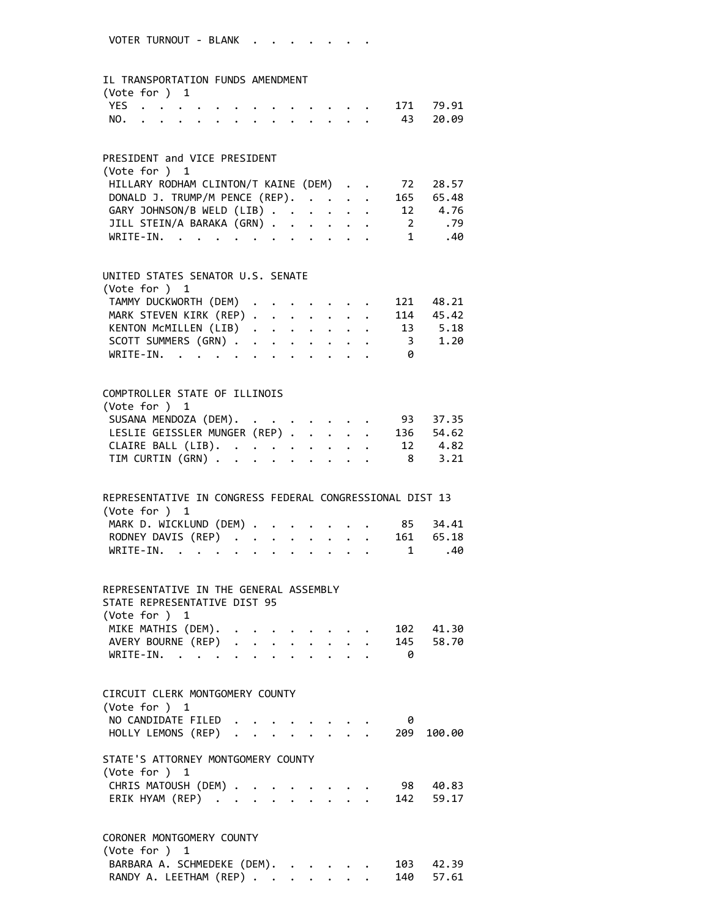#### IL TRANSPORTATION FUNDS AMENDMENT

| $(\text{Vote for }) 1$ |  |  |  |  |  |  |               |  |
|------------------------|--|--|--|--|--|--|---------------|--|
|                        |  |  |  |  |  |  | YES 171 79.91 |  |
|                        |  |  |  |  |  |  | NO. 43 20.09  |  |

#### PRESIDENT and VICE PRESIDENT

| (Vote for $)$ 1                               |     |
|-----------------------------------------------|-----|
| HILLARY RODHAM CLINTON/T KAINE (DEM) 72 28.57 |     |
| DONALD J. TRUMP/M PENCE (REP). 165 65.48      |     |
| GARY JOHNSON/B WELD (LIB) 12 4.76             |     |
| JILL STEIN/A BARAKA (GRN) 2 .79               |     |
| WRITE-IN. 1                                   | .40 |

#### UNITED STATES SENATOR U.S. SENATE  $(Noto from )$

| TAMMY DUCKWORTH (DEM) 121 48.21  |  |
|----------------------------------|--|
|                                  |  |
| MARK STEVEN KIRK (REP) 114 45.42 |  |
| KENTON MCMILLEN (LIB) 13 5.18    |  |
| SCOTT SUMMERS (GRN) 3 1.20       |  |
| WRITE-IN.                        |  |

## COMPTROLLER STATE OF ILLINOIS (Vote for ) 1 SUSANA MENDOZA (DEM). . . . . . . . 93 37.35 LESLIE GEISSLER MUNGER (REP) . . . . . 136 54.62 CLAIRE BALL (LIB). . . . . . . . . 12 4.82 TIM CURTIN (GRN) . . . . . . . . . 8 3.21

# REPRESENTATIVE IN CONGRESS FEDERAL CONGRESSIONAL DIST 13 (Vote for ) 1 MARK D. WICKLUND (DEM) . . . . . . . 85 34.41 RODNEY DAVIS (REP) . . . . . . . . 161 65.18<br>WRITE-IN. . . . . . . . . . . . . 1 .40 WRITE-IN. . . . . . . . . . . .

## REPRESENTATIVE IN THE GENERAL ASSEMBLY STATE REPRESENTATIVE DIST 95 (Vote for ) 1 MIKE MATHIS (DEM). . . . . . . . . 102 41.30 AVERY BOURNE (REP) . . . . . . . . 145 58.70 WRITE-IN. . . . . . . . . . . . 0

| CIRCUIT CLERK MONTGOMERY COUNTY<br>(Note for ) 1      |  |  |  |  |   |        |
|-------------------------------------------------------|--|--|--|--|---|--------|
| NO CANDIDATE FILED                                    |  |  |  |  | 0 |        |
| HOLLY LEMONS (REP) 209                                |  |  |  |  |   | 100.00 |
| STATE'S ATTORNEY MONTGOMERY COUNTY<br>(Vote for $)$ 1 |  |  |  |  |   |        |
| CHRIS MATOUSH (DEM) 98                                |  |  |  |  |   | 40.83  |
| ERIK HYAM (REP) 142 59.17                             |  |  |  |  |   |        |
| CORONER MONTGOMERY COUNTY                             |  |  |  |  |   |        |

| (Vote for $)$ 1                       |  |  |  |  |
|---------------------------------------|--|--|--|--|
| BARBARA A. SCHMEDEKE (DEM). 103 42.39 |  |  |  |  |
| RANDY A. LEETHAM (REP) 140 57.61      |  |  |  |  |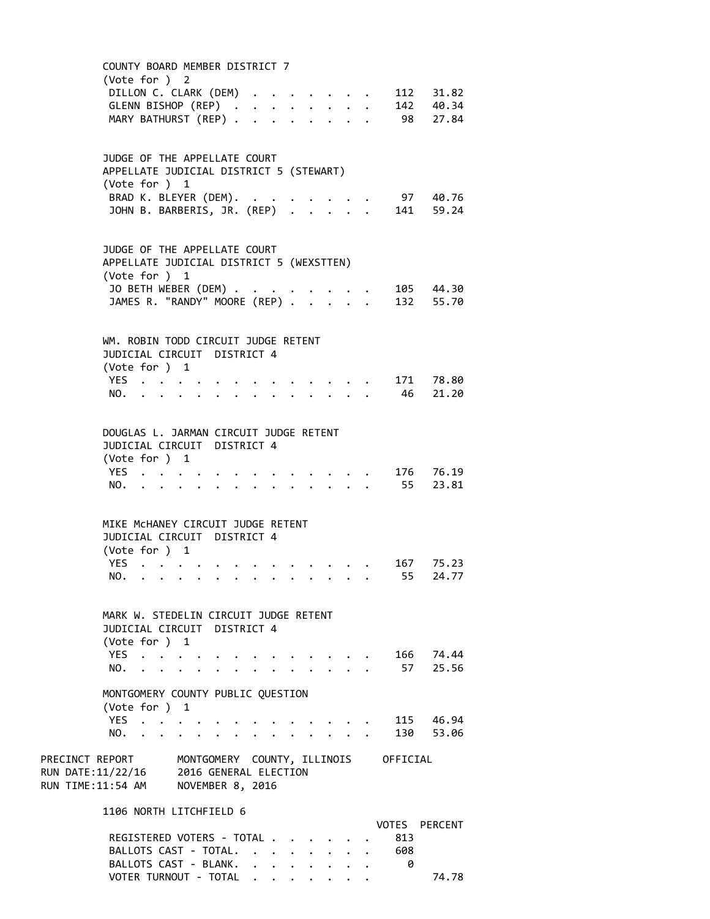COUNTY BOARD MEMBER DISTRICT 7 (Vote for ) 2 DILLON C. CLARK (DEM) . . . . . . . 112 31.82 GLENN BISHOP (REP) . . . . . . . . 142 40.34 MARY BATHURST (REP) . . . . . . . . 98 27.84 JUDGE OF THE APPELLATE COURT APPELLATE JUDICIAL DISTRICT 5 (STEWART) (Vote for ) 1 BRAD K. BLEYER (DEM). . . . . . . . 97 40.76 JOHN B. BARBERIS, JR. (REP) . . . . . 141 59.24 JUDGE OF THE APPELLATE COURT APPELLATE JUDICIAL DISTRICT 5 (WEXSTTEN) (Vote for ) 1 JO BETH WEBER (DEM) . . . . . . . . 105 44.30 JAMES R. "RANDY" MOORE (REP) . . . . . 132 55.70 WM. ROBIN TODD CIRCUIT JUDGE RETENT JUDICIAL CIRCUIT DISTRICT 4 (Vote for ) 1 YES . . . . . . . . . . . . . 171 78.80 NO. . . . . . . . . . . . . . 46 21.20 DOUGLAS L. JARMAN CIRCUIT JUDGE RETENT JUDICIAL CIRCUIT DISTRICT 4 (Vote for ) 1 YES . . . . . . . . . . . . . 176 76.19 NO. . . . . . . . . . . . . . 55 23.81 MIKE McHANEY CIRCUIT JUDGE RETENT JUDICIAL CIRCUIT DISTRICT 4 (Vote for ) 1 YES . . . . . . . . . . . . . 167 75.23 NO. . . . . . . . . . . . . . 55 24.77 MARK W. STEDELIN CIRCUIT JUDGE RETENT JUDICIAL CIRCUIT DISTRICT 4 (Vote for ) 1 YES . . . . . . . . . . . . . 166 74.44 NO. . . . . . . . . . . . . . 57 25.56 MONTGOMERY COUNTY PUBLIC QUESTION (Vote for ) 1 YES . . . . . . . . . . . . . 115 46.94 NO. . . . . . . . . . . . . . 130 53.06 PRECINCT REPORT MONTGOMERY COUNTY, ILLINOIS OFFICIAL RUN DATE:11/22/16 2016 GENERAL ELECTION RUN TIME:11:54 AM NOVEMBER 8, 2016 1106 NORTH LITCHFIELD 6 VOTES PERCENT REGISTERED VOTERS - TOTAL . . . . . . 813 BALLOTS CAST - TOTAL. . . . . . . . 608 BALLOTS CAST - BLANK. . . . . . . . 0

VOTER TURNOUT - TOTAL . . . . . . . . 74.78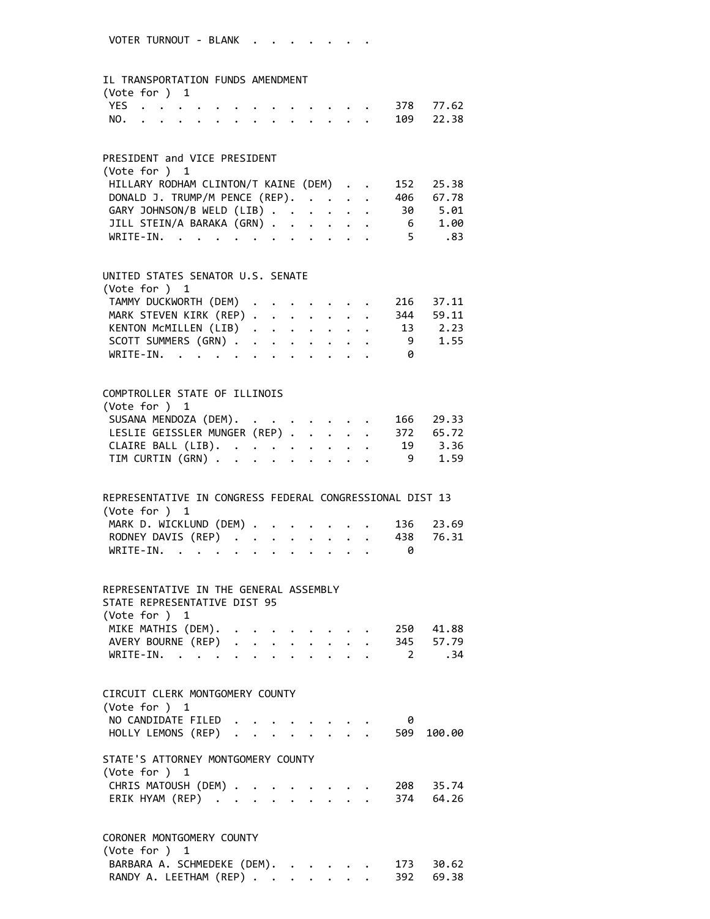#### IL TRANSPORTATION FUNDS AMENDMENT

| (Vote for $)$ 1 |  |  |  |  |  |  |               |  |
|-----------------|--|--|--|--|--|--|---------------|--|
|                 |  |  |  |  |  |  | YES 378 77.62 |  |
|                 |  |  |  |  |  |  | NO. 109 22.38 |  |

### PRESIDENT and VICE PRESIDENT

| (Vote for $)$ 1                                |      |
|------------------------------------------------|------|
| HILLARY RODHAM CLINTON/T KAINE (DEM) 152 25.38 |      |
| DONALD J. TRUMP/M PENCE (REP). 406 67.78       |      |
| GARY JOHNSON/B WELD (LIB) 30 5.01              |      |
| JILL STEIN/A BARAKA (GRN) 6 1.00               |      |
| WRITE-IN.                                      | 5.83 |

### UNITED STATES SENATOR U.S. SENATE

| (Vote for $)$ 1                  |  |  |  |   |  |
|----------------------------------|--|--|--|---|--|
| TAMMY DUCKWORTH (DEM) 216 37.11  |  |  |  |   |  |
| MARK STEVEN KIRK (REP) 344 59.11 |  |  |  |   |  |
| KENTON MCMILLEN (LIB) 13 2.23    |  |  |  |   |  |
| SCOTT SUMMERS (GRN) 9 1.55       |  |  |  |   |  |
| WRITE-IN.                        |  |  |  | 0 |  |
|                                  |  |  |  |   |  |

## COMPTROLLER STATE OF ILLINOIS (Vote for ) 1 SUSANA MENDOZA (DEM). . . . . . . . 166 29.33 LESLIE GEISSLER MUNGER (REP) . . . . . 372 65.72 CLAIRE BALL (LIB). . . . . . . . . 19 3.36 TIM CURTIN (GRN) . . . . . . . . . 9 1.59

| REPRESENTATIVE IN CONGRESS FEDERAL CONGRESSIONAL DIST 13 |  |  |  |  |  |
|----------------------------------------------------------|--|--|--|--|--|
| (Vote for $)$ 1                                          |  |  |  |  |  |
| MARK D. WICKLUND (DEM) 136 23.69                         |  |  |  |  |  |
| RODNEY DAVIS (REP) 438 76.31                             |  |  |  |  |  |
| WRITE-IN.                                                |  |  |  |  |  |

### REPRESENTATIVE IN THE GENERAL ASSEMBLY STATE REPRESENTATIVE DIST 95 (Vote for ) 1 MIKE MATHIS (DEM). . . . . . . . . 250 41.88 AVERY BOURNE (REP) . . . . . . . . 345 57.79 WRITE‐IN. . . . . . . . . . . . 2 .34

| (Vote for $)$ 1<br>NO CANDIDATE FILED                 |  |  |  |  | 0 |        |
|-------------------------------------------------------|--|--|--|--|---|--------|
| HOLLY LEMONS (REP) 509                                |  |  |  |  |   | 100.00 |
| STATE'S ATTORNEY MONTGOMERY COUNTY<br>(Vote for $)$ 1 |  |  |  |  |   |        |
| CHRIS MATOUSH (DEM) 208 35.74                         |  |  |  |  |   |        |
| ERIK HYAM (REP) 374 64.26                             |  |  |  |  |   |        |

| $(\text{Vote for }) 1$                |  |  |  |  |
|---------------------------------------|--|--|--|--|
| BARBARA A. SCHMEDEKE (DEM). 173 30.62 |  |  |  |  |
| RANDY A. LEETHAM (REP) 392 69.38      |  |  |  |  |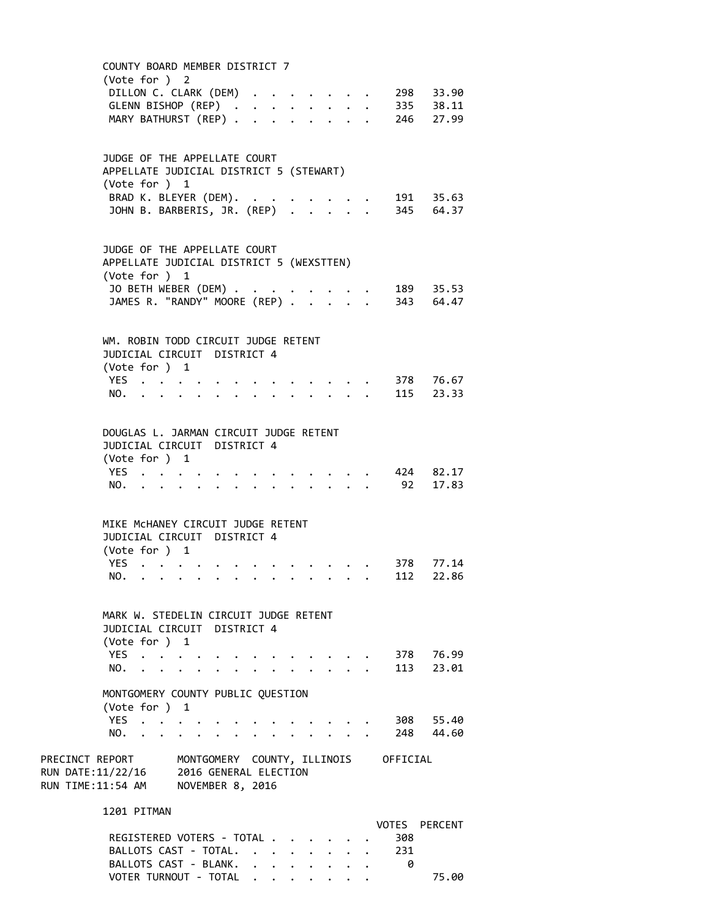COUNTY BOARD MEMBER DISTRICT 7 (Vote for ) 2 DILLON C. CLARK (DEM) . . . . . . . 298 33.90 GLENN BISHOP (REP) . . . . . . . . 335 38.11 MARY BATHURST (REP) . . . . . . . . 246 27.99 JUDGE OF THE APPELLATE COURT APPELLATE JUDICIAL DISTRICT 5 (STEWART) (Vote for ) 1 BRAD K. BLEYER (DEM). . . . . . . . 191 35.63 JOHN B. BARBERIS, JR. (REP) . . . . . 345 64.37 JUDGE OF THE APPELLATE COURT APPELLATE JUDICIAL DISTRICT 5 (WEXSTTEN) (Vote for ) 1 JO BETH WEBER (DEM) . . . . . . . . 189 35.53 JAMES R. "RANDY" MOORE (REP) . . . . . 343 64.47 WM. ROBIN TODD CIRCUIT JUDGE RETENT JUDICIAL CIRCUIT DISTRICT 4 (Vote for ) 1 YES . . . . . . . . . . . . . 378 76.67 NO. . . . . . . . . . . . . . 115 23.33 DOUGLAS L. JARMAN CIRCUIT JUDGE RETENT JUDICIAL CIRCUIT DISTRICT 4 (Vote for ) 1 YES . . . . . . . . . . . . . 424 82.17 NO. . . . . . . . . . . . . . 92 17.83 MIKE McHANEY CIRCUIT JUDGE RETENT JUDICIAL CIRCUIT DISTRICT 4 (Vote for ) 1 YES . . . . . . . . . . . . . 378 77.14 NO. . . . . . . . . . . . . . 112 22.86 MARK W. STEDELIN CIRCUIT JUDGE RETENT JUDICIAL CIRCUIT DISTRICT 4 (Vote for ) 1 YES . . . . . . . . . . . . . 378 76.99 NO. . . . . . . . . . . . . . 113 23.01 MONTGOMERY COUNTY PUBLIC QUESTION (Vote for ) 1 YES . . . . . . . . . . . . . 308 55.40 NO. . . . . . . . . . . . . . 248 44.60 PRECINCT REPORT MONTGOMERY COUNTY, ILLINOIS OFFICIAL RUN DATE:11/22/16 2016 GENERAL ELECTION RUN TIME:11:54 AM NOVEMBER 8, 2016 1201 PITMAN VOTES PERCENT REGISTERED VOTERS - TOTAL . . . . . . 308 BALLOTS CAST - TOTAL. . . . . . . . 231

BALLOTS CAST - BLANK. . . . . . . . 0

VOTER TURNOUT - TOTAL . . . . . . . . 75.00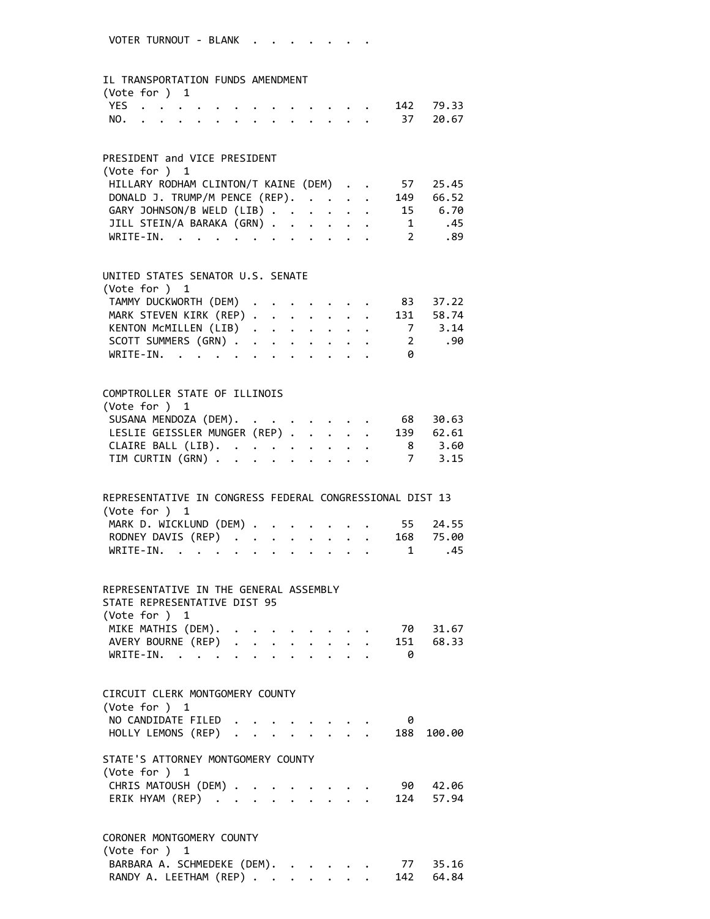#### IL TRANSPORTATION FUNDS AMENDMENT

| $(\text{Vote for }) 1$ |  |  |  |  |  |  |               |  |
|------------------------|--|--|--|--|--|--|---------------|--|
|                        |  |  |  |  |  |  | YES 142 79.33 |  |
|                        |  |  |  |  |  |  | NO. 37 20.67  |  |

#### PRESIDENT and VICE PRESIDENT

| (Vote for ) 1                                 |     |
|-----------------------------------------------|-----|
| HILLARY RODHAM CLINTON/T KAINE (DEM) 57 25.45 |     |
| DONALD J. TRUMP/M PENCE (REP). 149 66.52      |     |
| GARY JOHNSON/B WELD (LIB) 15 6.70             |     |
| JILL STEIN/A BARAKA (GRN) 1                   | .45 |
| WRITE-IN. 2                                   | .89 |

#### UNITED STATES SENATOR U.S. SENATE  $(40 + 6)$  for  $)$  1

|  |  |  | WRITE-IN. | TAMMY DUCKWORTH (DEM) 83 37.22<br>MARK STEVEN KIRK (REP) 131 58.74<br>KENTON MCMILLEN (LIB) 7 3.14<br>SCOTT SUMMERS (GRN) 2 .90 |
|--|--|--|-----------|---------------------------------------------------------------------------------------------------------------------------------|

# COMPTROLLER STATE OF ILLINOIS (Vote for ) 1 SUSANA MENDOZA (DEM). . . . . . . . 68 30.63 LESLIE GEISSLER MUNGER (REP) . . . . . 139 62.61 CLAIRE BALL (LIB). . . . . . . . . 8 3.60 TIM CURTIN (GRN) . . . . . . . . . 7 3.15

| REPRESENTATIVE IN CONGRESS FEDERAL CONGRESSIONAL DIST 13 |  |  |  |  |
|----------------------------------------------------------|--|--|--|--|
| (Vote for $)$ 1                                          |  |  |  |  |
| MARK D. WICKLUND (DEM) 55 24.55                          |  |  |  |  |
| RODNEY DAVIS (REP) 168 75.00                             |  |  |  |  |
| WRITE-IN. 1 .45                                          |  |  |  |  |

### REPRESENTATIVE IN THE GENERAL ASSEMBLY STATE REPRESENTATIVE DIST 95 (Vote for ) 1 MIKE MATHIS (DEM). . . . . . . . . 70 31.67 AVERY BOURNE (REP) . . . . . . . . 151 68.33

| WRITE-IN. |  |  |  |  |  |  |  |
|-----------|--|--|--|--|--|--|--|
|           |  |  |  |  |  |  |  |

# CIRCUIT CLERK MONTGOMERY COUNTY (Vote for ) 1 NO CANDIDATE FILED . . . . . . . . 0 HOLLY LEMONS (REP) . . . . . . . . 188 100.00 STATE'S ATTORNEY MONTGOMERY COUNTY (Vote for ) 1 CHRIS MATOUSH (DEM) . . . . . . . . 90 42.06 ERIK HYAM (REP) . . . . . . . . . 124 57.94

#### CORONER MONTGOMERY COUNTY (Vote for ) 1

| $\sqrt{2}$                  |  |  |  |           |
|-----------------------------|--|--|--|-----------|
| BARBARA A. SCHMEDEKE (DEM). |  |  |  | 77 35.16  |
| RANDY A. LEETHAM (REP)      |  |  |  | 142 64.84 |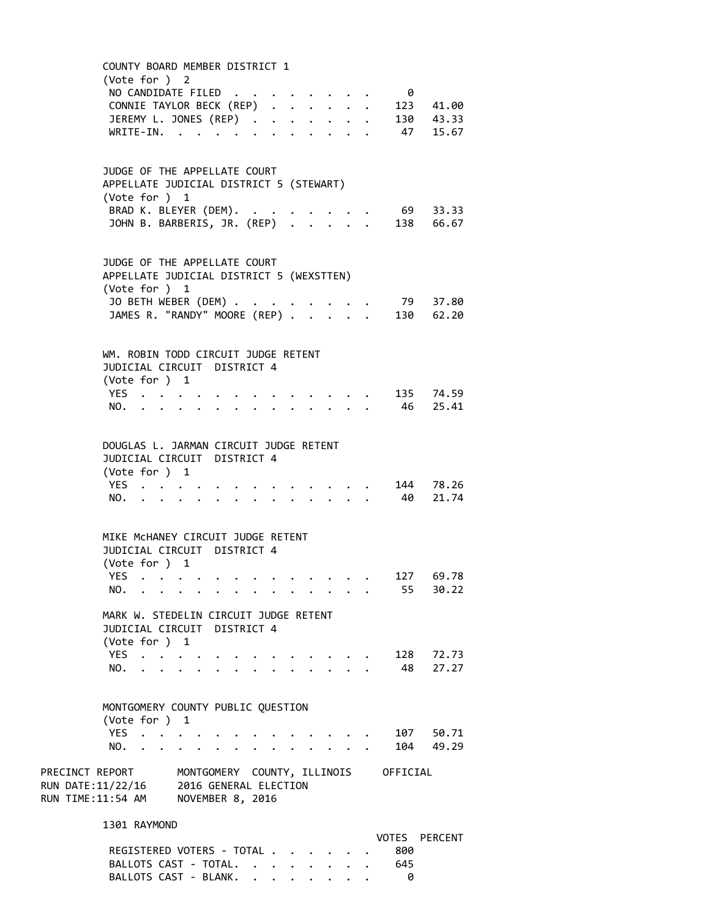COUNTY BOARD MEMBER DISTRICT 1 (Vote for ) 2 NO CANDIDATE FILED . . . . . . . . 0 CONNIE TAYLOR BECK (REP) . . . . . . 123 41.00 JEREMY L. JONES (REP) . . . . . . . 130 43.33 WRITE-IN. . . . . . . . . . . . 47 15.67 JUDGE OF THE APPELLATE COURT APPELLATE JUDICIAL DISTRICT 5 (STEWART) (Vote for ) 1 BRAD K. BLEYER (DEM). . . . . . . . 69 33.33 JOHN B. BARBERIS, JR. (REP) . . . . . 138 66.67 JUDGE OF THE APPELLATE COURT APPELLATE JUDICIAL DISTRICT 5 (WEXSTTEN) (Vote for ) 1 JO BETH WEBER (DEM) . . . . . . . . . 79 37.80 JAMES R. "RANDY" MOORE (REP) . . . . . 130 62.20 WM. ROBIN TODD CIRCUIT JUDGE RETENT JUDICIAL CIRCUIT DISTRICT 4 (Vote for ) 1 YES . . . . . . . . . . . . . 135 74.59 NO. . . . . . . . . . . . . . 46 25.41 DOUGLAS L. JARMAN CIRCUIT JUDGE RETENT JUDICIAL CIRCUIT DISTRICT 4 (Vote for ) 1 YES . . . . . . . . . . . . . 144 78.26 NO. . . . . . . . . . . . . . 40 21.74 MIKE McHANEY CIRCUIT JUDGE RETENT JUDICIAL CIRCUIT DISTRICT 4 (Vote for ) 1 YES . . . . . . . . . . . . . 127 69.78 NO. . . . . . . . . . . . . . 55 30.22 MARK W. STEDELIN CIRCUIT JUDGE RETENT JUDICIAL CIRCUIT DISTRICT 4 (Vote for ) 1 YES . . . . . . . . . . . . . 128 72.73 NO. . . . . . . . . . . . . . 48 27.27 MONTGOMERY COUNTY PUBLIC QUESTION (Vote for ) 1 YES . . . . . . . . . . . . . 107 50.71 NO. . . . . . . . . . . . . . 104 49.29 PRECINCT REPORT MONTGOMERY COUNTY, ILLINOIS OFFICIAL RUN DATE:11/22/16 2016 GENERAL ELECTION RUN TIME:11:54 AM NOVEMBER 8, 2016 1301 RAYMOND VOTES PERCENT REGISTERED VOTERS - TOTAL . . . . . . 800 BALLOTS CAST - TOTAL. . . . . . . . 645

BALLOTS CAST - BLANK. . . . . . . . 0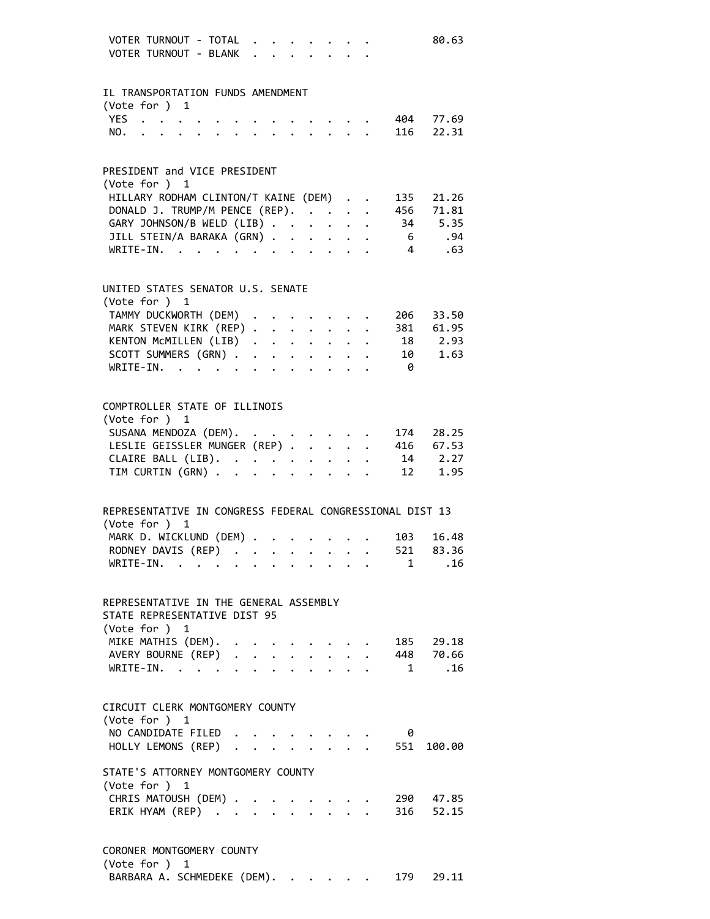| VOTER TURNOUT - TOTAL<br>VOTER TURNOUT - BLANK                                  |                      | $\mathbf{r} = \mathbf{r}$ |                                                       |  |                                                                                                                                                                                                                                    |                | 80.63                         |
|---------------------------------------------------------------------------------|----------------------|---------------------------|-------------------------------------------------------|--|------------------------------------------------------------------------------------------------------------------------------------------------------------------------------------------------------------------------------------|----------------|-------------------------------|
| IL TRANSPORTATION FUNDS AMENDMENT                                               |                      |                           |                                                       |  |                                                                                                                                                                                                                                    |                |                               |
| (Vote for ) $1$                                                                 |                      |                           |                                                       |  |                                                                                                                                                                                                                                    |                |                               |
| YES 404 77.69<br>NO. 116 22.31                                                  |                      |                           |                                                       |  |                                                                                                                                                                                                                                    |                |                               |
|                                                                                 |                      |                           |                                                       |  |                                                                                                                                                                                                                                    |                |                               |
| PRESIDENT and VICE PRESIDENT                                                    |                      |                           |                                                       |  |                                                                                                                                                                                                                                    |                |                               |
| (Vote for ) 1                                                                   |                      |                           |                                                       |  |                                                                                                                                                                                                                                    |                |                               |
| HILLARY RODHAM CLINTON/T KAINE (DEM)                                            |                      |                           |                                                       |  |                                                                                                                                                                                                                                    |                | 135 21.26                     |
| DONALD J. TRUMP/M PENCE (REP).                                                  |                      |                           |                                                       |  |                                                                                                                                                                                                                                    |                | 456 71.81                     |
| GARY JOHNSON/B WELD (LIB)                                                       |                      |                           |                                                       |  |                                                                                                                                                                                                                                    |                | 34 5.35                       |
| JILL STEIN/A BARAKA (GRN)<br>WRITE-IN.                                          |                      |                           | $\mathbf{r} = \mathbf{r} + \mathbf{r} + \mathbf{r}$ . |  |                                                                                                                                                                                                                                    | $\overline{4}$ | 6 .94<br>.63                  |
|                                                                                 |                      |                           |                                                       |  |                                                                                                                                                                                                                                    |                |                               |
| UNITED STATES SENATOR U.S. SENATE<br>(Vote for ) 1                              |                      |                           |                                                       |  |                                                                                                                                                                                                                                    |                |                               |
| TAMMY DUCKWORTH (DEM) .                                                         |                      |                           |                                                       |  |                                                                                                                                                                                                                                    |                | 206 33.50                     |
| MARK STEVEN KIRK (REP)                                                          |                      |                           |                                                       |  |                                                                                                                                                                                                                                    |                | 381 61.95                     |
| KENTON MCMILLEN (LIB)                                                           |                      |                           |                                                       |  |                                                                                                                                                                                                                                    |                | 18 2.93                       |
| SCOTT SUMMERS (GRN) $\cdot \cdot \cdot \cdot \cdot \cdot \cdot \cdot \cdot$     |                      |                           |                                                       |  |                                                                                                                                                                                                                                    |                | 10 1.63                       |
| WRITE-IN.                                                                       |                      |                           |                                                       |  |                                                                                                                                                                                                                                    | - 0            |                               |
|                                                                                 |                      |                           |                                                       |  |                                                                                                                                                                                                                                    |                |                               |
| COMPTROLLER STATE OF ILLINOIS                                                   |                      |                           |                                                       |  |                                                                                                                                                                                                                                    |                |                               |
| (Vote for ) 1                                                                   |                      |                           |                                                       |  |                                                                                                                                                                                                                                    |                |                               |
| SUSANA MENDOZA (DEM). 174 28.25<br>LESLIE GEISSLER MUNGER (REP) 416 67.53       |                      |                           |                                                       |  |                                                                                                                                                                                                                                    |                |                               |
|                                                                                 |                      |                           |                                                       |  |                                                                                                                                                                                                                                    |                |                               |
| CLAIRE BALL (LIB).<br>TTM CURTIN (GRN)<br>TIM CURTIN (GRN)                      |                      |                           |                                                       |  |                                                                                                                                                                                                                                    |                | 14 2.27<br>12 1.95            |
|                                                                                 |                      |                           |                                                       |  |                                                                                                                                                                                                                                    |                |                               |
| REPRESENTATIVE IN CONGRESS FEDERAL CONGRESSIONAL DIST 13                        |                      |                           |                                                       |  |                                                                                                                                                                                                                                    |                |                               |
| (Vote for )<br>$\overline{1}$                                                   |                      |                           |                                                       |  |                                                                                                                                                                                                                                    |                |                               |
| MARK D. WICKLUND (DEM)                                                          |                      |                           |                                                       |  |                                                                                                                                                                                                                                    | 103            | 16.48                         |
| RODNEY DAVIS (REP)                                                              |                      |                           |                                                       |  |                                                                                                                                                                                                                                    |                | $\cdot$ 521 83.36             |
| WRITE-IN.                                                                       |                      |                           |                                                       |  |                                                                                                                                                                                                                                    |                | .16<br>$1 \quad \blacksquare$ |
| REPRESENTATIVE IN THE GENERAL ASSEMBLY                                          |                      |                           |                                                       |  |                                                                                                                                                                                                                                    |                |                               |
| STATE REPRESENTATIVE DIST 95<br>(Vote for ) 1                                   |                      |                           |                                                       |  |                                                                                                                                                                                                                                    |                |                               |
|                                                                                 |                      |                           |                                                       |  |                                                                                                                                                                                                                                    |                |                               |
| MIKE MATHIS (DEM). 185 29.18<br>AVERY BOURNE (REP) 448 70.66<br>WRITE-IN. 1 .16 |                      |                           |                                                       |  |                                                                                                                                                                                                                                    |                |                               |
| WRITE-IN.                                                                       |                      |                           |                                                       |  |                                                                                                                                                                                                                                    |                | $1 \quad \blacksquare$        |
| CIRCUIT CLERK MONTGOMERY COUNTY<br>(Vote for ) 1                                |                      |                           |                                                       |  |                                                                                                                                                                                                                                    |                |                               |
| NO CANDIDATE FILED                                                              |                      |                           |                                                       |  | $\bullet$ . The contract of the contract of the contract of the contract of the contract of the contract of the contract of the contract of the contract of the contract of the contract of the contract of the contract of the co | 0              |                               |
| HOLLY LEMONS (REP)                                                              |                      |                           |                                                       |  |                                                                                                                                                                                                                                    | . 551          | 100.00                        |
| STATE'S ATTORNEY MONTGOMERY COUNTY<br>(Vote for ) 1                             |                      |                           |                                                       |  |                                                                                                                                                                                                                                    |                |                               |
| CHRIS MATOUSH (DEM) .                                                           |                      |                           |                                                       |  |                                                                                                                                                                                                                                    |                | 290 47.85                     |
| ERIK HYAM (REP)                                                                 | $\ddot{\phantom{a}}$ |                           |                                                       |  |                                                                                                                                                                                                                                    |                | 316 52.15                     |
| CORONER MONTGOMERY COUNTY<br>(Vote for ) 1                                      |                      |                           |                                                       |  |                                                                                                                                                                                                                                    |                |                               |

BARBARA A. SCHMEDEKE (DEM). . . . . . 179 29.11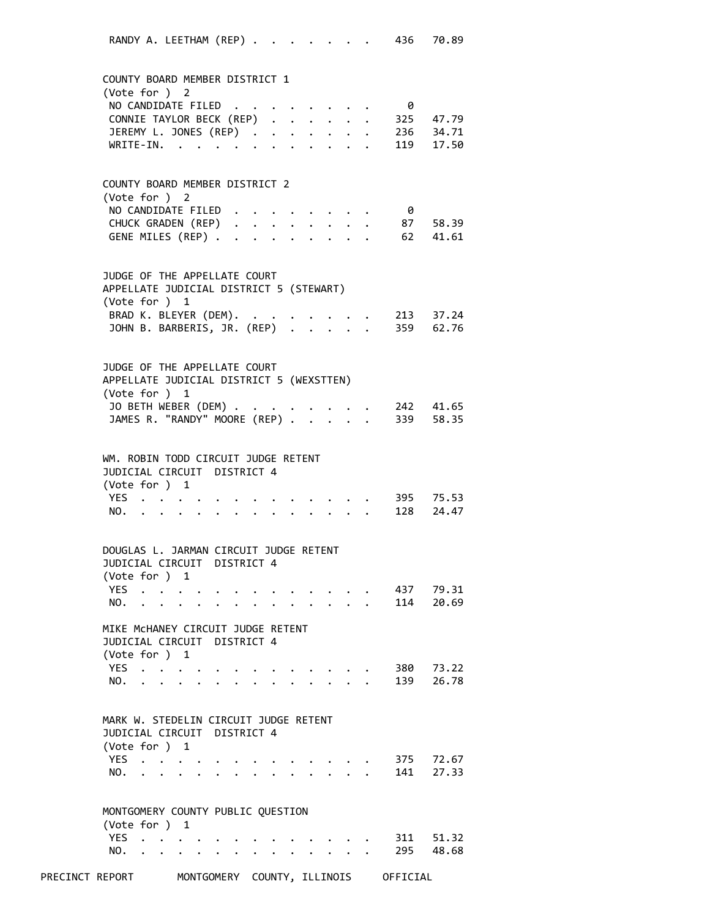RANDY A. LEETHAM (REP) . . . . . . . 436 70.89 COUNTY BOARD MEMBER DISTRICT 1 (Vote for ) 2 NO CANDIDATE FILED . . . . . . . . 0 CONNIE TAYLOR BECK (REP) . . . . . . 325 47.79 JEREMY L. JONES (REP) . . . . . . . 236 34.71 WRITE‐IN. . . . . . . . . . . . 119 17.50 COUNTY BOARD MEMBER DISTRICT 2 (Vote for ) 2 NO CANDIDATE FILED . . . . . . . . 0 CHUCK GRADEN (REP) . . . . . . . . 87 58.39 GENE MILES (REP) . . . . . . . . . 62 41.61 JUDGE OF THE APPELLATE COURT APPELLATE JUDICIAL DISTRICT 5 (STEWART) (Vote for ) 1 BRAD K. BLEYER (DEM). . . . . . . . 213 37.24 JOHN B. BARBERIS, JR. (REP) . . . . . 359 62.76 JUDGE OF THE APPELLATE COURT APPELLATE JUDICIAL DISTRICT 5 (WEXSTTEN) (Vote for ) 1 JO BETH WEBER (DEM) . . . . . . . . 242 41.65 JAMES R. "RANDY" MOORE (REP) . . . . . 339 58.35 WM. ROBIN TODD CIRCUIT JUDGE RETENT JUDICIAL CIRCUIT DISTRICT 4 (Vote for ) 1 YES . . . . . . . . . . . . . 395 75.53 NO. . . . . . . . . . . . . . 128 24.47 DOUGLAS L. JARMAN CIRCUIT JUDGE RETENT JUDICIAL CIRCUIT DISTRICT 4 (Vote for ) 1 YES . . . . . . . . . . . . . 437 79.31 NO. . . . . . . . . . . . . . 114 20.69 MIKE McHANEY CIRCUIT JUDGE RETENT JUDICIAL CIRCUIT DISTRICT 4 (Vote for ) 1 YES . . . . . . . . . . . . . 380 73.22 NO. . . . . . . . . . . . . . 139 26.78 MARK W. STEDELIN CIRCUIT JUDGE RETENT JUDICIAL CIRCUIT DISTRICT 4 (Vote for ) 1 YES . . . . . . . . . . . . . 375 72.67 NO. . . . . . . . . . . . . . 141 27.33 MONTGOMERY COUNTY PUBLIC QUESTION (Vote for ) 1 YES . . . . . . . . . . . . . 311 51.32 NO. . . . . . . . . . . . . . 295 48.68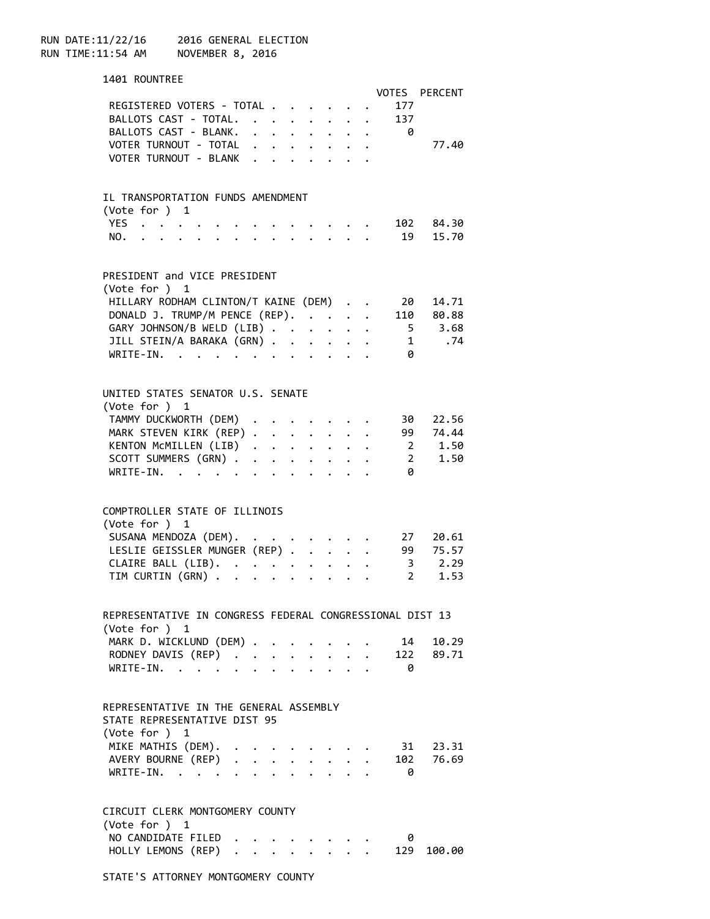RUN DATE:11/22/16 2016 GENERAL ELECTION RUN TIME:11:54 AM NOVEMBER 8, 2016

| 1401 ROUNTREE                                            |                      |             |                      |                      |                                                                                                                                                         |                                                             |                          |                   |
|----------------------------------------------------------|----------------------|-------------|----------------------|----------------------|---------------------------------------------------------------------------------------------------------------------------------------------------------|-------------------------------------------------------------|--------------------------|-------------------|
|                                                          |                      |             |                      |                      |                                                                                                                                                         |                                                             |                          | VOTES PERCENT     |
| REGISTERED VOTERS - TOTAL                                |                      |             |                      |                      |                                                                                                                                                         |                                                             | 177                      |                   |
| BALLOTS CAST - TOTAL.                                    |                      |             |                      |                      |                                                                                                                                                         |                                                             | 137                      |                   |
| BALLOTS CAST - BLANK. 0                                  |                      |             |                      |                      |                                                                                                                                                         |                                                             |                          |                   |
| VOTER TURNOUT - TOTAL                                    |                      |             |                      |                      |                                                                                                                                                         |                                                             |                          | 77.40             |
| VOTER TURNOUT - BLANK                                    |                      |             |                      |                      |                                                                                                                                                         |                                                             |                          |                   |
|                                                          |                      |             |                      |                      |                                                                                                                                                         |                                                             |                          |                   |
|                                                          |                      |             |                      |                      |                                                                                                                                                         |                                                             |                          |                   |
| IL TRANSPORTATION FUNDS AMENDMENT                        |                      |             |                      |                      |                                                                                                                                                         |                                                             |                          |                   |
| (Vote for ) 1                                            |                      |             |                      |                      |                                                                                                                                                         |                                                             |                          |                   |
| YES $\cdot \cdot \cdot \cdot$                            |                      |             |                      |                      |                                                                                                                                                         |                                                             |                          | $\cdot$ 102 84.30 |
| NO. 19 15.70                                             |                      |             |                      |                      |                                                                                                                                                         |                                                             |                          |                   |
|                                                          |                      |             |                      |                      |                                                                                                                                                         |                                                             |                          |                   |
|                                                          |                      |             |                      |                      |                                                                                                                                                         |                                                             |                          |                   |
| PRESIDENT and VICE PRESIDENT                             |                      |             |                      |                      |                                                                                                                                                         |                                                             |                          |                   |
| (Vote for ) 1                                            |                      |             |                      |                      |                                                                                                                                                         |                                                             |                          |                   |
| HILLARY RODHAM CLINTON/T KAINE (DEM)                     |                      |             |                      |                      |                                                                                                                                                         |                                                             | - 20                     | 14.71             |
| DONALD J. TRUMP/M PENCE (REP).                           |                      |             |                      |                      |                                                                                                                                                         |                                                             |                          | 110 80.88         |
| GARY JOHNSON/B WELD (LIB)                                |                      |             |                      |                      |                                                                                                                                                         |                                                             |                          | 5 3.68            |
| JILL STEIN/A BARAKA (GRN)                                |                      |             |                      |                      |                                                                                                                                                         |                                                             |                          | 1 .74             |
| WRITE-IN.                                                |                      |             |                      |                      |                                                                                                                                                         |                                                             | $\theta$                 |                   |
|                                                          |                      |             |                      |                      |                                                                                                                                                         |                                                             |                          |                   |
|                                                          |                      |             |                      |                      |                                                                                                                                                         |                                                             |                          |                   |
| UNITED STATES SENATOR U.S. SENATE                        |                      |             |                      |                      |                                                                                                                                                         |                                                             |                          |                   |
|                                                          |                      |             |                      |                      |                                                                                                                                                         |                                                             |                          |                   |
| (Vote for ) 1                                            |                      |             |                      |                      |                                                                                                                                                         |                                                             |                          |                   |
| TAMMY DUCKWORTH (DEM)                                    |                      |             |                      |                      |                                                                                                                                                         |                                                             | 30                       | 22.56             |
| MARK STEVEN KIRK (REP) 99 74.44                          |                      |             |                      |                      |                                                                                                                                                         |                                                             |                          |                   |
| KENTON MCMILLEN (LIB)                                    |                      |             |                      |                      |                                                                                                                                                         |                                                             |                          | 2 1.50            |
| SCOTT SUMMERS (GRN)                                      |                      |             |                      |                      |                                                                                                                                                         |                                                             |                          | 2 1.50            |
| WRITE-IN.                                                |                      |             |                      |                      |                                                                                                                                                         |                                                             | -0                       |                   |
|                                                          |                      |             |                      |                      |                                                                                                                                                         |                                                             |                          |                   |
|                                                          |                      |             |                      |                      |                                                                                                                                                         |                                                             |                          |                   |
| COMPTROLLER STATE OF ILLINOIS                            |                      |             |                      |                      |                                                                                                                                                         |                                                             |                          |                   |
| (Vote for ) 1                                            |                      |             |                      |                      |                                                                                                                                                         |                                                             |                          |                   |
| SUSANA MENDOZA (DEM).                                    |                      |             |                      |                      |                                                                                                                                                         |                                                             | 27                       | 20.61             |
| LESLIE GEISSLER MUNGER (REP) 99                          |                      |             |                      |                      |                                                                                                                                                         |                                                             |                          | 75.57             |
| CLAIRE BALL (LIB).                                       |                      |             |                      |                      |                                                                                                                                                         |                                                             |                          | $3^{2}.29$        |
| TIM CURTIN (GRN)                                         |                      |             |                      |                      | $\begin{array}{cccccccccccccc} \bullet & \bullet & \bullet & \bullet & \bullet & \bullet & \bullet & \bullet & \bullet & \bullet & \bullet \end{array}$ |                                                             | $\overline{\phantom{0}}$ | 1.53              |
|                                                          |                      |             |                      |                      |                                                                                                                                                         |                                                             |                          |                   |
|                                                          |                      |             |                      |                      |                                                                                                                                                         |                                                             |                          |                   |
| REPRESENTATIVE IN CONGRESS FEDERAL CONGRESSIONAL DIST 13 |                      |             |                      |                      |                                                                                                                                                         |                                                             |                          |                   |
| (Vote for ) 1                                            |                      |             |                      |                      |                                                                                                                                                         |                                                             |                          |                   |
| MARK D. WICKLUND (DEM) .                                 |                      |             |                      |                      |                                                                                                                                                         |                                                             | 14                       | 10.29             |
| RODNEY DAVIS (REP)                                       |                      | $\bullet$ . | $\ddot{\phantom{0}}$ | $\ddot{\phantom{0}}$ |                                                                                                                                                         | $\mathbf{L}^{\text{max}}$ , where $\mathbf{L}^{\text{max}}$ |                          | 122 89.71         |
| WRITE-IN.                                                |                      |             |                      |                      |                                                                                                                                                         |                                                             | 0                        |                   |
|                                                          |                      |             |                      |                      |                                                                                                                                                         |                                                             |                          |                   |
|                                                          |                      |             |                      |                      |                                                                                                                                                         |                                                             |                          |                   |
| REPRESENTATIVE IN THE GENERAL ASSEMBLY                   |                      |             |                      |                      |                                                                                                                                                         |                                                             |                          |                   |
| STATE REPRESENTATIVE DIST 95                             |                      |             |                      |                      |                                                                                                                                                         |                                                             |                          |                   |
| (Vote for ) $1$                                          |                      |             |                      |                      |                                                                                                                                                         |                                                             |                          |                   |
| MIKE MATHIS (DEM).                                       |                      |             |                      |                      |                                                                                                                                                         |                                                             |                          | 31 23.31          |
| AVERY BOURNE (REP)                                       |                      |             |                      |                      |                                                                                                                                                         |                                                             | 102                      | 76.69             |
| WRITE-IN.                                                |                      |             |                      |                      |                                                                                                                                                         |                                                             | 0                        |                   |
|                                                          |                      |             |                      |                      |                                                                                                                                                         |                                                             |                          |                   |
|                                                          |                      |             |                      |                      |                                                                                                                                                         |                                                             |                          |                   |
| CIRCUIT CLERK MONTGOMERY COUNTY                          |                      |             |                      |                      |                                                                                                                                                         |                                                             |                          |                   |
| (Vote for ) 1                                            |                      |             |                      |                      |                                                                                                                                                         |                                                             |                          |                   |
| NO CANDIDATE FILED                                       |                      |             |                      |                      |                                                                                                                                                         |                                                             | 0                        |                   |
| HOLLY LEMONS (REP)                                       | $\ddot{\phantom{a}}$ |             |                      |                      |                                                                                                                                                         |                                                             | 129                      | 100.00            |
|                                                          |                      |             |                      |                      |                                                                                                                                                         |                                                             |                          |                   |

STATE'S ATTORNEY MONTGOMERY COUNTY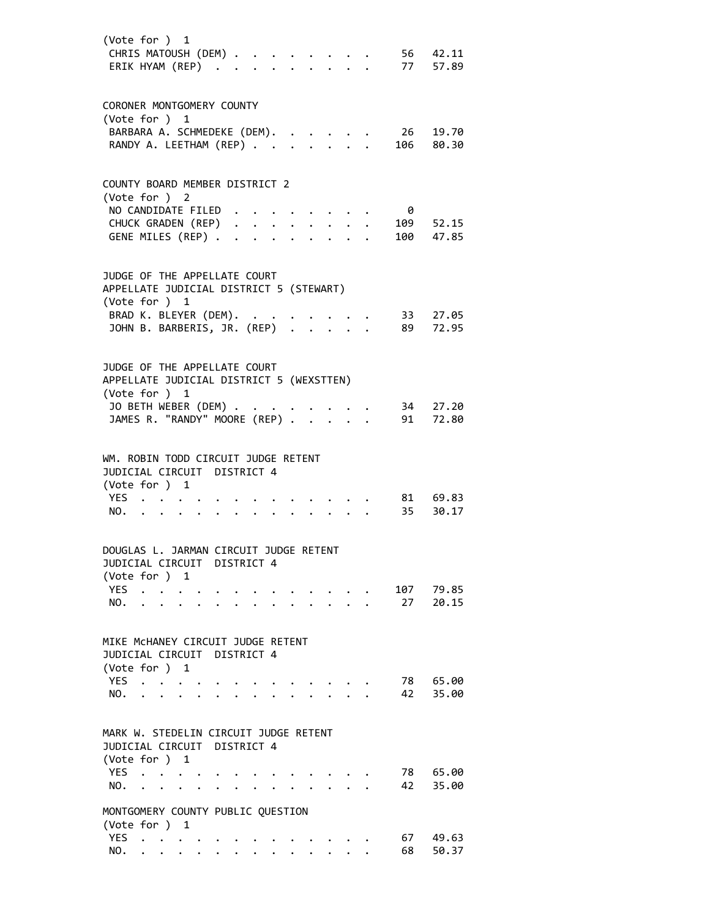|                   | (Vote for ) 1                                                                                                                                                                       |                                                     |  |  |  |  |                                                                          | CHRIS MATOUSH (DEM) 56 42.11<br>ERIK HYAM (REP) 77 57.89 |
|-------------------|-------------------------------------------------------------------------------------------------------------------------------------------------------------------------------------|-----------------------------------------------------|--|--|--|--|--------------------------------------------------------------------------|----------------------------------------------------------|
|                   | CORONER MONTGOMERY COUNTY<br>(Vote for ) 1                                                                                                                                          |                                                     |  |  |  |  | BARBARA A. SCHMEDEKE (DEM). 26 19.70<br>RANDY A. LEETHAM (REP) 106 80.30 |                                                          |
|                   | COUNTY BOARD MEMBER DISTRICT 2<br>(Vote for ) 2<br>NO CANDIDATE FILED<br>GENE MILES (REP)                                                                                           |                                                     |  |  |  |  | - 0                                                                      | CHUCK GRADEN (REP) 109 52.15<br>100 47.85                |
|                   | JUDGE OF THE APPELLATE COURT<br>APPELLATE JUDICIAL DISTRICT 5 (STEWART)<br>(Vote for ) 1<br>BRAD K. BLEYER (DEM). .<br>DRAU K. BLEYER (DEM).<br>JOHN B. BARBERIS, JR. (REP)         |                                                     |  |  |  |  |                                                                          | 33 27.05<br>89 72.95                                     |
|                   | JUDGE OF THE APPELLATE COURT<br>APPELLATE JUDICIAL DISTRICT 5 (WEXSTTEN)<br>(Vote for ) 1<br>JO BETH WEBER (DEM) .<br>JO BEIH WEBER (DEM)<br>JAMES R. "RANDY" MOORE (REP)           |                                                     |  |  |  |  |                                                                          | 34 27.20<br>91 72.80                                     |
|                   | WM. ROBIN TODD CIRCUIT JUDGE RETENT<br>JUDICIAL CIRCUIT DISTRICT 4<br>(Vote for ) 1<br>YES $\cdot \cdot \cdot \cdot \cdot \cdot \cdot$<br>NO. $\cdot \cdot \cdot \cdot \cdot \cdot$ |                                                     |  |  |  |  |                                                                          | 81 69.83<br>35 30.17                                     |
|                   | DOUGLAS L. JARMAN CIRCUIT JUDGE RETENT<br>JUDICIAL CIRCUIT DISTRICT 4<br>(Vote for ) 1                                                                                              |                                                     |  |  |  |  |                                                                          |                                                          |
| <b>YES</b><br>NO. | $\ddotsc$                                                                                                                                                                           |                                                     |  |  |  |  | 107<br>27                                                                | 79.85<br>20.15                                           |
|                   | MIKE MCHANEY CIRCUIT JUDGE RETENT<br>JUDICIAL CIRCUIT DISTRICT 4<br>(Vote for ) 1                                                                                                   |                                                     |  |  |  |  |                                                                          |                                                          |
| <b>YES</b><br>NO. | $\ddot{\phantom{0}}$                                                                                                                                                                |                                                     |  |  |  |  | 78<br>42                                                                 | 65.00<br>35.00                                           |
|                   | MARK W. STEDELIN CIRCUIT JUDGE RETENT<br>JUDICIAL CIRCUIT DISTRICT 4<br>(Vote for ) 1                                                                                               |                                                     |  |  |  |  |                                                                          |                                                          |
| <b>YES</b><br>NO. | $\mathbf{L}^{\text{max}}$<br>$\mathbf{r}$ . The set of $\mathbf{r}$                                                                                                                 | $\ddot{\phantom{0}}$<br>$\mathbf{z} = \mathbf{z}$ . |  |  |  |  | 78<br>42                                                                 | 65.00<br>35.00                                           |
|                   | MONTGOMERY COUNTY PUBLIC QUESTION<br>(Vote for ) 1                                                                                                                                  |                                                     |  |  |  |  |                                                                          |                                                          |
| <b>YES</b><br>NO. | $\sim$ $\sim$                                                                                                                                                                       |                                                     |  |  |  |  | 67<br>68                                                                 | 49.63<br>50.37                                           |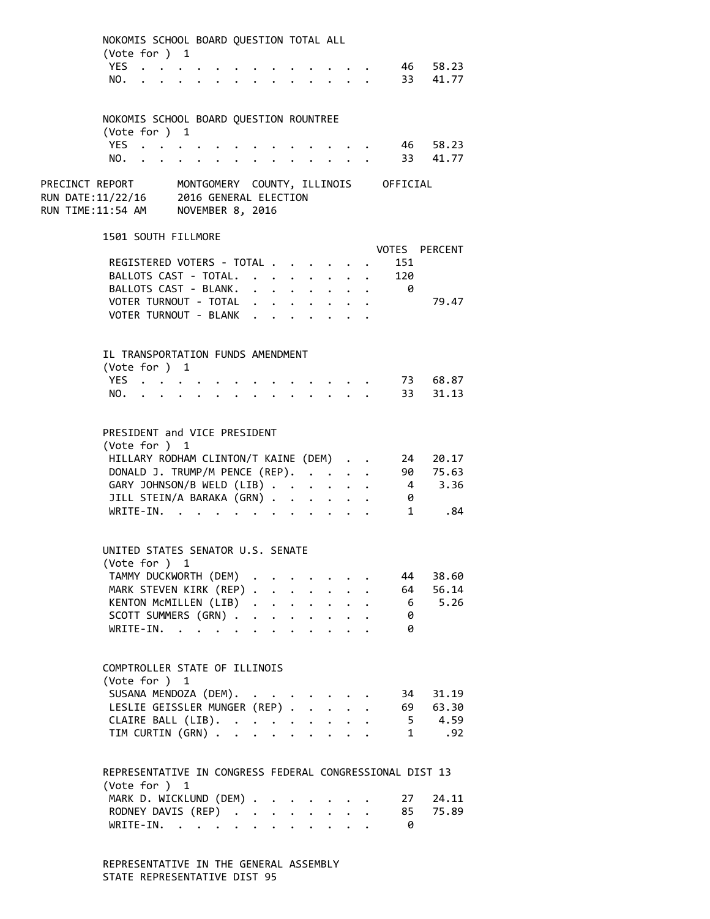|                                                                                                                                       | NOKOMIS SCHOOL BOARD QUESTION TOTAL ALL<br>(Vote for $)$ 1<br>YES                                                                                                                              |                                                                                          |                                                |           |                                                                                                                                                                                                                                                         |                                                                  |                                                                  |                   | 46 58.23                                |  |
|---------------------------------------------------------------------------------------------------------------------------------------|------------------------------------------------------------------------------------------------------------------------------------------------------------------------------------------------|------------------------------------------------------------------------------------------|------------------------------------------------|-----------|---------------------------------------------------------------------------------------------------------------------------------------------------------------------------------------------------------------------------------------------------------|------------------------------------------------------------------|------------------------------------------------------------------|-------------------|-----------------------------------------|--|
|                                                                                                                                       | NO.<br>NOKOMIS SCHOOL BOARD QUESTION ROUNTREE                                                                                                                                                  | $\mathbf{r}$ , and $\mathbf{r}$ , and $\mathbf{r}$ , and $\mathbf{r}$ , and $\mathbf{r}$ |                                                |           |                                                                                                                                                                                                                                                         |                                                                  |                                                                  |                   | 33 41.77                                |  |
|                                                                                                                                       | (Vote for ) 1<br>YES<br>NO. .                                                                                                                                                                  |                                                                                          | $\ddot{\phantom{a}}$                           |           |                                                                                                                                                                                                                                                         |                                                                  |                                                                  |                   | 46 58.23<br>33 41.77                    |  |
| PRECINCT REPORT MONTGOMERY COUNTY, ILLINOIS OFFICIAL<br>RUN DATE:11/22/16 2016 GENERAL ELECTION<br>RUN TIME:11:54 AM NOVEMBER 8, 2016 |                                                                                                                                                                                                |                                                                                          |                                                |           |                                                                                                                                                                                                                                                         |                                                                  |                                                                  |                   |                                         |  |
|                                                                                                                                       | 1501 SOUTH FILLMORE                                                                                                                                                                            |                                                                                          |                                                |           |                                                                                                                                                                                                                                                         |                                                                  |                                                                  |                   | <b>VOTES PERCENT</b>                    |  |
|                                                                                                                                       | REGISTERED VOTERS - TOTAL<br>BALLOTS CAST - TOTAL.<br>BALLOTS CAST - BLANK.<br>VOTER TURNOUT - TOTAL<br>VOTER TURNOUT - BLANK                                                                  |                                                                                          |                                                |           | $\ddot{\phantom{0}}$<br>$\sim$ $\sim$<br>$\cdot$ $\cdot$ $\cdot$ $\cdot$ $\cdot$ $\cdot$ $\cdot$ $\cdot$<br>$\mathbf{r}$ , $\mathbf{r}$ , $\mathbf{r}$ , $\mathbf{r}$ , $\mathbf{r}$<br>$\cdot$ $\cdot$ $\cdot$ $\cdot$ $\cdot$ $\cdot$ $\cdot$ $\cdot$ | $\sim$                                                           |                                                                  | 151<br>120<br>- 0 | 79.47                                   |  |
|                                                                                                                                       | IL TRANSPORTATION FUNDS AMENDMENT<br>(Vote for ) 1<br>YES<br>NO.                                                                                                                               |                                                                                          | $\mathbf{r}$ and $\mathbf{r}$ and $\mathbf{r}$ |           | $\mathbf{r}$ and $\mathbf{r}$ and $\mathbf{r}$                                                                                                                                                                                                          |                                                                  |                                                                  |                   | 73 68.87<br>33 31.13                    |  |
|                                                                                                                                       | PRESIDENT and VICE PRESIDENT<br>(Vote for ) 1<br>HILLARY RODHAM CLINTON/T KAINE (DEM)<br>DONALD J. TRUMP/M PENCE (REP).<br>GARY JOHNSON/B WELD (LIB)<br>JILL STEIN/A BARAKA (GRN)<br>WRITE-IN. | $\sim$ $\sim$ $\sim$ $\sim$ $\sim$ $\sim$                                                |                                                |           | $\ddot{\phantom{0}}$                                                                                                                                                                                                                                    | $\ddotsc$                                                        | $\mathbf{1}$ $\mathbf{1}$ $\mathbf{1}$ $\mathbf{1}$ $\mathbf{1}$ | 0<br>$1 \quad$    | 24 20.17<br>90 75.63<br>4 3.36<br>.84   |  |
|                                                                                                                                       | UNITED STATES SENATOR U.S. SENATE<br>(Vote for ) 1<br>TAMMY DUCKWORTH (DEM)<br>MARK STEVEN KIRK (REP)<br>KENTON MCMILLEN (LIB)<br>SCOTT SUMMERS (GRN)<br>WRITE-IN.                             |                                                                                          |                                                |           | $\mathbf{r}$ , $\mathbf{r}$ , $\mathbf{r}$<br>$\ddot{\phantom{a}}$                                                                                                                                                                                      | <b>Contract</b>                                                  | $\mathbf{L}$                                                     | 44<br>0<br>0      | 38.60<br>64 56.14<br>6 5.26             |  |
|                                                                                                                                       | COMPTROLLER STATE OF ILLINOIS<br>(Vote for ) 1<br>SUSANA MENDOZA (DEM).<br>LESLIE GEISSLER MUNGER (REP)<br>CLAIRE BALL (LIB).<br>TIM CURTIN (GRN)                                              |                                                                                          |                                                |           |                                                                                                                                                                                                                                                         | $\mathbf{1}$ $\mathbf{1}$ $\mathbf{1}$ $\mathbf{1}$ $\mathbf{1}$ |                                                                  |                   | 34 31.19<br>69 63.30<br>5 4.59<br>1 .92 |  |
|                                                                                                                                       | REPRESENTATIVE IN CONGRESS FEDERAL CONGRESSIONAL DIST 13<br>(Vote for ) 1<br>MARK D. WICKLUND (DEM) .<br>RODNEY DAVIS (REP)<br>WRITE-IN.                                                       |                                                                                          |                                                | $\bullet$ | $\mathbf{L}^{\text{max}}$<br>$\mathbf{L}$                                                                                                                                                                                                               | $\ddot{\phantom{0}}$<br>$\mathbf{L}$                             | $\mathbf{L}$                                                     | 27<br>85<br>- 0   | 24.11<br>75.89                          |  |

REPRESENTATIVE IN THE GENERAL ASSEMBLY STATE REPRESENTATIVE DIST 95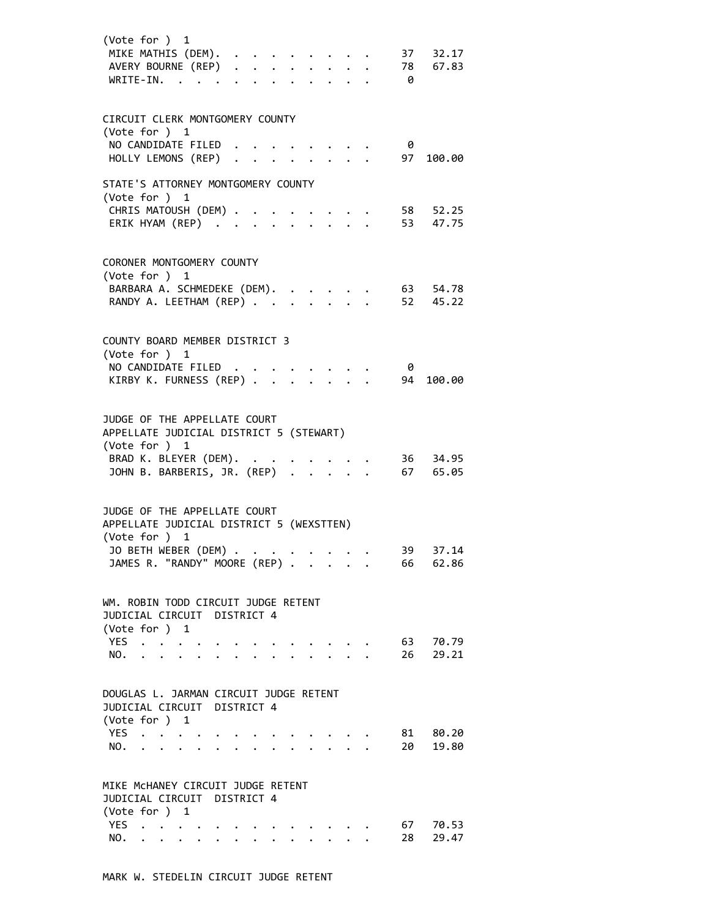| (Vote for ) 1<br>MIKE MATHIS (DEM).<br>AVERY BOURNE (REP)<br>WRITE-IN.                                                                                                                        |                      |                                                                          |  |                                                                                              |  | - 0       | $37 \quad 32.17$<br>78 67.83 |
|-----------------------------------------------------------------------------------------------------------------------------------------------------------------------------------------------|----------------------|--------------------------------------------------------------------------|--|----------------------------------------------------------------------------------------------|--|-----------|------------------------------|
| CIRCUIT CLERK MONTGOMERY COUNTY<br>(Vote for ) 1<br>NO CANDIDATE FILED                                                                                                                        |                      |                                                                          |  |                                                                                              |  | - 0       |                              |
| HOLLY LEMONS (REP)                                                                                                                                                                            |                      |                                                                          |  |                                                                                              |  | 97        | 100.00                       |
| STATE'S ATTORNEY MONTGOMERY COUNTY<br>(Vote for ) 1                                                                                                                                           |                      |                                                                          |  |                                                                                              |  |           |                              |
| CHRIS MATOUSH (DEM)<br>ERIK HYAM (REP)                                                                                                                                                        |                      |                                                                          |  | $\mathcal{L}(\mathcal{A})$ , and $\mathcal{A}(\mathcal{A})$ , and $\mathcal{A}(\mathcal{A})$ |  |           | 58 52.25<br>53 47.75         |
| CORONER MONTGOMERY COUNTY<br>(Vote for ) 1                                                                                                                                                    |                      |                                                                          |  |                                                                                              |  |           |                              |
| BARBARA A. SCHMEDEKE (DEM).<br>RANDY A. LEETHAM (REP)                                                                                                                                         |                      |                                                                          |  |                                                                                              |  |           | 63 54.78<br>$52 \quad 45.22$ |
| COUNTY BOARD MEMBER DISTRICT 3                                                                                                                                                                |                      |                                                                          |  |                                                                                              |  |           |                              |
| (Vote for ) 1<br>NO CANDIDATE FILED<br>KIRBY K. FURNESS (REP)                                                                                                                                 |                      |                                                                          |  |                                                                                              |  | - 0<br>94 | 100.00                       |
| JUDGE OF THE APPELLATE COURT<br>APPELLATE JUDICIAL DISTRICT 5 (STEWART)<br>(Vote for ) 1                                                                                                      |                      |                                                                          |  |                                                                                              |  |           |                              |
| BRAD K. BLEYER (DEM). .<br>BRAD K. BLEYER (DEM). 36 34.95<br>JOHN B. BARBERIS, JR. (REP) 67 65.05                                                                                             |                      |                                                                          |  |                                                                                              |  |           | 36 34.95                     |
| JUDGE OF THE APPELLATE COURT<br>APPELLATE JUDICIAL DISTRICT 5 (WEXSTTEN)<br>(Vote for ) 1                                                                                                     |                      |                                                                          |  |                                                                                              |  |           |                              |
| JO BETH WEBER (DEM) .<br>JAMES R. "RANDY" MOORE (REP)                                                                                                                                         |                      | $\mathbf{r}$ , $\mathbf{r}$ , $\mathbf{r}$ , $\mathbf{r}$ , $\mathbf{r}$ |  |                                                                                              |  | 39<br>66  | 37.14<br>62.86               |
| WM. ROBIN TODD CIRCUIT JUDGE RETENT<br>JUDICIAL CIRCUIT DISTRICT 4                                                                                                                            |                      |                                                                          |  |                                                                                              |  |           |                              |
| (Vote for ) 1<br>YES<br>NO.<br>$\cdots$                                                                                                                                                       |                      |                                                                          |  | $\cdot$ $\cdot$ $\cdot$ $\cdot$                                                              |  | 63<br>26  | 70.79<br>29.21               |
| DOUGLAS L. JARMAN CIRCUIT JUDGE RETENT<br>JUDICIAL CIRCUIT DISTRICT 4<br>(Vote for ) 1                                                                                                        |                      |                                                                          |  |                                                                                              |  |           |                              |
| YES<br>$\begin{array}{ccccccccc}\n\cdot & \cdot & \cdot & \cdot & \cdot & \cdot & \cdot \\ \cdot & \cdot & \cdot & \cdot & \cdot & \cdot & \cdot\n\end{array}$<br>$\ddot{\phantom{0}}$<br>NO. |                      |                                                                          |  | $\begin{pmatrix} 1 & 1 & 1 \\ 1 & 1 & 1 \end{pmatrix}$                                       |  | 81<br>20  | 80.20<br>19.80               |
| MIKE MCHANEY CIRCUIT JUDGE RETENT<br>JUDICIAL CIRCUIT DISTRICT 4                                                                                                                              |                      |                                                                          |  |                                                                                              |  |           |                              |
| (Vote for ) 1<br>YES .<br>NO.<br>$\mathbf{L}$                                                                                                                                                 | $\ddot{\phantom{0}}$ |                                                                          |  | $\ddot{\phantom{0}}$                                                                         |  | 67<br>28  | 70.53<br>29.47               |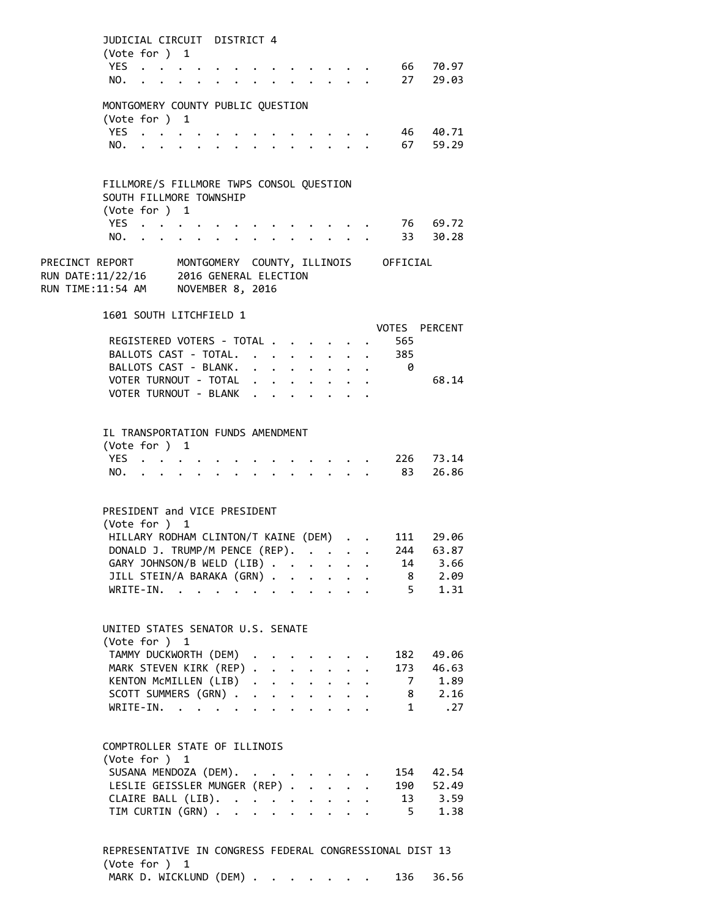| $\mathbf{1}$ $\mathbf{1}$ $\mathbf{1}$ $\mathbf{1}$ $\mathbf{1}$<br>TIM CURTIN (GRN)<br>$\overline{a}$                                         |                                        |                   | $5 \t 1.38$                                            |
|------------------------------------------------------------------------------------------------------------------------------------------------|----------------------------------------|-------------------|--------------------------------------------------------|
|                                                                                                                                                |                                        |                   |                                                        |
| $\ddot{\phantom{0}}$                                                                                                                           |                                        |                   |                                                        |
| CLAIRE BALL (LIB).                                                                                                                             |                                        |                   | 190 52.49<br>$\begin{array}{r} 13 \\ 3.59 \end{array}$ |
| SUSANA MENDOZA (DEM).<br>LESLIE GEISSLER MUNGER (REP)                                                                                          |                                        |                   |                                                        |
|                                                                                                                                                |                                        |                   | 154 42.54                                              |
| (Vote for ) 1                                                                                                                                  |                                        |                   |                                                        |
| COMPTROLLER STATE OF ILLINOIS                                                                                                                  |                                        |                   |                                                        |
|                                                                                                                                                |                                        |                   |                                                        |
| $\mathbf{1}$ $\mathbf{1}$ $\mathbf{1}$ $\mathbf{1}$ $\mathbf{1}$ $\mathbf{1}$ $\mathbf{1}$<br>$WRITE-IN.$                                      |                                        |                   | 1.27                                                   |
| SCOTT SUMMERS (GRN)                                                                                                                            |                                        |                   | 8 2.16                                                 |
| KENTON McMILLEN (LIB).<br>$\mathbf{r} = \mathbf{r} + \mathbf{r} + \mathbf{r} + \mathbf{r}$ .                                                   |                                        | $\overline{7}$    | 1.89                                                   |
| MARK STEVEN KIRK (REP).<br>$\mathbf{z} = \mathbf{z}$ .                                                                                         |                                        | 173               | 46.63                                                  |
| (Vote for ) 1<br>TAMMY DUCKWORTH (DEM)                                                                                                         |                                        | 182               | 49.06                                                  |
| UNITED STATES SENATOR U.S. SENATE                                                                                                              |                                        |                   |                                                        |
|                                                                                                                                                |                                        |                   |                                                        |
|                                                                                                                                                |                                        |                   |                                                        |
| $\mathcal{L}^{\mathcal{L}}$<br>$\mathbf{1}^{\prime}$ , $\mathbf{1}^{\prime}$ , $\mathbf{1}^{\prime}$ , $\mathbf{1}^{\prime}$<br>$WRITE-IN.$    |                                        | $5^{\circ}$       | 1.31                                                   |
| JILL STEIN/A BARAKA (GRN)                                                                                                                      |                                        | 8                 | 2.09                                                   |
| $\mathcal{L}(\mathbf{A})$ and $\mathcal{L}(\mathbf{A})$ and $\mathcal{L}(\mathbf{A})$<br>GARY JOHNSON/B WELD (LIB)                             |                                        | 14                | 3.66                                                   |
| DONALD J. TRUMP/M PENCE (REP).                                                                                                                 |                                        | 244               | 111 29.06<br>63.87                                     |
| (Vote for ) 1<br>HILLARY RODHAM CLINTON/T KAINE (DEM)                                                                                          |                                        |                   |                                                        |
| PRESIDENT and VICE PRESIDENT                                                                                                                   |                                        |                   |                                                        |
|                                                                                                                                                |                                        |                   |                                                        |
| NO.<br>$\sim$                                                                                                                                  |                                        | 83                | 26.86                                                  |
| YES.                                                                                                                                           |                                        | 226 73.14         |                                                        |
| (Vote for ) 1                                                                                                                                  |                                        |                   |                                                        |
| IL TRANSPORTATION FUNDS AMENDMENT                                                                                                              |                                        |                   |                                                        |
|                                                                                                                                                |                                        |                   |                                                        |
|                                                                                                                                                |                                        |                   |                                                        |
| VOTER TURNOUT - BLANK                                                                                                                          |                                        |                   |                                                        |
| BALLOTS CAST - BLANK.<br>VOTER TURNOUT - TOTAL                                                                                                 | $\mathbf{z} = \mathbf{z} + \mathbf{z}$ | - 0               | 68.14                                                  |
| BALLOTS CAST - TOTAL.                                                                                                                          |                                        | . 385             |                                                        |
| REGISTERED VOTERS - TOTAL                                                                                                                      |                                        | 565               |                                                        |
|                                                                                                                                                |                                        | VOTES PERCENT     |                                                        |
| 1601 SOUTH LITCHFIELD 1                                                                                                                        |                                        |                   |                                                        |
|                                                                                                                                                |                                        |                   |                                                        |
| RUN TIME:11:54 AM NOVEMBER 8, 2016                                                                                                             |                                        |                   |                                                        |
| PRECINCT REPORT MONTGOMERY COUNTY, ILLINOIS OFFICIAL<br>RUN DATE:11/22/16 2016 GENERAL ELECTION                                                |                                        |                   |                                                        |
|                                                                                                                                                |                                        |                   |                                                        |
| NO.<br>$\ddot{\phantom{a}}$<br>the contract of the contract of the contract of the contract of the contract of the contract of the contract of |                                        | . 33 30.28        |                                                        |
| YES                                                                                                                                            |                                        | $\ddots$ 76 69.72 |                                                        |
| (Vote for ) 1                                                                                                                                  |                                        |                   |                                                        |
| FILLMORE/S FILLMORE TWPS CONSOL QUESTION<br>SOUTH FILLMORE TOWNSHIP                                                                            |                                        |                   |                                                        |
|                                                                                                                                                |                                        |                   |                                                        |
|                                                                                                                                                |                                        |                   |                                                        |
| NO.                                                                                                                                            |                                        |                   | 67 59.29                                               |
| (Vote for ) 1<br>YES                                                                                                                           |                                        |                   | 46 40.71                                               |
| MONTGOMERY COUNTY PUBLIC QUESTION                                                                                                              |                                        |                   |                                                        |
|                                                                                                                                                |                                        |                   |                                                        |
| NO.<br>$\mathbf{r}$ , $\mathbf{r}$ , $\mathbf{r}$ , $\mathbf{r}$                                                                               |                                        |                   | 27 29.03                                               |
| YES                                                                                                                                            |                                        |                   | 66 70.97                                               |
| (Vote for ) 1                                                                                                                                  |                                        |                   |                                                        |
| JUDICIAL CIRCUIT DISTRICT 4                                                                                                                    |                                        |                   |                                                        |

(Vote for ) 1 MARK D. WICKLUND (DEM) . . . . . . . 136 36.56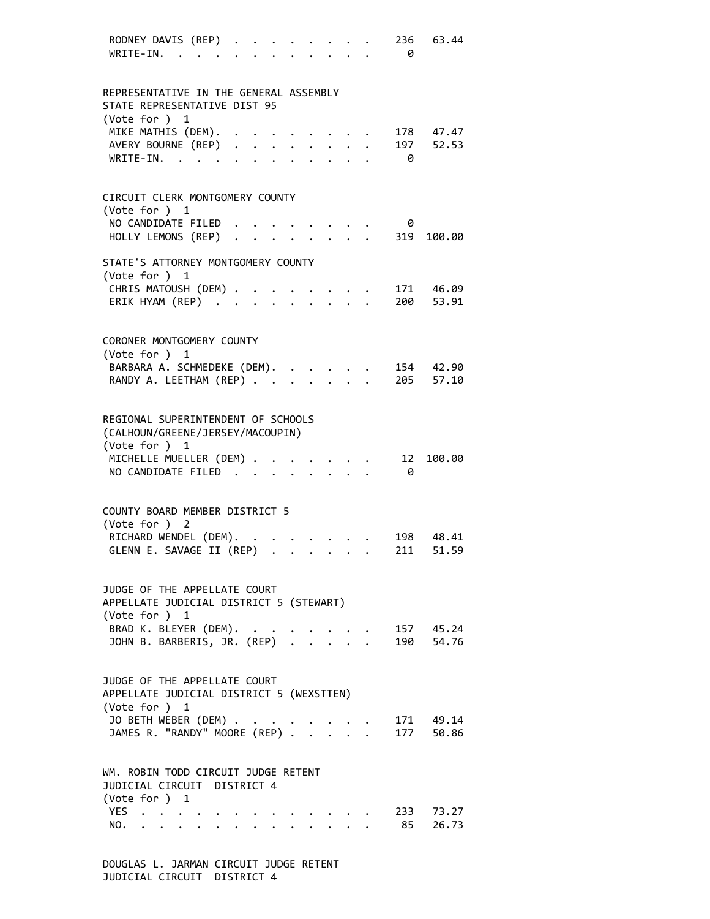| RODNEY DAVIS (REP)<br>WRITE-IN.                                                           |                                                                               | $\ddot{\phantom{0}}$ |                                                                                                                                                                                                                                         |  |                                                           |  | 236 —<br>0 | 63.44                  |
|-------------------------------------------------------------------------------------------|-------------------------------------------------------------------------------|----------------------|-----------------------------------------------------------------------------------------------------------------------------------------------------------------------------------------------------------------------------------------|--|-----------------------------------------------------------|--|------------|------------------------|
| REPRESENTATIVE IN THE GENERAL ASSEMBLY<br>STATE REPRESENTATIVE DIST 95<br>(Vote for ) 1   |                                                                               |                      |                                                                                                                                                                                                                                         |  |                                                           |  |            |                        |
| MIKE MATHIS (DEM).<br>MIKE MAIHIS (DEM).<br>AVERY BOURNE (REP)                            |                                                                               |                      |                                                                                                                                                                                                                                         |  |                                                           |  | 197<br>- 0 | 178 47.47<br>52.53     |
| CIRCUIT CLERK MONTGOMERY COUNTY<br>(Vote for ) 1                                          |                                                                               |                      |                                                                                                                                                                                                                                         |  |                                                           |  |            |                        |
| NO CANDIDATE FILED<br>HOLLY LEMONS (REP)                                                  |                                                                               |                      |                                                                                                                                                                                                                                         |  |                                                           |  | 0<br>319   | 100.00                 |
| STATE'S ATTORNEY MONTGOMERY COUNTY<br>(Vote for ) 1                                       |                                                                               |                      |                                                                                                                                                                                                                                         |  |                                                           |  |            |                        |
| CHRIS MATOUSH (DEM)<br>ERIK HYAM (REP)                                                    |                                                                               |                      |                                                                                                                                                                                                                                         |  |                                                           |  |            | 171 46.09<br>200 53.91 |
| CORONER MONTGOMERY COUNTY<br>(Vote for ) 1                                                |                                                                               |                      |                                                                                                                                                                                                                                         |  |                                                           |  |            |                        |
| BARBARA A. SCHMEDEKE (DEM).<br>RANDY A. LEETHAM (REP)                                     |                                                                               |                      |                                                                                                                                                                                                                                         |  | $\mathbf{r}$ , $\mathbf{r}$ , $\mathbf{r}$                |  |            | 154 42.90<br>205 57.10 |
| REGIONAL SUPERINTENDENT OF SCHOOLS<br>(CALHOUN/GREENE/JERSEY/MACOUPIN)<br>(Vote for ) 1   |                                                                               |                      |                                                                                                                                                                                                                                         |  |                                                           |  |            |                        |
| MICHELLE MUELLER (DEM)<br>NO CANDIDATE FILED                                              |                                                                               |                      |                                                                                                                                                                                                                                         |  |                                                           |  | 12<br>- 0  | 100.00                 |
| COUNTY BOARD MEMBER DISTRICT 5<br>(Vote for ) 2<br>RICHARD WENDEL (DEM). .                |                                                                               |                      |                                                                                                                                                                                                                                         |  |                                                           |  |            | 198 48.41              |
| GLENN E. SAVAGE II (REP)                                                                  |                                                                               |                      | $\mathcal{L}(\mathbf{r})$ . The contribution of the contribution of the contribution of the contribution of the contribution of the contribution of the contribution of the contribution of the contribution of the contribution of the |  |                                                           |  | 211        | 51.59                  |
| JUDGE OF THE APPELLATE COURT<br>APPELLATE JUDICIAL DISTRICT 5 (STEWART)<br>(Vote for ) 1  |                                                                               |                      |                                                                                                                                                                                                                                         |  |                                                           |  |            |                        |
| BRAD K. BLEYER (DEM).<br>JOHN B. BARBERIS, JR. (REP) 190 54.76                            |                                                                               |                      |                                                                                                                                                                                                                                         |  |                                                           |  |            | 157 45.24              |
| JUDGE OF THE APPELLATE COURT<br>APPELLATE JUDICIAL DISTRICT 5 (WEXSTTEN)<br>(Vote for ) 1 |                                                                               |                      |                                                                                                                                                                                                                                         |  |                                                           |  |            |                        |
| JO BETH WEBER (DEM)<br>JAMES R. "RANDY" MOORE (REP) 177 50.86                             |                                                                               |                      |                                                                                                                                                                                                                                         |  |                                                           |  |            | 171 49.14              |
| WM. ROBIN TODD CIRCUIT JUDGE RETENT<br>JUDICIAL CIRCUIT DISTRICT 4<br>(Vote for ) 1       |                                                                               |                      |                                                                                                                                                                                                                                         |  |                                                           |  |            |                        |
| YES<br>NO.                                                                                | $\begin{array}{cccccccccccccc} . & . & . & . & . & . & . & . & . \end{array}$ |                      | $\mathbf{r}$                                                                                                                                                                                                                            |  | $\mathbf{L}$ , $\mathbf{L}$ , $\mathbf{L}$ , $\mathbf{L}$ |  |            | 233 73.27<br>85 26.73  |

DOUGLAS L. JARMAN CIRCUIT JUDGE RETENT JUDICIAL CIRCUIT DISTRICT 4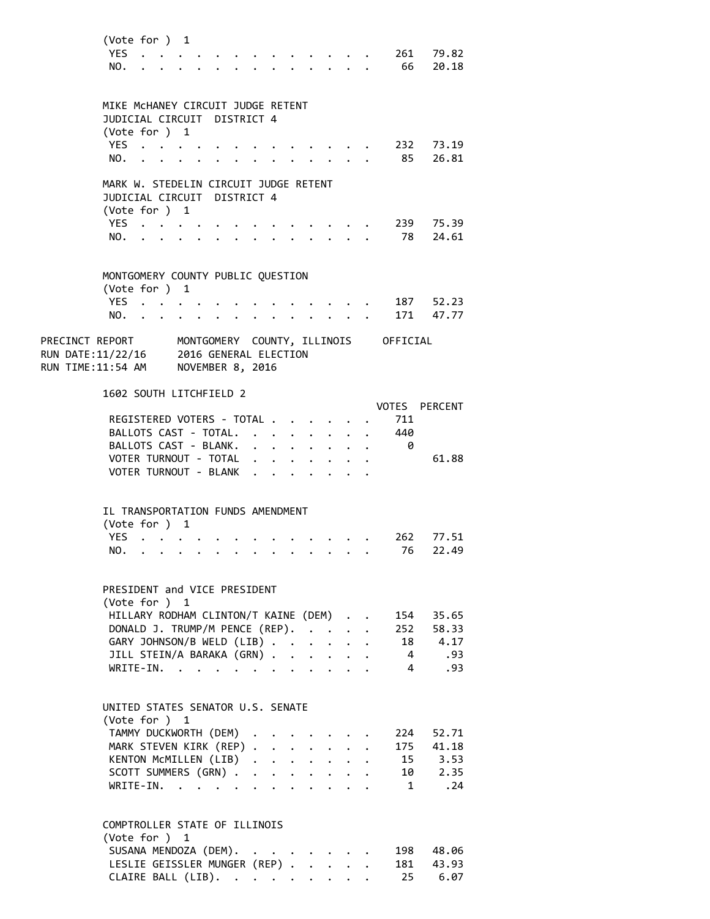| (Vote for ) 1                                                                                   |                                                                                                                                                                                                                               |  |                      |                                                                    |                           |              |                      |                |                                                                       |
|-------------------------------------------------------------------------------------------------|-------------------------------------------------------------------------------------------------------------------------------------------------------------------------------------------------------------------------------|--|----------------------|--------------------------------------------------------------------|---------------------------|--------------|----------------------|----------------|-----------------------------------------------------------------------|
| YES                                                                                             |                                                                                                                                                                                                                               |  |                      |                                                                    |                           |              |                      |                | $\cdot$ 261 79.82                                                     |
| NO.                                                                                             | $\cdot$ $\cdot$                                                                                                                                                                                                               |  |                      |                                                                    |                           |              |                      |                | . 66 20.18                                                            |
|                                                                                                 |                                                                                                                                                                                                                               |  |                      |                                                                    |                           |              |                      |                |                                                                       |
|                                                                                                 |                                                                                                                                                                                                                               |  |                      |                                                                    |                           |              |                      |                |                                                                       |
| MIKE MCHANEY CIRCUIT JUDGE RETENT                                                               |                                                                                                                                                                                                                               |  |                      |                                                                    |                           |              |                      |                |                                                                       |
| JUDICIAL CIRCUIT DISTRICT 4                                                                     |                                                                                                                                                                                                                               |  |                      |                                                                    |                           |              |                      |                |                                                                       |
| (Vote for $)$ 1                                                                                 |                                                                                                                                                                                                                               |  |                      |                                                                    |                           |              |                      |                |                                                                       |
| YES                                                                                             |                                                                                                                                                                                                                               |  |                      |                                                                    |                           |              |                      |                | 232 73.19                                                             |
| NO.<br><b>Carl Carl Control</b>                                                                 |                                                                                                                                                                                                                               |  |                      | $\mathbf{r} = \mathbf{r} \cdot \mathbf{r}$                         |                           |              |                      |                | 85 26.81                                                              |
|                                                                                                 |                                                                                                                                                                                                                               |  |                      |                                                                    |                           |              |                      |                |                                                                       |
| MARK W. STEDELIN CIRCUIT JUDGE RETENT                                                           |                                                                                                                                                                                                                               |  |                      |                                                                    |                           |              |                      |                |                                                                       |
| JUDICIAL CIRCUIT DISTRICT 4                                                                     |                                                                                                                                                                                                                               |  |                      |                                                                    |                           |              |                      |                |                                                                       |
| (Vote for $)$ 1                                                                                 |                                                                                                                                                                                                                               |  |                      |                                                                    |                           |              |                      |                |                                                                       |
| YES                                                                                             |                                                                                                                                                                                                                               |  |                      |                                                                    |                           |              |                      |                | 239 75.39                                                             |
| NO.                                                                                             | $\sim$                                                                                                                                                                                                                        |  |                      |                                                                    |                           |              |                      |                | 78 24.61                                                              |
|                                                                                                 |                                                                                                                                                                                                                               |  |                      |                                                                    |                           |              |                      |                |                                                                       |
|                                                                                                 |                                                                                                                                                                                                                               |  |                      |                                                                    |                           |              |                      |                |                                                                       |
| MONTGOMERY COUNTY PUBLIC QUESTION                                                               |                                                                                                                                                                                                                               |  |                      |                                                                    |                           |              |                      |                |                                                                       |
| (Vote for ) 1                                                                                   |                                                                                                                                                                                                                               |  |                      |                                                                    |                           |              |                      |                |                                                                       |
| YES.                                                                                            |                                                                                                                                                                                                                               |  |                      |                                                                    |                           |              |                      |                |                                                                       |
|                                                                                                 | $\mathcal{A}=\mathcal{A}=\mathcal{A}=\mathcal{A}$ .                                                                                                                                                                           |  |                      |                                                                    |                           |              |                      |                | . 187 52.23                                                           |
| NO.                                                                                             | . The contract of the contract of the contract of the contract of the contract of the contract of the contract of the contract of the contract of the contract of the contract of the contract of the contract of the contrac |  |                      |                                                                    |                           |              |                      |                | 171 47.77                                                             |
|                                                                                                 |                                                                                                                                                                                                                               |  |                      |                                                                    |                           |              |                      |                |                                                                       |
| PRECINCT REPORT MONTGOMERY COUNTY, ILLINOIS OFFICIAL<br>RUN DATE:11/22/16 2016 GENERAL ELECTION |                                                                                                                                                                                                                               |  |                      |                                                                    |                           |              |                      |                |                                                                       |
|                                                                                                 |                                                                                                                                                                                                                               |  |                      |                                                                    |                           |              |                      |                |                                                                       |
| RUN TIME:11:54 AM NOVEMBER 8, 2016                                                              |                                                                                                                                                                                                                               |  |                      |                                                                    |                           |              |                      |                |                                                                       |
|                                                                                                 |                                                                                                                                                                                                                               |  |                      |                                                                    |                           |              |                      |                |                                                                       |
| 1602 SOUTH LITCHFIELD 2                                                                         |                                                                                                                                                                                                                               |  |                      |                                                                    |                           |              |                      |                |                                                                       |
|                                                                                                 |                                                                                                                                                                                                                               |  |                      |                                                                    |                           |              |                      |                | VOTES PERCENT                                                         |
| REGISTERED VOTERS - TOTAL .                                                                     |                                                                                                                                                                                                                               |  |                      | $\mathbf{z} = \mathbf{z} + \mathbf{z}$ , where $\mathbf{z}$        |                           |              |                      | 711            |                                                                       |
| BALLOTS CAST - TOTAL.                                                                           |                                                                                                                                                                                                                               |  |                      | $\mathbf{r} = \mathbf{r} - \mathbf{r} = \mathbf{r} - \mathbf{r}$ . |                           |              |                      | 440            |                                                                       |
| BALLOTS CAST - BLANK.                                                                           |                                                                                                                                                                                                                               |  |                      | $\mathbf{r} = \mathbf{r} - \mathbf{r} = \mathbf{r} - \mathbf{r}$ . |                           |              |                      | - 0            |                                                                       |
| VOTER TURNOUT - TOTAL                                                                           |                                                                                                                                                                                                                               |  |                      | $\cdot$ $\cdot$ $\cdot$ $\cdot$ $\cdot$ $\cdot$                    |                           |              |                      |                | 61.88                                                                 |
| VOTER TURNOUT - BLANK                                                                           |                                                                                                                                                                                                                               |  |                      |                                                                    |                           |              |                      |                |                                                                       |
|                                                                                                 |                                                                                                                                                                                                                               |  |                      |                                                                    |                           |              |                      |                |                                                                       |
|                                                                                                 |                                                                                                                                                                                                                               |  |                      |                                                                    |                           |              |                      |                |                                                                       |
| IL TRANSPORTATION FUNDS AMENDMENT                                                               |                                                                                                                                                                                                                               |  |                      |                                                                    |                           |              |                      |                |                                                                       |
| (Vote for ) 1                                                                                   |                                                                                                                                                                                                                               |  |                      |                                                                    |                           |              |                      |                |                                                                       |
| YES.<br>$\cdot$ $\cdot$                                                                         |                                                                                                                                                                                                                               |  |                      |                                                                    |                           |              |                      |                | 262 77.51                                                             |
| NO.                                                                                             |                                                                                                                                                                                                                               |  |                      |                                                                    |                           |              |                      | 76             | 22.49                                                                 |
|                                                                                                 |                                                                                                                                                                                                                               |  |                      |                                                                    |                           |              |                      |                |                                                                       |
|                                                                                                 |                                                                                                                                                                                                                               |  |                      |                                                                    |                           |              |                      |                |                                                                       |
| PRESIDENT and VICE PRESIDENT                                                                    |                                                                                                                                                                                                                               |  |                      |                                                                    |                           |              |                      |                |                                                                       |
| (Vote for ) 1                                                                                   |                                                                                                                                                                                                                               |  |                      |                                                                    |                           |              |                      |                |                                                                       |
| HILLARY RODHAM CLINTON/T KAINE (DEM).                                                           |                                                                                                                                                                                                                               |  |                      |                                                                    |                           |              |                      |                |                                                                       |
|                                                                                                 |                                                                                                                                                                                                                               |  |                      |                                                                    |                           |              | $\ddot{\phantom{0}}$ |                | 154 35.65                                                             |
| DONALD J. TRUMP/M PENCE (REP).                                                                  |                                                                                                                                                                                                                               |  |                      |                                                                    |                           |              |                      |                | 252 58.33                                                             |
| GARY JOHNSON/B WELD (LIB)                                                                       |                                                                                                                                                                                                                               |  |                      |                                                                    | $\ddot{\phantom{0}}$      | $\mathbf{L}$ |                      | 18             | 4.17<br>93.                                                           |
| JILL STEIN/A BARAKA (GRN)                                                                       |                                                                                                                                                                                                                               |  |                      |                                                                    |                           |              |                      | $\overline{4}$ |                                                                       |
| $WRITE-IN.$                                                                                     |                                                                                                                                                                                                                               |  | $\ddot{\phantom{0}}$ |                                                                    | $\mathbf{r}$              |              |                      | $\overline{4}$ | .93                                                                   |
|                                                                                                 |                                                                                                                                                                                                                               |  |                      |                                                                    |                           |              |                      |                |                                                                       |
|                                                                                                 |                                                                                                                                                                                                                               |  |                      |                                                                    |                           |              |                      |                |                                                                       |
| UNITED STATES SENATOR U.S. SENATE                                                               |                                                                                                                                                                                                                               |  |                      |                                                                    |                           |              |                      |                |                                                                       |
| (Vote for ) 1                                                                                   |                                                                                                                                                                                                                               |  |                      |                                                                    |                           |              |                      |                |                                                                       |
| TAMMY DUCKWORTH (DEM)                                                                           |                                                                                                                                                                                                                               |  |                      |                                                                    |                           |              |                      |                | 224 52.71                                                             |
| MARK STEVEN KIRK (REP)                                                                          |                                                                                                                                                                                                                               |  |                      |                                                                    |                           |              |                      |                |                                                                       |
| KENTON MCMILLEN (LIB)                                                                           |                                                                                                                                                                                                                               |  |                      |                                                                    |                           |              |                      |                |                                                                       |
| SCOTT SUMMERS (GRN).                                                                            |                                                                                                                                                                                                                               |  |                      | $\mathbf{r}$ , $\mathbf{r}$ , $\mathbf{r}$ , $\mathbf{r}$          |                           |              |                      |                | $\begin{array}{rr} 175 & 41.18 \\ 15 & 3.53 \\ 10 & 2.35 \end{array}$ |
| $WRITE-IN.$                                                                                     |                                                                                                                                                                                                                               |  |                      |                                                                    |                           |              |                      |                | $1 \qquad .24$                                                        |
|                                                                                                 |                                                                                                                                                                                                                               |  |                      |                                                                    |                           |              |                      |                |                                                                       |
|                                                                                                 |                                                                                                                                                                                                                               |  |                      |                                                                    |                           |              |                      |                |                                                                       |
| COMPTROLLER STATE OF ILLINOIS                                                                   |                                                                                                                                                                                                                               |  |                      |                                                                    |                           |              |                      |                |                                                                       |
| (Vote for ) 1                                                                                   |                                                                                                                                                                                                                               |  |                      |                                                                    |                           |              |                      |                |                                                                       |
| SUSANA MENDOZA (DEM).                                                                           |                                                                                                                                                                                                                               |  |                      |                                                                    |                           |              |                      | 198            | 48.06                                                                 |
| LESLIE GEISSLER MUNGER (REP) .                                                                  |                                                                                                                                                                                                                               |  |                      |                                                                    | $\mathbf{L}$ $\mathbf{L}$ |              |                      | 181            | 43.93                                                                 |
| CLAIRE BALL (LIB).                                                                              |                                                                                                                                                                                                                               |  |                      |                                                                    |                           |              |                      | 25             | 6.07                                                                  |
|                                                                                                 |                                                                                                                                                                                                                               |  |                      |                                                                    |                           |              |                      |                |                                                                       |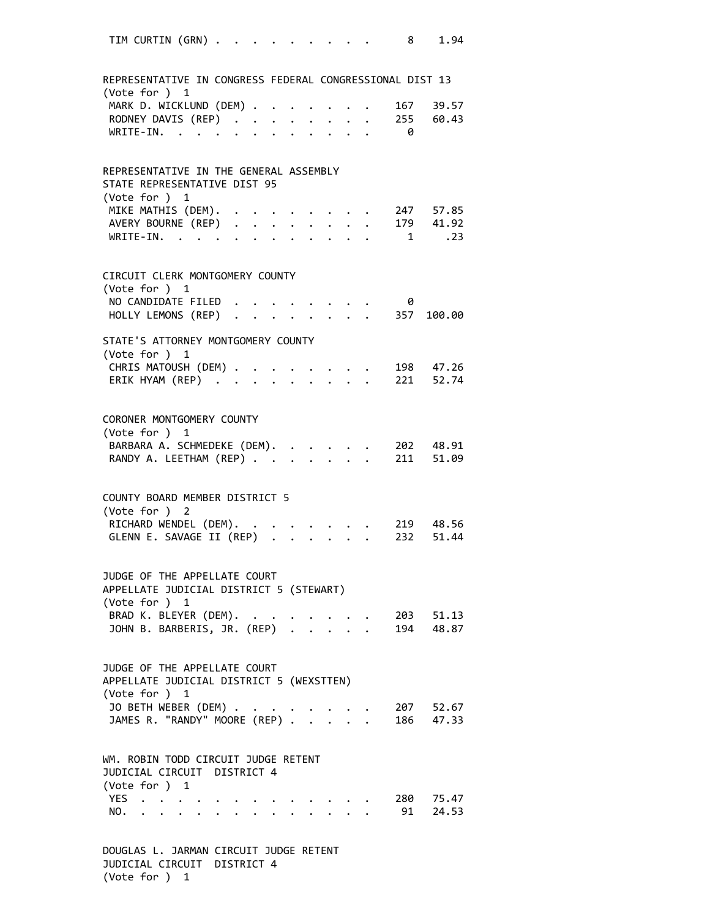| TIM CURTIN (GRN)                                                                    |  |                         |              |                             |  |                           | 8   | 1.94                   |
|-------------------------------------------------------------------------------------|--|-------------------------|--------------|-----------------------------|--|---------------------------|-----|------------------------|
| REPRESENTATIVE IN CONGRESS FEDERAL CONGRESSIONAL DIST 13                            |  |                         |              |                             |  |                           |     |                        |
| (Vote for ) 1                                                                       |  |                         |              |                             |  |                           |     |                        |
| MARK D. WICKLUND (DEM) .                                                            |  | $\bullet$ .             |              |                             |  |                           | 167 | 39.57                  |
| RODNEY DAVIS (REP) 255 60.43<br>WRITE-IN. 0                                         |  |                         |              |                             |  |                           |     |                        |
|                                                                                     |  | $\cdot$ $\cdot$ $\cdot$ |              |                             |  |                           |     |                        |
| REPRESENTATIVE IN THE GENERAL ASSEMBLY                                              |  |                         |              |                             |  |                           |     |                        |
| STATE REPRESENTATIVE DIST 95<br>(Vote for ) 1                                       |  |                         |              |                             |  |                           |     |                        |
| MIKE MATHIS (DEM). 247 57.85<br>AVERY BOURNE (REP) 179 41.92<br>WRITE-IN. 1 .23     |  |                         |              |                             |  |                           |     |                        |
|                                                                                     |  |                         |              |                             |  |                           |     |                        |
| WRITE-IN.                                                                           |  |                         |              |                             |  |                           |     | $1 \qquad .23$         |
| CIRCUIT CLERK MONTGOMERY COUNTY                                                     |  |                         |              |                             |  |                           |     |                        |
| (Vote for ) 1                                                                       |  |                         |              |                             |  |                           |     |                        |
| NO CANDIDATE FILED                                                                  |  |                         |              |                             |  |                           | 0   |                        |
| HOLLY LEMONS (REP) 357 100.00                                                       |  |                         |              |                             |  |                           |     |                        |
| STATE'S ATTORNEY MONTGOMERY COUNTY                                                  |  |                         |              |                             |  |                           |     |                        |
| (Vote for ) 1                                                                       |  |                         |              |                             |  |                           |     |                        |
| CHRIS MATOUSH (DEM) 198 47.26<br>ERIK HYAM (REP) 221 52.74<br>CHRIS MATOUSH (DEM) . |  |                         |              |                             |  |                           |     |                        |
|                                                                                     |  |                         |              |                             |  |                           |     |                        |
| CORONER MONTGOMERY COUNTY<br>(Vote for ) 1                                          |  |                         |              |                             |  |                           |     |                        |
| BARBARA A. SCHMEDEKE (DEM).<br>RANDY A. LEETHAM (REP)                               |  |                         | $\mathbf{L}$ | $\mathbb{R}^{\mathbb{Z}^2}$ |  | $\mathbf{L}$ $\mathbf{L}$ |     | 202 48.91<br>211 51.09 |
| COUNTY BOARD MEMBER DISTRICT 5                                                      |  |                         |              |                             |  |                           |     |                        |
| (Vote for ) 2                                                                       |  |                         |              |                             |  |                           |     |                        |
| RICHARD WENDEL (DEM).<br>GLENN E. SAVAGE II (REP) .                                 |  |                         |              |                             |  |                           |     |                        |
| JUDGE OF THE APPELLATE COURT<br>APPELLATE JUDICIAL DISTRICT 5 (STEWART)             |  |                         |              |                             |  |                           |     |                        |
| (Vote for ) 1                                                                       |  |                         |              |                             |  |                           |     |                        |
| BRAD K. BLEYER (DEM).                                                               |  |                         |              |                             |  |                           |     |                        |
| BRAD K. BLEYER (DEM). 203 51.13<br>JOHN B. BARBERIS, JR. (REP) 194 48.87            |  |                         |              |                             |  |                           |     |                        |
| JUDGE OF THE APPELLATE COURT<br>APPELLATE JUDICIAL DISTRICT 5 (WEXSTTEN)            |  |                         |              |                             |  |                           |     |                        |
| (Vote for ) 1                                                                       |  |                         |              |                             |  |                           |     |                        |
| JO BETH WEBER (DEM)                                                                 |  |                         |              |                             |  |                           |     |                        |
| JO BETH WEBER (DEM) 207 52.67<br>JAMES R. "RANDY" MOORE (REP) 186 47.33             |  |                         |              |                             |  |                           |     |                        |
| WM. ROBIN TODD CIRCUIT JUDGE RETENT<br>JUDICIAL CIRCUIT DISTRICT 4<br>(Vote for ) 1 |  |                         |              |                             |  |                           |     |                        |
| YES                                                                                 |  |                         |              |                             |  |                           |     |                        |
| 123 280 75.47<br>NO. 91 24.53                                                       |  |                         |              |                             |  |                           |     |                        |
| DOUGLAS L. JARMAN CIRCUIT JUDGE RETENT                                              |  |                         |              |                             |  |                           |     |                        |

JUDICIAL CIRCUIT DISTRICT 4 (Vote for ) 1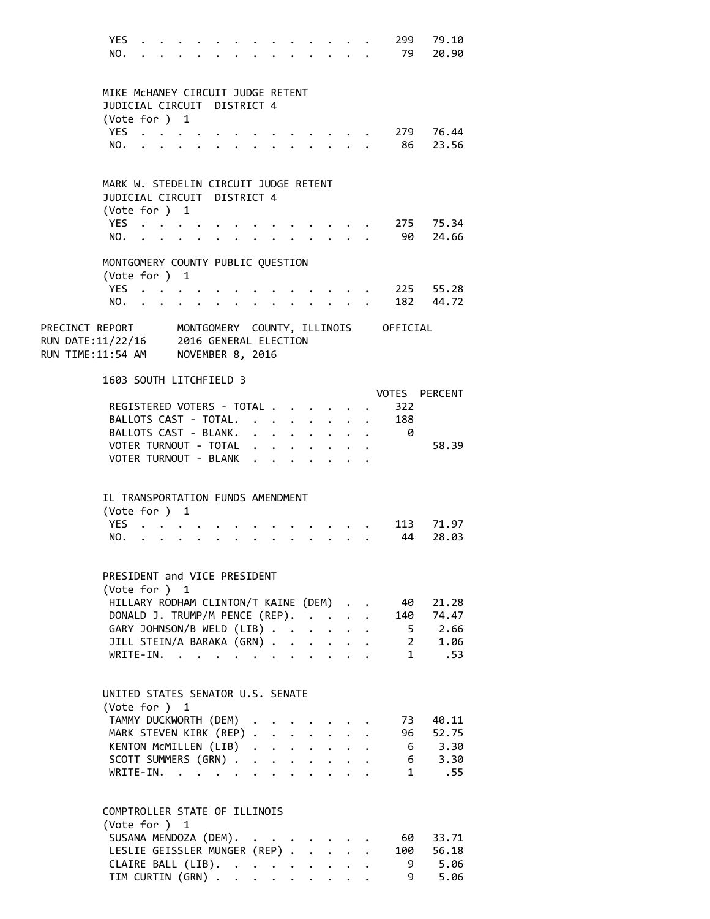YES . . . . . . . . . . . . . 299 79.10 NO. . . . . . . . . . . . . . 79 20.90 MIKE McHANEY CIRCUIT JUDGE RETENT JUDICIAL CIRCUIT DISTRICT 4 (Vote for ) 1 YES . . . . . . . . . . . . . 279 76.44 NO. . . . . . . . . . . . . . 86 23.56 MARK W. STEDELIN CIRCUIT JUDGE RETENT JUDICIAL CIRCUIT DISTRICT 4 (Vote for ) 1 YES . . . . . . . . . . . . . 275 75.34 NO. . . . . . . . . . . . . . 90 24.66 MONTGOMERY COUNTY PUBLIC QUESTION (Vote for ) 1 YES . . . . . . . . . . . . . 225 55.28 NO. . . . . . . . . . . . . . 182 44.72 PRECINCT REPORT MONTGOMERY COUNTY, ILLINOIS OFFICIAL RUN DATE:11/22/16 2016 GENERAL ELECTION RUN TIME:11:54 AM NOVEMBER 8, 2016 1603 SOUTH LITCHFIELD 3 VOTES PERCENT REGISTERED VOTERS - TOTAL . . . . . . 322 BALLOTS CAST - TOTAL. . . . . . . . 188 BALLOTS CAST - BLANK. . . . . . . . . 0 VOTER TURNOUT - TOTAL . . . . . . . . 58.39 VOTER TURNOUT - BLANK . . . . . . . IL TRANSPORTATION FUNDS AMENDMENT (Vote for ) 1 YES . . . . . . . . . . . . . 113 71.97 NO. . . . . . . . . . . . . . 44 28.03 PRESIDENT and VICE PRESIDENT (Vote for ) 1 HILLARY RODHAM CLINTON/T KAINE (DEM) . . 40 21.28 DONALD J. TRUMP/M PENCE (REP). . . . . 140 74.47 GARY JOHNSON/B WELD (LIB) . . . . . . 5 2.66 JILL STEIN/A BARAKA (GRN) . . . . . . 2 1.06 WRITE-IN. . . . . . . . . . . . . 1 .53 UNITED STATES SENATOR U.S. SENATE (Vote for ) 1 TAMMY DUCKWORTH (DEM) . . . . . . . 73 40.11 MARK STEVEN KIRK (REP) . . . . . . . 96 52.75<br>
KENTON MCMILLEN (LIB) . . . . . . . 6 3.30<br>
SCOTT SUMMERS (GRN) . . . . . . . . 6 3.30 KENTON MCMILLEN (LIB) . . . . . . . SCOTT SUMMERS (GRN) . . . . . . . . . WRITE-IN. . . . . . . . . . . . . 1 .55 COMPTROLLER STATE OF ILLINOIS (Vote for ) 1 SUSANA MENDOZA (DEM). . . . . . . . 60 33.71 LESLIE GEISSLER MUNGER (REP) . . . . . 100 56.18 CLAIRE BALL (LIB). . . . . . . . . 9 5.06 TIM CURTIN (GRN) . . . . . . . . . . 9 5.06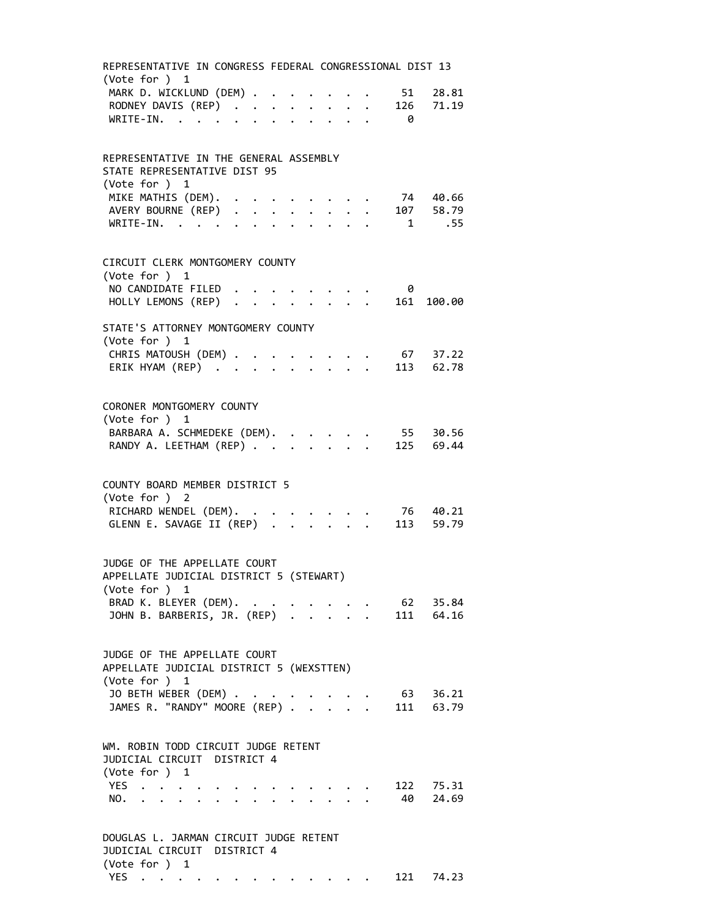| REPRESENTATIVE IN CONGRESS FEDERAL CONGRESSIONAL DIST 13<br>(Vote for $)$ 1                                                                  |                         |             |  |  |                                                                    |              |  |     |                  |  |  |  |
|----------------------------------------------------------------------------------------------------------------------------------------------|-------------------------|-------------|--|--|--------------------------------------------------------------------|--------------|--|-----|------------------|--|--|--|
| MARK D. WICKLUND (DEM)                                                                                                                       |                         |             |  |  |                                                                    |              |  | 51  | 28.81            |  |  |  |
| RODNEY DAVIS (REP)                                                                                                                           |                         |             |  |  |                                                                    |              |  | 126 | 71.19            |  |  |  |
| WRITE-IN.                                                                                                                                    |                         |             |  |  |                                                                    |              |  | - 0 |                  |  |  |  |
|                                                                                                                                              |                         |             |  |  |                                                                    |              |  |     |                  |  |  |  |
| REPRESENTATIVE IN THE GENERAL ASSEMBLY                                                                                                       |                         |             |  |  |                                                                    |              |  |     |                  |  |  |  |
| STATE REPRESENTATIVE DIST 95<br>(Vote for ) 1                                                                                                |                         |             |  |  |                                                                    |              |  |     |                  |  |  |  |
| MIKE MATHIS (DEM).                                                                                                                           | $\cdot$ $\cdot$ $\cdot$ |             |  |  | $\mathcal{A}(\mathcal{A})$ , and $\mathcal{A}(\mathcal{A})$ , and  |              |  |     | 74 40.66         |  |  |  |
| AVERY BOURNE (REP)                                                                                                                           |                         |             |  |  |                                                                    |              |  |     | 107 58.79        |  |  |  |
| WRITE-IN.                                                                                                                                    |                         |             |  |  |                                                                    |              |  |     | 1 .55            |  |  |  |
|                                                                                                                                              |                         |             |  |  |                                                                    |              |  |     |                  |  |  |  |
| CIRCUIT CLERK MONTGOMERY COUNTY<br>(Vote for ) 1                                                                                             |                         |             |  |  |                                                                    |              |  |     |                  |  |  |  |
| NO CANDIDATE FILED                                                                                                                           |                         |             |  |  | <b>Contract Contract Contract Contract</b>                         |              |  | - 0 |                  |  |  |  |
| HOLLY LEMONS (REP)                                                                                                                           |                         |             |  |  |                                                                    |              |  |     | 161 100.00       |  |  |  |
|                                                                                                                                              |                         |             |  |  |                                                                    |              |  |     |                  |  |  |  |
| STATE'S ATTORNEY MONTGOMERY COUNTY<br>(Vote for ) 1                                                                                          |                         |             |  |  |                                                                    |              |  |     |                  |  |  |  |
| CHRIS MATOUSH (DEM)                                                                                                                          |                         | $\bullet$ . |  |  | $\mathbb{Z}^2$ , $\mathbb{Z}^2$ , $\mathbb{Z}^2$ , $\mathbb{Z}^2$  |              |  |     | 67 37.22         |  |  |  |
| ERIK HYAM (REP)                                                                                                                              |                         |             |  |  |                                                                    |              |  |     | 113 62.78        |  |  |  |
|                                                                                                                                              |                         |             |  |  |                                                                    |              |  |     |                  |  |  |  |
| CORONER MONTGOMERY COUNTY<br>(Vote for ) 1                                                                                                   |                         |             |  |  |                                                                    |              |  |     |                  |  |  |  |
| BARBARA A. SCHMEDEKE (DEM).                                                                                                                  |                         |             |  |  |                                                                    |              |  | 55  | 30.56            |  |  |  |
| RANDY A. LEETHAM (REP)                                                                                                                       |                         |             |  |  |                                                                    | $\mathbf{r}$ |  |     | 125 69.44        |  |  |  |
|                                                                                                                                              |                         |             |  |  |                                                                    |              |  |     |                  |  |  |  |
| COUNTY BOARD MEMBER DISTRICT 5<br>(Vote for ) 2                                                                                              |                         |             |  |  |                                                                    |              |  |     |                  |  |  |  |
| RICHARD WENDEL (DEM).                                                                                                                        |                         |             |  |  |                                                                    |              |  |     |                  |  |  |  |
| GLENN E. SAVAGE II (REP)                                                                                                                     |                         |             |  |  |                                                                    |              |  |     |                  |  |  |  |
|                                                                                                                                              |                         |             |  |  |                                                                    |              |  |     |                  |  |  |  |
| JUDGE OF THE APPELLATE COURT<br>APPELLATE JUDICIAL DISTRICT 5 (STEWART)                                                                      |                         |             |  |  |                                                                    |              |  |     |                  |  |  |  |
| (Vote for ) 1                                                                                                                                |                         |             |  |  |                                                                    |              |  |     |                  |  |  |  |
| BRAD K. BLEYER (DEM).                                                                                                                        |                         |             |  |  |                                                                    |              |  |     | $\cdot$ 62 35.84 |  |  |  |
| JOHN B. BARBERIS, JR. (REP)                                                                                                                  |                         |             |  |  |                                                                    |              |  |     | 111 64.16        |  |  |  |
|                                                                                                                                              |                         |             |  |  |                                                                    |              |  |     |                  |  |  |  |
| JUDGE OF THE APPELLATE COURT<br>APPELLATE JUDICIAL DISTRICT 5 (WEXSTTEN)                                                                     |                         |             |  |  |                                                                    |              |  |     |                  |  |  |  |
| (Vote for ) 1                                                                                                                                |                         |             |  |  |                                                                    |              |  |     |                  |  |  |  |
| JO BETH WEBER (DEM)                                                                                                                          |                         |             |  |  | $\mathbf{u} = \mathbf{u} + \mathbf{u} + \mathbf{u} + \mathbf{u}$ . |              |  |     | 63 36.21         |  |  |  |
| JAMES R. "RANDY" MOORE (REP) 111 63.79                                                                                                       |                         |             |  |  |                                                                    |              |  |     |                  |  |  |  |
|                                                                                                                                              |                         |             |  |  |                                                                    |              |  |     |                  |  |  |  |
| WM. ROBIN TODD CIRCUIT JUDGE RETENT<br>JUDICIAL CIRCUIT DISTRICT 4<br>(Vote for ) 1                                                          |                         |             |  |  |                                                                    |              |  |     |                  |  |  |  |
| YES                                                                                                                                          |                         |             |  |  |                                                                    |              |  |     | 122 75.31        |  |  |  |
| $\begin{array}{ccccccccc} \star & \star & \star & \star & \star & \star \\ \star & \star & \star & \star & \star & \star \end{array}$<br>NO. |                         |             |  |  | $\cdot$ $\cdot$ $\cdot$ $\cdot$                                    |              |  |     | 40 24.69         |  |  |  |
|                                                                                                                                              |                         |             |  |  |                                                                    |              |  |     |                  |  |  |  |
| DOUGLAS L. JARMAN CIRCUIT JUDGE RETENT<br>JUDICIAL CIRCUIT DISTRICT 4                                                                        |                         |             |  |  |                                                                    |              |  |     |                  |  |  |  |
| (Vote for ) 1                                                                                                                                |                         |             |  |  |                                                                    |              |  |     |                  |  |  |  |
| YES                                                                                                                                          |                         |             |  |  |                                                                    |              |  | 121 | 74.23            |  |  |  |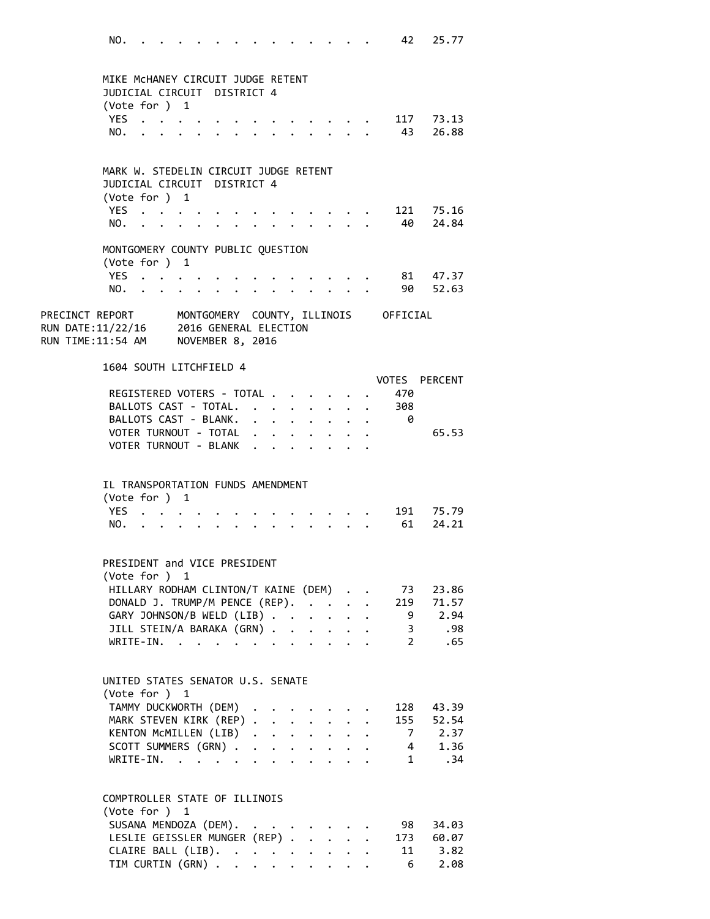NO. . . . . . . . . . . . . . 42 25.77 MIKE McHANEY CIRCUIT JUDGE RETENT JUDICIAL CIRCUIT DISTRICT 4 (Vote for ) 1 YES . . . . . . . . . . . . . 117 73.13 NO. . . . . . . . . . . . . . 43 26.88 MARK W. STEDELIN CIRCUIT JUDGE RETENT JUDICIAL CIRCUIT DISTRICT 4 (Vote for ) 1 YES . . . . . . . . . . . . . 121 75.16 NO. . . . . . . . . . . . . . 40 24.84 MONTGOMERY COUNTY PUBLIC QUESTION (Vote for ) 1 YES . . . . . . . . . . . . . 81 47.37 NO. . . . . . . . . . . . . . 90 52.63 PRECINCT REPORT MONTGOMERY COUNTY, ILLINOIS OFFICIAL RUN DATE:11/22/16 2016 GENERAL ELECTION RUN TIME:11:54 AM NOVEMBER 8, 2016 1604 SOUTH LITCHFIELD 4 VOTES PERCENT REGISTERED VOTERS - TOTAL . . . . . . 470 BALLOTS CAST - TOTAL. . . . . . . . 308 BALLOTS CAST - BLANK. . . . . . . . 0 VOTER TURNOUT - TOTAL . . . . . . . . 65.53 VOTER TURNOUT - BLANK . . . . . . . IL TRANSPORTATION FUNDS AMENDMENT (Vote for ) 1 YES . . . . . . . . . . . . . 191 75.79 NO. . . . . . . . . . . . . . 61 24.21 PRESIDENT and VICE PRESIDENT (Vote for ) 1 HILLARY RODHAM CLINTON/T KAINE (DEM) . . 73 23.86 DONALD J. TRUMP/M PENCE (REP). . . . . 219 71.57 GARY JOHNSON/B WELD (LIB) . . . . . . 9 2.94 JILL STEIN/A BARAKA (GRN) . . . . . . 3 .98 WRITE‐IN. . . . . . . . . . . . 2 .65 UNITED STATES SENATOR U.S. SENATE (Vote for ) 1 TAMMY DUCKWORTH (DEM) . . . . . . . 128 43.39 MARK STEVEN KIRK (REP) . . . . . . . 155 52.54 KENTON MCMILLEN (LIB) . . . . . . . 7 2.37<br>SCOTT SUMMERS (GRN) . . . . . . . . 4 1.36<br>WRITE-IN. . . . . . . . . . . . 1 .34 SCOTT SUMMERS (GRN) . . . . . . . . WRITE-IN. . . . . . . . . . . . COMPTROLLER STATE OF ILLINOIS (Vote for ) 1 SUSANA MENDOZA (DEM). . . . . . . . 98 34.03 LESLIE GEISSLER MUNGER (REP) . . . . . 173 60.07 CLAIRE BALL (LIB). . . . . . . . . 11 3.82<br>TIM CURTIN (GRN). . . . . . . . . 6 2.08 TIM CURTIN  $(GRN)$  . . . . . . . . .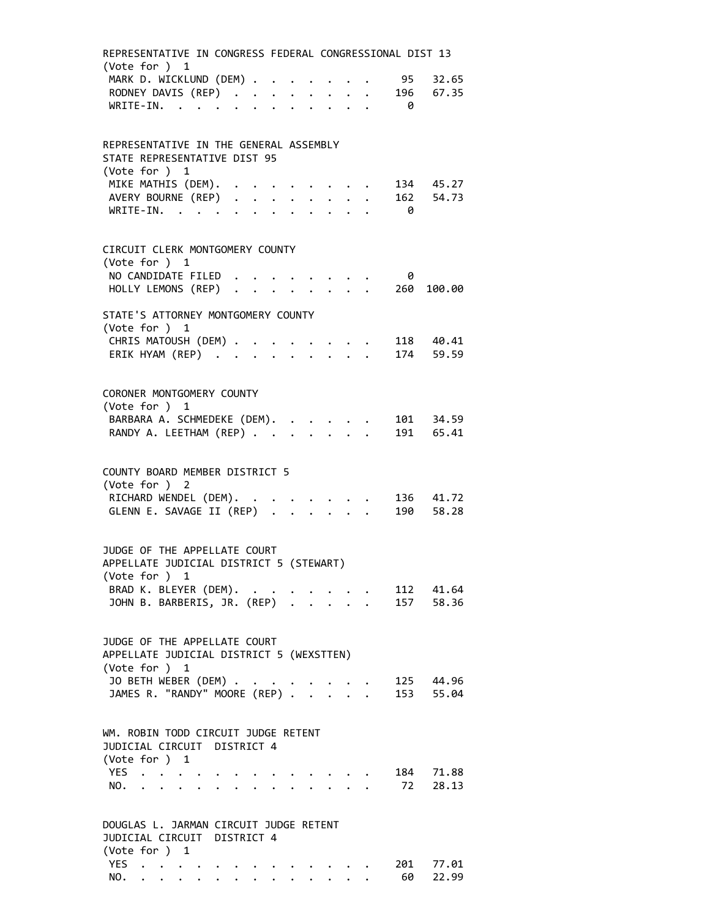| REPRESENTATIVE IN CONGRESS FEDERAL CONGRESSIONAL DIST 13<br>(Vote for $)$ 1 |  |  |  |                      |                      |                                           |      |            |             |
|-----------------------------------------------------------------------------|--|--|--|----------------------|----------------------|-------------------------------------------|------|------------|-------------|
| MARK D. WICKLUND (DEM)                                                      |  |  |  |                      |                      |                                           | - 95 |            | 32.65       |
| RODNEY DAVIS (REP)<br>WRITE-IN.                                             |  |  |  |                      |                      |                                           |      | 196        | 67.35       |
|                                                                             |  |  |  |                      |                      |                                           | - 0  |            |             |
| REPRESENTATIVE IN THE GENERAL ASSEMBLY                                      |  |  |  |                      |                      |                                           |      |            |             |
| STATE REPRESENTATIVE DIST 95<br>(Vote for ) 1                               |  |  |  |                      |                      |                                           |      |            |             |
| MIKE MATHIS (DEM). .                                                        |  |  |  |                      |                      |                                           |      | 134 45.27  |             |
| AVERY BOURNE (REP)<br>WRITE-IN.                                             |  |  |  |                      |                      |                                           |      | 162 54.73  |             |
|                                                                             |  |  |  |                      |                      |                                           | - 0  |            |             |
| CIRCUIT CLERK MONTGOMERY COUNTY                                             |  |  |  |                      |                      |                                           |      |            |             |
| (Vote for ) 1                                                               |  |  |  |                      |                      |                                           |      |            |             |
| NO CANDIDATE FILED<br>HOLLY LEMONS (REP).                                   |  |  |  |                      | $\ddot{\phantom{0}}$ |                                           | - 0  | 260 100.00 |             |
|                                                                             |  |  |  |                      |                      |                                           |      |            |             |
| STATE'S ATTORNEY MONTGOMERY COUNTY                                          |  |  |  |                      |                      |                                           |      |            |             |
| (Vote for ) 1                                                               |  |  |  |                      |                      |                                           |      |            |             |
| CHRIS MATOUSH (DEM)<br>ERIK HYAM (REP) 174 59.59                            |  |  |  |                      |                      | $\cdot$ $\cdot$ $\cdot$ $\cdot$ 118 40.41 |      |            |             |
|                                                                             |  |  |  |                      |                      |                                           |      |            |             |
|                                                                             |  |  |  |                      |                      |                                           |      |            |             |
| CORONER MONTGOMERY COUNTY<br>(Vote for ) 1                                  |  |  |  |                      |                      |                                           |      |            |             |
| BARBARA A. SCHMEDEKE (DEM).                                                 |  |  |  |                      |                      |                                           |      | 101 34.59  |             |
| RANDY A. LEETHAM (REP)                                                      |  |  |  |                      |                      |                                           |      | 191 65.41  |             |
|                                                                             |  |  |  |                      |                      |                                           |      |            |             |
| COUNTY BOARD MEMBER DISTRICT 5                                              |  |  |  |                      |                      |                                           |      |            |             |
| (Vote for ) 2                                                               |  |  |  |                      |                      |                                           |      |            |             |
|                                                                             |  |  |  |                      |                      |                                           |      |            | $136$ 41.72 |
| RICHARD WENDEL (DEM).<br>GLENN E. SAVAGE II (REP)                           |  |  |  |                      |                      |                                           |      | 190 58.28  |             |
|                                                                             |  |  |  |                      |                      |                                           |      |            |             |
| JUDGE OF THE APPELLATE COURT                                                |  |  |  |                      |                      |                                           |      |            |             |
| APPELLATE JUDICIAL DISTRICT 5 (STEWART)                                     |  |  |  |                      |                      |                                           |      |            |             |
| (Vote for ) 1                                                               |  |  |  |                      |                      |                                           |      |            |             |
| BRAD K. BLEYER (DEM).<br>JOHN B. BARBERIS, JR. (REP) .                      |  |  |  | $\ddot{\phantom{a}}$ |                      | $\cdot$ 112 41.64                         |      | 157 58.36  |             |
|                                                                             |  |  |  |                      |                      |                                           |      |            |             |
|                                                                             |  |  |  |                      |                      |                                           |      |            |             |
| JUDGE OF THE APPELLATE COURT                                                |  |  |  |                      |                      |                                           |      |            |             |
| APPELLATE JUDICIAL DISTRICT 5 (WEXSTTEN)<br>(Vote for ) 1                   |  |  |  |                      |                      |                                           |      |            |             |
| JO BETH WEBER (DEM) .                                                       |  |  |  |                      |                      |                                           |      | 125 44.96  |             |
| JAMES R. "RANDY" MOORE (REP) .                                              |  |  |  |                      |                      |                                           |      | 153 55.04  |             |
|                                                                             |  |  |  |                      |                      |                                           |      |            |             |
| WM. ROBIN TODD CIRCUIT JUDGE RETENT                                         |  |  |  |                      |                      |                                           |      |            |             |
| JUDICIAL CIRCUIT DISTRICT 4                                                 |  |  |  |                      |                      |                                           |      |            |             |
| (Vote for ) 1                                                               |  |  |  |                      |                      |                                           |      |            |             |
| YES                                                                         |  |  |  |                      |                      |                                           |      | 184 71.88  |             |
| NO.                                                                         |  |  |  |                      |                      |                                           |      | 72 28.13   |             |
|                                                                             |  |  |  |                      |                      |                                           |      |            |             |
| DOUGLAS L. JARMAN CIRCUIT JUDGE RETENT                                      |  |  |  |                      |                      |                                           |      |            |             |
| JUDICIAL CIRCUIT DISTRICT 4                                                 |  |  |  |                      |                      |                                           |      |            |             |
| (Vote for ) 1<br>YES                                                        |  |  |  |                      |                      |                                           |      | 201 77.01  |             |
| NO.                                                                         |  |  |  | $\cdots$             |                      |                                           |      | 60         | 22.99       |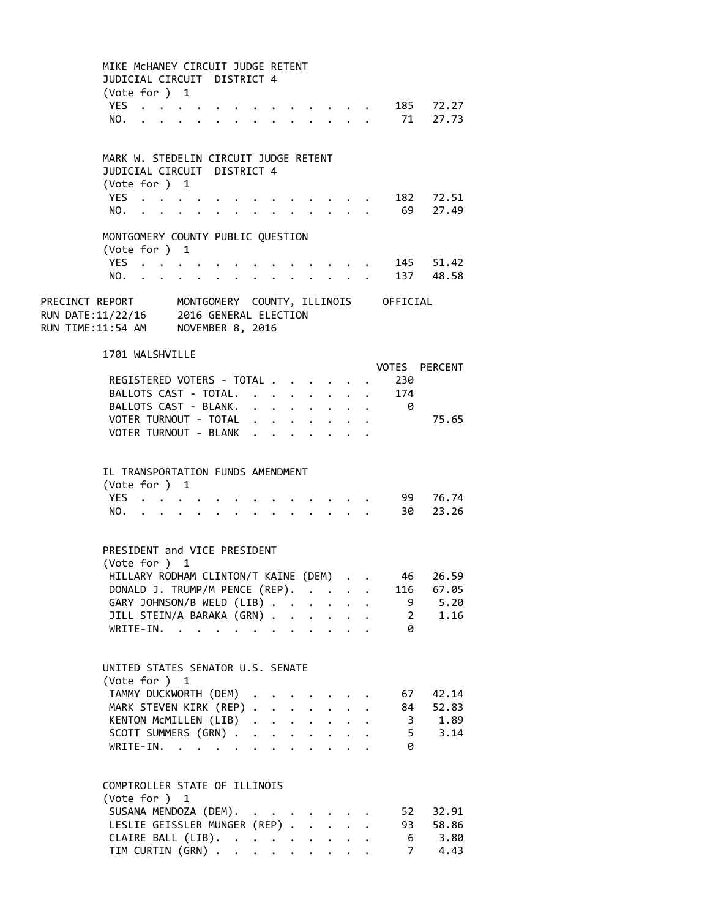|                                                                                                                                                        | MIKE MCHANEY CIRCUIT JUDGE RETENT<br>JUDICIAL CIRCUIT DISTRICT 4<br>(Vote for ) 1<br>YES<br>$\ddot{\phantom{0}}$<br>NO.       |                                                              |                                 |                                            |                                                                                                                |                                                                                                 |                           |  |                         | 185 72.27<br>71 27.73                                                  |
|--------------------------------------------------------------------------------------------------------------------------------------------------------|-------------------------------------------------------------------------------------------------------------------------------|--------------------------------------------------------------|---------------------------------|--------------------------------------------|----------------------------------------------------------------------------------------------------------------|-------------------------------------------------------------------------------------------------|---------------------------|--|-------------------------|------------------------------------------------------------------------|
|                                                                                                                                                        | MARK W. STEDELIN CIRCUIT JUDGE RETENT<br>JUDICIAL CIRCUIT DISTRICT 4<br>(Vote for ) 1<br>YES $\cdot \cdot \cdot \cdot$<br>NO. |                                                              |                                 |                                            |                                                                                                                |                                                                                                 |                           |  |                         | 182       72.51<br>69       27.49                                      |
|                                                                                                                                                        | MONTGOMERY COUNTY PUBLIC QUESTION                                                                                             |                                                              |                                 |                                            |                                                                                                                |                                                                                                 |                           |  |                         |                                                                        |
|                                                                                                                                                        | (Vote for ) 1<br>YES<br>NO.                                                                                                   |                                                              | $\cdot$ $\cdot$ $\cdot$ $\cdot$ |                                            |                                                                                                                |                                                                                                 |                           |  |                         | $\cdot$ $\cdot$ $\cdot$ $\cdot$ $\cdot$ 145 51.42<br>$\cdot$ 137 48.58 |
| PRECINCT REPORT       MONTGOMERY COUNTY, ILLINOIS     OFFICIAL<br>RUN DATE:11/22/16     2016 GENERAL ELECTION<br>RUN TIME:11:54 AM    NOVEMBER 8, 2016 |                                                                                                                               |                                                              |                                 |                                            |                                                                                                                |                                                                                                 |                           |  |                         |                                                                        |
|                                                                                                                                                        | 1701 WALSHVILLE                                                                                                               |                                                              |                                 |                                            |                                                                                                                |                                                                                                 |                           |  |                         | <b>VOTES PERCENT</b>                                                   |
|                                                                                                                                                        | REGISTERED VOTERS - TOTAL<br>BALLOTS CAST - TOTAL.<br>BALLOTS CAST - BLANK.                                                   |                                                              |                                 |                                            | $\mathbf{r} = \mathbf{r} + \mathbf{r} + \mathbf{r} + \mathbf{r}$<br>$\mathbf{r}$ , $\mathbf{r}$ , $\mathbf{r}$ |                                                                                                 |                           |  | 230<br>174<br>0         |                                                                        |
|                                                                                                                                                        | VOTER TURNOUT - TOTAL<br>VOTER TURNOUT - BLANK                                                                                |                                                              |                                 |                                            | $\mathbf{L}$                                                                                                   | $\cdot$ $\cdot$ $\cdot$ $\cdot$ $\cdot$<br>$\sim$                                               |                           |  |                         | 75.65                                                                  |
|                                                                                                                                                        | IL TRANSPORTATION FUNDS AMENDMENT<br>(Vote for $)$ 1                                                                          |                                                              |                                 |                                            |                                                                                                                |                                                                                                 |                           |  |                         |                                                                        |
|                                                                                                                                                        | YES.<br>NO.                                                                                                                   | $\cdot$ $\cdot$ $\cdot$<br><b>Contract Contract Contract</b> |                                 | $\mathbf{1}$ , $\mathbf{1}$ , $\mathbf{1}$ |                                                                                                                | $\mathcal{L}^{\mathcal{L}}$ , and $\mathcal{L}^{\mathcal{L}}$ , and $\mathcal{L}^{\mathcal{L}}$ |                           |  | 30                      | 99 76.74<br>23.26                                                      |
|                                                                                                                                                        | PRESIDENT and VICE PRESIDENT<br>(Vote for ) 1                                                                                 |                                                              |                                 |                                            |                                                                                                                |                                                                                                 |                           |  |                         |                                                                        |
|                                                                                                                                                        | HILLARY RODHAM CLINTON/T KAINE (DEM).                                                                                         |                                                              |                                 |                                            |                                                                                                                |                                                                                                 |                           |  | 46                      | 26.59                                                                  |
|                                                                                                                                                        | DONALD J. TRUMP/M PENCE (REP).                                                                                                |                                                              |                                 |                                            |                                                                                                                |                                                                                                 |                           |  | 116                     | 67.05                                                                  |
|                                                                                                                                                        | GARY JOHNSON/B WELD (LIB)<br>JILL STEIN/A BARAKA (GRN)                                                                        |                                                              |                                 |                                            |                                                                                                                |                                                                                                 | $\mathbf{L} = \mathbf{L}$ |  | 9<br>$2^{\circ}$        | 5.20<br>1.16                                                           |
|                                                                                                                                                        | $WRITE-IN.$                                                                                                                   |                                                              |                                 |                                            |                                                                                                                |                                                                                                 | $\ddot{\phantom{0}}$      |  | 0                       |                                                                        |
|                                                                                                                                                        | UNITED STATES SENATOR U.S. SENATE<br>(Vote for ) 1                                                                            |                                                              |                                 |                                            |                                                                                                                |                                                                                                 |                           |  |                         |                                                                        |
|                                                                                                                                                        | TAMMY DUCKWORTH (DEM) .                                                                                                       |                                                              |                                 |                                            |                                                                                                                |                                                                                                 |                           |  | 67                      | 42.14                                                                  |
|                                                                                                                                                        | MARK STEVEN KIRK (REP) .                                                                                                      |                                                              |                                 |                                            |                                                                                                                | $\mathbf{L}^{\text{max}}$ , and $\mathbf{L}^{\text{max}}$                                       |                           |  | 84                      | 52.83                                                                  |
|                                                                                                                                                        | KENTON MCMILLEN (LIB)                                                                                                         |                                                              |                                 |                                            |                                                                                                                |                                                                                                 |                           |  | $\overline{\mathbf{3}}$ | 1.89                                                                   |
|                                                                                                                                                        | SCOTT SUMMERS (GRN)<br>$WRITE-IN.$                                                                                            |                                                              |                                 |                                            | $\mathbf{r}$                                                                                                   |                                                                                                 |                           |  | 5<br>0                  | 3.14                                                                   |
|                                                                                                                                                        | COMPTROLLER STATE OF ILLINOIS                                                                                                 |                                                              |                                 |                                            |                                                                                                                |                                                                                                 |                           |  |                         |                                                                        |
|                                                                                                                                                        | (Vote for ) 1<br>SUSANA MENDOZA (DEM).                                                                                        |                                                              |                                 |                                            |                                                                                                                |                                                                                                 |                           |  | 52.                     | 32.91                                                                  |
|                                                                                                                                                        | LESLIE GEISSLER MUNGER (REP)                                                                                                  |                                                              |                                 |                                            |                                                                                                                | $\sim$ $\sim$ $\sim$                                                                            |                           |  | 93                      | 58.86                                                                  |
|                                                                                                                                                        |                                                                                                                               |                                                              |                                 |                                            |                                                                                                                |                                                                                                 |                           |  | 6                       | 3.80                                                                   |
|                                                                                                                                                        | CLAIRE BALL (LIB).<br>TIM CURTIN (GRN)<br>TIM CURTIN (GRN) .                                                                  |                                                              |                                 |                                            |                                                                                                                |                                                                                                 |                           |  | 7 <sup>7</sup>          | 4.43                                                                   |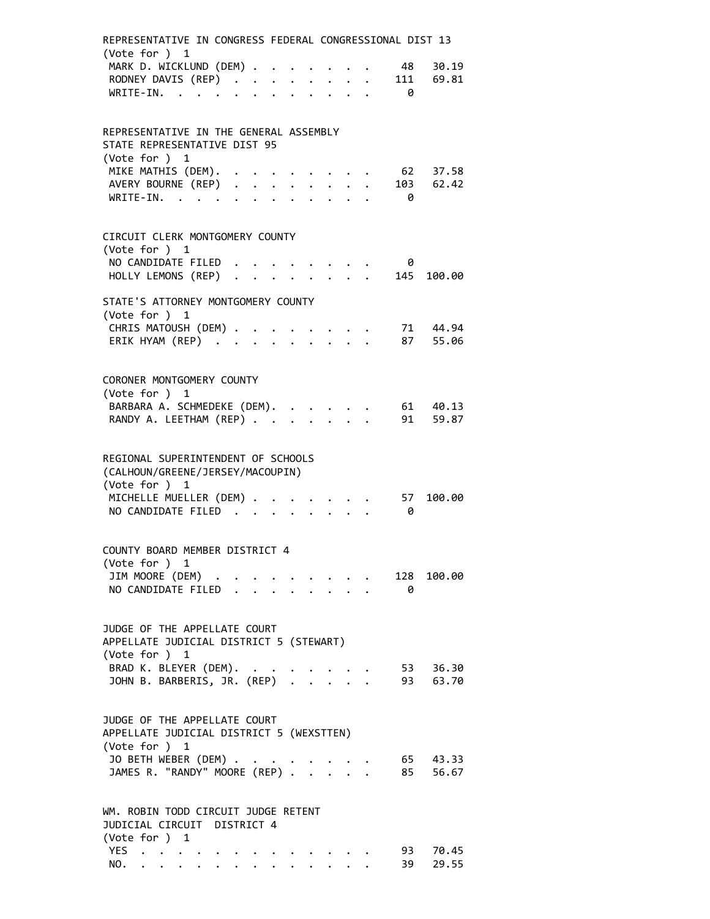| REPRESENTATIVE IN CONGRESS FEDERAL CONGRESSIONAL DIST 13<br>(Vote for ) 1                |  |  |                           |                                           |  |           |                  |
|------------------------------------------------------------------------------------------|--|--|---------------------------|-------------------------------------------|--|-----------|------------------|
| MARK D. WICKLUND (DEM)                                                                   |  |  |                           |                                           |  | 48        | 30.19            |
| RODNEY DAVIS (REP)<br>WRITE-IN.                                                          |  |  |                           |                                           |  | 111       | 69.81            |
| WRITE-IN.                                                                                |  |  |                           |                                           |  | - 0       |                  |
| REPRESENTATIVE IN THE GENERAL ASSEMBLY<br>STATE REPRESENTATIVE DIST 95                   |  |  |                           |                                           |  |           |                  |
| (Vote for ) 1                                                                            |  |  |                           |                                           |  |           |                  |
| MIKE MATHIS (DEM).                                                                       |  |  |                           |                                           |  |           | 62 37.58         |
| AVERY BOURNE (REP)<br>WRITE-IN.                                                          |  |  |                           |                                           |  | - 0       | 103 62.42        |
| CIRCUIT CLERK MONTGOMERY COUNTY                                                          |  |  |                           |                                           |  |           |                  |
| (Vote for ) 1<br>NO CANDIDATE FILED                                                      |  |  |                           |                                           |  | 0         |                  |
| HOLLY LEMONS (REP)                                                                       |  |  |                           |                                           |  | 145       | 100.00           |
| STATE'S ATTORNEY MONTGOMERY COUNTY                                                       |  |  |                           |                                           |  |           |                  |
| (Vote for ) 1<br>CHRIS MATOUSH (DEM)                                                     |  |  |                           |                                           |  |           | $\cdot$ 71 44.94 |
| ERIK HYAM (REP)                                                                          |  |  |                           |                                           |  |           | 87 55.06         |
| CORONER MONTGOMERY COUNTY                                                                |  |  |                           |                                           |  |           |                  |
| (Vote for ) 1                                                                            |  |  |                           |                                           |  |           |                  |
| BARBARA A. SCHMEDEKE (DEM). .                                                            |  |  |                           |                                           |  |           | 61 40.13         |
| RANDY A. LEETHAM (REP)                                                                   |  |  | $\mathbf{L}^{\text{max}}$ |                                           |  | 91        | 59.87            |
| REGIONAL SUPERINTENDENT OF SCHOOLS<br>(CALHOUN/GREENE/JERSEY/MACOUPIN)<br>(Vote for ) 1  |  |  |                           |                                           |  |           |                  |
| MICHELLE MUELLER (DEM)<br>NO CANDIDATE FILED                                             |  |  |                           |                                           |  | 57<br>- 0 | 100.00           |
| COUNTY BOARD MEMBER DISTRICT 4                                                           |  |  |                           |                                           |  |           |                  |
| (Vote for ) 1                                                                            |  |  |                           |                                           |  |           |                  |
| JIM MOORE (DEM)                                                                          |  |  |                           |                                           |  |           | 128 100.00       |
| NO CANDIDATE FILED .                                                                     |  |  |                           |                                           |  | $\theta$  |                  |
| JUDGE OF THE APPELLATE COURT<br>APPELLATE JUDICIAL DISTRICT 5 (STEWART)<br>(Vote for ) 1 |  |  |                           |                                           |  |           |                  |
| BRAD K. BLEYER (DEM). .                                                                  |  |  |                           |                                           |  |           | 53 36.30         |
|                                                                                          |  |  |                           |                                           |  |           | 93 63.70         |
| JUDGE OF THE APPELLATE COURT<br>APPELLATE JUDICIAL DISTRICT 5 (WEXSTTEN)                 |  |  |                           |                                           |  |           |                  |
| (Vote for ) 1<br>JO BETH WEBER (DEM)                                                     |  |  |                           |                                           |  |           | 65 43.33         |
| JAMES R. "RANDY" MOORE (REP) .                                                           |  |  |                           | $\frac{1}{2}$ $\frac{1}{2}$ $\frac{1}{2}$ |  |           | 85 56.67         |
| WM. ROBIN TODD CIRCUIT JUDGE RETENT<br>JUDICIAL CIRCUIT DISTRICT 4                       |  |  |                           |                                           |  |           |                  |
| (Vote for ) 1<br>YES                                                                     |  |  |                           |                                           |  | 93        | 70.45            |
| NO.                                                                                      |  |  |                           |                                           |  | 39        | 29.55            |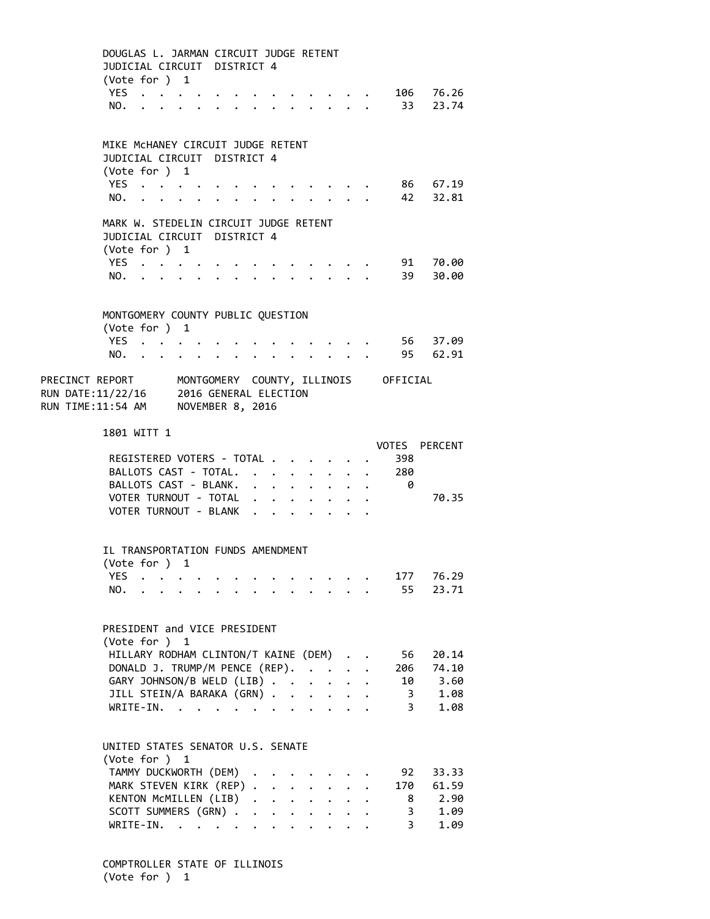|                                                                                                                                       | DOUGLAS L. JARMAN CIRCUIT JUDGE RETENT<br>JUDICIAL CIRCUIT DISTRICT 4<br>(Vote for $)$ 1 |  |                                                                                                                                                                                                                               |                      |  |                      |                                                                                                                                                                                                                                 |           |                      |                           |                             |
|---------------------------------------------------------------------------------------------------------------------------------------|------------------------------------------------------------------------------------------|--|-------------------------------------------------------------------------------------------------------------------------------------------------------------------------------------------------------------------------------|----------------------|--|----------------------|---------------------------------------------------------------------------------------------------------------------------------------------------------------------------------------------------------------------------------|-----------|----------------------|---------------------------|-----------------------------|
|                                                                                                                                       | YES<br>NO.                                                                               |  | $\cdot$ $\cdot$ $\cdot$ $\cdot$ $\cdot$ $\cdot$ $\cdot$ $\cdot$                                                                                                                                                               |                      |  |                      | $\cdots$                                                                                                                                                                                                                        |           |                      |                           | . 106 76.26<br>33 23.74     |
|                                                                                                                                       | MIKE MCHANEY CIRCUIT JUDGE RETENT<br>JUDICIAL CIRCUIT DISTRICT 4                         |  |                                                                                                                                                                                                                               |                      |  |                      |                                                                                                                                                                                                                                 |           |                      |                           |                             |
|                                                                                                                                       | (Vote for ) 1                                                                            |  |                                                                                                                                                                                                                               |                      |  |                      |                                                                                                                                                                                                                                 |           |                      |                           |                             |
|                                                                                                                                       | YES<br>NO.                                                                               |  |                                                                                                                                                                                                                               |                      |  |                      |                                                                                                                                                                                                                                 |           |                      |                           | 86 67.19<br>42 32.81        |
|                                                                                                                                       | MARK W. STEDELIN CIRCUIT JUDGE RETENT                                                    |  |                                                                                                                                                                                                                               |                      |  |                      |                                                                                                                                                                                                                                 |           |                      |                           |                             |
|                                                                                                                                       | JUDICIAL CIRCUIT DISTRICT 4<br>(Vote for ) 1                                             |  |                                                                                                                                                                                                                               |                      |  |                      |                                                                                                                                                                                                                                 |           |                      |                           |                             |
|                                                                                                                                       | YES                                                                                      |  |                                                                                                                                                                                                                               |                      |  |                      |                                                                                                                                                                                                                                 |           |                      |                           | 91 70.00                    |
|                                                                                                                                       | NO.                                                                                      |  |                                                                                                                                                                                                                               | $\ddot{\phantom{0}}$ |  |                      | .                                                                                                                                                                                                                               |           |                      | 39                        | 30.00                       |
|                                                                                                                                       |                                                                                          |  |                                                                                                                                                                                                                               |                      |  |                      |                                                                                                                                                                                                                                 |           |                      |                           |                             |
|                                                                                                                                       | MONTGOMERY COUNTY PUBLIC QUESTION<br>(Vote for ) 1                                       |  |                                                                                                                                                                                                                               |                      |  |                      |                                                                                                                                                                                                                                 |           |                      |                           |                             |
|                                                                                                                                       | YES                                                                                      |  |                                                                                                                                                                                                                               |                      |  |                      | $\cdot$ $\cdot$ $\cdot$ $\cdot$ $\cdot$ $\cdot$                                                                                                                                                                                 |           |                      |                           | 56 37.09                    |
|                                                                                                                                       | $NO.$ $\ddots$                                                                           |  |                                                                                                                                                                                                                               |                      |  |                      | $\mathbf{r} = \mathbf{r} + \mathbf{r}$ . The $\mathbf{r}$                                                                                                                                                                       |           |                      |                           | 95 62.91                    |
| PRECINCT REPORT MONTGOMERY COUNTY, ILLINOIS OFFICIAL<br>RUN DATE:11/22/16 2016 GENERAL ELECTION<br>RUN TIME:11:54 AM NOVEMBER 8, 2016 |                                                                                          |  |                                                                                                                                                                                                                               |                      |  |                      |                                                                                                                                                                                                                                 |           |                      |                           |                             |
|                                                                                                                                       | 1801 WITT 1                                                                              |  |                                                                                                                                                                                                                               |                      |  |                      |                                                                                                                                                                                                                                 |           |                      |                           |                             |
|                                                                                                                                       | REGISTERED VOTERS - TOTAL                                                                |  |                                                                                                                                                                                                                               |                      |  |                      |                                                                                                                                                                                                                                 |           |                      | 398                       | VOTES PERCENT               |
|                                                                                                                                       |                                                                                          |  |                                                                                                                                                                                                                               |                      |  |                      |                                                                                                                                                                                                                                 |           |                      | BALLOTS CAST - TOTAL. 280 |                             |
|                                                                                                                                       | BALLOTS CAST - BLANK.                                                                    |  |                                                                                                                                                                                                                               |                      |  |                      |                                                                                                                                                                                                                                 |           |                      | - 0                       |                             |
|                                                                                                                                       | VOTER TURNOUT - TOTAL                                                                    |  |                                                                                                                                                                                                                               |                      |  |                      |                                                                                                                                                                                                                                 |           |                      |                           | 70.35                       |
|                                                                                                                                       | VOTER TURNOUT - BLANK                                                                    |  |                                                                                                                                                                                                                               |                      |  |                      |                                                                                                                                                                                                                                 |           |                      |                           |                             |
|                                                                                                                                       |                                                                                          |  |                                                                                                                                                                                                                               |                      |  |                      |                                                                                                                                                                                                                                 |           |                      |                           |                             |
|                                                                                                                                       | IL TRANSPORTATION FUNDS AMENDMENT<br>(Vote for ) 1                                       |  |                                                                                                                                                                                                                               |                      |  |                      |                                                                                                                                                                                                                                 |           |                      |                           |                             |
|                                                                                                                                       | YES                                                                                      |  |                                                                                                                                                                                                                               |                      |  |                      |                                                                                                                                                                                                                                 |           |                      | 177                       | 76.29                       |
|                                                                                                                                       | NO.                                                                                      |  |                                                                                                                                                                                                                               |                      |  |                      |                                                                                                                                                                                                                                 |           |                      | 55                        | 23.71                       |
|                                                                                                                                       | PRESIDENT and VICE PRESIDENT<br>(Vote for ) 1                                            |  |                                                                                                                                                                                                                               |                      |  |                      |                                                                                                                                                                                                                                 |           |                      |                           |                             |
|                                                                                                                                       | HILLARY RODHAM CLINTON/T KAINE (DEM)<br>DONALD J. TRUMP/M PENCE (REP).                   |  |                                                                                                                                                                                                                               |                      |  |                      |                                                                                                                                                                                                                                 |           | $\ddot{\phantom{a}}$ | 56<br>206                 | 20.14<br>74.10              |
|                                                                                                                                       | GARY JOHNSON/B WELD (LIB)                                                                |  |                                                                                                                                                                                                                               |                      |  |                      |                                                                                                                                                                                                                                 |           |                      |                           | 10 3.60                     |
|                                                                                                                                       | JILL STEIN/A BARAKA (GRN)                                                                |  |                                                                                                                                                                                                                               |                      |  |                      |                                                                                                                                                                                                                                 |           |                      | $\overline{\mathbf{3}}$   | 1.08                        |
|                                                                                                                                       | WRITE-IN.                                                                                |  | . The contract of the contract of the contract of the contract of the contract of the contract of the contract of the contract of the contract of the contract of the contract of the contract of the contract of the contrac |                      |  |                      |                                                                                                                                                                                                                                 |           |                      | $\overline{3}$            | 1.08                        |
|                                                                                                                                       |                                                                                          |  |                                                                                                                                                                                                                               |                      |  |                      |                                                                                                                                                                                                                                 |           |                      |                           |                             |
|                                                                                                                                       | UNITED STATES SENATOR U.S. SENATE<br>(Vote for ) 1                                       |  |                                                                                                                                                                                                                               |                      |  |                      |                                                                                                                                                                                                                                 |           |                      |                           |                             |
|                                                                                                                                       | TAMMY DUCKWORTH (DEM) .                                                                  |  |                                                                                                                                                                                                                               |                      |  |                      |                                                                                                                                                                                                                                 |           |                      | 92                        | 33.33                       |
|                                                                                                                                       | MARK STEVEN KIRK (REP)                                                                   |  |                                                                                                                                                                                                                               |                      |  |                      |                                                                                                                                                                                                                                 | $\sim$    |                      | 170                       | 61.59                       |
|                                                                                                                                       | KENTON MCMILLEN (LIB)<br>SCOTT SUMMERS (GRN)                                             |  |                                                                                                                                                                                                                               |                      |  |                      |                                                                                                                                                                                                                                 |           |                      | 8 <sup>1</sup>            | 2.90<br>1.09<br>$3^{\circ}$ |
|                                                                                                                                       | $WRITE-IN.$                                                                              |  |                                                                                                                                                                                                                               |                      |  | $\ddot{\phantom{0}}$ | $\ddotsc$ . The contract of the contract of the contract of the contract of the contract of the contract of the contract of the contract of the contract of the contract of the contract of the contract of the contract of the | $\ddotsc$ |                      |                           | 1.09<br>$3^{\circ}$         |
|                                                                                                                                       |                                                                                          |  |                                                                                                                                                                                                                               |                      |  |                      |                                                                                                                                                                                                                                 |           |                      |                           |                             |

COMPTROLLER STATE OF ILLINOIS (Vote for ) 1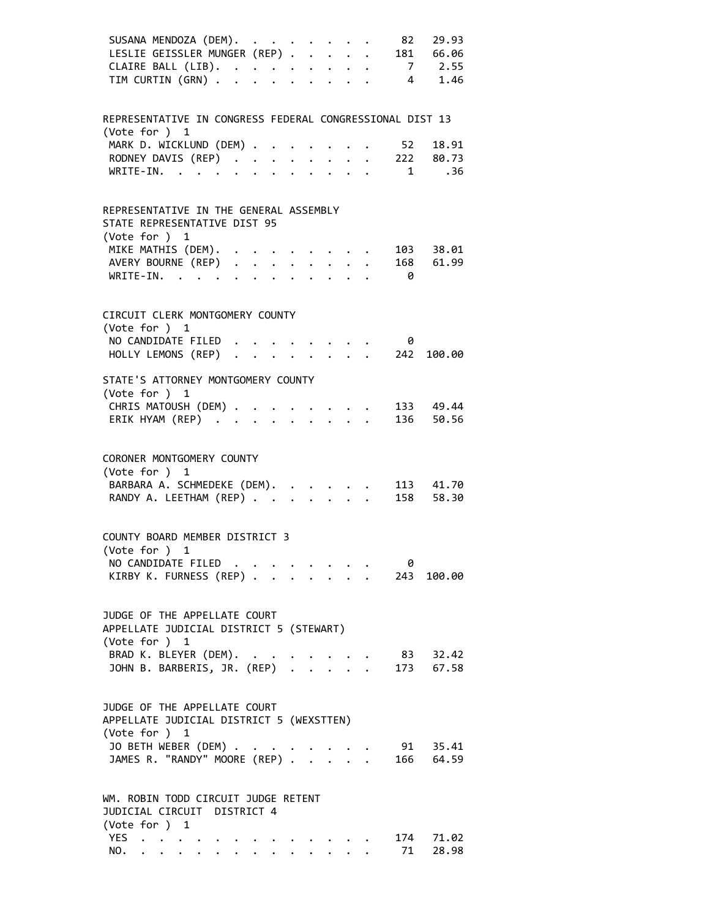| SUSANA MENDOZA (DEM). 82 29.93<br>LESLIE GEISSLER MUNGER (REP). 181 66.06 |  |  |  |                                                |                         |              |  |
|---------------------------------------------------------------------------|--|--|--|------------------------------------------------|-------------------------|--------------|--|
| CLAIRE BALL (LIB). 7 2.55                                                 |  |  |  |                                                |                         |              |  |
| TIM CURTIN (GRN) 4 1.46                                                   |  |  |  |                                                |                         |              |  |
| REPRESENTATIVE IN CONGRESS FEDERAL CONGRESSIONAL DIST 13                  |  |  |  |                                                |                         |              |  |
| (Vote for ) 1                                                             |  |  |  |                                                |                         |              |  |
| MARK D. WICKLUND (DEM)<br>RODNEY DAVIS (REP) 222 80.73                    |  |  |  |                                                |                         | 52 18.91     |  |
| WRITE-IN. 1 .36                                                           |  |  |  |                                                |                         |              |  |
|                                                                           |  |  |  |                                                |                         |              |  |
| REPRESENTATIVE IN THE GENERAL ASSEMBLY<br>STATE REPRESENTATIVE DIST 95    |  |  |  |                                                |                         |              |  |
| (Vote for ) 1                                                             |  |  |  |                                                |                         |              |  |
| MIKE MATHIS (DEM). 103 38.01                                              |  |  |  |                                                |                         |              |  |
| AVERY BOURNE (REP) 168 61.99<br>WRITE-IN.                                 |  |  |  |                                                | $\overline{\mathbf{a}}$ |              |  |
|                                                                           |  |  |  |                                                |                         |              |  |
| CIRCUIT CLERK MONTGOMERY COUNTY<br>(Vote for ) 1                          |  |  |  |                                                |                         |              |  |
| NO CANDIDATE FILED                                                        |  |  |  |                                                | 0                       |              |  |
| NU CANDIDATE FILED<br>HOLLY LEMONS (REP)                                  |  |  |  |                                                |                         | 242 100.00   |  |
|                                                                           |  |  |  |                                                |                         |              |  |
| STATE'S ATTORNEY MONTGOMERY COUNTY                                        |  |  |  |                                                |                         |              |  |
| (Vote for ) 1                                                             |  |  |  |                                                |                         |              |  |
| CHRIS MATOUSH (DEM) 133 49.44<br>ERIK HYAM (REP) 136 50.56                |  |  |  |                                                |                         |              |  |
|                                                                           |  |  |  |                                                |                         |              |  |
| CORONER MONTGOMERY COUNTY<br>(Vote for ) 1                                |  |  |  |                                                |                         |              |  |
| BARBARA A. SCHMEDEKE (DEM). 113 41.70                                     |  |  |  |                                                |                         |              |  |
| RANDY A. LEETHAM (REP) 158 58.30                                          |  |  |  |                                                |                         |              |  |
| COUNTY BOARD MEMBER DISTRICT 3                                            |  |  |  |                                                |                         |              |  |
| (Vote for ) 1                                                             |  |  |  |                                                |                         |              |  |
| NO CANDIDATE FILED<br>KIRBY K. FURNESS (REP)                              |  |  |  |                                                | 0                       |              |  |
|                                                                           |  |  |  |                                                |                         | . 243 100.00 |  |
| JUDGE OF THE APPELLATE COURT                                              |  |  |  |                                                |                         |              |  |
| APPELLATE JUDICIAL DISTRICT 5 (STEWART)                                   |  |  |  |                                                |                         |              |  |
| (Vote for ) 1                                                             |  |  |  |                                                |                         |              |  |
| BRAD K. BLEYER (DEM).<br>JOHN B. BARBERIS, JR. (REP)                      |  |  |  | $\mathcal{L} = \mathcal{L} \times \mathcal{L}$ |                         | 83 32.42     |  |
|                                                                           |  |  |  |                                                |                         | 173 67.58    |  |
| JUDGE OF THE APPELLATE COURT                                              |  |  |  |                                                |                         |              |  |
| APPELLATE JUDICIAL DISTRICT 5 (WEXSTTEN)                                  |  |  |  |                                                |                         |              |  |
| (Vote for ) 1                                                             |  |  |  |                                                |                         |              |  |
| JO BETH WEBER (DEM) .<br>JAMES R. "RANDY" MOORE (REP)                     |  |  |  |                                                |                         | 91 35.41     |  |
|                                                                           |  |  |  |                                                |                         | 166 64.59    |  |
| WM. ROBIN TODD CIRCUIT JUDGE RETENT                                       |  |  |  |                                                |                         |              |  |
| JUDICIAL CIRCUIT DISTRICT 4                                               |  |  |  |                                                |                         |              |  |
| (Vote for ) 1                                                             |  |  |  |                                                |                         | 174 71.02    |  |
| YES $\cdot \cdot \cdot \cdot \cdot$<br>NO.                                |  |  |  |                                                | 71                      | 28.98        |  |
|                                                                           |  |  |  |                                                |                         |              |  |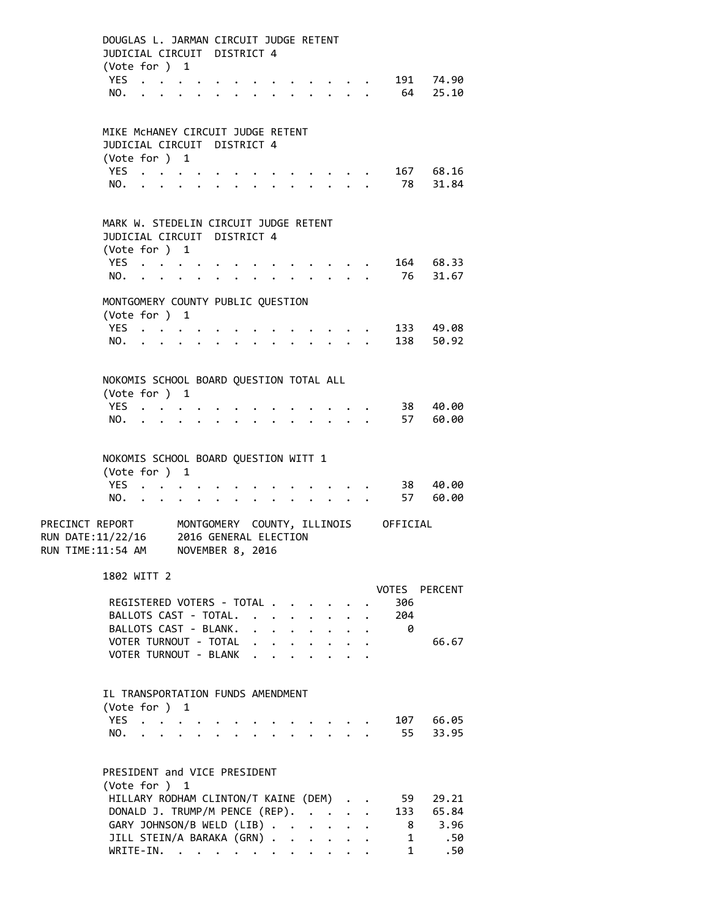|                                                                                                                                       | DOUGLAS L. JARMAN CIRCUIT JUDGE RETENT<br>JUDICIAL CIRCUIT DISTRICT 4<br>(Vote for ) 1 |                           |  |                                 |  |  |                      |                            |                                                                          |            |                      |
|---------------------------------------------------------------------------------------------------------------------------------------|----------------------------------------------------------------------------------------|---------------------------|--|---------------------------------|--|--|----------------------|----------------------------|--------------------------------------------------------------------------|------------|----------------------|
|                                                                                                                                       | YES<br>NO.                                                                             |                           |  |                                 |  |  |                      |                            |                                                                          | 64         | 191 74.90<br>25.10   |
|                                                                                                                                       | MIKE MCHANEY CIRCUIT JUDGE RETENT<br>JUDICIAL CIRCUIT DISTRICT 4                       |                           |  |                                 |  |  |                      |                            |                                                                          |            |                      |
|                                                                                                                                       | (Vote for ) 1                                                                          |                           |  |                                 |  |  |                      |                            |                                                                          |            |                      |
|                                                                                                                                       | YES<br>NO.                                                                             |                           |  |                                 |  |  |                      |                            |                                                                          | 78         | 167 68.16<br>31.84   |
|                                                                                                                                       | MARK W. STEDELIN CIRCUIT JUDGE RETENT<br>JUDICIAL CIRCUIT DISTRICT 4                   |                           |  |                                 |  |  |                      |                            |                                                                          |            |                      |
|                                                                                                                                       | (Vote for ) 1                                                                          |                           |  |                                 |  |  |                      |                            |                                                                          |            |                      |
|                                                                                                                                       | YES                                                                                    |                           |  |                                 |  |  |                      |                            |                                                                          |            | 164 68.33            |
|                                                                                                                                       | NO.                                                                                    |                           |  |                                 |  |  |                      |                            |                                                                          | 76         | 31.67                |
|                                                                                                                                       |                                                                                        |                           |  |                                 |  |  |                      |                            |                                                                          |            |                      |
|                                                                                                                                       | MONTGOMERY COUNTY PUBLIC QUESTION<br>(Vote for ) 1                                     |                           |  |                                 |  |  |                      |                            |                                                                          |            |                      |
|                                                                                                                                       | YES                                                                                    |                           |  |                                 |  |  |                      |                            |                                                                          |            | 133 49.08            |
|                                                                                                                                       | NO.                                                                                    |                           |  | $\cdot$ $\cdot$ $\cdot$ $\cdot$ |  |  |                      |                            | $\mathbf{r}$ , $\mathbf{r}$ , $\mathbf{r}$ , $\mathbf{r}$ , $\mathbf{r}$ |            | 138 50.92            |
|                                                                                                                                       |                                                                                        |                           |  |                                 |  |  |                      |                            |                                                                          |            |                      |
|                                                                                                                                       | NOKOMIS SCHOOL BOARD QUESTION TOTAL ALL<br>(Vote for ) 1                               |                           |  |                                 |  |  |                      |                            |                                                                          |            |                      |
|                                                                                                                                       | YES.                                                                                   |                           |  |                                 |  |  |                      |                            |                                                                          | 38         | 40.00                |
|                                                                                                                                       | NO.                                                                                    | $\mathbf{L} = \mathbf{L}$ |  |                                 |  |  |                      |                            |                                                                          |            | 57 60.00             |
|                                                                                                                                       | NOKOMIS SCHOOL BOARD QUESTION WITT 1<br>(Vote for ) 1<br>YES<br>NO.                    |                           |  |                                 |  |  |                      |                            | <b>Contract Contract Contract</b>                                        |            | 38 40.00<br>57 60.00 |
| PRECINCT REPORT MONTGOMERY COUNTY, ILLINOIS OFFICIAL<br>RUN DATE:11/22/16 2016 GENERAL ELECTION<br>RUN TIME:11:54 AM MOVEMBER 8, 2016 |                                                                                        |                           |  |                                 |  |  |                      |                            |                                                                          |            |                      |
|                                                                                                                                       | 1802 WITT 2                                                                            |                           |  |                                 |  |  |                      |                            |                                                                          |            |                      |
|                                                                                                                                       |                                                                                        |                           |  |                                 |  |  |                      |                            |                                                                          |            | VOTES PERCENT        |
|                                                                                                                                       | REGISTERED VOTERS - TOTAL                                                              |                           |  |                                 |  |  |                      |                            |                                                                          | 306        |                      |
|                                                                                                                                       | BALLOTS CAST - TOTAL.<br>BALLOTS CAST - BLANK.                                         |                           |  |                                 |  |  |                      |                            |                                                                          | 204<br>- 0 |                      |
|                                                                                                                                       | VOTER TURNOUT - TOTAL                                                                  |                           |  |                                 |  |  |                      |                            | $\cdot$ $\cdot$<br>$\mathbf{L} = \mathbf{L}$                             |            | 66.67                |
|                                                                                                                                       | VOTER TURNOUT - BLANK                                                                  |                           |  |                                 |  |  |                      | $\mathbf{r}$               |                                                                          |            |                      |
|                                                                                                                                       |                                                                                        |                           |  |                                 |  |  |                      |                            |                                                                          |            |                      |
|                                                                                                                                       | IL TRANSPORTATION FUNDS AMENDMENT<br>(Vote for ) 1                                     |                           |  |                                 |  |  |                      |                            |                                                                          |            |                      |
|                                                                                                                                       | YES                                                                                    |                           |  |                                 |  |  |                      |                            |                                                                          |            | 107 66.05            |
|                                                                                                                                       | NO.                                                                                    |                           |  |                                 |  |  |                      |                            |                                                                          | 55         | 33.95                |
|                                                                                                                                       | PRESIDENT and VICE PRESIDENT<br>(Vote for ) 1                                          |                           |  |                                 |  |  |                      |                            |                                                                          |            |                      |
|                                                                                                                                       | HILLARY RODHAM CLINTON/T KAINE (DEM) .                                                 |                           |  |                                 |  |  |                      |                            |                                                                          | 59         | 29.21                |
|                                                                                                                                       | DONALD J. TRUMP/M PENCE (REP).                                                         |                           |  |                                 |  |  |                      |                            |                                                                          |            | 133 65.84            |
|                                                                                                                                       | GARY JOHNSON/B WELD (LIB)                                                              |                           |  |                                 |  |  | $\sim$               | $\mathcal{L}^{\text{max}}$ | $\mathbf{L}$                                                             | 8          | 3.96                 |
|                                                                                                                                       | JILL STEIN/A BARAKA (GRN)                                                              |                           |  |                                 |  |  | $\ddot{\phantom{0}}$ | $\ddot{\phantom{0}}$       |                                                                          | 1          | .50                  |
|                                                                                                                                       | WRITE-IN.                                                                              |                           |  |                                 |  |  |                      |                            |                                                                          | 1          | .50                  |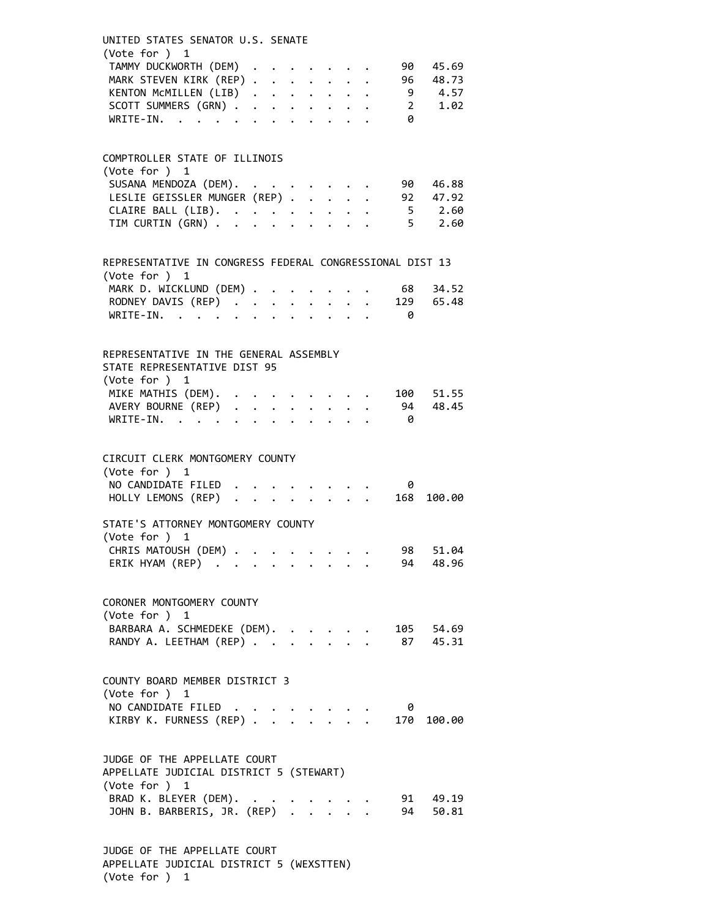| UNITED STATES SENATOR U.S. SENATE<br>(Vote for ) 1                                      |  |  |                                 |                                                                       |          |             |  |
|-----------------------------------------------------------------------------------------|--|--|---------------------------------|-----------------------------------------------------------------------|----------|-------------|--|
| TAMMY DUCKWORTH (DEM)                                                                   |  |  |                                 |                                                                       | 90       | 45.69       |  |
| MARK STEVEN KIRK (REP)                                                                  |  |  |                                 |                                                                       | 96       | 48.73       |  |
| KENTON MCMILLEN (LIB)                                                                   |  |  |                                 |                                                                       |          | 9 4.57      |  |
| SCOTT SUMMERS (GRN)                                                                     |  |  |                                 |                                                                       |          | 2 1.02      |  |
| WRITE-IN.                                                                               |  |  |                                 |                                                                       | - 0      |             |  |
|                                                                                         |  |  |                                 |                                                                       |          |             |  |
| COMPTROLLER STATE OF ILLINOIS                                                           |  |  |                                 |                                                                       |          |             |  |
| (Vote for ) 1                                                                           |  |  |                                 |                                                                       |          |             |  |
| SUSANA MENDOZA (DEM).                                                                   |  |  |                                 |                                                                       | 90       | 46.88       |  |
| LESLIE GEISSLER MUNGER (REP)                                                            |  |  |                                 |                                                                       |          | 92 47.92    |  |
| CLAIRE BALL (LIB).                                                                      |  |  |                                 |                                                                       |          | 5 2.60      |  |
| TIM CURTIN (GRN)                                                                        |  |  |                                 |                                                                       |          | $5 \t 2.60$ |  |
|                                                                                         |  |  |                                 |                                                                       |          |             |  |
| REPRESENTATIVE IN CONGRESS FEDERAL CONGRESSIONAL DIST 13<br>(Vote for ) 1               |  |  |                                 |                                                                       |          |             |  |
| MARK D. WICKLUND (DEM)                                                                  |  |  |                                 | $\mathbf{r}$ , and $\mathbf{r}$ , and $\mathbf{r}$ , and $\mathbf{r}$ | 68       | 34.52       |  |
|                                                                                         |  |  |                                 |                                                                       |          |             |  |
| RODNEY DAVIS (REP)                                                                      |  |  |                                 |                                                                       | 129      | 65.48       |  |
| WRITE-IN.                                                                               |  |  |                                 |                                                                       | - 0      |             |  |
| REPRESENTATIVE IN THE GENERAL ASSEMBLY<br>STATE REPRESENTATIVE DIST 95<br>(Vote for ) 1 |  |  |                                 |                                                                       |          |             |  |
| MIKE MATHIS (DEM).                                                                      |  |  |                                 |                                                                       |          | 100 51.55   |  |
| AVERY BOURNE (REP)                                                                      |  |  |                                 |                                                                       | 94       |             |  |
|                                                                                         |  |  |                                 |                                                                       |          | 48.45       |  |
| WRITE-IN.                                                                               |  |  |                                 |                                                                       | - 0      |             |  |
| CIRCUIT CLERK MONTGOMERY COUNTY<br>(Vote for ) 1                                        |  |  |                                 |                                                                       |          |             |  |
| NO CANDIDATE FILED.<br>NO CANDIDATE FILED<br>HOLLY LEMONS (REP)                         |  |  |                                 |                                                                       | 0<br>168 | 100.00      |  |
| STATE'S ATTORNEY MONTGOMERY COUNTY                                                      |  |  |                                 |                                                                       |          |             |  |
| (Vote for ) 1                                                                           |  |  |                                 |                                                                       |          |             |  |
| CHRIS MATOUSH (DEM) 98 51.04                                                            |  |  |                                 |                                                                       |          |             |  |
| ERIK HYAM (REP)                                                                         |  |  |                                 |                                                                       |          | 94 48.96    |  |
| CORONER MONTGOMERY COUNTY                                                               |  |  |                                 |                                                                       |          |             |  |
| (Vote for ) 1                                                                           |  |  |                                 |                                                                       |          |             |  |
| BARBARA A. SCHMEDEKE (DEM). 105 54.69                                                   |  |  |                                 |                                                                       |          |             |  |
| RANDY A. LEETHAM (REP) 87 45.31                                                         |  |  |                                 |                                                                       |          |             |  |
|                                                                                         |  |  |                                 |                                                                       |          |             |  |
| COUNTY BOARD MEMBER DISTRICT 3<br>(Vote for ) 1                                         |  |  |                                 |                                                                       |          |             |  |
| NO CANDIDATE FILED                                                                      |  |  |                                 |                                                                       | - 0      |             |  |
| KIRBY K. FURNESS (REP) 170 100.00                                                       |  |  |                                 |                                                                       |          |             |  |
| JUDGE OF THE APPELLATE COURT<br>APPELLATE JUDICIAL DISTRICT 5 (STEWART)                 |  |  |                                 |                                                                       |          |             |  |
| (Vote for ) 1                                                                           |  |  |                                 |                                                                       |          |             |  |
|                                                                                         |  |  |                                 |                                                                       |          | 91 49.19    |  |
| BRAD K. BLEYER (DEM).<br>JOHN B. BARBERIS, JR. (REP) .                                  |  |  | $\cdot$ $\cdot$ $\cdot$ $\cdot$ |                                                                       |          | 94 50.81    |  |
|                                                                                         |  |  |                                 |                                                                       |          |             |  |

JUDGE OF THE APPELLATE COURT APPELLATE JUDICIAL DISTRICT 5 (WEXSTTEN) (Vote for ) 1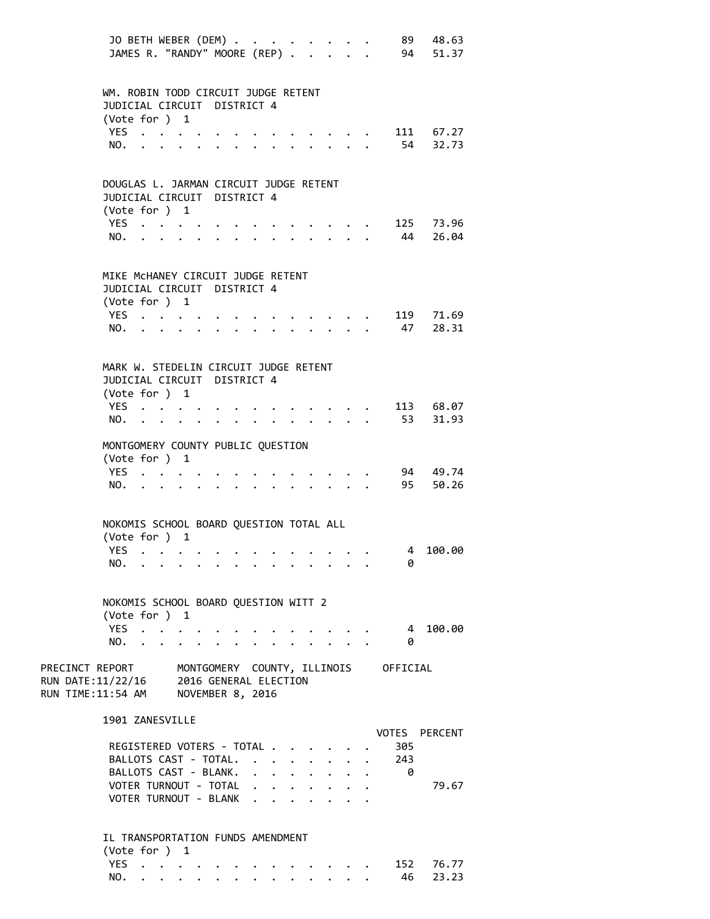|                                                           | JO BETH WEBER (DEM)<br>JAMES R. "RANDY" MOORE (REP)                                    |  |                                   |                                           |  |                                                     |                      |                                                                  | $\mathbf{L} = \mathbf{L}$            |                                      | 89 48.63<br>94 51.37  |
|-----------------------------------------------------------|----------------------------------------------------------------------------------------|--|-----------------------------------|-------------------------------------------|--|-----------------------------------------------------|----------------------|------------------------------------------------------------------|--------------------------------------|--------------------------------------|-----------------------|
|                                                           | WM. ROBIN TODD CIRCUIT JUDGE RETENT<br>JUDICIAL CIRCUIT DISTRICT 4                     |  |                                   |                                           |  |                                                     |                      |                                                                  |                                      |                                      |                       |
|                                                           | (Vote for ) 1<br>YES $\cdot \cdot \cdot \cdot$<br>NO.                                  |  |                                   |                                           |  |                                                     |                      | $\cdot$ $\cdot$ $\cdot$ $\cdot$                                  |                                      |                                      | 111 67.27<br>54 32.73 |
|                                                           | DOUGLAS L. JARMAN CIRCUIT JUDGE RETENT<br>JUDICIAL CIRCUIT DISTRICT 4<br>(Vote for ) 1 |  |                                   |                                           |  |                                                     |                      |                                                                  |                                      |                                      |                       |
|                                                           | YES<br>NO.                                                                             |  |                                   | $\cdot$ $\cdot$ $\cdot$ $\cdot$           |  |                                                     |                      | $\ddotsc$ $\ddotsc$ $\ddotsc$<br>$\cdot$ $\cdot$ $\cdot$ $\cdot$ |                                      | 44                                   | 125 73.96<br>26.04    |
|                                                           | MIKE MCHANEY CIRCUIT JUDGE RETENT<br>JUDICIAL CIRCUIT DISTRICT 4<br>(Vote for ) 1      |  |                                   |                                           |  |                                                     |                      |                                                                  |                                      |                                      |                       |
|                                                           | YES $\cdot \cdot \cdot \cdot$<br>NO.                                                   |  |                                   | $\cdot$ $\cdot$ $\cdot$ $\cdot$           |  |                                                     |                      | $\cdot$ $\cdot$ $\cdot$ $\cdot$                                  |                                      | . 47                                 | 119 71.69<br>28.31    |
|                                                           | MARK W. STEDELIN CIRCUIT JUDGE RETENT<br>JUDICIAL CIRCUIT DISTRICT 4<br>(Vote for ) 1  |  |                                   |                                           |  |                                                     |                      |                                                                  |                                      |                                      |                       |
|                                                           | YES<br>NO.                                                                             |  |                                   |                                           |  |                                                     |                      | $\mathbf{r} = \mathbf{r} \cdot \mathbf{r}$                       |                                      |                                      | 113 68.07<br>53 31.93 |
|                                                           | MONTGOMERY COUNTY PUBLIC QUESTION<br>(Vote for ) 1<br>YES                              |  |                                   |                                           |  |                                                     |                      |                                                                  |                                      |                                      | 94 49.74              |
|                                                           | NO.                                                                                    |  |                                   |                                           |  |                                                     |                      | $\ddot{\phantom{0}}$                                             |                                      | 95                                   | 50.26                 |
|                                                           | NOKOMIS SCHOOL BOARD QUESTION TOTAL ALL<br>(Vote for ) 1                               |  |                                   |                                           |  |                                                     |                      |                                                                  |                                      |                                      |                       |
|                                                           | YES.<br>NO.                                                                            |  |                                   |                                           |  |                                                     |                      |                                                                  |                                      | 4<br>0                               | 100.00                |
|                                                           | NOKOMIS SCHOOL BOARD QUESTION WITT 2<br>(Vote for ) 1                                  |  |                                   |                                           |  |                                                     |                      |                                                                  |                                      |                                      |                       |
|                                                           | YES<br>NO.                                                                             |  |                                   |                                           |  |                                                     |                      |                                                                  |                                      | $\overline{4}$<br>0                  | 100.00                |
| PRECINCT REPORT<br>RUN DATE:11/22/16<br>RUN TIME:11:54 AM |                                                                                        |  |                                   | 2016 GENERAL ELECTION<br>NOVEMBER 8, 2016 |  |                                                     |                      |                                                                  |                                      | MONTGOMERY COUNTY, ILLINOIS OFFICIAL |                       |
|                                                           | 1901 ZANESVILLE<br>REGISTERED VOTERS - TOTAL                                           |  |                                   |                                           |  |                                                     |                      |                                                                  |                                      | VOTES<br>305                         | <b>PERCENT</b>        |
|                                                           | BALLOTS CAST - TOTAL.<br>BALLOTS CAST - BLANK.                                         |  |                                   |                                           |  | $\cdot$ $\cdot$ $\cdot$                             | $\ddot{\phantom{0}}$ |                                                                  | $\cdot$ $\cdot$ $\cdot$<br>$\ddotsc$ | 243<br>- 0                           |                       |
|                                                           | VOTER TURNOUT - TOTAL<br>VOTER TURNOUT - BLANK .                                       |  |                                   |                                           |  | $\mathbf{r} = \mathbf{r} + \mathbf{r} + \mathbf{r}$ |                      |                                                                  |                                      |                                      | 79.67                 |
|                                                           | IL TRANSPORTATION FUNDS AMENDMENT<br>(Vote for ) 1                                     |  |                                   |                                           |  |                                                     |                      |                                                                  |                                      |                                      |                       |
|                                                           | YES.                                                                                   |  | <b>Contract Contract Contract</b> |                                           |  |                                                     |                      | $\cdot$ $\cdot$ $\cdot$ $\cdot$                                  |                                      | 152                                  | 76.77                 |

NO. . . . . . . . . . . . . . 46 23.23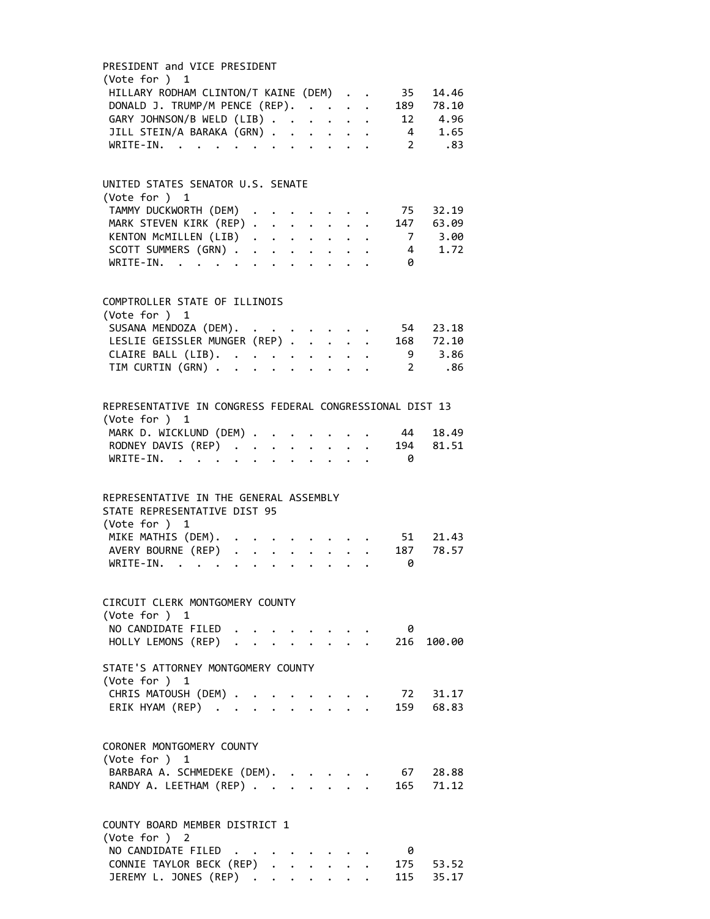| PRESIDENT and VICE PRESIDENT                                                                                                                                                                                                               |  |  |  |                                                                                              |              |                                            |
|--------------------------------------------------------------------------------------------------------------------------------------------------------------------------------------------------------------------------------------------|--|--|--|----------------------------------------------------------------------------------------------|--------------|--------------------------------------------|
| (Vote for ) 1                                                                                                                                                                                                                              |  |  |  |                                                                                              |              |                                            |
| HILLARY RODHAM CLINTON/T KAINE (DEM)                                                                                                                                                                                                       |  |  |  |                                                                                              | 35           | 14.46                                      |
| DONALD J. TRUMP/M PENCE (REP).                                                                                                                                                                                                             |  |  |  |                                                                                              |              | 189 78.10                                  |
| GARY JOHNSON/B WELD (LIB)                                                                                                                                                                                                                  |  |  |  |                                                                                              |              | 12 4.96                                    |
| JILL STEIN/A BARAKA (GRN)                                                                                                                                                                                                                  |  |  |  |                                                                                              |              | 4 1.65                                     |
| WRTTF-TN.<br>. The contract of the contract of the contract of the contract of the contract of the contract of the contract of the contract of the contract of the contract of the contract of the contract of the contract of the contrac |  |  |  |                                                                                              |              | $2^{\sim}$<br>.83                          |
|                                                                                                                                                                                                                                            |  |  |  |                                                                                              |              |                                            |
|                                                                                                                                                                                                                                            |  |  |  |                                                                                              |              |                                            |
| UNITED STATES SENATOR U.S. SENATE<br>(Vote for ) 1                                                                                                                                                                                         |  |  |  |                                                                                              |              |                                            |
|                                                                                                                                                                                                                                            |  |  |  |                                                                                              |              |                                            |
| TAMMY DUCKWORTH (DEM)                                                                                                                                                                                                                      |  |  |  | $\mathcal{L}(\mathcal{A})$ , and $\mathcal{L}(\mathcal{A})$ , and $\mathcal{L}(\mathcal{A})$ |              | 75 32.19                                   |
| MARK STEVEN KIRK (REP)                                                                                                                                                                                                                     |  |  |  |                                                                                              |              | 147 63.09                                  |
| KENTON MCMILLEN (LIB)                                                                                                                                                                                                                      |  |  |  |                                                                                              |              | 7 3.00                                     |
| SCOTT SUMMERS (GRN)                                                                                                                                                                                                                        |  |  |  |                                                                                              |              | 4 1.72                                     |
| WRITE-IN.                                                                                                                                                                                                                                  |  |  |  |                                                                                              | 0            |                                            |
|                                                                                                                                                                                                                                            |  |  |  |                                                                                              |              |                                            |
| COMPTROLLER STATE OF ILLINOIS                                                                                                                                                                                                              |  |  |  |                                                                                              |              |                                            |
| (Vote for ) 1                                                                                                                                                                                                                              |  |  |  |                                                                                              |              |                                            |
| SUSANA MENDOZA (DEM).                                                                                                                                                                                                                      |  |  |  |                                                                                              |              | 54 23.18                                   |
| LESLIE GEISSLER MUNGER (REP)                                                                                                                                                                                                               |  |  |  |                                                                                              |              | 168 72.10                                  |
| CLAIRE BALL (LIB).<br>TIM CURTIN (GRN)                                                                                                                                                                                                     |  |  |  |                                                                                              |              | 9 3.86                                     |
|                                                                                                                                                                                                                                            |  |  |  |                                                                                              | $\mathbf{2}$ | .86                                        |
|                                                                                                                                                                                                                                            |  |  |  |                                                                                              |              |                                            |
|                                                                                                                                                                                                                                            |  |  |  |                                                                                              |              |                                            |
| REPRESENTATIVE IN CONGRESS FEDERAL CONGRESSIONAL DIST 13                                                                                                                                                                                   |  |  |  |                                                                                              |              |                                            |
| (Vote for ) 1                                                                                                                                                                                                                              |  |  |  |                                                                                              |              |                                            |
| MARK D. WICKLUND (DEM)                                                                                                                                                                                                                     |  |  |  |                                                                                              | 44           | 18.49                                      |
| RODNEY DAVIS (REP)                                                                                                                                                                                                                         |  |  |  |                                                                                              | 194          | 81.51                                      |
| WRITE-IN.                                                                                                                                                                                                                                  |  |  |  |                                                                                              | - 0          |                                            |
|                                                                                                                                                                                                                                            |  |  |  |                                                                                              |              |                                            |
| REPRESENTATIVE IN THE GENERAL ASSEMBLY                                                                                                                                                                                                     |  |  |  |                                                                                              |              |                                            |
| STATE REPRESENTATIVE DIST 95                                                                                                                                                                                                               |  |  |  |                                                                                              |              |                                            |
| (Vote for ) 1                                                                                                                                                                                                                              |  |  |  |                                                                                              |              |                                            |
| MIKE MATHIS (DEM).                                                                                                                                                                                                                         |  |  |  |                                                                                              |              | 51 21.43                                   |
| AVERY BOURNE (REP)                                                                                                                                                                                                                         |  |  |  |                                                                                              | 187          | 78.57                                      |
| WRITE-IN.                                                                                                                                                                                                                                  |  |  |  |                                                                                              | 0            |                                            |
|                                                                                                                                                                                                                                            |  |  |  |                                                                                              |              |                                            |
|                                                                                                                                                                                                                                            |  |  |  |                                                                                              |              |                                            |
| CIRCUIT CLERK MONTGOMERY COUNTY                                                                                                                                                                                                            |  |  |  |                                                                                              |              |                                            |
| (Vote for ) 1                                                                                                                                                                                                                              |  |  |  |                                                                                              |              |                                            |
| NO CANDIDATE FILED                                                                                                                                                                                                                         |  |  |  |                                                                                              | 0            |                                            |
| HOLLY LEMONS (REP)                                                                                                                                                                                                                         |  |  |  |                                                                                              |              | $\cdot$ $\cdot$ $\cdot$ $\cdot$ 216 100.00 |
| STATE'S ATTORNEY MONTGOMERY COUNTY                                                                                                                                                                                                         |  |  |  |                                                                                              |              |                                            |
| (Vote for ) 1                                                                                                                                                                                                                              |  |  |  |                                                                                              |              |                                            |
| CHRIS MATOUSH (DEM) .                                                                                                                                                                                                                      |  |  |  |                                                                                              |              | 72 31.17                                   |
| ERIK HYAM (REP)                                                                                                                                                                                                                            |  |  |  |                                                                                              |              | 159 68.83                                  |
|                                                                                                                                                                                                                                            |  |  |  |                                                                                              |              |                                            |
|                                                                                                                                                                                                                                            |  |  |  |                                                                                              |              |                                            |
| CORONER MONTGOMERY COUNTY                                                                                                                                                                                                                  |  |  |  |                                                                                              |              |                                            |
| (Vote for ) $1$                                                                                                                                                                                                                            |  |  |  |                                                                                              |              |                                            |
| BARBARA A. SCHMEDEKE (DEM).                                                                                                                                                                                                                |  |  |  |                                                                                              |              | 67 28.88                                   |
| RANDY A. LEETHAM (REP)                                                                                                                                                                                                                     |  |  |  |                                                                                              |              | 165 71.12                                  |
|                                                                                                                                                                                                                                            |  |  |  |                                                                                              |              |                                            |
| COUNTY BOARD MEMBER DISTRICT 1                                                                                                                                                                                                             |  |  |  |                                                                                              |              |                                            |
|                                                                                                                                                                                                                                            |  |  |  |                                                                                              |              |                                            |
| (Vote for ) 2                                                                                                                                                                                                                              |  |  |  |                                                                                              |              |                                            |
| NO CANDIDATE FILED                                                                                                                                                                                                                         |  |  |  |                                                                                              | 0            |                                            |
| CONNIE TAYLOR BECK (REP)                                                                                                                                                                                                                   |  |  |  |                                                                                              |              | 175 53.52                                  |
| JEREMY L. JONES (REP)                                                                                                                                                                                                                      |  |  |  |                                                                                              |              | 115 35.17                                  |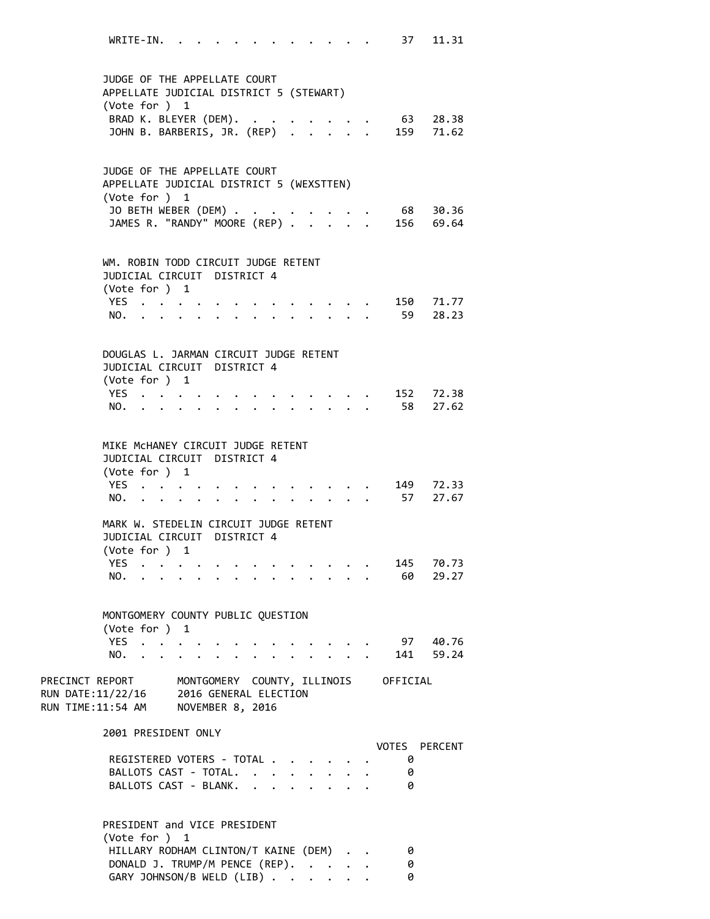WRITE-IN. . . . . . . . . . . . 37 11.31 JUDGE OF THE APPELLATE COURT APPELLATE JUDICIAL DISTRICT 5 (STEWART) (Vote for ) 1 BRAD K. BLEYER (DEM). . . . . . . . 63 28.38 JOHN B. BARBERIS, JR. (REP) . . . . . 159 71.62 JUDGE OF THE APPELLATE COURT APPELLATE JUDICIAL DISTRICT 5 (WEXSTTEN) (Vote for ) 1 JO BETH WEBER (DEM) . . . . . . . . 68 30.36 JAMES R. "RANDY" MOORE (REP) . . . . . 156 69.64 WM. ROBIN TODD CIRCUIT JUDGE RETENT JUDICIAL CIRCUIT DISTRICT 4 (Vote for ) 1 YES . . . . . . . . . . . . . 150 71.77 NO. . . . . . . . . . . . . . 59 28.23 DOUGLAS L. JARMAN CIRCUIT JUDGE RETENT JUDICIAL CIRCUIT DISTRICT 4 (Vote for ) 1 YES . . . . . . . . . . . . . 152 72.38 NO. . . . . . . . . . . . . . 58 27.62 MIKE McHANEY CIRCUIT JUDGE RETENT JUDICIAL CIRCUIT DISTRICT 4 (Vote for ) 1 YES . . . . . . . . . . . . . 149 72.33 NO. . . . . . . . . . . . . . 57 27.67 MARK W. STEDELIN CIRCUIT JUDGE RETENT JUDICIAL CIRCUIT DISTRICT 4 (Vote for ) 1 YES . . . . . . . . . . . . . 145 70.73 NO. . . . . . . . . . . . . . 60 29.27 MONTGOMERY COUNTY PUBLIC QUESTION (Vote for ) 1 YES . . . . . . . . . . . . . . 97 40.76 NO. . . . . . . . . . . . . . 141 59.24 PRECINCT REPORT MONTGOMERY COUNTY, ILLINOIS OFFICIAL RUN DATE:11/22/16 2016 GENERAL ELECTION RUN TIME:11:54 AM NOVEMBER 8, 2016 2001 PRESIDENT ONLY VOTES PERCENT REGISTERED VOTERS - TOTAL . . . . . . 0 BALLOTS CAST - TOTAL. . . . . . . . 0 BALLOTS CAST - BLANK. . . . . . . . 0 PRESIDENT and VICE PRESIDENT (Vote for ) 1 HILLARY RODHAM CLINTON/T KAINE (DEM) . . 0 DONALD J. TRUMP/M PENCE (REP). . . . . 0

GARY JOHNSON/B WELD (LIB) . . . . . . 0